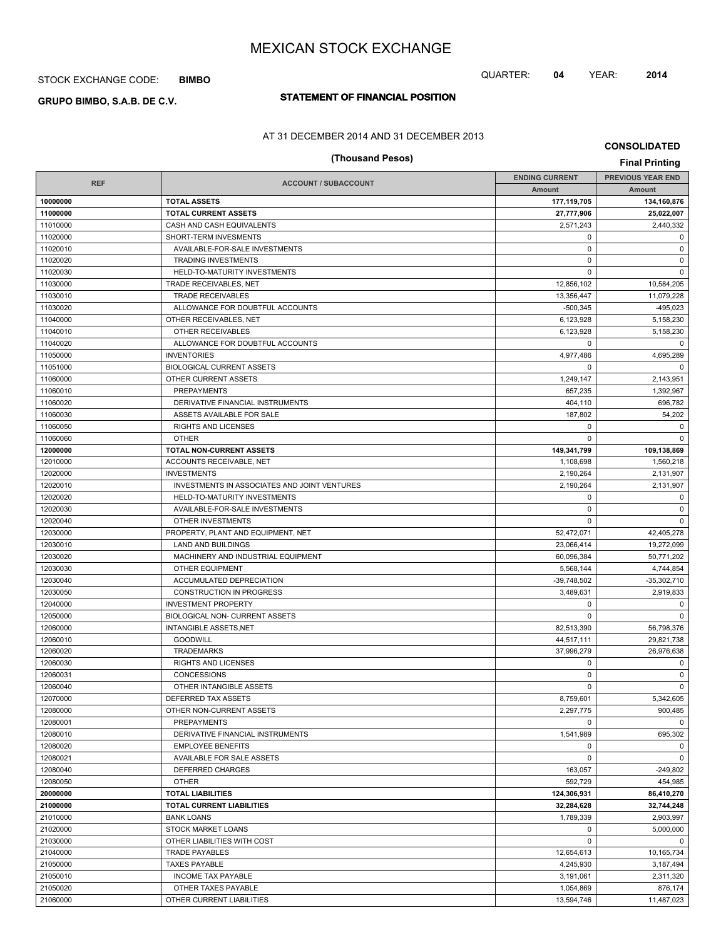## STOCK EXCHANGE CODE: **BIMBO**

# **STATEMENT OF FINANCIAL POSITION GRUPO BIMBO, S.A.B. DE C.V.**

### AT 31 DECEMBER 2014 AND 31 DECEMBER 2013

# **(Thousand Pesos) Final Printing**

**CONSOLIDATED**

|                                           |                                              | <b>ENDING CURRENT</b> | <b>PREVIOUS YEAR END</b> |
|-------------------------------------------|----------------------------------------------|-----------------------|--------------------------|
| <b>REF</b><br><b>ACCOUNT / SUBACCOUNT</b> |                                              | Amount                | Amount                   |
| 10000000                                  | <b>TOTAL ASSETS</b>                          | 177,119,705           | 134,160,876              |
| 11000000                                  | <b>TOTAL CURRENT ASSETS</b>                  | 27,777,906            | 25,022,007               |
| 11010000                                  | CASH AND CASH EQUIVALENTS                    | 2,571,243             | 2,440,332                |
| 11020000                                  | SHORT-TERM INVESMENTS                        | $\mathbf 0$           | $\mathbf 0$              |
| 11020010                                  | AVAILABLE-FOR-SALE INVESTMENTS               | $\mathbf 0$           | $\mathbf 0$              |
| 11020020                                  | <b>TRADING INVESTMENTS</b>                   | $\mathbf 0$           | $\mathbf 0$              |
| 11020030                                  | HELD-TO-MATURITY INVESTMENTS                 | $\mathbf 0$           | $\mathbf 0$              |
| 11030000                                  | TRADE RECEIVABLES, NET                       | 12,856,102            | 10,584,205               |
| 11030010                                  | <b>TRADE RECEIVABLES</b>                     | 13,356,447            | 11,079,228               |
| 11030020                                  | ALLOWANCE FOR DOUBTFUL ACCOUNTS              | $-500,345$            | $-495,023$               |
| 11040000                                  | OTHER RECEIVABLES, NET                       | 6,123,928             | 5,158,230                |
| 11040010                                  | OTHER RECEIVABLES                            | 6,123,928             | 5,158,230                |
| 11040020                                  | ALLOWANCE FOR DOUBTFUL ACCOUNTS              | $\mathbf 0$           | 0                        |
| 11050000                                  | <b>INVENTORIES</b>                           | 4,977,486             | 4,695,289                |
| 11051000                                  | <b>BIOLOGICAL CURRENT ASSETS</b>             | $\mathbf 0$           | $\mathbf 0$              |
| 11060000                                  | OTHER CURRENT ASSETS                         | 1,249,147             | 2,143,951                |
| 11060010                                  | <b>PREPAYMENTS</b>                           | 657,235               | 1,392,967                |
| 11060020                                  | DERIVATIVE FINANCIAL INSTRUMENTS             | 404,110               | 696,782                  |
| 11060030                                  | ASSETS AVAILABLE FOR SALE                    | 187,802               | 54,202                   |
| 11060050                                  | RIGHTS AND LICENSES                          | 0                     | $\mathbf 0$              |
| 11060060                                  | <b>OTHER</b>                                 | $\Omega$              | $\Omega$                 |
| 12000000                                  | TOTAL NON-CURRENT ASSETS                     | 149,341,799           | 109,138,869              |
| 12010000                                  | ACCOUNTS RECEIVABLE, NET                     | 1,108,698             | 1,560,218                |
| 12020000                                  | <b>INVESTMENTS</b>                           | 2,190,264             | 2,131,907                |
| 12020010                                  | INVESTMENTS IN ASSOCIATES AND JOINT VENTURES | 2,190,264             | 2,131,907                |
| 12020020                                  | HELD-TO-MATURITY INVESTMENTS                 | 0                     | $\mathbf 0$              |
| 12020030                                  | AVAILABLE-FOR-SALE INVESTMENTS               | $\mathbf 0$           | $\mathsf 0$              |
| 12020040                                  | OTHER INVESTMENTS                            | $\mathbf 0$           | $\mathbf 0$              |
| 12030000                                  | PROPERTY, PLANT AND EQUIPMENT, NET           | 52,472,071            | 42,405,278               |
| 12030010                                  | LAND AND BUILDINGS                           | 23,066,414            | 19,272,099               |
| 12030020                                  | MACHINERY AND INDUSTRIAL EQUIPMENT           | 60,096,384            | 50,771,202               |
| 12030030                                  | <b>OTHER EQUIPMENT</b>                       | 5,568,144             | 4,744,854                |
| 12030040                                  | ACCUMULATED DEPRECIATION                     | $-39,748,502$         | $-35,302,710$            |
| 12030050                                  | <b>CONSTRUCTION IN PROGRESS</b>              | 3,489,631             | 2,919,833                |
| 12040000                                  | <b>INVESTMENT PROPERTY</b>                   | 0                     | $\mathbf 0$              |
| 12050000                                  | BIOLOGICAL NON- CURRENT ASSETS               | $\mathbf 0$           | $\mathbf 0$              |
| 12060000                                  | <b>INTANGIBLE ASSETS, NET</b>                | 82.513.390            | 56,798,376               |
| 12060010                                  | <b>GOODWILL</b>                              | 44,517,111            | 29,821,738               |
| 12060020                                  | <b>TRADEMARKS</b>                            | 37,996,279            | 26,976,638               |
| 12060030                                  | <b>RIGHTS AND LICENSES</b>                   | 0                     | 0                        |
| 12060031                                  | CONCESSIONS                                  | 0                     | $\mathbf 0$              |
| 12060040                                  | OTHER INTANGIBLE ASSETS                      | $\mathbf 0$           | $\mathbf 0$              |
| 12070000                                  | DEFERRED TAX ASSETS                          | 8,759,601             | 5,342,605                |
| 12080000                                  | OTHER NON-CURRENT ASSETS                     | 2,297,775             | 900,485                  |
| 12080001                                  | <b>PREPAYMENTS</b>                           | $\Omega$              | $\Omega$                 |
| 12080010                                  | DERIVATIVE FINANCIAL INSTRUMENTS             | 1,541,989             | 695,302                  |
| 12080020                                  | <b>EMPLOYEE BENEFITS</b>                     | 0                     | $\mathbf 0$              |
| 12080021                                  | AVAILABLE FOR SALE ASSETS                    | $\mathbf 0$           | $\mathbf 0$              |
| 12080040                                  | <b>DEFERRED CHARGES</b>                      | 163,057               | $-249,802$               |
| 12080050                                  | <b>OTHER</b>                                 | 592,729               | 454,985                  |
| 20000000                                  | <b>TOTAL LIABILITIES</b>                     | 124,306,931           | 86,410,270               |
| 21000000                                  | <b>TOTAL CURRENT LIABILITIES</b>             | 32,284,628            | 32,744,248               |
| 21010000                                  | <b>BANK LOANS</b>                            | 1,789,339             | 2,903,997                |
| 21020000                                  | <b>STOCK MARKET LOANS</b>                    | $\mathbf 0$           | 5,000,000                |
| 21030000                                  | OTHER LIABILITIES WITH COST                  | $\mathbf 0$           | $\mathbf 0$              |
| 21040000                                  | TRADE PAYABLES                               | 12,654,613            | 10,165,734               |
| 21050000                                  | <b>TAXES PAYABLE</b>                         | 4,245,930             | 3,187,494                |
| 21050010                                  | <b>INCOME TAX PAYABLE</b>                    | 3,191,061             | 2,311,320                |
| 21050020                                  | OTHER TAXES PAYABLE                          | 1,054,869             | 876,174                  |
| 21060000                                  | OTHER CURRENT LIABILITIES                    | 13,594,746            | 11,487,023               |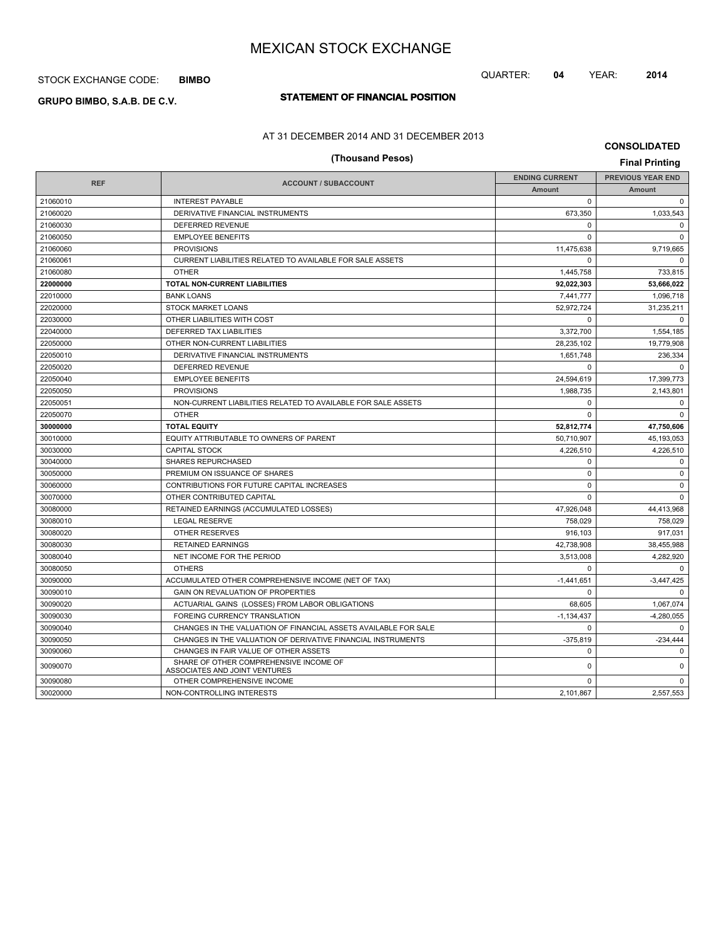## STOCK EXCHANGE CODE: **BIMBO**

# **STATEMENT OF FINANCIAL POSITION GRUPO BIMBO, S.A.B. DE C.V.**

## QUARTER: **04** YEAR: **2014**

AT 31 DECEMBER 2014 AND 31 DECEMBER 2013

**CONSOLIDATED**

|            | (Thousand Pesos)                                                        |                       | <b>Final Printing</b>    |  |
|------------|-------------------------------------------------------------------------|-----------------------|--------------------------|--|
|            |                                                                         | <b>ENDING CURRENT</b> | <b>PREVIOUS YEAR END</b> |  |
| <b>REF</b> | <b>ACCOUNT / SUBACCOUNT</b>                                             | <b>Amount</b>         | <b>Amount</b>            |  |
| 21060010   | <b>INTEREST PAYABLE</b>                                                 | $\mathbf 0$           | $\mathbf 0$              |  |
| 21060020   | DERIVATIVE FINANCIAL INSTRUMENTS                                        | 673,350               | 1,033,543                |  |
| 21060030   | DEFERRED REVENUE                                                        | $\mathbf 0$           | $\mathbf 0$              |  |
| 21060050   | <b>EMPLOYEE BENEFITS</b>                                                | $\Omega$              | $\Omega$                 |  |
| 21060060   | <b>PROVISIONS</b>                                                       | 11,475,638            | 9,719,665                |  |
| 21060061   | CURRENT LIABILITIES RELATED TO AVAILABLE FOR SALE ASSETS                | $\Omega$              | $\Omega$                 |  |
| 21060080   | <b>OTHER</b>                                                            | 1,445,758             | 733,815                  |  |
| 22000000   | <b>TOTAL NON-CURRENT LIABILITIES</b>                                    | 92.022.303            | 53.666.022               |  |
| 22010000   | <b>BANK LOANS</b>                                                       | 7,441,777             | 1,096,718                |  |
| 22020000   | <b>STOCK MARKET LOANS</b>                                               | 52,972,724            | 31,235,211               |  |
| 22030000   | OTHER LIABILITIES WITH COST                                             | $\Omega$              | $\mathbf 0$              |  |
| 22040000   | DEFERRED TAX LIABILITIES                                                | 3,372,700             | 1,554,185                |  |
| 22050000   | OTHER NON-CURRENT LIABILITIES                                           | 28,235,102            | 19,779,908               |  |
| 22050010   | DERIVATIVE FINANCIAL INSTRUMENTS                                        | 1,651,748             | 236,334                  |  |
| 22050020   | DEFERRED REVENUE                                                        | $\Omega$              | $\Omega$                 |  |
| 22050040   | <b>EMPLOYEE BENEFITS</b>                                                | 24,594,619            | 17,399,773               |  |
| 22050050   | <b>PROVISIONS</b>                                                       | 1.988.735             | 2.143.801                |  |
| 22050051   | NON-CURRENT LIABILITIES RELATED TO AVAILABLE FOR SALE ASSETS            | $\mathbf 0$           | 0                        |  |
| 22050070   | <b>OTHER</b>                                                            | $\Omega$              | $\Omega$                 |  |
| 30000000   | <b>TOTAL EQUITY</b>                                                     | 52,812,774            | 47,750,606               |  |
| 30010000   | EQUITY ATTRIBUTABLE TO OWNERS OF PARENT                                 | 50,710,907            | 45,193,053               |  |
| 30030000   | <b>CAPITAL STOCK</b>                                                    | 4,226,510             | 4,226,510                |  |
| 30040000   | <b>SHARES REPURCHASED</b>                                               | 0                     | $\mathbf 0$              |  |
| 30050000   | PREMIUM ON ISSUANCE OF SHARES                                           | $\mathbf 0$           | 0                        |  |
| 30060000   | CONTRIBUTIONS FOR FUTURE CAPITAL INCREASES                              | $\mathbf 0$           | $\mathbf 0$              |  |
| 30070000   | OTHER CONTRIBUTED CAPITAL                                               | $\Omega$              | $\Omega$                 |  |
| 30080000   | RETAINED EARNINGS (ACCUMULATED LOSSES)                                  | 47,926,048            | 44,413,968               |  |
| 30080010   | <b>LEGAL RESERVE</b>                                                    | 758,029               | 758,029                  |  |
| 30080020   | OTHER RESERVES                                                          | 916,103               | 917,031                  |  |
| 30080030   | <b>RETAINED EARNINGS</b>                                                | 42,738,908            | 38,455,988               |  |
| 30080040   | NET INCOME FOR THE PERIOD                                               | 3,513,008             | 4,282,920                |  |
| 30080050   | <b>OTHERS</b>                                                           | $\Omega$              | $\Omega$                 |  |
| 30090000   | ACCUMULATED OTHER COMPREHENSIVE INCOME (NET OF TAX)                     | $-1,441,651$          | $-3,447,425$             |  |
| 30090010   | GAIN ON REVALUATION OF PROPERTIES                                       | $\Omega$              | $\Omega$                 |  |
| 30090020   | ACTUARIAL GAINS (LOSSES) FROM LABOR OBLIGATIONS                         | 68,605                | 1,067,074                |  |
| 30090030   | FOREING CURRENCY TRANSLATION                                            | $-1,134,437$          | $-4,280,055$             |  |
| 30090040   | CHANGES IN THE VALUATION OF FINANCIAL ASSETS AVAILABLE FOR SALE         | $\Omega$              | $\Omega$                 |  |
| 30090050   | CHANGES IN THE VALUATION OF DERIVATIVE FINANCIAL INSTRUMENTS            | $-375,819$            | $-234,444$               |  |
| 30090060   | CHANGES IN FAIR VALUE OF OTHER ASSETS                                   | $\mathbf 0$           | $\mathbf 0$              |  |
| 30090070   | SHARE OF OTHER COMPREHENSIVE INCOME OF<br>ASSOCIATES AND JOINT VENTURES | $\mathbf 0$           | $\Omega$                 |  |
| 30090080   | OTHER COMPREHENSIVE INCOME                                              | $\Omega$              | $\Omega$                 |  |
| 30020000   | NON-CONTROLLING INTERESTS                                               | 2.101.867             | 2,557,553                |  |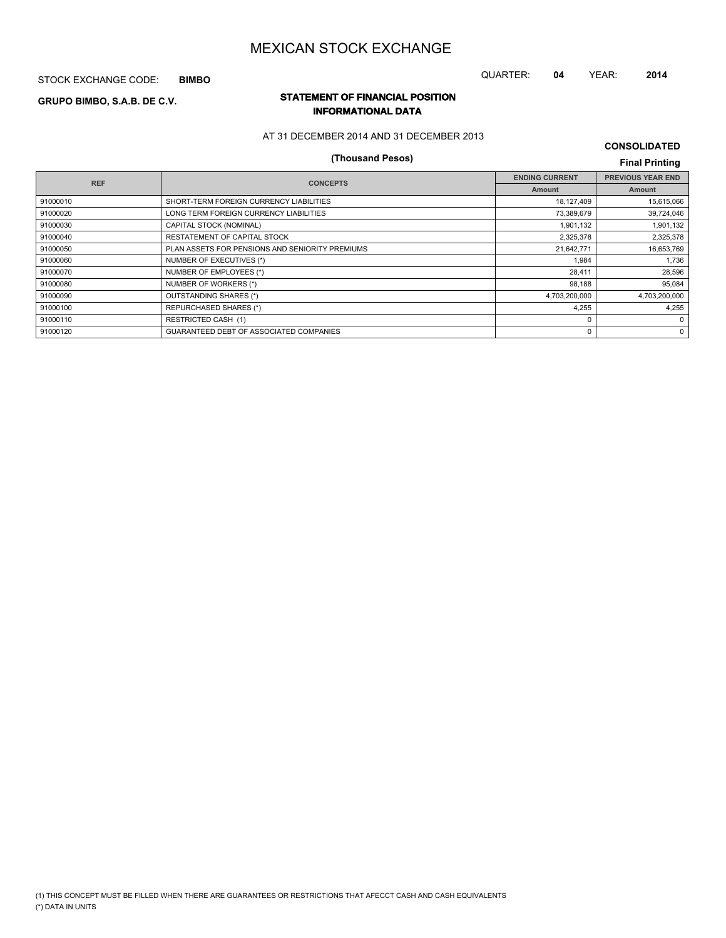STOCK EXCHANGE CODE: **BIMBO**

# **STATEMENT OF FINANCIAL POSITION GRUPO BIMBO, S.A.B. DE C.V. INFORMATIONAL DATA**

### AT 31 DECEMBER 2014 AND 31 DECEMBER 2013

# **(Thousand Pesos) Final Printing**

**CONSOLIDATED**

QUARTER: **04** YEAR: **2014**

| <b>REF</b> | <b>CONCEPTS</b>                                 | <b>ENDING CURRENT</b> | <b>PREVIOUS YEAR END</b> |
|------------|-------------------------------------------------|-----------------------|--------------------------|
|            |                                                 | Amount                | Amount                   |
| 91000010   | SHORT-TERM FOREIGN CURRENCY LIABILITIES         | 18,127,409            | 15,615,066               |
| 91000020   | LONG TERM FOREIGN CURRENCY LIABILITIES          | 73,389,679            | 39,724,046               |
| 91000030   | CAPITAL STOCK (NOMINAL)                         | 1,901,132             | 1,901,132                |
| 91000040   | RESTATEMENT OF CAPITAL STOCK                    | 2,325,378             | 2,325,378                |
| 91000050   | PLAN ASSETS FOR PENSIONS AND SENIORITY PREMIUMS | 21,642,771            | 16,653,769               |
| 91000060   | NUMBER OF EXECUTIVES (*)                        | 1.984                 | 1,736                    |
| 91000070   | NUMBER OF EMPLOYEES (*)                         | 28.411                | 28,596                   |
| 91000080   | NUMBER OF WORKERS (*)                           | 98.188                | 95,084                   |
| 91000090   | OUTSTANDING SHARES (*)                          | 4,703,200,000         | 4,703,200,000            |
| 91000100   | <b>REPURCHASED SHARES (*)</b>                   | 4,255                 | 4,255                    |
| 91000110   | <b>RESTRICTED CASH (1)</b>                      |                       | $\Omega$                 |
| 91000120   | <b>GUARANTEED DEBT OF ASSOCIATED COMPANIES</b>  |                       | 0                        |
|            |                                                 |                       |                          |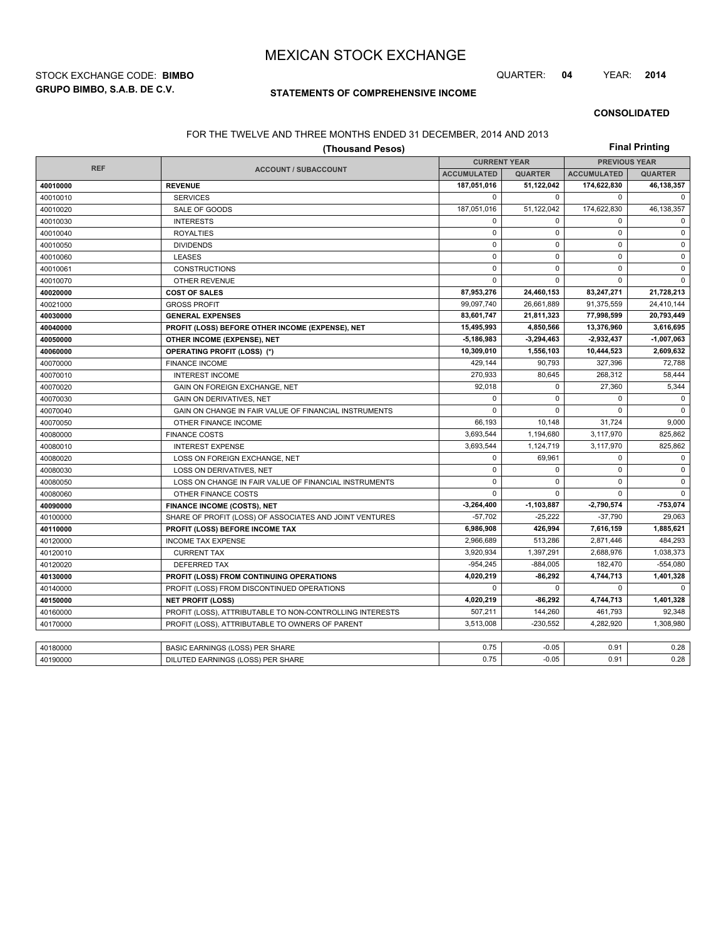**GRUPO BIMBO, S.A.B. DE C.V.** STOCK EXCHANGE CODE: **BIMBO** QUARTER: **04** YEAR: **2014**

## **STATEMENTS OF COMPREHENSIVE INCOME**

**CONSOLIDATED**

### FOR THE TWELVE AND THREE MONTHS ENDED 31 DECEMBER, 2014 AND 2013

| <b>Final Printing</b><br>(Thousand Pesos) |                                                          |                     |                |                      |                |  |
|-------------------------------------------|----------------------------------------------------------|---------------------|----------------|----------------------|----------------|--|
|                                           |                                                          | <b>CURRENT YEAR</b> |                | <b>PREVIOUS YEAR</b> |                |  |
| <b>REF</b>                                | <b>ACCOUNT / SUBACCOUNT</b>                              | <b>ACCUMULATED</b>  | <b>QUARTER</b> | <b>ACCUMULATED</b>   | <b>QUARTER</b> |  |
| 40010000                                  | <b>REVENUE</b>                                           | 187,051,016         | 51,122,042     | 174,622,830          | 46,138,357     |  |
| 40010010                                  | <b>SERVICES</b>                                          | $\mathbf 0$         | $\Omega$       | 0                    | 0              |  |
| 40010020                                  | SALE OF GOODS                                            | 187,051,016         | 51,122,042     | 174,622,830          | 46,138,357     |  |
| 40010030                                  | <b>INTERESTS</b>                                         | $\mathbf 0$         | $\Omega$       | $\mathbf 0$          | $\mathbf 0$    |  |
| 40010040                                  | <b>ROYALTIES</b>                                         | $\mathbf 0$         | $\mathbf 0$    | $\mathbf 0$          | $\pmb{0}$      |  |
| 40010050                                  | <b>DIVIDENDS</b>                                         | $\pmb{0}$           | $\mathbf 0$    | $\mathbf 0$          | $\pmb{0}$      |  |
| 40010060                                  | <b>LEASES</b>                                            | $\mathbf 0$         | $\mathbf 0$    | $\mathbf 0$          | $\mathbf 0$    |  |
| 40010061                                  | <b>CONSTRUCTIONS</b>                                     | $\mathbf 0$         | $\mathbf 0$    | $\mathbf 0$          | $\pmb{0}$      |  |
| 40010070                                  | <b>OTHER REVENUE</b>                                     | $\mathbf 0$         | $\Omega$       | $\Omega$             | $\mathbf 0$    |  |
| 40020000                                  | <b>COST OF SALES</b>                                     | 87,953,276          | 24,460,153     | 83,247,271           | 21,728,213     |  |
| 40021000                                  | <b>GROSS PROFIT</b>                                      | 99,097,740          | 26,661,889     | 91,375,559           | 24,410,144     |  |
| 40030000                                  | <b>GENERAL EXPENSES</b>                                  | 83,601,747          | 21,811,323     | 77,998,599           | 20,793,449     |  |
| 40040000                                  | PROFIT (LOSS) BEFORE OTHER INCOME (EXPENSE), NET         | 15,495,993          | 4,850,566      | 13,376,960           | 3,616,695      |  |
| 40050000                                  | OTHER INCOME (EXPENSE), NET                              | 5,186,983           | $-3,294,463$   | 2,932,437            | $-1,007,063$   |  |
| 40060000                                  | <b>OPERATING PROFIT (LOSS) (*)</b>                       | 10,309,010          | 1,556,103      | 10,444,523           | 2,609,632      |  |
| 40070000                                  | <b>FINANCE INCOME</b>                                    | 429,144             | 90,793         | 327,396              | 72,788         |  |
| 40070010                                  | <b>INTEREST INCOME</b>                                   | 270,933             | 80,645         | 268,312              | 58,444         |  |
| 40070020                                  | GAIN ON FOREIGN EXCHANGE, NET                            | 92,018              | $\mathbf 0$    | 27,360               | 5,344          |  |
| 40070030                                  | <b>GAIN ON DERIVATIVES, NET</b>                          | $\mathbf 0$         | $\mathbf 0$    | $\mathbf 0$          | $\mathbf 0$    |  |
| 40070040                                  | GAIN ON CHANGE IN FAIR VALUE OF FINANCIAL INSTRUMENTS    | $\mathbf 0$         | $\Omega$       | $\mathbf 0$          | $\mathbf 0$    |  |
| 40070050                                  | OTHER FINANCE INCOME                                     | 66,193              | 10,148         | 31,724               | 9,000          |  |
| 40080000                                  | <b>FINANCE COSTS</b>                                     | 3,693,544           | 1,194,680      | 3,117,970            | 825,862        |  |
| 40080010                                  | <b>INTEREST EXPENSE</b>                                  | 3,693,544           | 1,124,719      | 3,117,970            | 825,862        |  |
| 40080020                                  | LOSS ON FOREIGN EXCHANGE, NET                            | $\mathbf 0$         | 69,961         | $\mathbf 0$          | 0              |  |
| 40080030                                  | LOSS ON DERIVATIVES, NET                                 | $\mathbf 0$         | $\mathbf 0$    | $\mathbf 0$          | $\pmb{0}$      |  |
| 40080050                                  | LOSS ON CHANGE IN FAIR VALUE OF FINANCIAL INSTRUMENTS    | $\mathbf 0$         | $\Omega$       | $\mathbf 0$          | $\mathbf 0$    |  |
| 40080060                                  | OTHER FINANCE COSTS                                      | $\mathbf 0$         | $\Omega$       | $\mathbf 0$          | $\mathbf 0$    |  |
| 40090000                                  | <b>FINANCE INCOME (COSTS), NET</b>                       | $-3,264,400$        | $-1,103,887$   | $-2,790,574$         | -753,074       |  |
| 40100000                                  | SHARE OF PROFIT (LOSS) OF ASSOCIATES AND JOINT VENTURES  | $-57,702$           | $-25,222$      | $-37,790$            | 29,063         |  |
| 40110000                                  | PROFIT (LOSS) BEFORE INCOME TAX                          | 6,986,908           | 426,994        | 7,616,159            | 1,885,621      |  |
| 40120000                                  | <b>INCOME TAX EXPENSE</b>                                | 2,966,689           | 513,286        | 2,871,446            | 484.293        |  |
| 40120010                                  | <b>CURRENT TAX</b>                                       | 3,920,934           | 1,397,291      | 2,688,976            | 1,038,373      |  |
| 40120020                                  | <b>DEFERRED TAX</b>                                      | $-954,245$          | $-884,005$     | 182,470              | $-554,080$     |  |
| 40130000                                  | PROFIT (LOSS) FROM CONTINUING OPERATIONS                 | 4,020,219           | $-86,292$      | 4,744,713            | 1,401,328      |  |
| 40140000                                  | PROFIT (LOSS) FROM DISCONTINUED OPERATIONS               | $\mathbf 0$         | $\Omega$       | $\mathbf 0$          | $\Omega$       |  |
| 40150000                                  | <b>NET PROFIT (LOSS)</b>                                 | 4,020,219           | $-86,292$      | 4,744,713            | 1,401,328      |  |
| 40160000                                  | PROFIT (LOSS), ATTRIBUTABLE TO NON-CONTROLLING INTERESTS | 507,211             | 144,260        | 461,793              | 92,348         |  |
| 40170000                                  | PROFIT (LOSS), ATTRIBUTABLE TO OWNERS OF PARENT          | 3,513,008           | $-230,552$     | 4,282,920            | 1,308,980      |  |
|                                           |                                                          |                     |                |                      |                |  |
| 40180000                                  | BASIC EARNINGS (LOSS) PER SHARE                          | 0.75                | $-0.05$        | 0.91                 | 0.28           |  |
| 40190000                                  | DILUTED EARNINGS (LOSS) PER SHARE                        | 0.75                | $-0.05$        | 0.91                 | 0.28           |  |
|                                           |                                                          |                     |                |                      |                |  |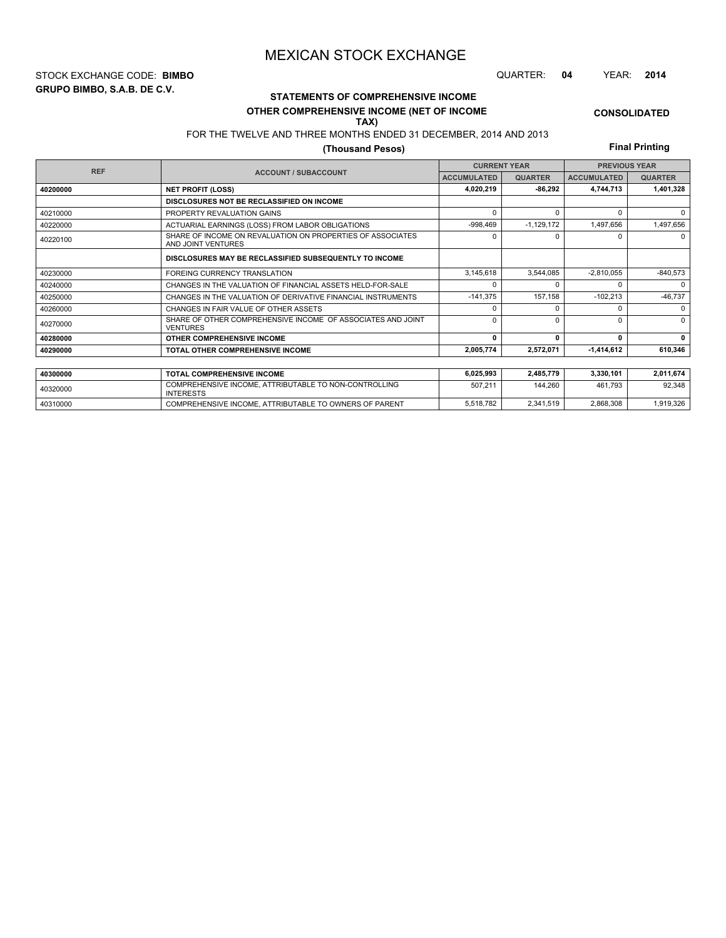**GRUPO BIMBO, S.A.B. DE C.V.** STOCK EXCHANGE CODE: **BIMBO** QUARTER: **04** YEAR: **2014**

# **STATEMENTS OF COMPREHENSIVE INCOME**

#### **OTHER COMPREHENSIVE INCOME (NET OF INCOME TAX)**

# FOR THE TWELVE AND THREE MONTHS ENDED 31 DECEMBER, 2014 AND 2013

## **(Thousand Pesos)**

**Final Printing**

**CONSOLIDATED**

| <b>REF</b> | <b>CURRENT YEAR</b><br><b>PREVIOUS YEAR</b>                                      |                    |                |                    |                |
|------------|----------------------------------------------------------------------------------|--------------------|----------------|--------------------|----------------|
|            | <b>ACCOUNT / SUBACCOUNT</b>                                                      | <b>ACCUMULATED</b> | <b>QUARTER</b> | <b>ACCUMULATED</b> | <b>QUARTER</b> |
| 40200000   | <b>NET PROFIT (LOSS)</b>                                                         | 4,020,219          | $-86.292$      | 4,744,713          | 1,401,328      |
|            | DISCLOSURES NOT BE RECLASSIFIED ON INCOME                                        |                    |                |                    |                |
| 40210000   | PROPERTY REVALUATION GAINS                                                       | $\Omega$           | 0              | 0                  | $\Omega$       |
| 40220000   | ACTUARIAL EARNINGS (LOSS) FROM LABOR OBLIGATIONS                                 | $-998,469$         | $-1,129,172$   | 1,497,656          | 1,497,656      |
| 40220100   | SHARE OF INCOME ON REVALUATION ON PROPERTIES OF ASSOCIATES<br>AND JOINT VENTURES | 0                  | 0              | n                  | $\Omega$       |
|            | DISCLOSURES MAY BE RECLASSIFIED SUBSEQUENTLY TO INCOME                           |                    |                |                    |                |
| 40230000   | FOREING CURRENCY TRANSLATION                                                     | 3,145,618          | 3.544.085      | $-2,810,055$       | -840,573       |
| 40240000   | CHANGES IN THE VALUATION OF FINANCIAL ASSETS HELD-FOR-SALE                       | $\Omega$           |                |                    | $\Omega$       |
| 40250000   | CHANGES IN THE VALUATION OF DERIVATIVE FINANCIAL INSTRUMENTS                     | $-141,375$         | 157.158        | $-102,213$         | $-46,737$      |
| 40260000   | CHANGES IN FAIR VALUE OF OTHER ASSETS                                            | $\Omega$           | O              |                    | $\Omega$       |
| 40270000   | SHARE OF OTHER COMPREHENSIVE INCOME OF ASSOCIATES AND JOINT<br><b>VENTURES</b>   | $\Omega$           | $\Omega$       | U                  | $\Omega$       |
| 40280000   | OTHER COMPREHENSIVE INCOME                                                       | $\mathbf{0}$       | 0              | 0                  | 0              |
| 40290000   | TOTAL OTHER COMPREHENSIVE INCOME                                                 | 2,005,774          | 2,572,071      | 1,414,612          | 610.346        |
|            |                                                                                  |                    |                |                    |                |
| 40300000   | <b>TOTAL COMPREHENSIVE INCOME</b>                                                | 6,025,993          | 2,485,779      | 3,330,101          | 2,011,674      |
| 40320000   | COMPREHENSIVE INCOME, ATTRIBUTABLE TO NON-CONTROLLING<br><b>INTERESTS</b>        | 507,211            | 144.260        | 461.793            | 92,348         |

40310000 COMPREHENSIVE INCOME, ATTRIBUTABLE TO OWNERS OF PARENT 5,518,782 2,341,519 2,868,308 1,919,326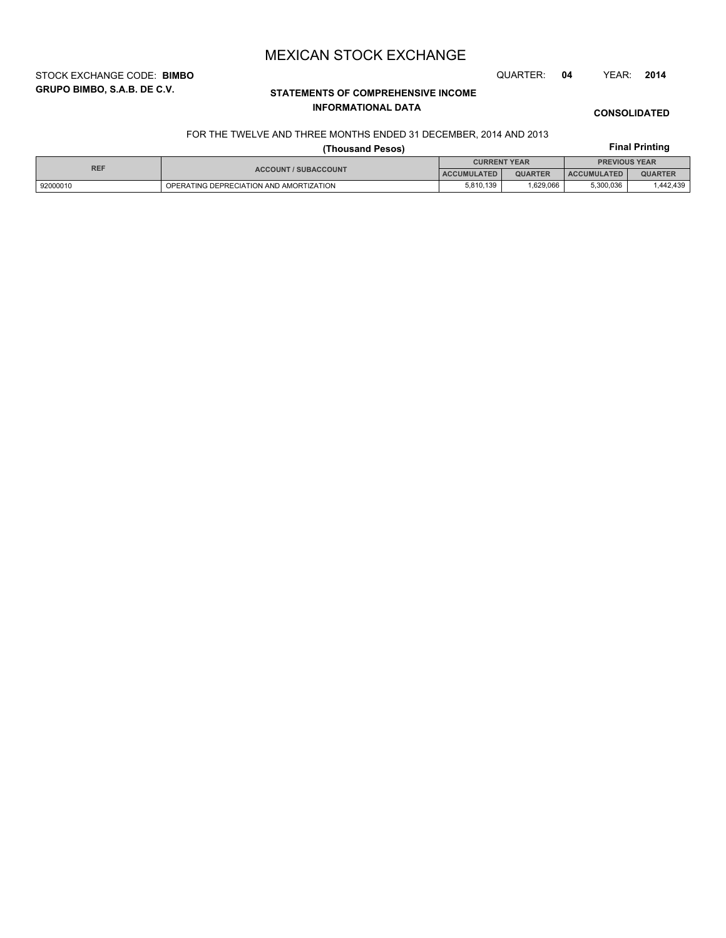STOCK EXCHANGE CODE: **BIMBO** QUARTER: **04** YEAR: **2014**

**GRUPO BIMBO, S.A.B. DE C.V.**

# **STATEMENTS OF COMPREHENSIVE INCOME INFORMATIONAL DATA**

**CONSOLIDATED**

**Final Printing**

## FOR THE TWELVE AND THREE MONTHS ENDED 31 DECEMBER, 2014 AND 2013

## **(Thousand Pesos)**

| <b>REF</b> | <b>CURRENT YEAR</b>                     |                    |                | <b>PREVIOUS YEAR</b> |                |
|------------|-----------------------------------------|--------------------|----------------|----------------------|----------------|
|            | <b>ACCOUNT / SUBACCOUNT</b>             | <b>ACCUMULATED</b> | <b>QUARTER</b> | <b>ACCUMULATED</b>   | <b>QUARTER</b> |
| 92000010   | OPERATING DEPRECIATION AND AMORTIZATION | 5.810.139          | .629.066       | 5.300.036            | .442.439       |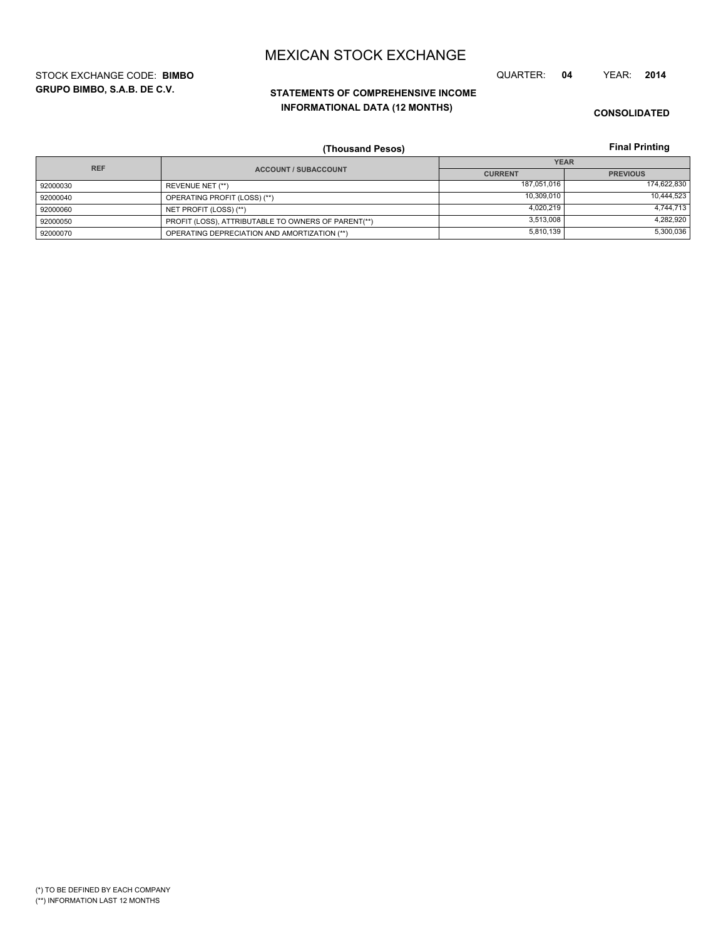**GRUPO BIMBO, S.A.B. DE C.V.** STOCK EXCHANGE CODE: **BIMBO** QUARTER: **04** YEAR: **2014**

# **STATEMENTS OF COMPREHENSIVE INCOME INFORMATIONAL DATA (12 MONTHS)**

**CONSOLIDATED**

**Final Printing**

|            | (Thousand Pesos)                                    |                | <b>Final Printing</b> |
|------------|-----------------------------------------------------|----------------|-----------------------|
| <b>REF</b> |                                                     |                | <b>YEAR</b>           |
|            | <b>ACCOUNT / SUBACCOUNT</b>                         | <b>CURRENT</b> | <b>PREVIOUS</b>       |
| 92000030   | REVENUE NET (**)                                    | 187,051,016    | 174,622,830           |
| 92000040   | OPERATING PROFIT (LOSS) (**)                        | 10.309.010     | 10,444,523            |
| 92000060   | NET PROFIT (LOSS) (**)                              | 4,020,219      | 4,744,713             |
| 92000050   | PROFIT (LOSS), ATTRIBUTABLE TO OWNERS OF PARENT(**) | 3.513.008      | 4,282,920             |
| 92000070   | OPERATING DEPRECIATION AND AMORTIZATION (**)        | 5,810,139      | 5,300,036             |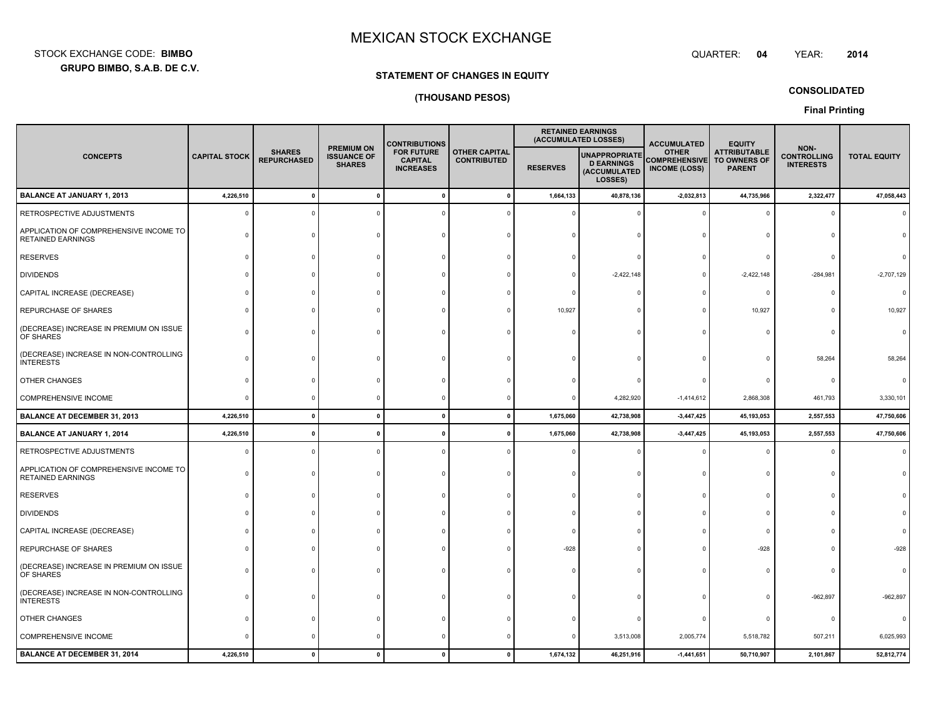: BIMBO QUARTER:

 **04**YEAR: **<sup>2014</sup>**

### **GRUPO BIMBO, S.A.B. DE C.V.**

STOCK EXCHANGE CODE:**BIMBO**

### **STATEMENT OF CHANGES IN EQUITY**

### **(THOUSAND PESOS)**

**CONSOLIDATED**

**Final Printing**

|                                                                    |                      |                                     |                                                          | <b>CONTRIBUTIONS</b>                                                                                  |              |                 | <b>RETAINED EARNINGS</b><br>(ACCUMULATED LOSSES)              | <b>ACCUMULATED</b>                   | <b>EQUITY</b>                                                             |                                                |                     |
|--------------------------------------------------------------------|----------------------|-------------------------------------|----------------------------------------------------------|-------------------------------------------------------------------------------------------------------|--------------|-----------------|---------------------------------------------------------------|--------------------------------------|---------------------------------------------------------------------------|------------------------------------------------|---------------------|
| <b>CONCEPTS</b>                                                    | <b>CAPITAL STOCK</b> | <b>SHARES</b><br><b>REPURCHASED</b> | <b>PREMIUM ON</b><br><b>ISSUANCE OF</b><br><b>SHARES</b> | <b>FOR FUTURE</b><br><b>OTHER CAPITAL</b><br><b>CAPITAL</b><br><b>CONTRIBUTED</b><br><b>INCREASES</b> |              | <b>RESERVES</b> | UNAPPROPRIATE<br><b>D EARNINGS</b><br>(ACCUMULATED<br>LOSSES) | <b>OTHER</b><br><b>INCOME (LOSS)</b> | <b>ATTRIBUTABLE</b><br><b>COMPREHENSIVE TO OWNERS OF</b><br><b>PARENT</b> | NON-<br><b>CONTROLLING</b><br><b>INTERESTS</b> | <b>TOTAL EQUITY</b> |
| <b>BALANCE AT JANUARY 1, 2013</b>                                  | 4,226,510            | $\mathbf{0}$                        | $\pmb{0}$                                                |                                                                                                       | $\mathbf 0$  | 1,664,133       | 40,878,136                                                    | $-2,032,813$                         | 44,735,966                                                                | 2,322,477                                      | 47,058,443          |
| RETROSPECTIVE ADJUSTMENTS                                          | ŋ                    | $\Omega$                            |                                                          |                                                                                                       |              |                 |                                                               |                                      | c                                                                         |                                                |                     |
| APPLICATION OF COMPREHENSIVE INCOME TO<br><b>RETAINED EARNINGS</b> |                      | $\Omega$                            |                                                          |                                                                                                       |              |                 |                                                               |                                      |                                                                           |                                                |                     |
| <b>RESERVES</b>                                                    |                      |                                     |                                                          |                                                                                                       |              |                 |                                                               |                                      |                                                                           |                                                |                     |
| <b>DIVIDENDS</b>                                                   |                      |                                     |                                                          |                                                                                                       |              |                 | $-2,422,148$                                                  |                                      | $-2,422,148$                                                              | $-284,981$                                     | $-2,707,129$        |
| CAPITAL INCREASE (DECREASE)                                        |                      |                                     |                                                          |                                                                                                       |              |                 |                                                               |                                      | $\mathsf{C}$                                                              |                                                |                     |
| REPURCHASE OF SHARES                                               |                      |                                     |                                                          |                                                                                                       |              | 10,927          |                                                               |                                      | 10,927                                                                    |                                                | 10,927              |
| (DECREASE) INCREASE IN PREMIUM ON ISSUE<br>OF SHARES               |                      |                                     |                                                          |                                                                                                       |              |                 |                                                               |                                      |                                                                           |                                                |                     |
| (DECREASE) INCREASE IN NON-CONTROLLING<br><b>INTERESTS</b>         |                      |                                     |                                                          |                                                                                                       |              |                 |                                                               |                                      |                                                                           | 58,264                                         | 58,264              |
| OTHER CHANGES                                                      |                      |                                     |                                                          |                                                                                                       |              |                 |                                                               |                                      |                                                                           |                                                |                     |
| COMPREHENSIVE INCOME                                               | 0                    | $\Omega$                            | $\Omega$                                                 |                                                                                                       |              |                 | 4,282,920                                                     | $-1,414,612$                         | 2,868,308                                                                 | 461,793                                        | 3,330,101           |
| <b>BALANCE AT DECEMBER 31, 2013</b>                                | 4,226,510            | $\mathbf{0}$                        | $\mathbf{0}$                                             | $\mathbf{0}$                                                                                          | $\mathbf{0}$ | 1,675,060       | 42,738,908                                                    | $-3,447,425$                         | 45,193,053                                                                | 2,557,553                                      | 47,750,606          |
| <b>BALANCE AT JANUARY 1, 2014</b>                                  | 4,226,510            | 0                                   | $\mathbf 0$                                              |                                                                                                       |              | 1,675,060       | 42,738,908                                                    | $-3,447,425$                         | 45,193,053                                                                | 2,557,553                                      | 47,750,606          |
| RETROSPECTIVE ADJUSTMENTS                                          |                      | $\Omega$                            | n                                                        |                                                                                                       |              |                 |                                                               |                                      |                                                                           |                                                |                     |
| APPLICATION OF COMPREHENSIVE INCOME TO<br><b>RETAINED EARNINGS</b> |                      | $\Omega$                            |                                                          |                                                                                                       |              |                 |                                                               |                                      |                                                                           |                                                |                     |
| <b>RESERVES</b>                                                    |                      | $\Omega$                            |                                                          |                                                                                                       |              |                 |                                                               |                                      | C                                                                         |                                                |                     |
| <b>DIVIDENDS</b>                                                   |                      |                                     |                                                          |                                                                                                       |              |                 |                                                               |                                      |                                                                           |                                                |                     |
| CAPITAL INCREASE (DECREASE)                                        |                      |                                     |                                                          |                                                                                                       |              |                 |                                                               |                                      |                                                                           |                                                |                     |
| REPURCHASE OF SHARES                                               |                      |                                     |                                                          |                                                                                                       |              | $-928$          |                                                               |                                      | $-928$                                                                    |                                                |                     |
| (DECREASE) INCREASE IN PREMIUM ON ISSUE<br>OF SHARES               |                      |                                     |                                                          |                                                                                                       |              |                 |                                                               |                                      |                                                                           |                                                |                     |
| (DECREASE) INCREASE IN NON-CONTROLLING<br><b>INTERESTS</b>         |                      |                                     |                                                          |                                                                                                       |              |                 |                                                               |                                      | c                                                                         | $-962,897$                                     | $-962,897$          |
| OTHER CHANGES                                                      |                      |                                     |                                                          |                                                                                                       |              |                 |                                                               |                                      | C                                                                         |                                                |                     |
| COMPREHENSIVE INCOME                                               |                      |                                     |                                                          |                                                                                                       |              |                 | 3,513,008                                                     | 2,005,774                            | 5,518,782                                                                 | 507,211                                        | 6,025,993           |
| <b>BALANCE AT DECEMBER 31, 2014</b>                                | 4,226,510            | $\Omega$                            | $\mathbf{0}$                                             |                                                                                                       | $\mathbf{0}$ | 1,674,132       | 46,251,916                                                    | $-1,441,651$                         | 50,710,907                                                                | 2,101,867                                      | 52,812,774          |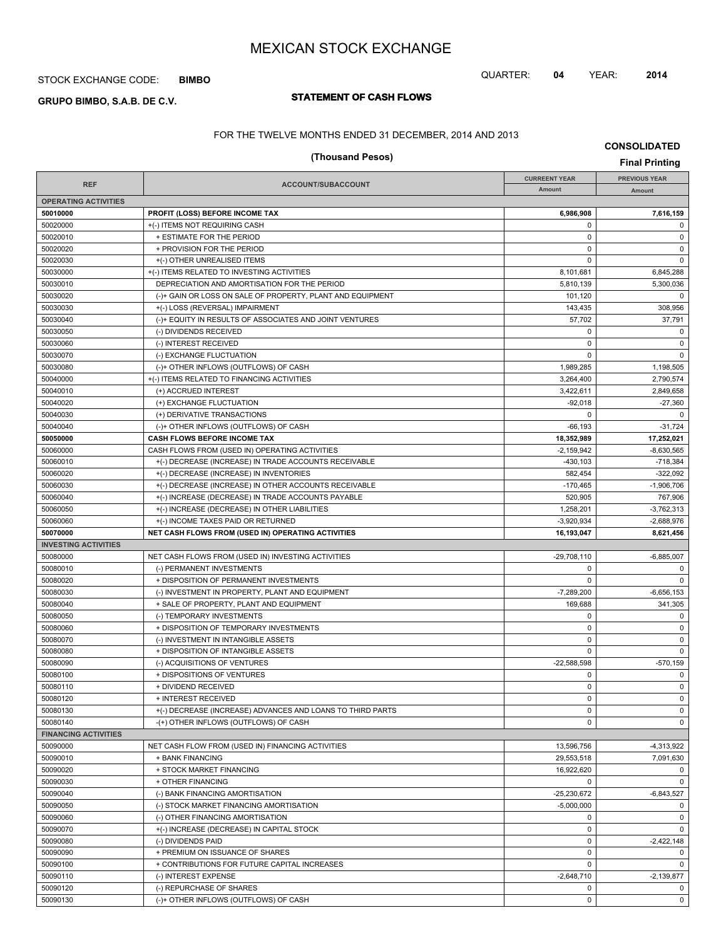## STOCK EXCHANGE CODE: **BIMBO**

# **STATEMENT OF CASH FLOWS GRUPO BIMBO, S.A.B. DE C.V.**

## QUARTER: **04** YEAR: **2014**

**CONSOLIDATED**

FOR THE TWELVE MONTHS ENDED 31 DECEMBER, 2014 AND 2013

| (Thousand Pesos)<br><b>Final Printing</b> |                                                                                               |                      |                            |  |  |
|-------------------------------------------|-----------------------------------------------------------------------------------------------|----------------------|----------------------------|--|--|
|                                           |                                                                                               | <b>CURREENT YEAR</b> | <b>PREVIOUS YEAR</b>       |  |  |
| <b>REF</b>                                | ACCOUNT/SUBACCOUNT                                                                            | Amount               | Amount                     |  |  |
| <b>OPERATING ACTIVITIES</b>               |                                                                                               |                      |                            |  |  |
| 50010000                                  | PROFIT (LOSS) BEFORE INCOME TAX                                                               | 6.986.908            | 7,616,159                  |  |  |
| 50020000                                  | +(-) ITEMS NOT REQUIRING CASH                                                                 | $\mathbf 0$          | $\mathbf 0$                |  |  |
| 50020010                                  | + ESTIMATE FOR THE PERIOD                                                                     | $\mathbf 0$          | $\mathsf 0$                |  |  |
| 50020020                                  | + PROVISION FOR THE PERIOD                                                                    | $\pmb{0}$            | $\mathbf 0$                |  |  |
| 50020030                                  | +(-) OTHER UNREALISED ITEMS                                                                   | 0                    | $\mathbf 0$                |  |  |
| 50030000                                  | +(-) ITEMS RELATED TO INVESTING ACTIVITIES                                                    | 8,101,681            | 6,845,288                  |  |  |
| 50030010                                  | DEPRECIATION AND AMORTISATION FOR THE PERIOD                                                  | 5,810,139            | 5,300,036<br>0             |  |  |
| 50030020<br>50030030                      | (-)+ GAIN OR LOSS ON SALE OF PROPERTY, PLANT AND EQUIPMENT<br>+(-) LOSS (REVERSAL) IMPAIRMENT | 101,120<br>143.435   | 308,956                    |  |  |
| 50030040                                  | (-)+ EQUITY IN RESULTS OF ASSOCIATES AND JOINT VENTURES                                       | 57,702               | 37,791                     |  |  |
| 50030050                                  | (-) DIVIDENDS RECEIVED                                                                        | $\mathbf 0$          | $\mathbf 0$                |  |  |
| 50030060                                  | (-) INTEREST RECEIVED                                                                         | $\mathbf 0$          | $\mathbf 0$                |  |  |
| 50030070                                  | (-) EXCHANGE FLUCTUATION                                                                      | $\mathbf 0$          | $\mathbf 0$                |  |  |
| 50030080                                  | (-)+ OTHER INFLOWS (OUTFLOWS) OF CASH                                                         | 1,989,285            | 1,198,505                  |  |  |
| 50040000                                  | +(-) ITEMS RELATED TO FINANCING ACTIVITIES                                                    | 3,264,400            | 2,790,574                  |  |  |
| 50040010                                  | (+) ACCRUED INTEREST                                                                          | 3,422,611            | 2,849,658                  |  |  |
| 50040020                                  | (+) EXCHANGE FLUCTUATION                                                                      | $-92,018$            | $-27,360$                  |  |  |
| 50040030                                  | (+) DERIVATIVE TRANSACTIONS                                                                   | 0                    | $\mathbf 0$                |  |  |
| 50040040                                  | (-)+ OTHER INFLOWS (OUTFLOWS) OF CASH                                                         | $-66, 193$           | $-31,724$                  |  |  |
| 50050000                                  | CASH FLOWS BEFORE INCOME TAX                                                                  | 18,352,989           | 17,252,021                 |  |  |
| 50060000                                  | CASH FLOWS FROM (USED IN) OPERATING ACTIVITIES                                                | $-2.159.942$         | $-8,630,565$               |  |  |
| 50060010                                  | +(-) DECREASE (INCREASE) IN TRADE ACCOUNTS RECEIVABLE                                         | $-430, 103$          | $-718,384$                 |  |  |
| 50060020                                  | +(-) DECREASE (INCREASE) IN INVENTORIES                                                       | 582,454              | $-322,092$                 |  |  |
| 50060030                                  | +(-) DECREASE (INCREASE) IN OTHER ACCOUNTS RECEIVABLE                                         | $-170,465$           | $-1,906,706$               |  |  |
| 50060040                                  | +(-) INCREASE (DECREASE) IN TRADE ACCOUNTS PAYABLE                                            | 520,905              | 767,906                    |  |  |
| 50060050                                  | +(-) INCREASE (DECREASE) IN OTHER LIABILITIES                                                 | 1,258,201            | $-3,762,313$               |  |  |
| 50060060                                  | +(-) INCOME TAXES PAID OR RETURNED                                                            | $-3,920,934$         | $-2,688,976$               |  |  |
| 50070000                                  | NET CASH FLOWS FROM (USED IN) OPERATING ACTIVITIES                                            | 16,193,047           | 8,621,456                  |  |  |
| <b>INVESTING ACTIVITIES</b>               |                                                                                               |                      |                            |  |  |
| 50080000                                  | NET CASH FLOWS FROM (USED IN) INVESTING ACTIVITIES                                            | $-29,708,110$        | $-6,885,007$               |  |  |
| 50080010                                  | (-) PERMANENT INVESTMENTS                                                                     | 0                    | $\mathbf 0$                |  |  |
| 50080020                                  | + DISPOSITION OF PERMANENT INVESTMENTS                                                        | 0                    | $\mathbf 0$                |  |  |
| 50080030                                  | (-) INVESTMENT IN PROPERTY, PLANT AND EQUIPMENT                                               | $-7,289,200$         | $-6,656,153$               |  |  |
| 50080040                                  | + SALE OF PROPERTY, PLANT AND EQUIPMENT                                                       | 169,688              | 341,305                    |  |  |
| 50080050                                  | (-) TEMPORARY INVESTMENTS                                                                     | 0                    | 0                          |  |  |
| 50080060                                  | + DISPOSITION OF TEMPORARY INVESTMENTS                                                        | $\mathbf 0$          | $\mathsf 0$                |  |  |
| 50080070                                  | (-) INVESTMENT IN INTANGIBLE ASSETS                                                           | $\pmb{0}$            | $\mathbf 0$                |  |  |
| 50080080                                  | + DISPOSITION OF INTANGIBLE ASSETS                                                            | 0                    | $\mathbf 0$                |  |  |
| 50080090                                  | (-) ACQUISITIONS OF VENTURES                                                                  | $-22,588,598$        | $-570,159$                 |  |  |
| 50080100                                  | + DISPOSITIONS OF VENTURES                                                                    | $\pmb{0}$            | $\mathbf 0$                |  |  |
| 50080110                                  | + DIVIDEND RECEIVED                                                                           | 0                    | 0                          |  |  |
| 50080120                                  | + INTEREST RECEIVED                                                                           | $\pmb{0}$            | $\mathsf 0$                |  |  |
| 50080130<br>50080140                      | +(-) DECREASE (INCREASE) ADVANCES AND LOANS TO THIRD PARTS                                    | 0<br>0               | $\mathbf 0$<br>$\mathbf 0$ |  |  |
| <b>FINANCING ACTIVITIES</b>               | -(+) OTHER INFLOWS (OUTFLOWS) OF CASH                                                         |                      |                            |  |  |
| 50090000                                  | NET CASH FLOW FROM (USED IN) FINANCING ACTIVITIES                                             | 13,596,756           | $-4,313,922$               |  |  |
| 50090010                                  | + BANK FINANCING                                                                              | 29,553,518           | 7,091,630                  |  |  |
| 50090020                                  | + STOCK MARKET FINANCING                                                                      | 16,922,620           | $\mathbf 0$                |  |  |
| 50090030                                  | + OTHER FINANCING                                                                             | 0                    | $\mathbf 0$                |  |  |
| 50090040                                  | (-) BANK FINANCING AMORTISATION                                                               | $-25,230,672$        | $-6,843,527$               |  |  |
| 50090050                                  | (-) STOCK MARKET FINANCING AMORTISATION                                                       | $-5,000,000$         | $\mathbf 0$                |  |  |
| 50090060                                  | (-) OTHER FINANCING AMORTISATION                                                              | 0                    | $\mathbf 0$                |  |  |
| 50090070                                  | +(-) INCREASE (DECREASE) IN CAPITAL STOCK                                                     | 0                    | $\mathbf 0$                |  |  |
| 50090080                                  | (-) DIVIDENDS PAID                                                                            | 0                    | $-2,422,148$               |  |  |
| 50090090                                  | + PREMIUM ON ISSUANCE OF SHARES                                                               | $\pmb{0}$            | $\mathbf 0$                |  |  |
| 50090100                                  | + CONTRIBUTIONS FOR FUTURE CAPITAL INCREASES                                                  | 0                    | $\mathbf 0$                |  |  |
| 50090110                                  | (-) INTEREST EXPENSE                                                                          | $-2,648,710$         | $-2,139,877$               |  |  |
| 50090120                                  | (-) REPURCHASE OF SHARES                                                                      | $\mathbf 0$          | 0                          |  |  |

50090130 (-)+ OTHER INFLOWS (OUTFLOWS) OF CASH 0 0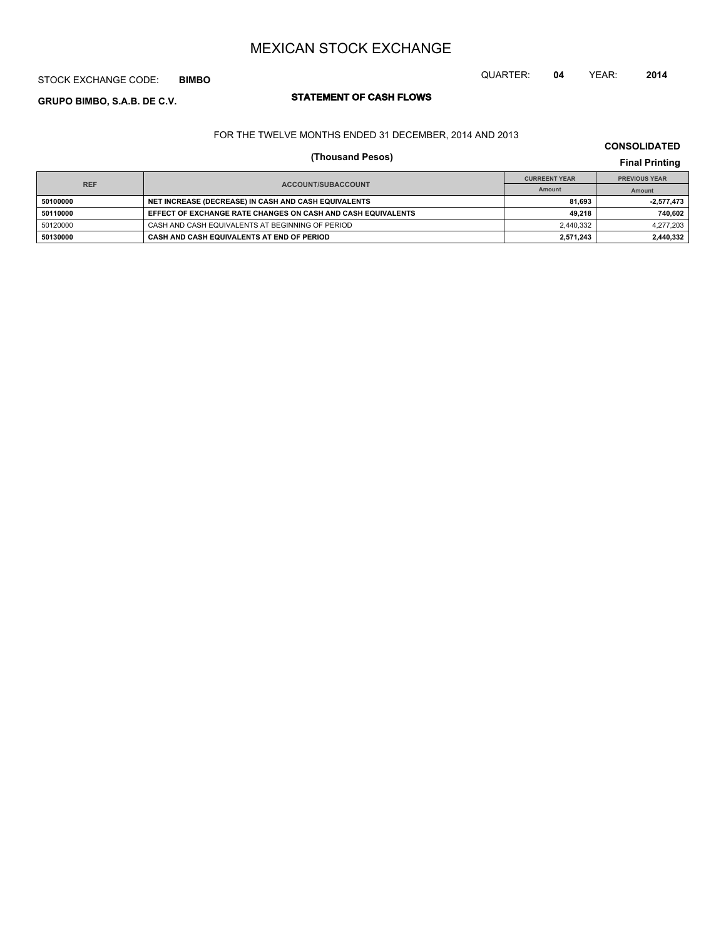## STOCK EXCHANGE CODE: **BIMBO**

# **STATEMENT OF CASH FLOWS GRUPO BIMBO, S.A.B. DE C.V.**

FOR THE TWELVE MONTHS ENDED 31 DECEMBER, 2014 AND 2013

# **(Thousand Pesos) Final Printing**

| <b>REF</b> |                                                              | <b>CURREENT YEAR</b> | <b>PREVIOUS YEAR</b> |
|------------|--------------------------------------------------------------|----------------------|----------------------|
|            | ACCOUNT/SUBACCOUNT                                           | Amount               | Amount               |
| 50100000   | NET INCREASE (DECREASE) IN CASH AND CASH EQUIVALENTS         | 81.693               | $-2,577,473$         |
| 50110000   | EFFECT OF EXCHANGE RATE CHANGES ON CASH AND CASH EQUIVALENTS | 49.218               | 740,602              |
| 50120000   | CASH AND CASH EQUIVALENTS AT BEGINNING OF PERIOD             | 2,440,332            | 4,277,203            |
| 50130000   | CASH AND CASH EQUIVALENTS AT END OF PERIOD                   | 2.571.243            | 2,440,332            |

## **CONSOLIDATED**

QUARTER: **04** YEAR: **2014**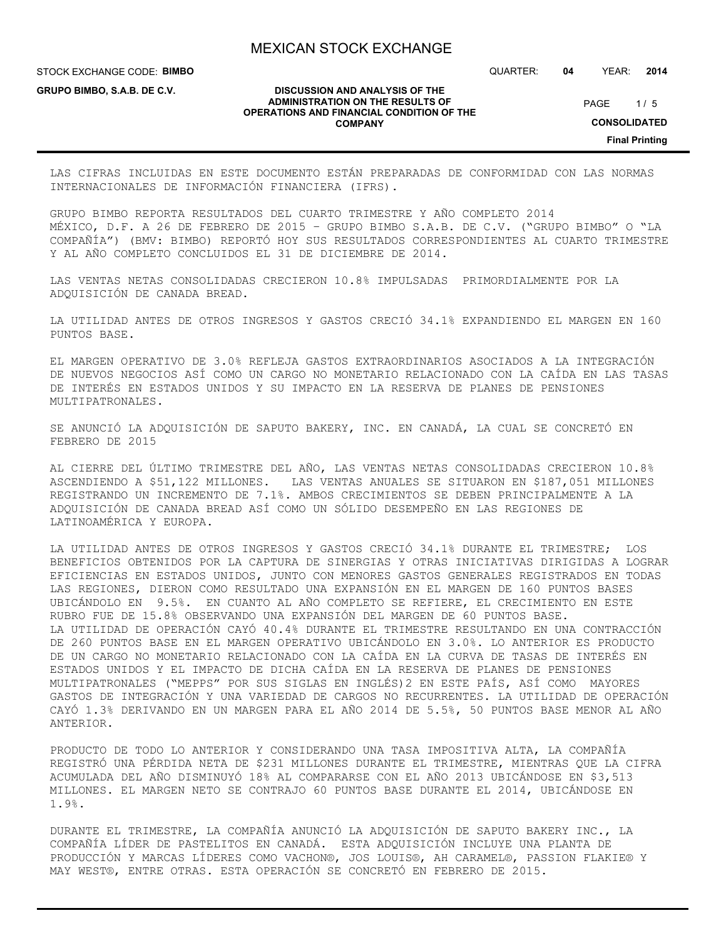**DISCUSSION AND ANALYSIS OF THE ADMINISTRATION ON THE RESULTS OF OPERATIONS AND FINANCIAL CONDITION OF THE COMPANY**

STOCK EXCHANGE CODE: **BIMBO**

**GRUPO BIMBO, S.A.B. DE C.V.**

QUARTER: **04** YEAR: **2014**

 $1/5$ PAGE

**CONSOLIDATED**

**Final Printing**

LAS CIFRAS INCLUIDAS EN ESTE DOCUMENTO ESTÁN PREPARADAS DE CONFORMIDAD CON LAS NORMAS INTERNACIONALES DE INFORMACIÓN FINANCIERA (IFRS).

GRUPO BIMBO REPORTA RESULTADOS DEL CUARTO TRIMESTRE Y AÑO COMPLETO 2014 MÉXICO, D.F. A 26 DE FEBRERO DE 2015 – GRUPO BIMBO S.A.B. DE C.V. ("GRUPO BIMBO" O "LA COMPAÑÍA") (BMV: BIMBO) REPORTÓ HOY SUS RESULTADOS CORRESPONDIENTES AL CUARTO TRIMESTRE Y AL AÑO COMPLETO CONCLUIDOS EL 31 DE DICIEMBRE DE 2014.

LAS VENTAS NETAS CONSOLIDADAS CRECIERON 10.8% IMPULSADAS PRIMORDIALMENTE POR LA ADQUISICIÓN DE CANADA BREAD.

LA UTILIDAD ANTES DE OTROS INGRESOS Y GASTOS CRECIÓ 34.1% EXPANDIENDO EL MARGEN EN 160 PUNTOS BASE.

EL MARGEN OPERATIVO DE 3.0% REFLEJA GASTOS EXTRAORDINARIOS ASOCIADOS A LA INTEGRACIÓN DE NUEVOS NEGOCIOS ASÍ COMO UN CARGO NO MONETARIO RELACIONADO CON LA CAÍDA EN LAS TASAS DE INTERÉS EN ESTADOS UNIDOS Y SU IMPACTO EN LA RESERVA DE PLANES DE PENSIONES MULTIPATRONALES.

SE ANUNCIÓ LA ADQUISICIÓN DE SAPUTO BAKERY, INC. EN CANADÁ, LA CUAL SE CONCRETÓ EN FEBRERO DE 2015

AL CIERRE DEL ÚLTIMO TRIMESTRE DEL AÑO, LAS VENTAS NETAS CONSOLIDADAS CRECIERON 10.8% ASCENDIENDO A \$51,122 MILLONES. LAS VENTAS ANUALES SE SITUARON EN \$187,051 MILLONES REGISTRANDO UN INCREMENTO DE 7.1%. AMBOS CRECIMIENTOS SE DEBEN PRINCIPALMENTE A LA ADQUISICIÓN DE CANADA BREAD ASÍ COMO UN SÓLIDO DESEMPEÑO EN LAS REGIONES DE LATINOAMÉRICA Y EUROPA.

LA UTILIDAD ANTES DE OTROS INGRESOS Y GASTOS CRECIÓ 34.1% DURANTE EL TRIMESTRE; LOS BENEFICIOS OBTENIDOS POR LA CAPTURA DE SINERGIAS Y OTRAS INICIATIVAS DIRIGIDAS A LOGRAR EFICIENCIAS EN ESTADOS UNIDOS, JUNTO CON MENORES GASTOS GENERALES REGISTRADOS EN TODAS LAS REGIONES, DIERON COMO RESULTADO UNA EXPANSIÓN EN EL MARGEN DE 160 PUNTOS BASES UBICÁNDOLO EN 9.5%. EN CUANTO AL AÑO COMPLETO SE REFIERE, EL CRECIMIENTO EN ESTE RUBRO FUE DE 15.8% OBSERVANDO UNA EXPANSIÓN DEL MARGEN DE 60 PUNTOS BASE. LA UTILIDAD DE OPERACIÓN CAYÓ 40.4% DURANTE EL TRIMESTRE RESULTANDO EN UNA CONTRACCIÓN DE 260 PUNTOS BASE EN EL MARGEN OPERATIVO UBICÁNDOLO EN 3.0%. LO ANTERIOR ES PRODUCTO DE UN CARGO NO MONETARIO RELACIONADO CON LA CAÍDA EN LA CURVA DE TASAS DE INTERÉS EN ESTADOS UNIDOS Y EL IMPACTO DE DICHA CAÍDA EN LA RESERVA DE PLANES DE PENSIONES MULTIPATRONALES ("MEPPS" POR SUS SIGLAS EN INGLÉS)2 EN ESTE PAÍS, ASÍ COMO MAYORES GASTOS DE INTEGRACIÓN Y UNA VARIEDAD DE CARGOS NO RECURRENTES. LA UTILIDAD DE OPERACIÓN CAYÓ 1.3% DERIVANDO EN UN MARGEN PARA EL AÑO 2014 DE 5.5%, 50 PUNTOS BASE MENOR AL AÑO ANTERIOR.

PRODUCTO DE TODO LO ANTERIOR Y CONSIDERANDO UNA TASA IMPOSITIVA ALTA, LA COMPAÑÍA REGISTRÓ UNA PÉRDIDA NETA DE \$231 MILLONES DURANTE EL TRIMESTRE, MIENTRAS QUE LA CIFRA ACUMULADA DEL AÑO DISMINUYÓ 18% AL COMPARARSE CON EL AÑO 2013 UBICÁNDOSE EN \$3,513 MILLONES. EL MARGEN NETO SE CONTRAJO 60 PUNTOS BASE DURANTE EL 2014, UBICÁNDOSE EN 1.9%.

DURANTE EL TRIMESTRE, LA COMPAÑÍA ANUNCIÓ LA ADQUISICIÓN DE SAPUTO BAKERY INC., LA COMPAÑÍA LÍDER DE PASTELITOS EN CANADÁ. ESTA ADQUISICIÓN INCLUYE UNA PLANTA DE PRODUCCIÓN Y MARCAS LÍDERES COMO VACHON®, JOS LOUIS®, AH CARAMEL®, PASSION FLAKIE® Y MAY WEST®, ENTRE OTRAS. ESTA OPERACIÓN SE CONCRETÓ EN FEBRERO DE 2015.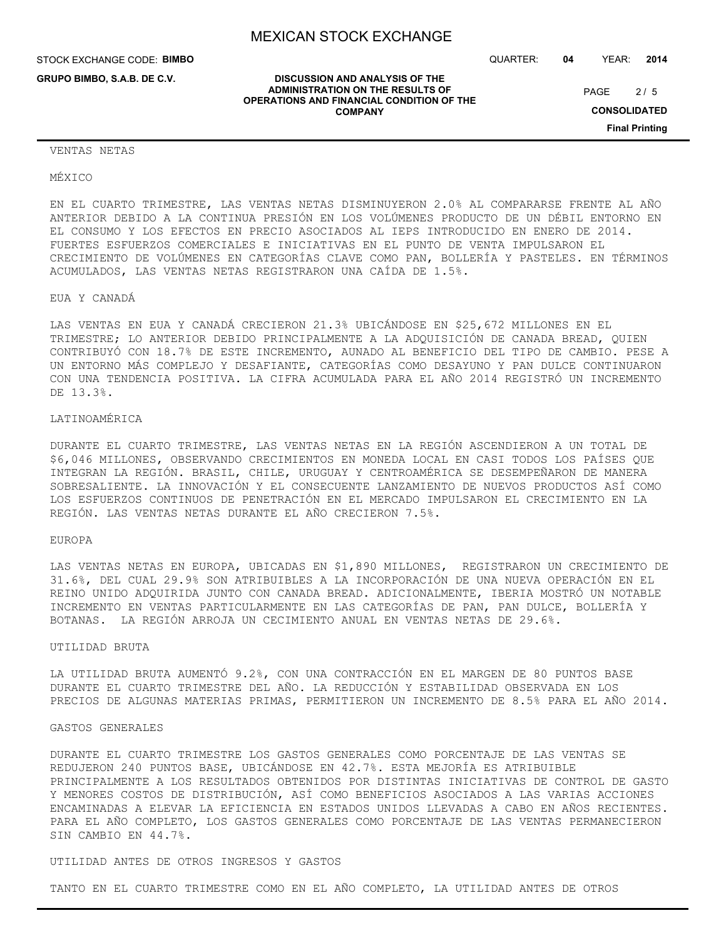**DISCUSSION AND ANALYSIS OF THE ADMINISTRATION ON THE RESULTS OF OPERATIONS AND FINANCIAL CONDITION OF THE COMPANY**

STOCK EXCHANGE CODE: **BIMBO**

**GRUPO BIMBO, S.A.B. DE C.V.**

QUARTER: **04** YEAR: **2014**

 $2/5$ PAGE

**CONSOLIDATED**

**Final Printing**

#### VENTAS NETAS

MÉXICO

EN EL CUARTO TRIMESTRE, LAS VENTAS NETAS DISMINUYERON 2.0% AL COMPARARSE FRENTE AL AÑO ANTERIOR DEBIDO A LA CONTINUA PRESIÓN EN LOS VOLÚMENES PRODUCTO DE UN DÉBIL ENTORNO EN EL CONSUMO Y LOS EFECTOS EN PRECIO ASOCIADOS AL IEPS INTRODUCIDO EN ENERO DE 2014. FUERTES ESFUERZOS COMERCIALES E INICIATIVAS EN EL PUNTO DE VENTA IMPULSARON EL CRECIMIENTO DE VOLÚMENES EN CATEGORÍAS CLAVE COMO PAN, BOLLERÍA Y PASTELES. EN TÉRMINOS ACUMULADOS, LAS VENTAS NETAS REGISTRARON UNA CAÍDA DE 1.5%.

EUA Y CANADÁ

LAS VENTAS EN EUA Y CANADÁ CRECIERON 21.3% UBICÁNDOSE EN \$25,672 MILLONES EN EL TRIMESTRE; LO ANTERIOR DEBIDO PRINCIPALMENTE A LA ADQUISICIÓN DE CANADA BREAD, QUIEN CONTRIBUYÓ CON 18.7% DE ESTE INCREMENTO, AUNADO AL BENEFICIO DEL TIPO DE CAMBIO. PESE A UN ENTORNO MÁS COMPLEJO Y DESAFIANTE, CATEGORÍAS COMO DESAYUNO Y PAN DULCE CONTINUARON CON UNA TENDENCIA POSITIVA. LA CIFRA ACUMULADA PARA EL AÑO 2014 REGISTRÓ UN INCREMENTO DE 13.3%.

#### LATINOAMÉRICA

DURANTE EL CUARTO TRIMESTRE, LAS VENTAS NETAS EN LA REGIÓN ASCENDIERON A UN TOTAL DE \$6,046 MILLONES, OBSERVANDO CRECIMIENTOS EN MONEDA LOCAL EN CASI TODOS LOS PAÍSES QUE INTEGRAN LA REGIÓN. BRASIL, CHILE, URUGUAY Y CENTROAMÉRICA SE DESEMPEÑARON DE MANERA SOBRESALIENTE. LA INNOVACIÓN Y EL CONSECUENTE LANZAMIENTO DE NUEVOS PRODUCTOS ASÍ COMO LOS ESFUERZOS CONTINUOS DE PENETRACIÓN EN EL MERCADO IMPULSARON EL CRECIMIENTO EN LA REGIÓN. LAS VENTAS NETAS DURANTE EL AÑO CRECIERON 7.5%.

#### EUROPA

LAS VENTAS NETAS EN EUROPA, UBICADAS EN \$1,890 MILLONES, REGISTRARON UN CRECIMIENTO DE 31.6%, DEL CUAL 29.9% SON ATRIBUIBLES A LA INCORPORACIÓN DE UNA NUEVA OPERACIÓN EN EL REINO UNIDO ADQUIRIDA JUNTO CON CANADA BREAD. ADICIONALMENTE, IBERIA MOSTRÓ UN NOTABLE INCREMENTO EN VENTAS PARTICULARMENTE EN LAS CATEGORÍAS DE PAN, PAN DULCE, BOLLERÍA Y BOTANAS. LA REGIÓN ARROJA UN CECIMIENTO ANUAL EN VENTAS NETAS DE 29.6%.

#### UTILIDAD BRUTA

LA UTILIDAD BRUTA AUMENTÓ 9.2%, CON UNA CONTRACCIÓN EN EL MARGEN DE 80 PUNTOS BASE DURANTE EL CUARTO TRIMESTRE DEL AÑO. LA REDUCCIÓN Y ESTABILIDAD OBSERVADA EN LOS PRECIOS DE ALGUNAS MATERIAS PRIMAS, PERMITIERON UN INCREMENTO DE 8.5% PARA EL AÑO 2014.

#### GASTOS GENERALES

DURANTE EL CUARTO TRIMESTRE LOS GASTOS GENERALES COMO PORCENTAJE DE LAS VENTAS SE REDUJERON 240 PUNTOS BASE, UBICÁNDOSE EN 42.7%. ESTA MEJORÍA ES ATRIBUIBLE PRINCIPALMENTE A LOS RESULTADOS OBTENIDOS POR DISTINTAS INICIATIVAS DE CONTROL DE GASTO Y MENORES COSTOS DE DISTRIBUCIÓN, ASÍ COMO BENEFICIOS ASOCIADOS A LAS VARIAS ACCIONES ENCAMINADAS A ELEVAR LA EFICIENCIA EN ESTADOS UNIDOS LLEVADAS A CABO EN AÑOS RECIENTES. PARA EL AÑO COMPLETO, LOS GASTOS GENERALES COMO PORCENTAJE DE LAS VENTAS PERMANECIERON SIN CAMBIO EN 44.7%.

## UTILIDAD ANTES DE OTROS INGRESOS Y GASTOS

TANTO EN EL CUARTO TRIMESTRE COMO EN EL AÑO COMPLETO, LA UTILIDAD ANTES DE OTROS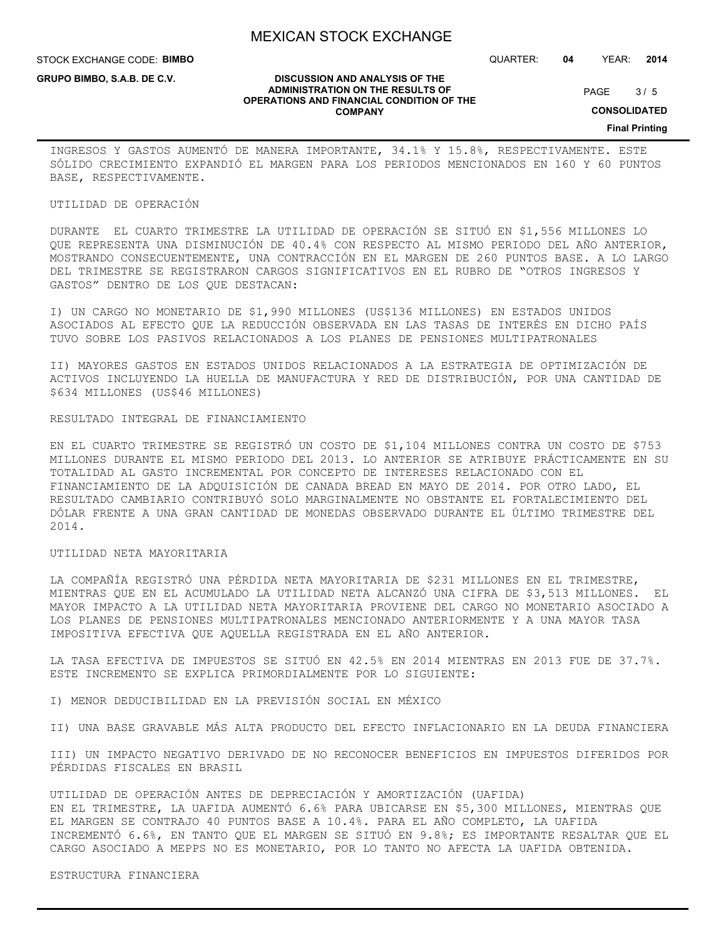STOCK EXCHANGE CODE: **BIMBO**

**GRUPO BIMBO, S.A.B. DE C.V.**

QUARTER: **04** YEAR: **2014**

**DISCUSSION AND ANALYSIS OF THE ADMINISTRATION ON THE RESULTS OF OPERATIONS AND FINANCIAL CONDITION OF THE COMPANY**

 $3/5$ PAGE

**CONSOLIDATED**

**Final Printing**

INGRESOS Y GASTOS AUMENTÓ DE MANERA IMPORTANTE, 34.1% Y 15.8%, RESPECTIVAMENTE. ESTE SÓLIDO CRECIMIENTO EXPANDIÓ EL MARGEN PARA LOS PERIODOS MENCIONADOS EN 160 Y 60 PUNTOS BASE, RESPECTIVAMENTE.

## UTILIDAD DE OPERACIÓN

DURANTE EL CUARTO TRIMESTRE LA UTILIDAD DE OPERACIÓN SE SITUÓ EN \$1,556 MILLONES LO QUE REPRESENTA UNA DISMINUCIÓN DE 40.4% CON RESPECTO AL MISMO PERIODO DEL AÑO ANTERIOR, MOSTRANDO CONSECUENTEMENTE, UNA CONTRACCIÓN EN EL MARGEN DE 260 PUNTOS BASE. A LO LARGO DEL TRIMESTRE SE REGISTRARON CARGOS SIGNIFICATIVOS EN EL RUBRO DE "OTROS INGRESOS Y GASTOS" DENTRO DE LOS QUE DESTACAN:

I) UN CARGO NO MONETARIO DE \$1,990 MILLONES (US\$136 MILLONES) EN ESTADOS UNIDOS ASOCIADOS AL EFECTO QUE LA REDUCCIÓN OBSERVADA EN LAS TASAS DE INTERÉS EN DICHO PAÍS TUVO SOBRE LOS PASIVOS RELACIONADOS A LOS PLANES DE PENSIONES MULTIPATRONALES

II) MAYORES GASTOS EN ESTADOS UNIDOS RELACIONADOS A LA ESTRATEGIA DE OPTIMIZACIÓN DE ACTIVOS INCLUYENDO LA HUELLA DE MANUFACTURA Y RED DE DISTRIBUCIÓN, POR UNA CANTIDAD DE \$634 MILLONES (US\$46 MILLONES)

## RESULTADO INTEGRAL DE FINANCIAMIENTO

EN EL CUARTO TRIMESTRE SE REGISTRÓ UN COSTO DE \$1,104 MILLONES CONTRA UN COSTO DE \$753 MILLONES DURANTE EL MISMO PERIODO DEL 2013. LO ANTERIOR SE ATRIBUYE PRÁCTICAMENTE EN SU TOTALIDAD AL GASTO INCREMENTAL POR CONCEPTO DE INTERESES RELACIONADO CON EL FINANCIAMIENTO DE LA ADQUISICIÓN DE CANADA BREAD EN MAYO DE 2014. POR OTRO LADO, EL RESULTADO CAMBIARIO CONTRIBUYÓ SOLO MARGINALMENTE NO OBSTANTE EL FORTALECIMIENTO DEL DÓLAR FRENTE A UNA GRAN CANTIDAD DE MONEDAS OBSERVADO DURANTE EL ÚLTIMO TRIMESTRE DEL 2014.

## UTILIDAD NETA MAYORITARIA

LA COMPAÑÍA REGISTRÓ UNA PÉRDIDA NETA MAYORITARIA DE \$231 MILLONES EN EL TRIMESTRE, MIENTRAS QUE EN EL ACUMULADO LA UTILIDAD NETA ALCANZÓ UNA CIFRA DE \$3,513 MILLONES. EL MAYOR IMPACTO A LA UTILIDAD NETA MAYORITARIA PROVIENE DEL CARGO NO MONETARIO ASOCIADO A LOS PLANES DE PENSIONES MULTIPATRONALES MENCIONADO ANTERIORMENTE Y A UNA MAYOR TASA IMPOSITIVA EFECTIVA QUE AQUELLA REGISTRADA EN EL AÑO ANTERIOR.

LA TASA EFECTIVA DE IMPUESTOS SE SITUÓ EN 42.5% EN 2014 MIENTRAS EN 2013 FUE DE 37.7%. ESTE INCREMENTO SE EXPLICA PRIMORDIALMENTE POR LO SIGUIENTE:

I) MENOR DEDUCIBILIDAD EN LA PREVISIÓN SOCIAL EN MÉXICO

II) UNA BASE GRAVABLE MÁS ALTA PRODUCTO DEL EFECTO INFLACIONARIO EN LA DEUDA FINANCIERA

III) UN IMPACTO NEGATIVO DERIVADO DE NO RECONOCER BENEFICIOS EN IMPUESTOS DIFERIDOS POR PÉRDIDAS FISCALES EN BRASIL

UTILIDAD DE OPERACIÓN ANTES DE DEPRECIACIÓN Y AMORTIZACIÓN (UAFIDA) EN EL TRIMESTRE, LA UAFIDA AUMENTÓ 6.6% PARA UBICARSE EN \$5,300 MILLONES, MIENTRAS QUE EL MARGEN SE CONTRAJO 40 PUNTOS BASE A 10.4%. PARA EL AÑO COMPLETO, LA UAFIDA INCREMENTÓ 6.6%, EN TANTO QUE EL MARGEN SE SITUÓ EN 9.8%; ES IMPORTANTE RESALTAR QUE EL CARGO ASOCIADO A MEPPS NO ES MONETARIO, POR LO TANTO NO AFECTA LA UAFIDA OBTENIDA.

## ESTRUCTURA FINANCIERA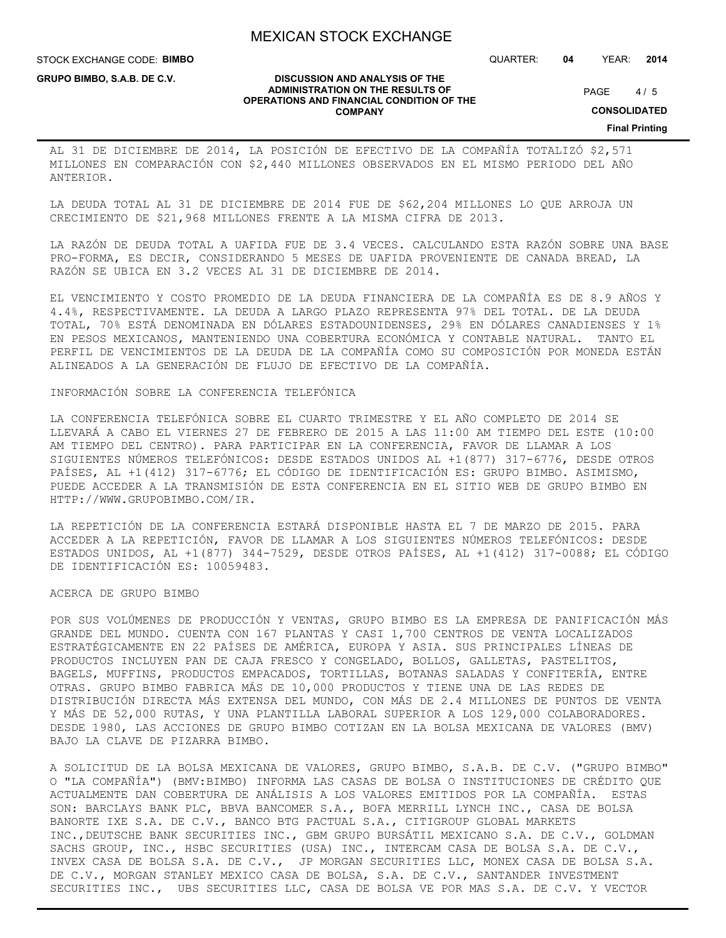STOCK EXCHANGE CODE: **BIMBO**

**GRUPO BIMBO, S.A.B. DE C.V.**

QUARTER: **04** YEAR: **2014**

#### **DISCUSSION AND ANALYSIS OF THE ADMINISTRATION ON THE RESULTS OF OPERATIONS AND FINANCIAL CONDITION OF THE COMPANY**

 $4/5$ PAGE

**CONSOLIDATED**

**Final Printing**

AL 31 DE DICIEMBRE DE 2014, LA POSICIÓN DE EFECTIVO DE LA COMPAÑÍA TOTALIZÓ \$2,571 MILLONES EN COMPARACIÓN CON \$2,440 MILLONES OBSERVADOS EN EL MISMO PERIODO DEL AÑO ANTERIOR.

LA DEUDA TOTAL AL 31 DE DICIEMBRE DE 2014 FUE DE \$62,204 MILLONES LO QUE ARROJA UN CRECIMIENTO DE \$21,968 MILLONES FRENTE A LA MISMA CIFRA DE 2013.

LA RAZÓN DE DEUDA TOTAL A UAFIDA FUE DE 3.4 VECES. CALCULANDO ESTA RAZÓN SOBRE UNA BASE PRO-FORMA, ES DECIR, CONSIDERANDO 5 MESES DE UAFIDA PROVENIENTE DE CANADA BREAD, LA RAZÓN SE UBICA EN 3.2 VECES AL 31 DE DICIEMBRE DE 2014.

EL VENCIMIENTO Y COSTO PROMEDIO DE LA DEUDA FINANCIERA DE LA COMPAÑÍA ES DE 8.9 AÑOS Y 4.4%, RESPECTIVAMENTE. LA DEUDA A LARGO PLAZO REPRESENTA 97% DEL TOTAL. DE LA DEUDA TOTAL, 70% ESTÁ DENOMINADA EN DÓLARES ESTADOUNIDENSES, 29% EN DÓLARES CANADIENSES Y 1% EN PESOS MEXICANOS, MANTENIENDO UNA COBERTURA ECONÓMICA Y CONTABLE NATURAL. TANTO EL PERFIL DE VENCIMIENTOS DE LA DEUDA DE LA COMPAÑÍA COMO SU COMPOSICIÓN POR MONEDA ESTÁN ALINEADOS A LA GENERACIÓN DE FLUJO DE EFECTIVO DE LA COMPAÑÍA.

#### INFORMACIÓN SOBRE LA CONFERENCIA TELEFÓNICA

LA CONFERENCIA TELEFÓNICA SOBRE EL CUARTO TRIMESTRE Y EL AÑO COMPLETO DE 2014 SE LLEVARÁ A CABO EL VIERNES 27 DE FEBRERO DE 2015 A LAS 11:00 AM TIEMPO DEL ESTE (10:00 AM TIEMPO DEL CENTRO). PARA PARTICIPAR EN LA CONFERENCIA, FAVOR DE LLAMAR A LOS SIGUIENTES NÚMEROS TELEFÓNICOS: DESDE ESTADOS UNIDOS AL +1(877) 317-6776, DESDE OTROS PAÍSES, AL +1(412) 317-6776; EL CÓDIGO DE IDENTIFICACIÓN ES: GRUPO BIMBO. ASIMISMO, PUEDE ACCEDER A LA TRANSMISIÓN DE ESTA CONFERENCIA EN EL SITIO WEB DE GRUPO BIMBO EN HTTP://WWW.GRUPOBIMBO.COM/IR.

LA REPETICIÓN DE LA CONFERENCIA ESTARÁ DISPONIBLE HASTA EL 7 DE MARZO DE 2015. PARA ACCEDER A LA REPETICIÓN, FAVOR DE LLAMAR A LOS SIGUIENTES NÚMEROS TELEFÓNICOS: DESDE ESTADOS UNIDOS, AL +1(877) 344-7529, DESDE OTROS PAÍSES, AL +1(412) 317-0088; EL CÓDIGO DE IDENTIFICACIÓN ES: 10059483.

#### ACERCA DE GRUPO BIMBO

POR SUS VOLÚMENES DE PRODUCCIÓN Y VENTAS, GRUPO BIMBO ES LA EMPRESA DE PANIFICACIÓN MÁS GRANDE DEL MUNDO. CUENTA CON 167 PLANTAS Y CASI 1,700 CENTROS DE VENTA LOCALIZADOS ESTRATÉGICAMENTE EN 22 PAÍSES DE AMÉRICA, EUROPA Y ASIA. SUS PRINCIPALES LÍNEAS DE PRODUCTOS INCLUYEN PAN DE CAJA FRESCO Y CONGELADO, BOLLOS, GALLETAS, PASTELITOS, BAGELS, MUFFINS, PRODUCTOS EMPACADOS, TORTILLAS, BOTANAS SALADAS Y CONFITERÍA, ENTRE OTRAS. GRUPO BIMBO FABRICA MÁS DE 10,000 PRODUCTOS Y TIENE UNA DE LAS REDES DE DISTRIBUCIÓN DIRECTA MÁS EXTENSA DEL MUNDO, CON MÁS DE 2.4 MILLONES DE PUNTOS DE VENTA Y MÁS DE 52,000 RUTAS, Y UNA PLANTILLA LABORAL SUPERIOR A LOS 129,000 COLABORADORES. DESDE 1980, LAS ACCIONES DE GRUPO BIMBO COTIZAN EN LA BOLSA MEXICANA DE VALORES (BMV) BAJO LA CLAVE DE PIZARRA BIMBO.

A SOLICITUD DE LA BOLSA MEXICANA DE VALORES, GRUPO BIMBO, S.A.B. DE C.V. ("GRUPO BIMBO" O "LA COMPAÑÍA") (BMV:BIMBO) INFORMA LAS CASAS DE BOLSA O INSTITUCIONES DE CRÉDITO QUE ACTUALMENTE DAN COBERTURA DE ANÁLISIS A LOS VALORES EMITIDOS POR LA COMPAÑÍA. ESTAS SON: BARCLAYS BANK PLC, BBVA BANCOMER S.A., BOFA MERRILL LYNCH INC., CASA DE BOLSA BANORTE IXE S.A. DE C.V., BANCO BTG PACTUAL S.A., CITIGROUP GLOBAL MARKETS INC.,DEUTSCHE BANK SECURITIES INC., GBM GRUPO BURSÁTIL MEXICANO S.A. DE C.V., GOLDMAN SACHS GROUP, INC., HSBC SECURITIES (USA) INC., INTERCAM CASA DE BOLSA S.A. DE C.V., INVEX CASA DE BOLSA S.A. DE C.V., JP MORGAN SECURITIES LLC, MONEX CASA DE BOLSA S.A. DE C.V., MORGAN STANLEY MEXICO CASA DE BOLSA, S.A. DE C.V., SANTANDER INVESTMENT SECURITIES INC., UBS SECURITIES LLC, CASA DE BOLSA VE POR MAS S.A. DE C.V. Y VECTOR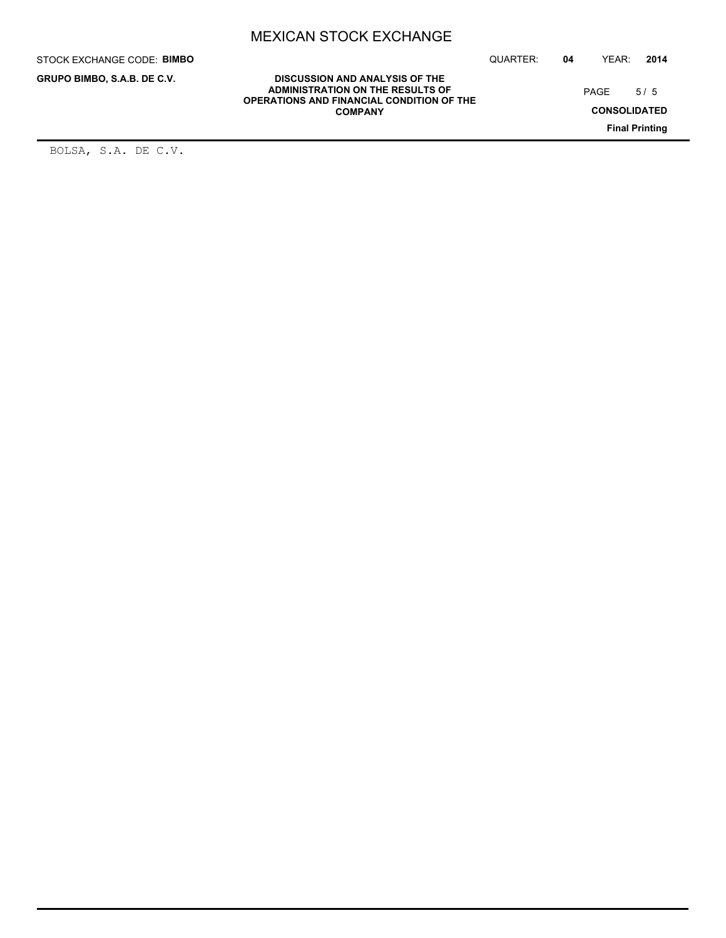STOCK EXCHANGE CODE: **BIMBO**

**GRUPO BIMBO, S.A.B. DE C.V.**

QUARTER: **04** YEAR: **2014**

 $5/5$ PAGE

**CONSOLIDATED**

**Final Printing**

**DISCUSSION AND ANALYSIS OF THE ADMINISTRATION ON THE RESULTS OF OPERATIONS AND FINANCIAL CONDITION OF THE COMPANY**

BOLSA, S.A. DE C.V.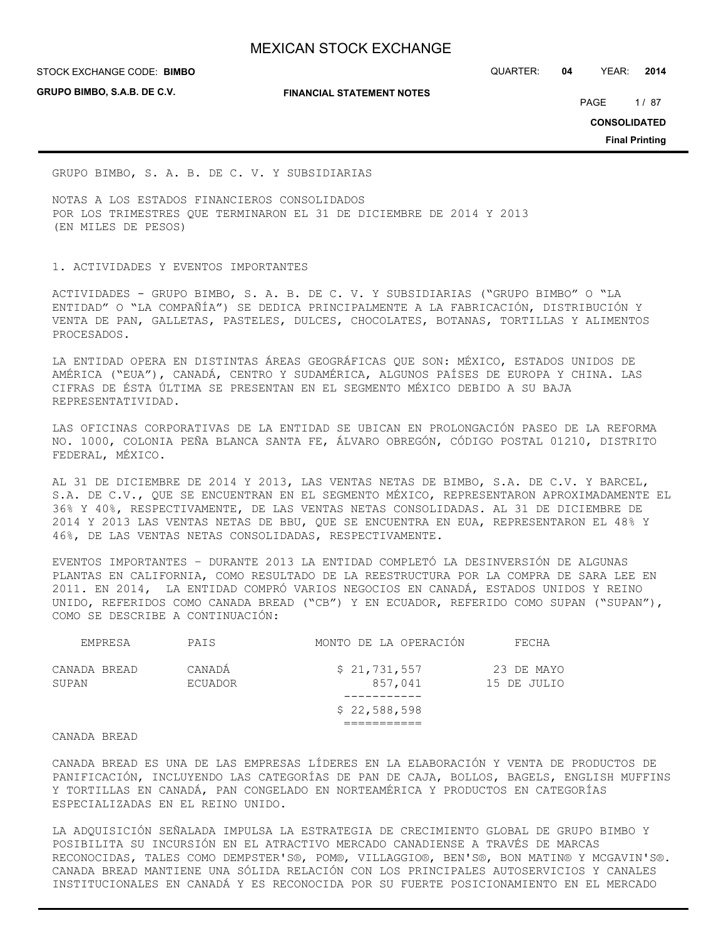**GRUPO BIMBO, S.A.B. DE C.V.**

#### **FINANCIAL STATEMENT NOTES**

STOCK EXCHANGE CODE: QUARTER: **04** YEAR: **2014 BIMBO**

PAGE 1/87

**CONSOLIDATED**

**Final Printing**

GRUPO BIMBO, S. A. B. DE C. V. Y SUBSIDIARIAS

NOTAS A LOS ESTADOS FINANCIEROS CONSOLIDADOS POR LOS TRIMESTRES QUE TERMINARON EL 31 DE DICIEMBRE DE 2014 Y 2013 (EN MILES DE PESOS)

## 1. ACTIVIDADES Y EVENTOS IMPORTANTES

ACTIVIDADES - GRUPO BIMBO, S. A. B. DE C. V. Y SUBSIDIARIAS ("GRUPO BIMBO" O "LA ENTIDAD" O "LA COMPAÑÍA") SE DEDICA PRINCIPALMENTE A LA FABRICACIÓN, DISTRIBUCIÓN Y VENTA DE PAN, GALLETAS, PASTELES, DULCES, CHOCOLATES, BOTANAS, TORTILLAS Y ALIMENTOS PROCESADOS.

LA ENTIDAD OPERA EN DISTINTAS ÁREAS GEOGRÁFICAS QUE SON: MÉXICO, ESTADOS UNIDOS DE AMÉRICA ("EUA"), CANADÁ, CENTRO Y SUDAMÉRICA, ALGUNOS PAÍSES DE EUROPA Y CHINA. LAS CIFRAS DE ÉSTA ÚLTIMA SE PRESENTAN EN EL SEGMENTO MÉXICO DEBIDO A SU BAJA REPRESENTATIVIDAD.

LAS OFICINAS CORPORATIVAS DE LA ENTIDAD SE UBICAN EN PROLONGACIÓN PASEO DE LA REFORMA NO. 1000, COLONIA PEÑA BLANCA SANTA FE, ÁLVARO OBREGÓN, CÓDIGO POSTAL 01210, DISTRITO FEDERAL, MÉXICO.

AL 31 DE DICIEMBRE DE 2014 Y 2013, LAS VENTAS NETAS DE BIMBO, S.A. DE C.V. Y BARCEL, S.A. DE C.V., QUE SE ENCUENTRAN EN EL SEGMENTO MÉXICO, REPRESENTARON APROXIMADAMENTE EL 36% Y 40%, RESPECTIVAMENTE, DE LAS VENTAS NETAS CONSOLIDADAS. AL 31 DE DICIEMBRE DE 2014 Y 2013 LAS VENTAS NETAS DE BBU, QUE SE ENCUENTRA EN EUA, REPRESENTARON EL 48% Y 46%, DE LAS VENTAS NETAS CONSOLIDADAS, RESPECTIVAMENTE.

EVENTOS IMPORTANTES – DURANTE 2013 LA ENTIDAD COMPLETÓ LA DESINVERSIÓN DE ALGUNAS PLANTAS EN CALIFORNIA, COMO RESULTADO DE LA REESTRUCTURA POR LA COMPRA DE SARA LEE EN 2011. EN 2014, LA ENTIDAD COMPRÓ VARIOS NEGOCIOS EN CANADÁ, ESTADOS UNIDOS Y REINO UNIDO, REFERIDOS COMO CANADA BREAD ("CB") Y EN ECUADOR, REFERIDO COMO SUPAN ("SUPAN"), COMO SE DESCRIBE A CONTINUACIÓN:

| EMPRESA               | PAIS              | MONTO DE LA OPERACIÓN   | FECHA                     |
|-----------------------|-------------------|-------------------------|---------------------------|
| CANADA BREAD<br>SUPAN | CANADÁ<br>ECUADOR | \$21,731,557<br>857,041 | 23 DE MAYO<br>15 DE JULIO |
|                       |                   |                         |                           |
|                       |                   | \$22,588,598            |                           |
|                       |                   |                         |                           |
|                       |                   |                         |                           |

#### CANADA BREAD

CANADA BREAD ES UNA DE LAS EMPRESAS LÍDERES EN LA ELABORACIÓN Y VENTA DE PRODUCTOS DE PANIFICACIÓN, INCLUYENDO LAS CATEGORÍAS DE PAN DE CAJA, BOLLOS, BAGELS, ENGLISH MUFFINS Y TORTILLAS EN CANADÁ, PAN CONGELADO EN NORTEAMÉRICA Y PRODUCTOS EN CATEGORÍAS ESPECIALIZADAS EN EL REINO UNIDO.

LA ADQUISICIÓN SEÑALADA IMPULSA LA ESTRATEGIA DE CRECIMIENTO GLOBAL DE GRUPO BIMBO Y POSIBILITA SU INCURSIÓN EN EL ATRACTIVO MERCADO CANADIENSE A TRAVÉS DE MARCAS RECONOCIDAS, TALES COMO DEMPSTER'S®, POM®, VILLAGGIO®, BEN'S®, BON MATIN® Y MCGAVIN'S®. CANADA BREAD MANTIENE UNA SÓLIDA RELACIÓN CON LOS PRINCIPALES AUTOSERVICIOS Y CANALES INSTITUCIONALES EN CANADÁ Y ES RECONOCIDA POR SU FUERTE POSICIONAMIENTO EN EL MERCADO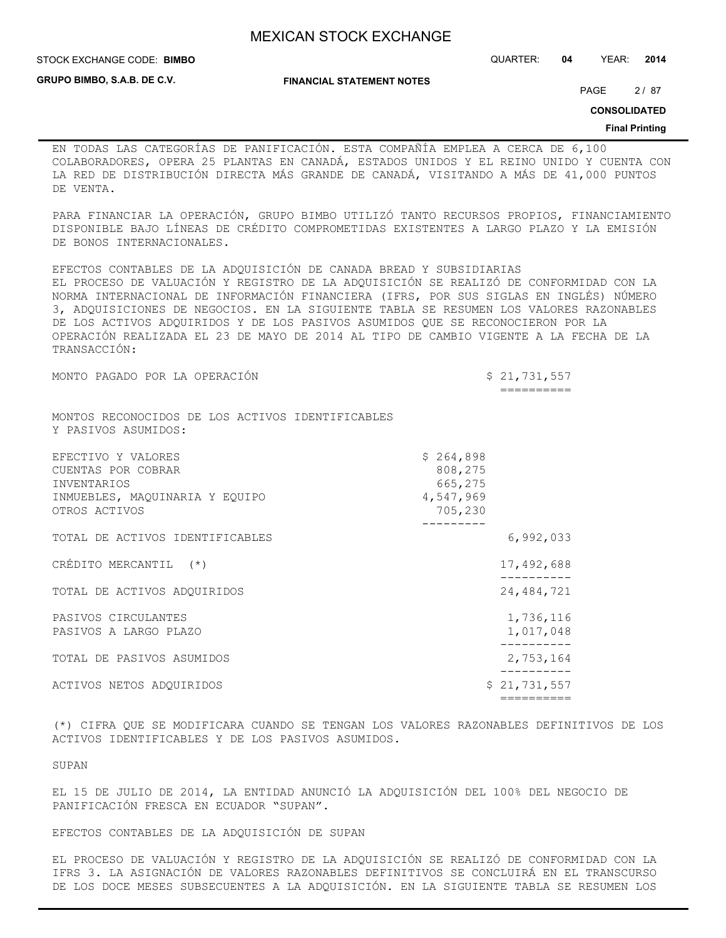**STOCK EXCHANGE CODE: BIMBO** 

STOCK EXCHANGE CODE: QUARTER: **04** YEAR: **2014**

**GRUPO BIMBO, S.A.B. DE C.V.**

**FINANCIAL STATEMENT NOTES**

PAGE 2/87

**CONSOLIDATED**

#### **Final Printing**

EN TODAS LAS CATEGORÍAS DE PANIFICACIÓN. ESTA COMPAÑÍA EMPLEA A CERCA DE 6,100 COLABORADORES, OPERA 25 PLANTAS EN CANADÁ, ESTADOS UNIDOS Y EL REINO UNIDO Y CUENTA CON LA RED DE DISTRIBUCIÓN DIRECTA MÁS GRANDE DE CANADÁ, VISITANDO A MÁS DE 41,000 PUNTOS DE VENTA.

PARA FINANCIAR LA OPERACIÓN, GRUPO BIMBO UTILIZÓ TANTO RECURSOS PROPIOS, FINANCIAMIENTO DISPONIBLE BAJO LÍNEAS DE CRÉDITO COMPROMETIDAS EXISTENTES A LARGO PLAZO Y LA EMISIÓN DE BONOS INTERNACIONALES.

EFECTOS CONTABLES DE LA ADQUISICIÓN DE CANADA BREAD Y SUBSIDIARIAS EL PROCESO DE VALUACIÓN Y REGISTRO DE LA ADQUISICIÓN SE REALIZÓ DE CONFORMIDAD CON LA NORMA INTERNACIONAL DE INFORMACIÓN FINANCIERA (IFRS, POR SUS SIGLAS EN INGLÉS) NÚMERO 3, ADQUISICIONES DE NEGOCIOS. EN LA SIGUIENTE TABLA SE RESUMEN LOS VALORES RAZONABLES DE LOS ACTIVOS ADQUIRIDOS Y DE LOS PASIVOS ASUMIDOS QUE SE RECONOCIERON POR LA OPERACIÓN REALIZADA EL 23 DE MAYO DE 2014 AL TIPO DE CAMBIO VIGENTE A LA FECHA DE LA TRANSACCIÓN:

MONTO PAGADO POR LA OPERACIÓN \$ 21,731,557

==========

MONTOS RECONOCIDOS DE LOS ACTIVOS IDENTIFICABLES Y PASIVOS ASUMIDOS:

| EFECTIVO Y VALORES<br>CUENTAS POR COBRAR<br><b>INVENTARIOS</b><br>INMUEBLES, MAQUINARIA Y EQUIPO<br>OTROS ACTIVOS | \$264,898<br>808,275<br>665,275<br>4,547,969<br>705,230 |
|-------------------------------------------------------------------------------------------------------------------|---------------------------------------------------------|
| TOTAL DE ACTIVOS IDENTIFICABLES                                                                                   | 6,992,033                                               |
| CRÉDITO MERCANTIL (*)                                                                                             | 17,492,688                                              |
| TOTAL DE ACTIVOS ADOUIRIDOS                                                                                       | 24,484,721                                              |
| PASIVOS CIRCULANTES                                                                                               |                                                         |
| PASIVOS A LARGO PLAZO                                                                                             | 1,736,116<br>1,017,048                                  |
| TOTAL DE PASIVOS ASUMIDOS                                                                                         | 2,753,164                                               |
| ACTIVOS NETOS ADOUIRIDOS                                                                                          | \$21,731,557                                            |
|                                                                                                                   |                                                         |

(\*) CIFRA QUE SE MODIFICARA CUANDO SE TENGAN LOS VALORES RAZONABLES DEFINITIVOS DE LOS ACTIVOS IDENTIFICABLES Y DE LOS PASIVOS ASUMIDOS.

SUPAN

EL 15 DE JULIO DE 2014, LA ENTIDAD ANUNCIÓ LA ADQUISICIÓN DEL 100% DEL NEGOCIO DE PANIFICACIÓN FRESCA EN ECUADOR "SUPAN".

EFECTOS CONTABLES DE LA ADQUISICIÓN DE SUPAN

EL PROCESO DE VALUACIÓN Y REGISTRO DE LA ADQUISICIÓN SE REALIZÓ DE CONFORMIDAD CON LA IFRS 3. LA ASIGNACIÓN DE VALORES RAZONABLES DEFINITIVOS SE CONCLUIRÁ EN EL TRANSCURSO DE LOS DOCE MESES SUBSECUENTES A LA ADQUISICIÓN. EN LA SIGUIENTE TABLA SE RESUMEN LOS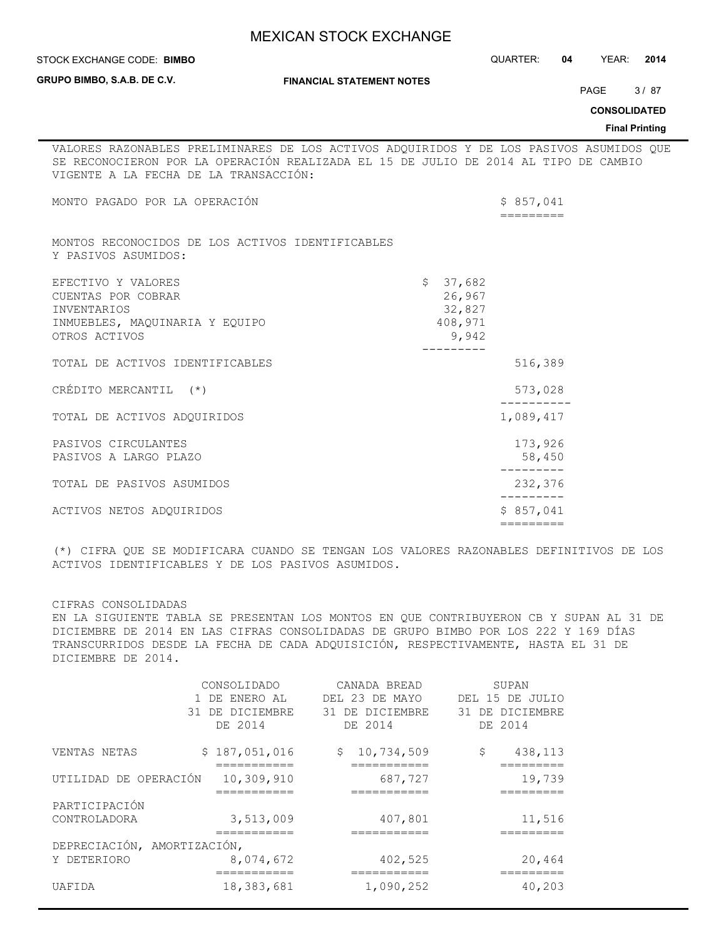|                                                                                                                                                                                                                         | <b>MEXICAN STOCK EXCHANGE</b>    |                                                  |                        |           |                       |
|-------------------------------------------------------------------------------------------------------------------------------------------------------------------------------------------------------------------------|----------------------------------|--------------------------------------------------|------------------------|-----------|-----------------------|
| STOCK EXCHANGE CODE: BIMBO                                                                                                                                                                                              |                                  |                                                  | QUARTER: 04 YEAR: 2014 |           |                       |
| GRUPO BIMBO, S.A.B. DE C.V.                                                                                                                                                                                             | <b>FINANCIAL STATEMENT NOTES</b> |                                                  |                        | PAGE 3/87 |                       |
|                                                                                                                                                                                                                         |                                  |                                                  |                        |           | <b>CONSOLIDATED</b>   |
|                                                                                                                                                                                                                         |                                  |                                                  |                        |           | <b>Final Printing</b> |
| VALORES RAZONABLES PRELIMINARES DE LOS ACTIVOS ADQUIRIDOS Y DE LOS PASIVOS ASUMIDOS QUE<br>SE RECONOCIERON POR LA OPERACIÓN REALIZADA EL 15 DE JULIO DE 2014 AL TIPO DE CAMBIO<br>VIGENTE A LA FECHA DE LA TRANSACCIÓN: |                                  |                                                  |                        |           |                       |
| MONTO PAGADO POR LA OPERACIÓN                                                                                                                                                                                           |                                  |                                                  | \$857,041              |           |                       |
| MONTOS RECONOCIDOS DE LOS ACTIVOS IDENTIFICABLES<br>Y PASIVOS ASUMIDOS:                                                                                                                                                 |                                  |                                                  |                        |           |                       |
| EFECTIVO Y VALORES<br>CUENTAS POR COBRAR<br><b>INVENTARIOS</b><br>INMUEBLES, MAQUINARIA Y EQUIPO<br>OTROS ACTIVOS                                                                                                       |                                  | \$37,682<br>26,967<br>32,827<br>408,971<br>9,942 |                        |           |                       |
| TOTAL DE ACTIVOS IDENTIFICABLES                                                                                                                                                                                         |                                  |                                                  | 516,389                |           |                       |
| CRÉDITO MERCANTIL (*)                                                                                                                                                                                                   |                                  |                                                  | 573,028                |           |                       |
| TOTAL DE ACTIVOS ADQUIRIDOS                                                                                                                                                                                             |                                  |                                                  | 1,089,417              |           |                       |
| PASIVOS CIRCULANTES<br>PASIVOS A LARGO PLAZO                                                                                                                                                                            |                                  |                                                  | 173,926<br>58,450      |           |                       |
| TOTAL DE PASIVOS ASUMIDOS                                                                                                                                                                                               |                                  |                                                  | 232,376<br>---------   |           |                       |
| ACTIVOS NETOS ADQUIRIDOS                                                                                                                                                                                                |                                  |                                                  | \$857,041              |           |                       |
|                                                                                                                                                                                                                         |                                  |                                                  |                        |           |                       |

(\*) CIFRA QUE SE MODIFICARA CUANDO SE TENGAN LOS VALORES RAZONABLES DEFINITIVOS DE LOS ACTIVOS IDENTIFICABLES Y DE LOS PASIVOS ASUMIDOS.

CIFRAS CONSOLIDADAS

EN LA SIGUIENTE TABLA SE PRESENTAN LOS MONTOS EN QUE CONTRIBUYERON CB Y SUPAN AL 31 DE DICIEMBRE DE 2014 EN LAS CIFRAS CONSOLIDADAS DE GRUPO BIMBO POR LOS 222 Y 169 DÍAS TRANSCURRIDOS DESDE LA FECHA DE CADA ADQUISICIÓN, RESPECTIVAMENTE, HASTA EL 31 DE DICIEMBRE DE 2014.

|                             | CONSOLIDADO                  | CANADA BREAD                   | SUPAN           |
|-----------------------------|------------------------------|--------------------------------|-----------------|
|                             | 1 DE ENERO AL                | DEL 23 DE MAYO                 | DEL 15 DE JULIO |
|                             | 31 DE DICIEMBRE              | 31 DE DICIEMBRE                | 31 DE DICIEMBRE |
|                             | DE 2014                      | DE 2014                        | DE 2014         |
| VENTAS NETAS                | \$187,051,016<br>----------- | 10,734,509<br>\$<br>---------- | 438,113<br>\$   |
| UTILIDAD DE OPERACIÓN       | 10,309,910                   | 687,727                        | 19,739          |
| PARTICIPACIÓN               |                              |                                |                 |
| CONTROLADORA                | 3,513,009                    | 407,801                        | 11,516          |
| DEPRECIACIÓN, AMORTIZACIÓN, |                              |                                |                 |
| Y DETERIORO                 | 8,074,672<br>---------       | 402,525<br>========            | 20,464          |
| UAFIDA                      | 18,383,681                   | 1,090,252                      | 40,203          |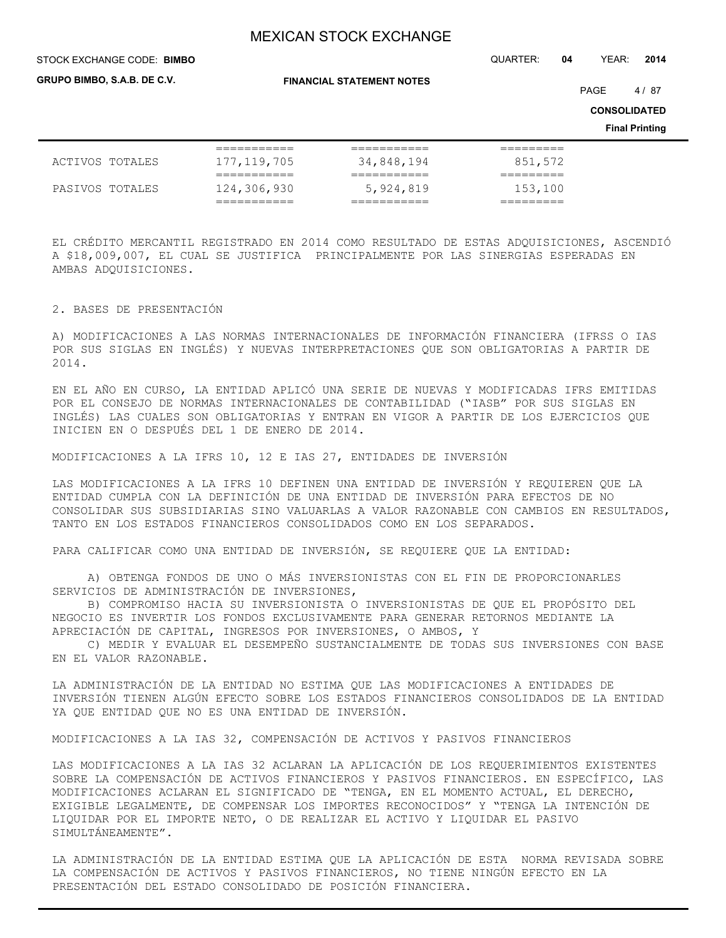STOCK EXCHANGE CODE: QUARTER: **04** YEAR: **2014 BIMBO**

**GRUPO BIMBO, S.A.B. DE C.V.**

**FINANCIAL STATEMENT NOTES**

PAGE 4/87

**CONSOLIDATED**

**Final Printing**

|                 | ___________   | ___________            | ---------       |
|-----------------|---------------|------------------------|-----------------|
|                 | ___________   | ___________            | _________       |
| ACTIVOS TOTALES | 177, 119, 705 | 34,848,194             | 851,572         |
|                 | ___________   | . _ _ _ _ _ _ _ _ _ _  | ________        |
|                 | ------------  | . __ __ __ __ __ __ __ | _________       |
| PASIVOS TOTALES | 124,306,930   | 5,924,819              | 153,100         |
|                 | -----------   | _________              | _ _ _ _ _ _ _ _ |
|                 | ___________   | ___________            | _________       |

EL CRÉDITO MERCANTIL REGISTRADO EN 2014 COMO RESULTADO DE ESTAS ADQUISICIONES, ASCENDIÓ A \$18,009,007, EL CUAL SE JUSTIFICA PRINCIPALMENTE POR LAS SINERGIAS ESPERADAS EN AMBAS ADQUISICIONES.

#### 2. BASES DE PRESENTACIÓN

A) MODIFICACIONES A LAS NORMAS INTERNACIONALES DE INFORMACIÓN FINANCIERA (IFRSS O IAS POR SUS SIGLAS EN INGLÉS) Y NUEVAS INTERPRETACIONES QUE SON OBLIGATORIAS A PARTIR DE 2014.

EN EL AÑO EN CURSO, LA ENTIDAD APLICÓ UNA SERIE DE NUEVAS Y MODIFICADAS IFRS EMITIDAS POR EL CONSEJO DE NORMAS INTERNACIONALES DE CONTABILIDAD ("IASB" POR SUS SIGLAS EN INGLÉS) LAS CUALES SON OBLIGATORIAS Y ENTRAN EN VIGOR A PARTIR DE LOS EJERCICIOS QUE INICIEN EN O DESPUÉS DEL 1 DE ENERO DE 2014.

MODIFICACIONES A LA IFRS 10, 12 E IAS 27, ENTIDADES DE INVERSIÓN

LAS MODIFICACIONES A LA IFRS 10 DEFINEN UNA ENTIDAD DE INVERSIÓN Y REQUIEREN QUE LA ENTIDAD CUMPLA CON LA DEFINICIÓN DE UNA ENTIDAD DE INVERSIÓN PARA EFECTOS DE NO CONSOLIDAR SUS SUBSIDIARIAS SINO VALUARLAS A VALOR RAZONABLE CON CAMBIOS EN RESULTADOS, TANTO EN LOS ESTADOS FINANCIEROS CONSOLIDADOS COMO EN LOS SEPARADOS.

PARA CALIFICAR COMO UNA ENTIDAD DE INVERSIÓN, SE REQUIERE QUE LA ENTIDAD:

 A) OBTENGA FONDOS DE UNO O MÁS INVERSIONISTAS CON EL FIN DE PROPORCIONARLES SERVICIOS DE ADMINISTRACIÓN DE INVERSIONES,

 B) COMPROMISO HACIA SU INVERSIONISTA O INVERSIONISTAS DE QUE EL PROPÓSITO DEL NEGOCIO ES INVERTIR LOS FONDOS EXCLUSIVAMENTE PARA GENERAR RETORNOS MEDIANTE LA APRECIACIÓN DE CAPITAL, INGRESOS POR INVERSIONES, O AMBOS, Y

 C) MEDIR Y EVALUAR EL DESEMPEÑO SUSTANCIALMENTE DE TODAS SUS INVERSIONES CON BASE EN EL VALOR RAZONABLE.

LA ADMINISTRACIÓN DE LA ENTIDAD NO ESTIMA QUE LAS MODIFICACIONES A ENTIDADES DE INVERSIÓN TIENEN ALGÚN EFECTO SOBRE LOS ESTADOS FINANCIEROS CONSOLIDADOS DE LA ENTIDAD YA QUE ENTIDAD QUE NO ES UNA ENTIDAD DE INVERSIÓN.

MODIFICACIONES A LA IAS 32, COMPENSACIÓN DE ACTIVOS Y PASIVOS FINANCIEROS

LAS MODIFICACIONES A LA IAS 32 ACLARAN LA APLICACIÓN DE LOS REQUERIMIENTOS EXISTENTES SOBRE LA COMPENSACIÓN DE ACTIVOS FINANCIEROS Y PASIVOS FINANCIEROS. EN ESPECÍFICO, LAS MODIFICACIONES ACLARAN EL SIGNIFICADO DE "TENGA, EN EL MOMENTO ACTUAL, EL DERECHO, EXIGIBLE LEGALMENTE, DE COMPENSAR LOS IMPORTES RECONOCIDOS" Y "TENGA LA INTENCIÓN DE LIQUIDAR POR EL IMPORTE NETO, O DE REALIZAR EL ACTIVO Y LIQUIDAR EL PASIVO SIMULTÁNEAMENTE".

LA ADMINISTRACIÓN DE LA ENTIDAD ESTIMA QUE LA APLICACIÓN DE ESTA NORMA REVISADA SOBRE LA COMPENSACIÓN DE ACTIVOS Y PASIVOS FINANCIEROS, NO TIENE NINGÚN EFECTO EN LA PRESENTACIÓN DEL ESTADO CONSOLIDADO DE POSICIÓN FINANCIERA.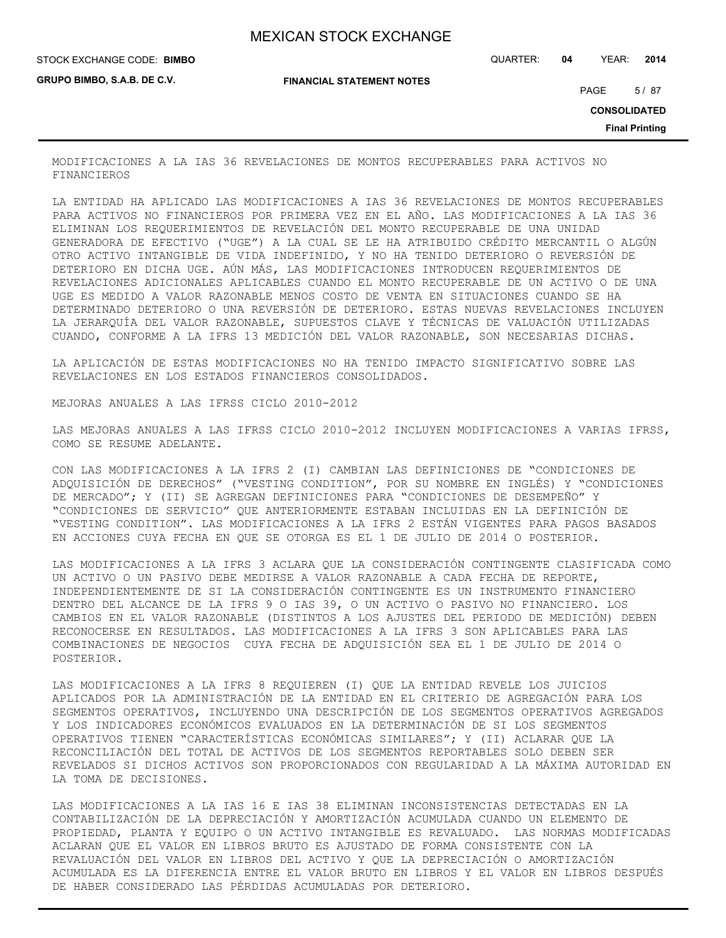STOCK EXCHANGE CODE: QUARTER: **04** YEAR: **2014 BIMBO**

**GRUPO BIMBO, S.A.B. DE C.V.**

**FINANCIAL STATEMENT NOTES**

PAGE 5/87

**CONSOLIDATED**

**Final Printing**

MODIFICACIONES A LA IAS 36 REVELACIONES DE MONTOS RECUPERABLES PARA ACTIVOS NO FINANCIEROS

LA ENTIDAD HA APLICADO LAS MODIFICACIONES A IAS 36 REVELACIONES DE MONTOS RECUPERABLES PARA ACTIVOS NO FINANCIEROS POR PRIMERA VEZ EN EL AÑO. LAS MODIFICACIONES A LA IAS 36 ELIMINAN LOS REQUERIMIENTOS DE REVELACIÓN DEL MONTO RECUPERABLE DE UNA UNIDAD GENERADORA DE EFECTIVO ("UGE") A LA CUAL SE LE HA ATRIBUIDO CRÉDITO MERCANTIL O ALGÚN OTRO ACTIVO INTANGIBLE DE VIDA INDEFINIDO, Y NO HA TENIDO DETERIORO O REVERSIÓN DE DETERIORO EN DICHA UGE. AÚN MÁS, LAS MODIFICACIONES INTRODUCEN REQUERIMIENTOS DE REVELACIONES ADICIONALES APLICABLES CUANDO EL MONTO RECUPERABLE DE UN ACTIVO O DE UNA UGE ES MEDIDO A VALOR RAZONABLE MENOS COSTO DE VENTA EN SITUACIONES CUANDO SE HA DETERMINADO DETERIORO O UNA REVERSIÓN DE DETERIORO. ESTAS NUEVAS REVELACIONES INCLUYEN LA JERARQUÍA DEL VALOR RAZONABLE, SUPUESTOS CLAVE Y TÉCNICAS DE VALUACIÓN UTILIZADAS CUANDO, CONFORME A LA IFRS 13 MEDICIÓN DEL VALOR RAZONABLE, SON NECESARIAS DICHAS.

LA APLICACIÓN DE ESTAS MODIFICACIONES NO HA TENIDO IMPACTO SIGNIFICATIVO SOBRE LAS REVELACIONES EN LOS ESTADOS FINANCIEROS CONSOLIDADOS.

MEJORAS ANUALES A LAS IFRSS CICLO 2010-2012

LAS MEJORAS ANUALES A LAS IFRSS CICLO 2010-2012 INCLUYEN MODIFICACIONES A VARIAS IFRSS, COMO SE RESUME ADELANTE.

CON LAS MODIFICACIONES A LA IFRS 2 (I) CAMBIAN LAS DEFINICIONES DE "CONDICIONES DE ADQUISICIÓN DE DERECHOS" ("VESTING CONDITION", POR SU NOMBRE EN INGLÉS) Y "CONDICIONES DE MERCADO"; Y (II) SE AGREGAN DEFINICIONES PARA "CONDICIONES DE DESEMPEÑO" Y "CONDICIONES DE SERVICIO" QUE ANTERIORMENTE ESTABAN INCLUIDAS EN LA DEFINICIÓN DE "VESTING CONDITION". LAS MODIFICACIONES A LA IFRS 2 ESTÁN VIGENTES PARA PAGOS BASADOS EN ACCIONES CUYA FECHA EN QUE SE OTORGA ES EL 1 DE JULIO DE 2014 O POSTERIOR.

LAS MODIFICACIONES A LA IFRS 3 ACLARA QUE LA CONSIDERACIÓN CONTINGENTE CLASIFICADA COMO UN ACTIVO O UN PASIVO DEBE MEDIRSE A VALOR RAZONABLE A CADA FECHA DE REPORTE, INDEPENDIENTEMENTE DE SI LA CONSIDERACIÓN CONTINGENTE ES UN INSTRUMENTO FINANCIERO DENTRO DEL ALCANCE DE LA IFRS 9 O IAS 39, O UN ACTIVO O PASIVO NO FINANCIERO. LOS CAMBIOS EN EL VALOR RAZONABLE (DISTINTOS A LOS AJUSTES DEL PERIODO DE MEDICIÓN) DEBEN RECONOCERSE EN RESULTADOS. LAS MODIFICACIONES A LA IFRS 3 SON APLICABLES PARA LAS COMBINACIONES DE NEGOCIOS CUYA FECHA DE ADQUISICIÓN SEA EL 1 DE JULIO DE 2014 O POSTERIOR.

LAS MODIFICACIONES A LA IFRS 8 REQUIEREN (I) QUE LA ENTIDAD REVELE LOS JUICIOS APLICADOS POR LA ADMINISTRACIÓN DE LA ENTIDAD EN EL CRITERIO DE AGREGACIÓN PARA LOS SEGMENTOS OPERATIVOS, INCLUYENDO UNA DESCRIPCIÓN DE LOS SEGMENTOS OPERATIVOS AGREGADOS Y LOS INDICADORES ECONÓMICOS EVALUADOS EN LA DETERMINACIÓN DE SI LOS SEGMENTOS OPERATIVOS TIENEN "CARACTERÍSTICAS ECONÓMICAS SIMILARES"; Y (II) ACLARAR QUE LA RECONCILIACIÓN DEL TOTAL DE ACTIVOS DE LOS SEGMENTOS REPORTABLES SOLO DEBEN SER REVELADOS SI DICHOS ACTIVOS SON PROPORCIONADOS CON REGULARIDAD A LA MÁXIMA AUTORIDAD EN LA TOMA DE DECISIONES.

LAS MODIFICACIONES A LA IAS 16 E IAS 38 ELIMINAN INCONSISTENCIAS DETECTADAS EN LA CONTABILIZACIÓN DE LA DEPRECIACIÓN Y AMORTIZACIÓN ACUMULADA CUANDO UN ELEMENTO DE PROPIEDAD, PLANTA Y EQUIPO O UN ACTIVO INTANGIBLE ES REVALUADO. LAS NORMAS MODIFICADAS ACLARAN QUE EL VALOR EN LIBROS BRUTO ES AJUSTADO DE FORMA CONSISTENTE CON LA REVALUACIÓN DEL VALOR EN LIBROS DEL ACTIVO Y QUE LA DEPRECIACIÓN O AMORTIZACIÓN ACUMULADA ES LA DIFERENCIA ENTRE EL VALOR BRUTO EN LIBROS Y EL VALOR EN LIBROS DESPUÉS DE HABER CONSIDERADO LAS PÉRDIDAS ACUMULADAS POR DETERIORO.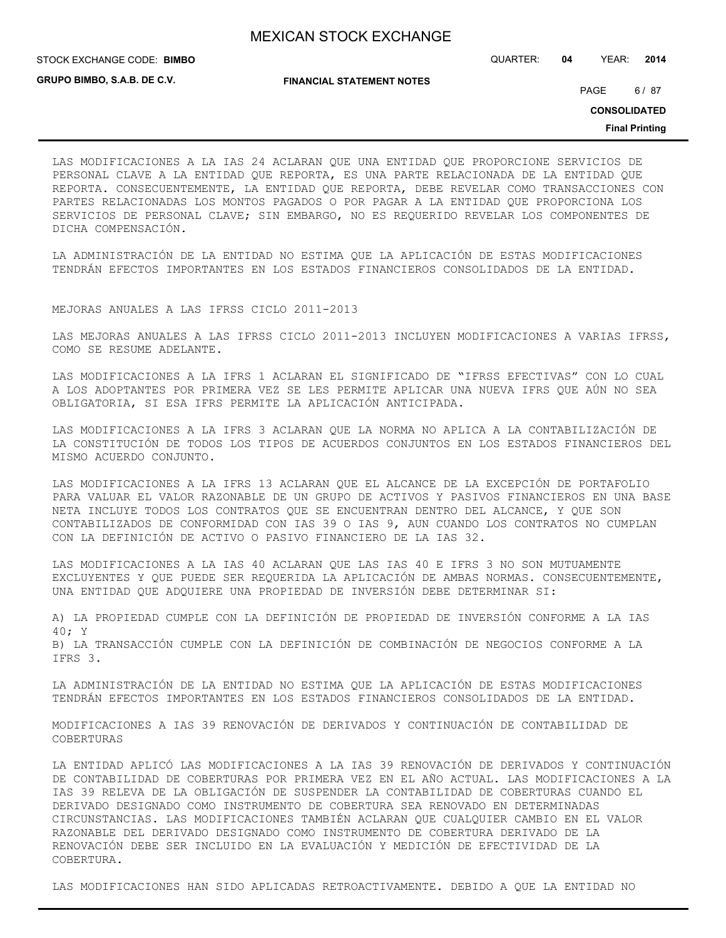STOCK EXCHANGE CODE: QUARTER: **04** YEAR: **2014 BIMBO**

**GRUPO BIMBO, S.A.B. DE C.V.**

**FINANCIAL STATEMENT NOTES**

PAGE 6/87

**CONSOLIDATED**

**Final Printing**

LAS MODIFICACIONES A LA IAS 24 ACLARAN QUE UNA ENTIDAD QUE PROPORCIONE SERVICIOS DE PERSONAL CLAVE A LA ENTIDAD QUE REPORTA, ES UNA PARTE RELACIONADA DE LA ENTIDAD QUE REPORTA. CONSECUENTEMENTE, LA ENTIDAD QUE REPORTA, DEBE REVELAR COMO TRANSACCIONES CON PARTES RELACIONADAS LOS MONTOS PAGADOS O POR PAGAR A LA ENTIDAD QUE PROPORCIONA LOS SERVICIOS DE PERSONAL CLAVE; SIN EMBARGO, NO ES REQUERIDO REVELAR LOS COMPONENTES DE DICHA COMPENSACIÓN.

LA ADMINISTRACIÓN DE LA ENTIDAD NO ESTIMA QUE LA APLICACIÓN DE ESTAS MODIFICACIONES TENDRÁN EFECTOS IMPORTANTES EN LOS ESTADOS FINANCIEROS CONSOLIDADOS DE LA ENTIDAD.

MEJORAS ANUALES A LAS IFRSS CICLO 2011-2013

LAS MEJORAS ANUALES A LAS IFRSS CICLO 2011-2013 INCLUYEN MODIFICACIONES A VARIAS IFRSS, COMO SE RESUME ADELANTE.

LAS MODIFICACIONES A LA IFRS 1 ACLARAN EL SIGNIFICADO DE "IFRSS EFECTIVAS" CON LO CUAL A LOS ADOPTANTES POR PRIMERA VEZ SE LES PERMITE APLICAR UNA NUEVA IFRS QUE AÚN NO SEA OBLIGATORIA, SI ESA IFRS PERMITE LA APLICACIÓN ANTICIPADA.

LAS MODIFICACIONES A LA IFRS 3 ACLARAN QUE LA NORMA NO APLICA A LA CONTABILIZACIÓN DE LA CONSTITUCIÓN DE TODOS LOS TIPOS DE ACUERDOS CONJUNTOS EN LOS ESTADOS FINANCIEROS DEL MISMO ACUERDO CONJUNTO.

LAS MODIFICACIONES A LA IFRS 13 ACLARAN QUE EL ALCANCE DE LA EXCEPCIÓN DE PORTAFOLIO PARA VALUAR EL VALOR RAZONABLE DE UN GRUPO DE ACTIVOS Y PASIVOS FINANCIEROS EN UNA BASE NETA INCLUYE TODOS LOS CONTRATOS QUE SE ENCUENTRAN DENTRO DEL ALCANCE, Y QUE SON CONTABILIZADOS DE CONFORMIDAD CON IAS 39 O IAS 9, AUN CUANDO LOS CONTRATOS NO CUMPLAN CON LA DEFINICIÓN DE ACTIVO O PASIVO FINANCIERO DE LA IAS 32.

LAS MODIFICACIONES A LA IAS 40 ACLARAN QUE LAS IAS 40 E IFRS 3 NO SON MUTUAMENTE EXCLUYENTES Y QUE PUEDE SER REQUERIDA LA APLICACIÓN DE AMBAS NORMAS. CONSECUENTEMENTE, UNA ENTIDAD QUE ADQUIERE UNA PROPIEDAD DE INVERSIÓN DEBE DETERMINAR SI:

A) LA PROPIEDAD CUMPLE CON LA DEFINICIÓN DE PROPIEDAD DE INVERSIÓN CONFORME A LA IAS 40; Y B) LA TRANSACCIÓN CUMPLE CON LA DEFINICIÓN DE COMBINACIÓN DE NEGOCIOS CONFORME A LA IFRS 3.

LA ADMINISTRACIÓN DE LA ENTIDAD NO ESTIMA QUE LA APLICACIÓN DE ESTAS MODIFICACIONES TENDRÁN EFECTOS IMPORTANTES EN LOS ESTADOS FINANCIEROS CONSOLIDADOS DE LA ENTIDAD.

MODIFICACIONES A IAS 39 RENOVACIÓN DE DERIVADOS Y CONTINUACIÓN DE CONTABILIDAD DE COBERTURAS

LA ENTIDAD APLICÓ LAS MODIFICACIONES A LA IAS 39 RENOVACIÓN DE DERIVADOS Y CONTINUACIÓN DE CONTABILIDAD DE COBERTURAS POR PRIMERA VEZ EN EL AÑO ACTUAL. LAS MODIFICACIONES A LA IAS 39 RELEVA DE LA OBLIGACIÓN DE SUSPENDER LA CONTABILIDAD DE COBERTURAS CUANDO EL DERIVADO DESIGNADO COMO INSTRUMENTO DE COBERTURA SEA RENOVADO EN DETERMINADAS CIRCUNSTANCIAS. LAS MODIFICACIONES TAMBIÉN ACLARAN QUE CUALQUIER CAMBIO EN EL VALOR RAZONABLE DEL DERIVADO DESIGNADO COMO INSTRUMENTO DE COBERTURA DERIVADO DE LA RENOVACIÓN DEBE SER INCLUIDO EN LA EVALUACIÓN Y MEDICIÓN DE EFECTIVIDAD DE LA COBERTURA.

LAS MODIFICACIONES HAN SIDO APLICADAS RETROACTIVAMENTE. DEBIDO A QUE LA ENTIDAD NO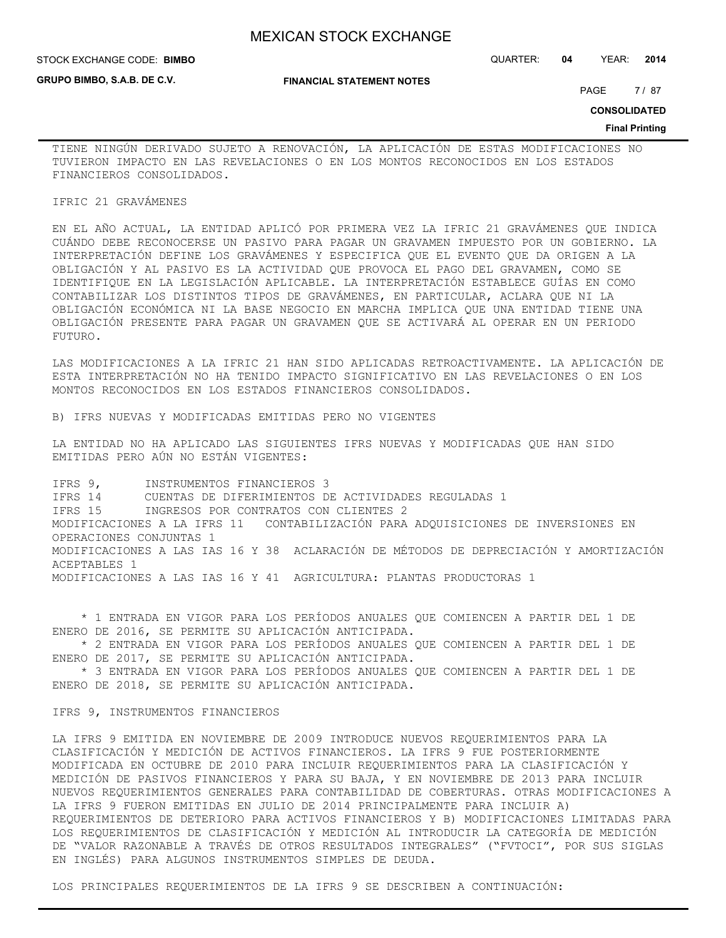**GRUPO BIMBO, S.A.B. DE C.V.**

STOCK EXCHANGE CODE: QUARTER: **04** YEAR: **2014 BIMBO**

**FINANCIAL STATEMENT NOTES**

PAGE 7/87

**CONSOLIDATED**

#### **Final Printing**

TIENE NINGÚN DERIVADO SUJETO A RENOVACIÓN, LA APLICACIÓN DE ESTAS MODIFICACIONES NO TUVIERON IMPACTO EN LAS REVELACIONES O EN LOS MONTOS RECONOCIDOS EN LOS ESTADOS FINANCIEROS CONSOLIDADOS.

#### IFRIC 21 GRAVÁMENES

EN EL AÑO ACTUAL, LA ENTIDAD APLICÓ POR PRIMERA VEZ LA IFRIC 21 GRAVÁMENES QUE INDICA CUÁNDO DEBE RECONOCERSE UN PASIVO PARA PAGAR UN GRAVAMEN IMPUESTO POR UN GOBIERNO. LA INTERPRETACIÓN DEFINE LOS GRAVÁMENES Y ESPECIFICA QUE EL EVENTO QUE DA ORIGEN A LA OBLIGACIÓN Y AL PASIVO ES LA ACTIVIDAD QUE PROVOCA EL PAGO DEL GRAVAMEN, COMO SE IDENTIFIQUE EN LA LEGISLACIÓN APLICABLE. LA INTERPRETACIÓN ESTABLECE GUÍAS EN COMO CONTABILIZAR LOS DISTINTOS TIPOS DE GRAVÁMENES, EN PARTICULAR, ACLARA QUE NI LA OBLIGACIÓN ECONÓMICA NI LA BASE NEGOCIO EN MARCHA IMPLICA QUE UNA ENTIDAD TIENE UNA OBLIGACIÓN PRESENTE PARA PAGAR UN GRAVAMEN QUE SE ACTIVARÁ AL OPERAR EN UN PERIODO FUTURO.

LAS MODIFICACIONES A LA IFRIC 21 HAN SIDO APLICADAS RETROACTIVAMENTE. LA APLICACIÓN DE ESTA INTERPRETACIÓN NO HA TENIDO IMPACTO SIGNIFICATIVO EN LAS REVELACIONES O EN LOS MONTOS RECONOCIDOS EN LOS ESTADOS FINANCIEROS CONSOLIDADOS.

B) IFRS NUEVAS Y MODIFICADAS EMITIDAS PERO NO VIGENTES

LA ENTIDAD NO HA APLICADO LAS SIGUIENTES IFRS NUEVAS Y MODIFICADAS QUE HAN SIDO EMITIDAS PERO AÚN NO ESTÁN VIGENTES:

IFRS 9, INSTRUMENTOS FINANCIEROS 3 IFRS 14 CUENTAS DE DIFERIMIENTOS DE ACTIVIDADES REGULADAS 1<br>IFRS 15 1NGRESOS POR CONTRATOS CON CLIENTES 2 INGRESOS POR CONTRATOS CON CLIENTES 2 MODIFICACIONES A LA IFRS 11 CONTABILIZACIÓN PARA ADQUISICIONES DE INVERSIONES EN OPERACIONES CONJUNTAS 1 MODIFICACIONES A LAS IAS 16 Y 38 ACLARACIÓN DE MÉTODOS DE DEPRECIACIÓN Y AMORTIZACIÓN ACEPTABLES 1 MODIFICACIONES A LAS IAS 16 Y 41 AGRICULTURA: PLANTAS PRODUCTORAS 1

 \* 1 ENTRADA EN VIGOR PARA LOS PERÍODOS ANUALES QUE COMIENCEN A PARTIR DEL 1 DE ENERO DE 2016, SE PERMITE SU APLICACIÓN ANTICIPADA.

 \* 2 ENTRADA EN VIGOR PARA LOS PERÍODOS ANUALES QUE COMIENCEN A PARTIR DEL 1 DE ENERO DE 2017, SE PERMITE SU APLICACIÓN ANTICIPADA.

 \* 3 ENTRADA EN VIGOR PARA LOS PERÍODOS ANUALES QUE COMIENCEN A PARTIR DEL 1 DE ENERO DE 2018, SE PERMITE SU APLICACIÓN ANTICIPADA.

IFRS 9, INSTRUMENTOS FINANCIEROS

LA IFRS 9 EMITIDA EN NOVIEMBRE DE 2009 INTRODUCE NUEVOS REQUERIMIENTOS PARA LA CLASIFICACIÓN Y MEDICIÓN DE ACTIVOS FINANCIEROS. LA IFRS 9 FUE POSTERIORMENTE MODIFICADA EN OCTUBRE DE 2010 PARA INCLUIR REQUERIMIENTOS PARA LA CLASIFICACIÓN Y MEDICIÓN DE PASIVOS FINANCIEROS Y PARA SU BAJA, Y EN NOVIEMBRE DE 2013 PARA INCLUIR NUEVOS REQUERIMIENTOS GENERALES PARA CONTABILIDAD DE COBERTURAS. OTRAS MODIFICACIONES A LA IFRS 9 FUERON EMITIDAS EN JULIO DE 2014 PRINCIPALMENTE PARA INCLUIR A) REQUERIMIENTOS DE DETERIORO PARA ACTIVOS FINANCIEROS Y B) MODIFICACIONES LIMITADAS PARA LOS REQUERIMIENTOS DE CLASIFICACIÓN Y MEDICIÓN AL INTRODUCIR LA CATEGORÍA DE MEDICIÓN DE "VALOR RAZONABLE A TRAVÉS DE OTROS RESULTADOS INTEGRALES" ("FVTOCI", POR SUS SIGLAS EN INGLÉS) PARA ALGUNOS INSTRUMENTOS SIMPLES DE DEUDA.

LOS PRINCIPALES REQUERIMIENTOS DE LA IFRS 9 SE DESCRIBEN A CONTINUACIÓN: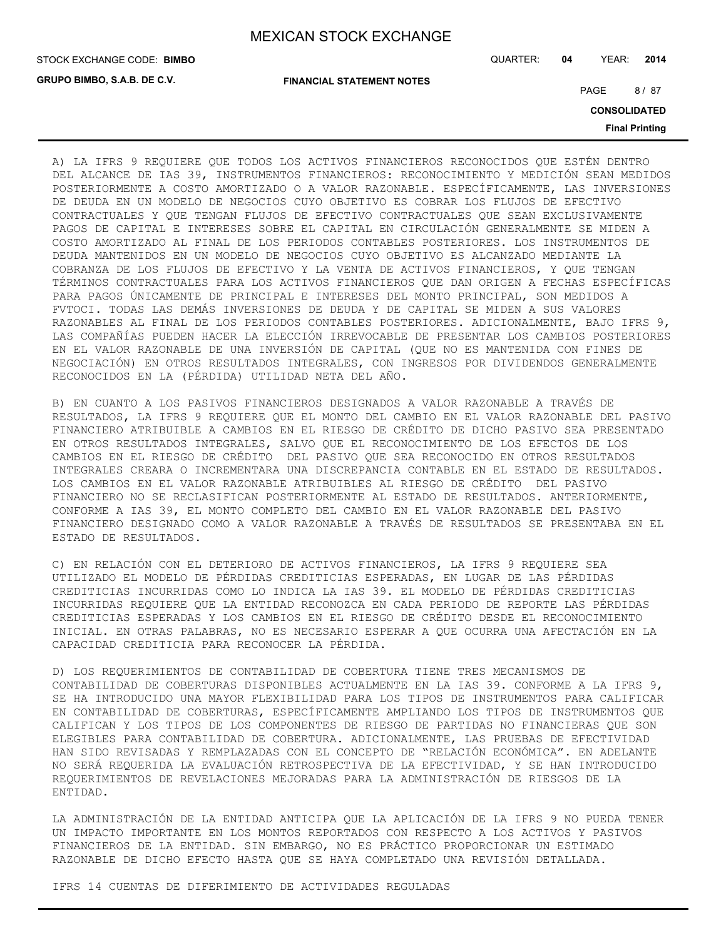**GRUPO BIMBO, S.A.B. DE C.V.**

STOCK EXCHANGE CODE: QUARTER: **04** YEAR: **2014 BIMBO**

**FINANCIAL STATEMENT NOTES**

PAGE 8/87

**CONSOLIDATED**

**Final Printing**

A) LA IFRS 9 REQUIERE QUE TODOS LOS ACTIVOS FINANCIEROS RECONOCIDOS QUE ESTÉN DENTRO DEL ALCANCE DE IAS 39, INSTRUMENTOS FINANCIEROS: RECONOCIMIENTO Y MEDICIÓN SEAN MEDIDOS POSTERIORMENTE A COSTO AMORTIZADO O A VALOR RAZONABLE. ESPECÍFICAMENTE, LAS INVERSIONES DE DEUDA EN UN MODELO DE NEGOCIOS CUYO OBJETIVO ES COBRAR LOS FLUJOS DE EFECTIVO CONTRACTUALES Y QUE TENGAN FLUJOS DE EFECTIVO CONTRACTUALES QUE SEAN EXCLUSIVAMENTE PAGOS DE CAPITAL E INTERESES SOBRE EL CAPITAL EN CIRCULACIÓN GENERALMENTE SE MIDEN A COSTO AMORTIZADO AL FINAL DE LOS PERIODOS CONTABLES POSTERIORES. LOS INSTRUMENTOS DE DEUDA MANTENIDOS EN UN MODELO DE NEGOCIOS CUYO OBJETIVO ES ALCANZADO MEDIANTE LA COBRANZA DE LOS FLUJOS DE EFECTIVO Y LA VENTA DE ACTIVOS FINANCIEROS, Y QUE TENGAN TÉRMINOS CONTRACTUALES PARA LOS ACTIVOS FINANCIEROS QUE DAN ORIGEN A FECHAS ESPECÍFICAS PARA PAGOS ÚNICAMENTE DE PRINCIPAL E INTERESES DEL MONTO PRINCIPAL, SON MEDIDOS A FVTOCI. TODAS LAS DEMÁS INVERSIONES DE DEUDA Y DE CAPITAL SE MIDEN A SUS VALORES RAZONABLES AL FINAL DE LOS PERIODOS CONTABLES POSTERIORES. ADICIONALMENTE, BAJO IFRS 9, LAS COMPAÑÍAS PUEDEN HACER LA ELECCIÓN IRREVOCABLE DE PRESENTAR LOS CAMBIOS POSTERIORES EN EL VALOR RAZONABLE DE UNA INVERSIÓN DE CAPITAL (QUE NO ES MANTENIDA CON FINES DE NEGOCIACIÓN) EN OTROS RESULTADOS INTEGRALES, CON INGRESOS POR DIVIDENDOS GENERALMENTE RECONOCIDOS EN LA (PÉRDIDA) UTILIDAD NETA DEL AÑO.

B) EN CUANTO A LOS PASIVOS FINANCIEROS DESIGNADOS A VALOR RAZONABLE A TRAVÉS DE RESULTADOS, LA IFRS 9 REQUIERE QUE EL MONTO DEL CAMBIO EN EL VALOR RAZONABLE DEL PASIVO FINANCIERO ATRIBUIBLE A CAMBIOS EN EL RIESGO DE CRÉDITO DE DICHO PASIVO SEA PRESENTADO EN OTROS RESULTADOS INTEGRALES, SALVO QUE EL RECONOCIMIENTO DE LOS EFECTOS DE LOS CAMBIOS EN EL RIESGO DE CRÉDITO DEL PASIVO QUE SEA RECONOCIDO EN OTROS RESULTADOS INTEGRALES CREARA O INCREMENTARA UNA DISCREPANCIA CONTABLE EN EL ESTADO DE RESULTADOS. LOS CAMBIOS EN EL VALOR RAZONABLE ATRIBUIBLES AL RIESGO DE CRÉDITO DEL PASIVO FINANCIERO NO SE RECLASIFICAN POSTERIORMENTE AL ESTADO DE RESULTADOS. ANTERIORMENTE, CONFORME A IAS 39, EL MONTO COMPLETO DEL CAMBIO EN EL VALOR RAZONABLE DEL PASIVO FINANCIERO DESIGNADO COMO A VALOR RAZONABLE A TRAVÉS DE RESULTADOS SE PRESENTABA EN EL ESTADO DE RESULTADOS.

C) EN RELACIÓN CON EL DETERIORO DE ACTIVOS FINANCIEROS, LA IFRS 9 REQUIERE SEA UTILIZADO EL MODELO DE PÉRDIDAS CREDITICIAS ESPERADAS, EN LUGAR DE LAS PÉRDIDAS CREDITICIAS INCURRIDAS COMO LO INDICA LA IAS 39. EL MODELO DE PÉRDIDAS CREDITICIAS INCURRIDAS REQUIERE QUE LA ENTIDAD RECONOZCA EN CADA PERIODO DE REPORTE LAS PÉRDIDAS CREDITICIAS ESPERADAS Y LOS CAMBIOS EN EL RIESGO DE CRÉDITO DESDE EL RECONOCIMIENTO INICIAL. EN OTRAS PALABRAS, NO ES NECESARIO ESPERAR A QUE OCURRA UNA AFECTACIÓN EN LA CAPACIDAD CREDITICIA PARA RECONOCER LA PÉRDIDA.

D) LOS REQUERIMIENTOS DE CONTABILIDAD DE COBERTURA TIENE TRES MECANISMOS DE CONTABILIDAD DE COBERTURAS DISPONIBLES ACTUALMENTE EN LA IAS 39. CONFORME A LA IFRS 9, SE HA INTRODUCIDO UNA MAYOR FLEXIBILIDAD PARA LOS TIPOS DE INSTRUMENTOS PARA CALIFICAR EN CONTABILIDAD DE COBERTURAS, ESPECÍFICAMENTE AMPLIANDO LOS TIPOS DE INSTRUMENTOS QUE CALIFICAN Y LOS TIPOS DE LOS COMPONENTES DE RIESGO DE PARTIDAS NO FINANCIERAS QUE SON ELEGIBLES PARA CONTABILIDAD DE COBERTURA. ADICIONALMENTE, LAS PRUEBAS DE EFECTIVIDAD HAN SIDO REVISADAS Y REMPLAZADAS CON EL CONCEPTO DE "RELACIÓN ECONÓMICA". EN ADELANTE NO SERÁ REQUERIDA LA EVALUACIÓN RETROSPECTIVA DE LA EFECTIVIDAD, Y SE HAN INTRODUCIDO REQUERIMIENTOS DE REVELACIONES MEJORADAS PARA LA ADMINISTRACIÓN DE RIESGOS DE LA ENTIDAD.

LA ADMINISTRACIÓN DE LA ENTIDAD ANTICIPA QUE LA APLICACIÓN DE LA IFRS 9 NO PUEDA TENER UN IMPACTO IMPORTANTE EN LOS MONTOS REPORTADOS CON RESPECTO A LOS ACTIVOS Y PASIVOS FINANCIEROS DE LA ENTIDAD. SIN EMBARGO, NO ES PRÁCTICO PROPORCIONAR UN ESTIMADO RAZONABLE DE DICHO EFECTO HASTA QUE SE HAYA COMPLETADO UNA REVISIÓN DETALLADA.

IFRS 14 CUENTAS DE DIFERIMIENTO DE ACTIVIDADES REGULADAS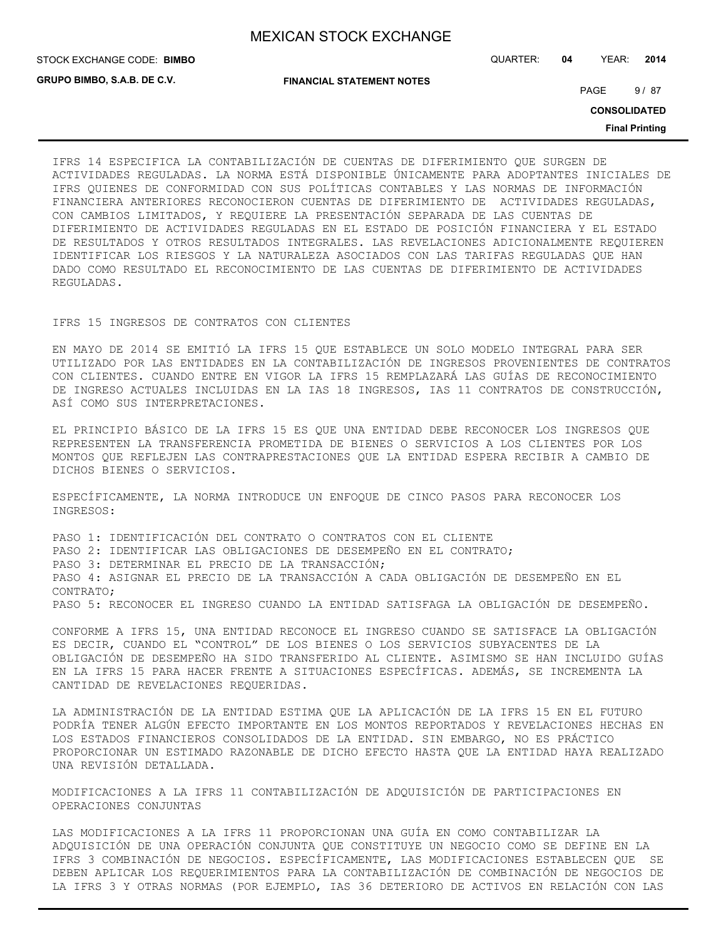**GRUPO BIMBO, S.A.B. DE C.V.**

STOCK EXCHANGE CODE: QUARTER: **04** YEAR: **2014 BIMBO**

**FINANCIAL STATEMENT NOTES**

PAGE 9/87

**CONSOLIDATED**

**Final Printing**

IFRS 14 ESPECIFICA LA CONTABILIZACIÓN DE CUENTAS DE DIFERIMIENTO QUE SURGEN DE ACTIVIDADES REGULADAS. LA NORMA ESTÁ DISPONIBLE ÚNICAMENTE PARA ADOPTANTES INICIALES DE IFRS QUIENES DE CONFORMIDAD CON SUS POLÍTICAS CONTABLES Y LAS NORMAS DE INFORMACIÓN FINANCIERA ANTERIORES RECONOCIERON CUENTAS DE DIFERIMIENTO DE ACTIVIDADES REGULADAS, CON CAMBIOS LIMITADOS, Y REQUIERE LA PRESENTACIÓN SEPARADA DE LAS CUENTAS DE DIFERIMIENTO DE ACTIVIDADES REGULADAS EN EL ESTADO DE POSICIÓN FINANCIERA Y EL ESTADO DE RESULTADOS Y OTROS RESULTADOS INTEGRALES. LAS REVELACIONES ADICIONALMENTE REQUIEREN IDENTIFICAR LOS RIESGOS Y LA NATURALEZA ASOCIADOS CON LAS TARIFAS REGULADAS QUE HAN DADO COMO RESULTADO EL RECONOCIMIENTO DE LAS CUENTAS DE DIFERIMIENTO DE ACTIVIDADES REGULADAS.

#### IFRS 15 INGRESOS DE CONTRATOS CON CLIENTES

EN MAYO DE 2014 SE EMITIÓ LA IFRS 15 QUE ESTABLECE UN SOLO MODELO INTEGRAL PARA SER UTILIZADO POR LAS ENTIDADES EN LA CONTABILIZACIÓN DE INGRESOS PROVENIENTES DE CONTRATOS CON CLIENTES. CUANDO ENTRE EN VIGOR LA IFRS 15 REMPLAZARÁ LAS GUÍAS DE RECONOCIMIENTO DE INGRESO ACTUALES INCLUIDAS EN LA IAS 18 INGRESOS, IAS 11 CONTRATOS DE CONSTRUCCIÓN, ASÍ COMO SUS INTERPRETACIONES.

EL PRINCIPIO BÁSICO DE LA IFRS 15 ES QUE UNA ENTIDAD DEBE RECONOCER LOS INGRESOS QUE REPRESENTEN LA TRANSFERENCIA PROMETIDA DE BIENES O SERVICIOS A LOS CLIENTES POR LOS MONTOS QUE REFLEJEN LAS CONTRAPRESTACIONES QUE LA ENTIDAD ESPERA RECIBIR A CAMBIO DE DICHOS BIENES O SERVICIOS.

ESPECÍFICAMENTE, LA NORMA INTRODUCE UN ENFOQUE DE CINCO PASOS PARA RECONOCER LOS INGRESOS:

PASO 1: IDENTIFICACIÓN DEL CONTRATO O CONTRATOS CON EL CLIENTE PASO 2: IDENTIFICAR LAS OBLIGACIONES DE DESEMPEÑO EN EL CONTRATO; PASO 3: DETERMINAR EL PRECIO DE LA TRANSACCIÓN; PASO 4: ASIGNAR EL PRECIO DE LA TRANSACCIÓN A CADA OBLIGACIÓN DE DESEMPEÑO EN EL CONTRATO; PASO 5: RECONOCER EL INGRESO CUANDO LA ENTIDAD SATISFAGA LA OBLIGACIÓN DE DESEMPEÑO.

CONFORME A IFRS 15, UNA ENTIDAD RECONOCE EL INGRESO CUANDO SE SATISFACE LA OBLIGACIÓN ES DECIR, CUANDO EL "CONTROL" DE LOS BIENES O LOS SERVICIOS SUBYACENTES DE LA OBLIGACIÓN DE DESEMPEÑO HA SIDO TRANSFERIDO AL CLIENTE. ASIMISMO SE HAN INCLUIDO GUÍAS EN LA IFRS 15 PARA HACER FRENTE A SITUACIONES ESPECÍFICAS. ADEMÁS, SE INCREMENTA LA CANTIDAD DE REVELACIONES REQUERIDAS.

LA ADMINISTRACIÓN DE LA ENTIDAD ESTIMA QUE LA APLICACIÓN DE LA IFRS 15 EN EL FUTURO PODRÍA TENER ALGÚN EFECTO IMPORTANTE EN LOS MONTOS REPORTADOS Y REVELACIONES HECHAS EN LOS ESTADOS FINANCIEROS CONSOLIDADOS DE LA ENTIDAD. SIN EMBARGO, NO ES PRÁCTICO PROPORCIONAR UN ESTIMADO RAZONABLE DE DICHO EFECTO HASTA QUE LA ENTIDAD HAYA REALIZADO UNA REVISIÓN DETALLADA.

MODIFICACIONES A LA IFRS 11 CONTABILIZACIÓN DE ADQUISICIÓN DE PARTICIPACIONES EN OPERACIONES CONJUNTAS

LAS MODIFICACIONES A LA IFRS 11 PROPORCIONAN UNA GUÍA EN COMO CONTABILIZAR LA ADQUISICIÓN DE UNA OPERACIÓN CONJUNTA QUE CONSTITUYE UN NEGOCIO COMO SE DEFINE EN LA IFRS 3 COMBINACIÓN DE NEGOCIOS. ESPECÍFICAMENTE, LAS MODIFICACIONES ESTABLECEN QUE SE DEBEN APLICAR LOS REQUERIMIENTOS PARA LA CONTABILIZACIÓN DE COMBINACIÓN DE NEGOCIOS DE LA IFRS 3 Y OTRAS NORMAS (POR EJEMPLO, IAS 36 DETERIORO DE ACTIVOS EN RELACIÓN CON LAS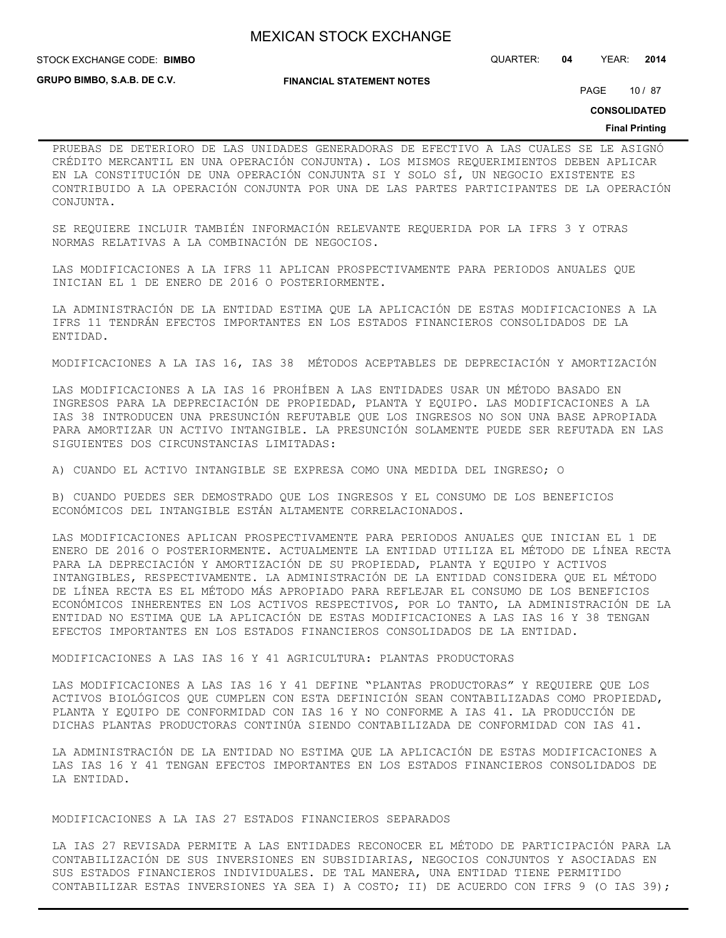STOCK EXCHANGE CODE: QUARTER: **04** YEAR: **2014 BIMBO**

**GRUPO BIMBO, S.A.B. DE C.V.**

**FINANCIAL STATEMENT NOTES**

PAGE 10 / 87

**CONSOLIDATED**

#### **Final Printing**

PRUEBAS DE DETERIORO DE LAS UNIDADES GENERADORAS DE EFECTIVO A LAS CUALES SE LE ASIGNÓ CRÉDITO MERCANTIL EN UNA OPERACIÓN CONJUNTA). LOS MISMOS REQUERIMIENTOS DEBEN APLICAR EN LA CONSTITUCIÓN DE UNA OPERACIÓN CONJUNTA SI Y SOLO SÍ, UN NEGOCIO EXISTENTE ES CONTRIBUIDO A LA OPERACIÓN CONJUNTA POR UNA DE LAS PARTES PARTICIPANTES DE LA OPERACIÓN CONJUNTA.

SE REQUIERE INCLUIR TAMBIÉN INFORMACIÓN RELEVANTE REQUERIDA POR LA IFRS 3 Y OTRAS NORMAS RELATIVAS A LA COMBINACIÓN DE NEGOCIOS.

LAS MODIFICACIONES A LA IFRS 11 APLICAN PROSPECTIVAMENTE PARA PERIODOS ANUALES QUE INICIAN EL 1 DE ENERO DE 2016 O POSTERIORMENTE.

LA ADMINISTRACIÓN DE LA ENTIDAD ESTIMA QUE LA APLICACIÓN DE ESTAS MODIFICACIONES A LA IFRS 11 TENDRÁN EFECTOS IMPORTANTES EN LOS ESTADOS FINANCIEROS CONSOLIDADOS DE LA ENTIDAD.

MODIFICACIONES A LA IAS 16, IAS 38 MÉTODOS ACEPTABLES DE DEPRECIACIÓN Y AMORTIZACIÓN

LAS MODIFICACIONES A LA IAS 16 PROHÍBEN A LAS ENTIDADES USAR UN MÉTODO BASADO EN INGRESOS PARA LA DEPRECIACIÓN DE PROPIEDAD, PLANTA Y EQUIPO. LAS MODIFICACIONES A LA IAS 38 INTRODUCEN UNA PRESUNCIÓN REFUTABLE QUE LOS INGRESOS NO SON UNA BASE APROPIADA PARA AMORTIZAR UN ACTIVO INTANGIBLE. LA PRESUNCIÓN SOLAMENTE PUEDE SER REFUTADA EN LAS SIGUIENTES DOS CIRCUNSTANCIAS LIMITADAS:

A) CUANDO EL ACTIVO INTANGIBLE SE EXPRESA COMO UNA MEDIDA DEL INGRESO; O

B) CUANDO PUEDES SER DEMOSTRADO QUE LOS INGRESOS Y EL CONSUMO DE LOS BENEFICIOS ECONÓMICOS DEL INTANGIBLE ESTÁN ALTAMENTE CORRELACIONADOS.

LAS MODIFICACIONES APLICAN PROSPECTIVAMENTE PARA PERIODOS ANUALES QUE INICIAN EL 1 DE ENERO DE 2016 O POSTERIORMENTE. ACTUALMENTE LA ENTIDAD UTILIZA EL MÉTODO DE LÍNEA RECTA PARA LA DEPRECIACIÓN Y AMORTIZACIÓN DE SU PROPIEDAD, PLANTA Y EQUIPO Y ACTIVOS INTANGIBLES, RESPECTIVAMENTE. LA ADMINISTRACIÓN DE LA ENTIDAD CONSIDERA QUE EL MÉTODO DE LÍNEA RECTA ES EL MÉTODO MÁS APROPIADO PARA REFLEJAR EL CONSUMO DE LOS BENEFICIOS ECONÓMICOS INHERENTES EN LOS ACTIVOS RESPECTIVOS, POR LO TANTO, LA ADMINISTRACIÓN DE LA ENTIDAD NO ESTIMA QUE LA APLICACIÓN DE ESTAS MODIFICACIONES A LAS IAS 16 Y 38 TENGAN EFECTOS IMPORTANTES EN LOS ESTADOS FINANCIEROS CONSOLIDADOS DE LA ENTIDAD.

MODIFICACIONES A LAS IAS 16 Y 41 AGRICULTURA: PLANTAS PRODUCTORAS

LAS MODIFICACIONES A LAS IAS 16 Y 41 DEFINE "PLANTAS PRODUCTORAS" Y REQUIERE QUE LOS ACTIVOS BIOLÓGICOS QUE CUMPLEN CON ESTA DEFINICIÓN SEAN CONTABILIZADAS COMO PROPIEDAD, PLANTA Y EQUIPO DE CONFORMIDAD CON IAS 16 Y NO CONFORME A IAS 41. LA PRODUCCIÓN DE DICHAS PLANTAS PRODUCTORAS CONTINÚA SIENDO CONTABILIZADA DE CONFORMIDAD CON IAS 41.

LA ADMINISTRACIÓN DE LA ENTIDAD NO ESTIMA QUE LA APLICACIÓN DE ESTAS MODIFICACIONES A LAS IAS 16 Y 41 TENGAN EFECTOS IMPORTANTES EN LOS ESTADOS FINANCIEROS CONSOLIDADOS DE LA ENTIDAD.

MODIFICACIONES A LA IAS 27 ESTADOS FINANCIEROS SEPARADOS

LA IAS 27 REVISADA PERMITE A LAS ENTIDADES RECONOCER EL MÉTODO DE PARTICIPACIÓN PARA LA CONTABILIZACIÓN DE SUS INVERSIONES EN SUBSIDIARIAS, NEGOCIOS CONJUNTOS Y ASOCIADAS EN SUS ESTADOS FINANCIEROS INDIVIDUALES. DE TAL MANERA, UNA ENTIDAD TIENE PERMITIDO CONTABILIZAR ESTAS INVERSIONES YA SEA I) A COSTO; II) DE ACUERDO CON IFRS 9 (O IAS 39);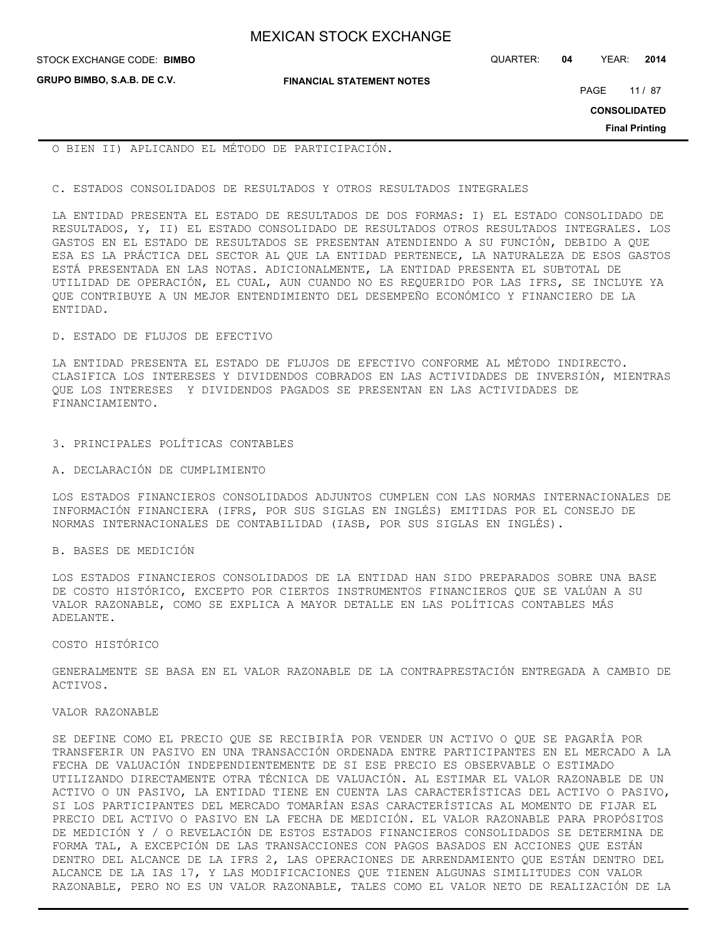STOCK EXCHANGE CODE: QUARTER: **04** YEAR: **2014 BIMBO**

**GRUPO BIMBO, S.A.B. DE C.V.**

**FINANCIAL STATEMENT NOTES**

PAGE 11 / 87

**CONSOLIDATED**

**Final Printing**

O BIEN II) APLICANDO EL MÉTODO DE PARTICIPACIÓN.

#### C. ESTADOS CONSOLIDADOS DE RESULTADOS Y OTROS RESULTADOS INTEGRALES

LA ENTIDAD PRESENTA EL ESTADO DE RESULTADOS DE DOS FORMAS: I) EL ESTADO CONSOLIDADO DE RESULTADOS, Y, II) EL ESTADO CONSOLIDADO DE RESULTADOS OTROS RESULTADOS INTEGRALES. LOS GASTOS EN EL ESTADO DE RESULTADOS SE PRESENTAN ATENDIENDO A SU FUNCIÓN, DEBIDO A QUE ESA ES LA PRÁCTICA DEL SECTOR AL QUE LA ENTIDAD PERTENECE, LA NATURALEZA DE ESOS GASTOS ESTÁ PRESENTADA EN LAS NOTAS. ADICIONALMENTE, LA ENTIDAD PRESENTA EL SUBTOTAL DE UTILIDAD DE OPERACIÓN, EL CUAL, AUN CUANDO NO ES REQUERIDO POR LAS IFRS, SE INCLUYE YA QUE CONTRIBUYE A UN MEJOR ENTENDIMIENTO DEL DESEMPEÑO ECONÓMICO Y FINANCIERO DE LA ENTIDAD.

#### D. ESTADO DE FLUJOS DE EFECTIVO

LA ENTIDAD PRESENTA EL ESTADO DE FLUJOS DE EFECTIVO CONFORME AL MÉTODO INDIRECTO. CLASIFICA LOS INTERESES Y DIVIDENDOS COBRADOS EN LAS ACTIVIDADES DE INVERSIÓN, MIENTRAS QUE LOS INTERESES Y DIVIDENDOS PAGADOS SE PRESENTAN EN LAS ACTIVIDADES DE FINANCIAMIENTO.

#### 3. PRINCIPALES POLÍTICAS CONTABLES

#### A. DECLARACIÓN DE CUMPLIMIENTO

LOS ESTADOS FINANCIEROS CONSOLIDADOS ADJUNTOS CUMPLEN CON LAS NORMAS INTERNACIONALES DE INFORMACIÓN FINANCIERA (IFRS, POR SUS SIGLAS EN INGLÉS) EMITIDAS POR EL CONSEJO DE NORMAS INTERNACIONALES DE CONTABILIDAD (IASB, POR SUS SIGLAS EN INGLÉS).

#### B. BASES DE MEDICIÓN

LOS ESTADOS FINANCIEROS CONSOLIDADOS DE LA ENTIDAD HAN SIDO PREPARADOS SOBRE UNA BASE DE COSTO HISTÓRICO, EXCEPTO POR CIERTOS INSTRUMENTOS FINANCIEROS QUE SE VALÚAN A SU VALOR RAZONABLE, COMO SE EXPLICA A MAYOR DETALLE EN LAS POLÍTICAS CONTABLES MÁS ADELANTE.

#### COSTO HISTÓRICO

GENERALMENTE SE BASA EN EL VALOR RAZONABLE DE LA CONTRAPRESTACIÓN ENTREGADA A CAMBIO DE ACTIVOS.

#### VALOR RAZONABLE

SE DEFINE COMO EL PRECIO QUE SE RECIBIRÍA POR VENDER UN ACTIVO O QUE SE PAGARÍA POR TRANSFERIR UN PASIVO EN UNA TRANSACCIÓN ORDENADA ENTRE PARTICIPANTES EN EL MERCADO A LA FECHA DE VALUACIÓN INDEPENDIENTEMENTE DE SI ESE PRECIO ES OBSERVABLE O ESTIMADO UTILIZANDO DIRECTAMENTE OTRA TÉCNICA DE VALUACIÓN. AL ESTIMAR EL VALOR RAZONABLE DE UN ACTIVO O UN PASIVO, LA ENTIDAD TIENE EN CUENTA LAS CARACTERÍSTICAS DEL ACTIVO O PASIVO, SI LOS PARTICIPANTES DEL MERCADO TOMARÍAN ESAS CARACTERÍSTICAS AL MOMENTO DE FIJAR EL PRECIO DEL ACTIVO O PASIVO EN LA FECHA DE MEDICIÓN. EL VALOR RAZONABLE PARA PROPÓSITOS DE MEDICIÓN Y / O REVELACIÓN DE ESTOS ESTADOS FINANCIEROS CONSOLIDADOS SE DETERMINA DE FORMA TAL, A EXCEPCIÓN DE LAS TRANSACCIONES CON PAGOS BASADOS EN ACCIONES QUE ESTÁN DENTRO DEL ALCANCE DE LA IFRS 2, LAS OPERACIONES DE ARRENDAMIENTO QUE ESTÁN DENTRO DEL ALCANCE DE LA IAS 17, Y LAS MODIFICACIONES QUE TIENEN ALGUNAS SIMILITUDES CON VALOR RAZONABLE, PERO NO ES UN VALOR RAZONABLE, TALES COMO EL VALOR NETO DE REALIZACIÓN DE LA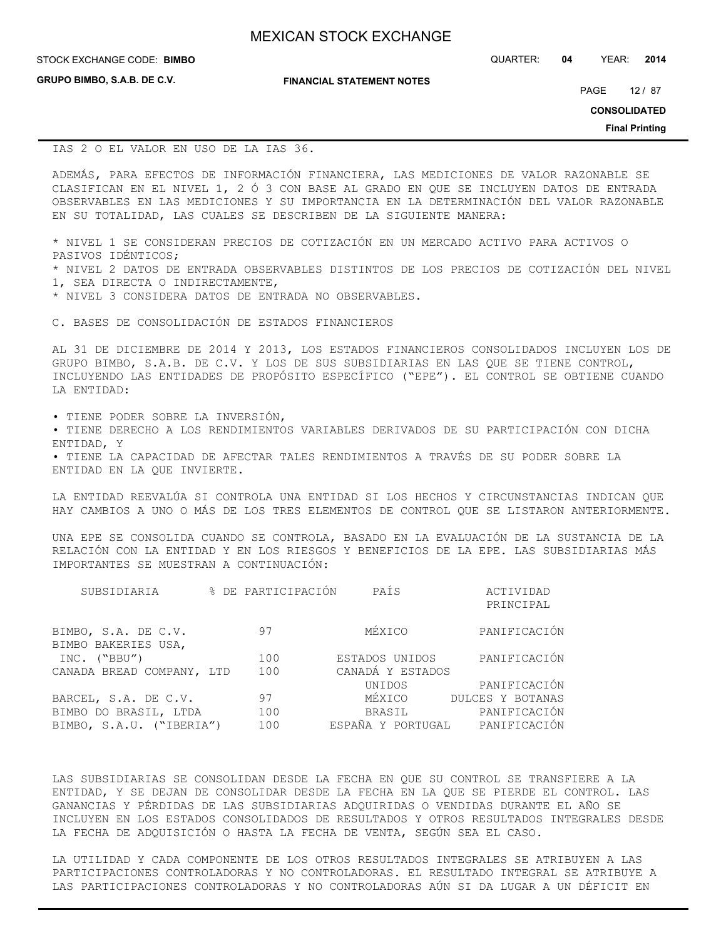**GRUPO BIMBO, S.A.B. DE C.V.**

**FINANCIAL STATEMENT NOTES**

STOCK EXCHANGE CODE: QUARTER: **04** YEAR: **2014 BIMBO**

PAGE 12 / 87

**CONSOLIDATED**

**Final Printing**

IAS 2 O EL VALOR EN USO DE LA IAS 36.

ADEMÁS, PARA EFECTOS DE INFORMACIÓN FINANCIERA, LAS MEDICIONES DE VALOR RAZONABLE SE CLASIFICAN EN EL NIVEL 1, 2 Ó 3 CON BASE AL GRADO EN QUE SE INCLUYEN DATOS DE ENTRADA OBSERVABLES EN LAS MEDICIONES Y SU IMPORTANCIA EN LA DETERMINACIÓN DEL VALOR RAZONABLE EN SU TOTALIDAD, LAS CUALES SE DESCRIBEN DE LA SIGUIENTE MANERA:

\* NIVEL 1 SE CONSIDERAN PRECIOS DE COTIZACIÓN EN UN MERCADO ACTIVO PARA ACTIVOS O PASIVOS IDÉNTICOS;

\* NIVEL 2 DATOS DE ENTRADA OBSERVABLES DISTINTOS DE LOS PRECIOS DE COTIZACIÓN DEL NIVEL 1, SEA DIRECTA O INDIRECTAMENTE,

\* NIVEL 3 CONSIDERA DATOS DE ENTRADA NO OBSERVABLES.

C. BASES DE CONSOLIDACIÓN DE ESTADOS FINANCIEROS

AL 31 DE DICIEMBRE DE 2014 Y 2013, LOS ESTADOS FINANCIEROS CONSOLIDADOS INCLUYEN LOS DE GRUPO BIMBO, S.A.B. DE C.V. Y LOS DE SUS SUBSIDIARIAS EN LAS QUE SE TIENE CONTROL, INCLUYENDO LAS ENTIDADES DE PROPÓSITO ESPECÍFICO ("EPE"). EL CONTROL SE OBTIENE CUANDO LA ENTIDAD:

• TIENE PODER SOBRE LA INVERSIÓN,

• TIENE DERECHO A LOS RENDIMIENTOS VARIABLES DERIVADOS DE SU PARTICIPACIÓN CON DICHA ENTIDAD, Y

• TIENE LA CAPACIDAD DE AFECTAR TALES RENDIMIENTOS A TRAVÉS DE SU PODER SOBRE LA ENTIDAD EN LA QUE INVIERTE.

LA ENTIDAD REEVALÚA SI CONTROLA UNA ENTIDAD SI LOS HECHOS Y CIRCUNSTANCIAS INDICAN QUE HAY CAMBIOS A UNO O MÁS DE LOS TRES ELEMENTOS DE CONTROL QUE SE LISTARON ANTERIORMENTE.

UNA EPE SE CONSOLIDA CUANDO SE CONTROLA, BASADO EN LA EVALUACIÓN DE LA SUSTANCIA DE LA RELACIÓN CON LA ENTIDAD Y EN LOS RIESGOS Y BENEFICIOS DE LA EPE. LAS SUBSIDIARIAS MÁS IMPORTANTES SE MUESTRAN A CONTINUACIÓN:

|                           |     | PAÍS             | ACTIVIDAD<br>PRINCIPAL                               |
|---------------------------|-----|------------------|------------------------------------------------------|
|                           | 97  | MÉXICO           | PANIFICACIÓN                                         |
|                           | 100 | ESTADOS UNIDOS   | PANIFICACIÓN                                         |
| CANADA BREAD COMPANY, LTD | 100 | CANADÁ Y ESTADOS |                                                      |
|                           |     | UNIDOS           | PANIFICACIÓN                                         |
|                           | 97  | MÉXICO           | DULCES Y BOTANAS                                     |
|                           | 100 | BRASIL           | PANIFICACIÓN                                         |
| BIMBO, S.A.U. ("IBERIA")  | 100 |                  |                                                      |
|                           |     |                  | % DE PARTICIPACIÓN<br>ESPAÑA Y PORTUGAL PANIFICACIÓN |

LAS SUBSIDIARIAS SE CONSOLIDAN DESDE LA FECHA EN QUE SU CONTROL SE TRANSFIERE A LA ENTIDAD, Y SE DEJAN DE CONSOLIDAR DESDE LA FECHA EN LA QUE SE PIERDE EL CONTROL. LAS GANANCIAS Y PÉRDIDAS DE LAS SUBSIDIARIAS ADQUIRIDAS O VENDIDAS DURANTE EL AÑO SE INCLUYEN EN LOS ESTADOS CONSOLIDADOS DE RESULTADOS Y OTROS RESULTADOS INTEGRALES DESDE LA FECHA DE ADQUISICIÓN O HASTA LA FECHA DE VENTA, SEGÚN SEA EL CASO.

LA UTILIDAD Y CADA COMPONENTE DE LOS OTROS RESULTADOS INTEGRALES SE ATRIBUYEN A LAS PARTICIPACIONES CONTROLADORAS Y NO CONTROLADORAS. EL RESULTADO INTEGRAL SE ATRIBUYE A LAS PARTICIPACIONES CONTROLADORAS Y NO CONTROLADORAS AÚN SI DA LUGAR A UN DÉFICIT EN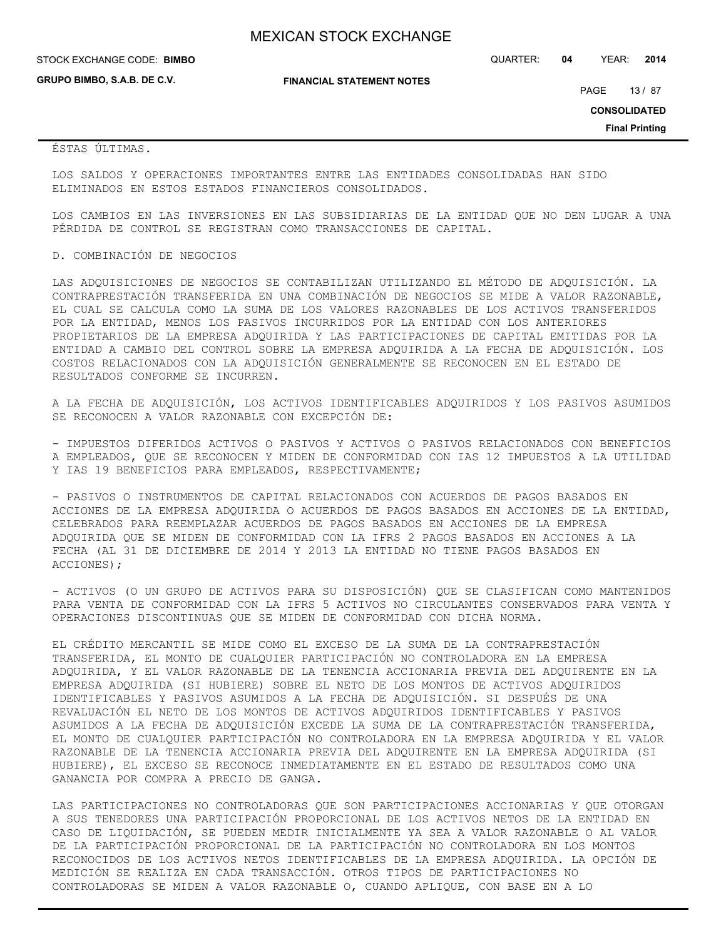STOCK EXCHANGE CODE: QUARTER: **04** YEAR: **2014 BIMBO**

**GRUPO BIMBO, S.A.B. DE C.V.**

**FINANCIAL STATEMENT NOTES**

PAGE 13 / 87

**CONSOLIDATED**

**Final Printing**

ÉSTAS ÚLTIMAS.

LOS SALDOS Y OPERACIONES IMPORTANTES ENTRE LAS ENTIDADES CONSOLIDADAS HAN SIDO ELIMINADOS EN ESTOS ESTADOS FINANCIEROS CONSOLIDADOS.

LOS CAMBIOS EN LAS INVERSIONES EN LAS SUBSIDIARIAS DE LA ENTIDAD QUE NO DEN LUGAR A UNA PÉRDIDA DE CONTROL SE REGISTRAN COMO TRANSACCIONES DE CAPITAL.

#### D. COMBINACIÓN DE NEGOCIOS

LAS ADQUISICIONES DE NEGOCIOS SE CONTABILIZAN UTILIZANDO EL MÉTODO DE ADQUISICIÓN. LA CONTRAPRESTACIÓN TRANSFERIDA EN UNA COMBINACIÓN DE NEGOCIOS SE MIDE A VALOR RAZONABLE, EL CUAL SE CALCULA COMO LA SUMA DE LOS VALORES RAZONABLES DE LOS ACTIVOS TRANSFERIDOS POR LA ENTIDAD, MENOS LOS PASIVOS INCURRIDOS POR LA ENTIDAD CON LOS ANTERIORES PROPIETARIOS DE LA EMPRESA ADQUIRIDA Y LAS PARTICIPACIONES DE CAPITAL EMITIDAS POR LA ENTIDAD A CAMBIO DEL CONTROL SOBRE LA EMPRESA ADQUIRIDA A LA FECHA DE ADQUISICIÓN. LOS COSTOS RELACIONADOS CON LA ADQUISICIÓN GENERALMENTE SE RECONOCEN EN EL ESTADO DE RESULTADOS CONFORME SE INCURREN.

A LA FECHA DE ADQUISICIÓN, LOS ACTIVOS IDENTIFICABLES ADQUIRIDOS Y LOS PASIVOS ASUMIDOS SE RECONOCEN A VALOR RAZONABLE CON EXCEPCIÓN DE:

- IMPUESTOS DIFERIDOS ACTIVOS O PASIVOS Y ACTIVOS O PASIVOS RELACIONADOS CON BENEFICIOS A EMPLEADOS, QUE SE RECONOCEN Y MIDEN DE CONFORMIDAD CON IAS 12 IMPUESTOS A LA UTILIDAD Y IAS 19 BENEFICIOS PARA EMPLEADOS, RESPECTIVAMENTE;

- PASIVOS O INSTRUMENTOS DE CAPITAL RELACIONADOS CON ACUERDOS DE PAGOS BASADOS EN ACCIONES DE LA EMPRESA ADQUIRIDA O ACUERDOS DE PAGOS BASADOS EN ACCIONES DE LA ENTIDAD, CELEBRADOS PARA REEMPLAZAR ACUERDOS DE PAGOS BASADOS EN ACCIONES DE LA EMPRESA ADQUIRIDA QUE SE MIDEN DE CONFORMIDAD CON LA IFRS 2 PAGOS BASADOS EN ACCIONES A LA FECHA (AL 31 DE DICIEMBRE DE 2014 Y 2013 LA ENTIDAD NO TIENE PAGOS BASADOS EN ACCIONES);

- ACTIVOS (O UN GRUPO DE ACTIVOS PARA SU DISPOSICIÓN) QUE SE CLASIFICAN COMO MANTENIDOS PARA VENTA DE CONFORMIDAD CON LA IFRS 5 ACTIVOS NO CIRCULANTES CONSERVADOS PARA VENTA Y OPERACIONES DISCONTINUAS QUE SE MIDEN DE CONFORMIDAD CON DICHA NORMA.

EL CRÉDITO MERCANTIL SE MIDE COMO EL EXCESO DE LA SUMA DE LA CONTRAPRESTACIÓN TRANSFERIDA, EL MONTO DE CUALQUIER PARTICIPACIÓN NO CONTROLADORA EN LA EMPRESA ADQUIRIDA, Y EL VALOR RAZONABLE DE LA TENENCIA ACCIONARIA PREVIA DEL ADQUIRENTE EN LA EMPRESA ADQUIRIDA (SI HUBIERE) SOBRE EL NETO DE LOS MONTOS DE ACTIVOS ADQUIRIDOS IDENTIFICABLES Y PASIVOS ASUMIDOS A LA FECHA DE ADQUISICIÓN. SI DESPUÉS DE UNA REVALUACIÓN EL NETO DE LOS MONTOS DE ACTIVOS ADQUIRIDOS IDENTIFICABLES Y PASIVOS ASUMIDOS A LA FECHA DE ADQUISICIÓN EXCEDE LA SUMA DE LA CONTRAPRESTACIÓN TRANSFERIDA, EL MONTO DE CUALQUIER PARTICIPACIÓN NO CONTROLADORA EN LA EMPRESA ADQUIRIDA Y EL VALOR RAZONABLE DE LA TENENCIA ACCIONARIA PREVIA DEL ADQUIRENTE EN LA EMPRESA ADQUIRIDA (SI HUBIERE), EL EXCESO SE RECONOCE INMEDIATAMENTE EN EL ESTADO DE RESULTADOS COMO UNA GANANCIA POR COMPRA A PRECIO DE GANGA.

LAS PARTICIPACIONES NO CONTROLADORAS QUE SON PARTICIPACIONES ACCIONARIAS Y QUE OTORGAN A SUS TENEDORES UNA PARTICIPACIÓN PROPORCIONAL DE LOS ACTIVOS NETOS DE LA ENTIDAD EN CASO DE LIQUIDACIÓN, SE PUEDEN MEDIR INICIALMENTE YA SEA A VALOR RAZONABLE O AL VALOR DE LA PARTICIPACIÓN PROPORCIONAL DE LA PARTICIPACIÓN NO CONTROLADORA EN LOS MONTOS RECONOCIDOS DE LOS ACTIVOS NETOS IDENTIFICABLES DE LA EMPRESA ADQUIRIDA. LA OPCIÓN DE MEDICIÓN SE REALIZA EN CADA TRANSACCIÓN. OTROS TIPOS DE PARTICIPACIONES NO CONTROLADORAS SE MIDEN A VALOR RAZONABLE O, CUANDO APLIQUE, CON BASE EN A LO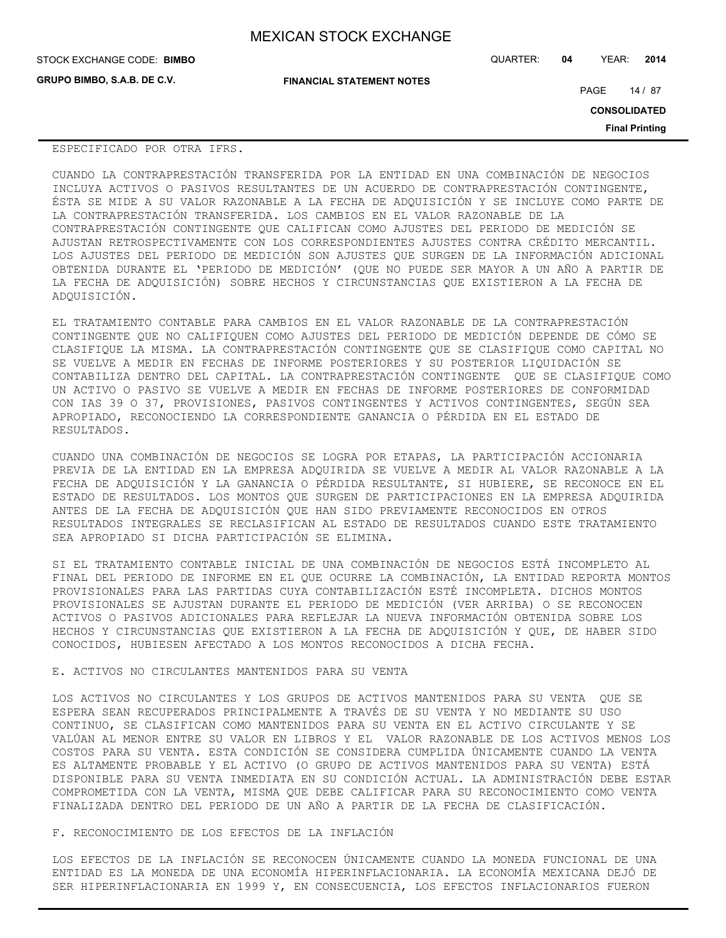| <b>MEXICAN STOCK EXCHANGE</b> |  |  |  |
|-------------------------------|--|--|--|
|-------------------------------|--|--|--|

**GRUPO BIMBO, S.A.B. DE C.V.**

STOCK EXCHANGE CODE: QUARTER: **04** YEAR: **2014 BIMBO**

**FINANCIAL STATEMENT NOTES**

PAGE 14 / 87

**CONSOLIDATED**

**Final Printing**

#### ESPECIFICADO POR OTRA IFRS.

CUANDO LA CONTRAPRESTACIÓN TRANSFERIDA POR LA ENTIDAD EN UNA COMBINACIÓN DE NEGOCIOS INCLUYA ACTIVOS O PASIVOS RESULTANTES DE UN ACUERDO DE CONTRAPRESTACIÓN CONTINGENTE, ÉSTA SE MIDE A SU VALOR RAZONABLE A LA FECHA DE ADQUISICIÓN Y SE INCLUYE COMO PARTE DE LA CONTRAPRESTACIÓN TRANSFERIDA. LOS CAMBIOS EN EL VALOR RAZONABLE DE LA CONTRAPRESTACIÓN CONTINGENTE QUE CALIFICAN COMO AJUSTES DEL PERIODO DE MEDICIÓN SE AJUSTAN RETROSPECTIVAMENTE CON LOS CORRESPONDIENTES AJUSTES CONTRA CRÉDITO MERCANTIL. LOS AJUSTES DEL PERIODO DE MEDICIÓN SON AJUSTES QUE SURGEN DE LA INFORMACIÓN ADICIONAL OBTENIDA DURANTE EL 'PERIODO DE MEDICIÓN' (QUE NO PUEDE SER MAYOR A UN AÑO A PARTIR DE LA FECHA DE ADQUISICIÓN) SOBRE HECHOS Y CIRCUNSTANCIAS QUE EXISTIERON A LA FECHA DE ADQUISICIÓN.

EL TRATAMIENTO CONTABLE PARA CAMBIOS EN EL VALOR RAZONABLE DE LA CONTRAPRESTACIÓN CONTINGENTE QUE NO CALIFIQUEN COMO AJUSTES DEL PERIODO DE MEDICIÓN DEPENDE DE CÓMO SE CLASIFIQUE LA MISMA. LA CONTRAPRESTACIÓN CONTINGENTE QUE SE CLASIFIQUE COMO CAPITAL NO SE VUELVE A MEDIR EN FECHAS DE INFORME POSTERIORES Y SU POSTERIOR LIQUIDACIÓN SE CONTABILIZA DENTRO DEL CAPITAL. LA CONTRAPRESTACIÓN CONTINGENTE QUE SE CLASIFIQUE COMO UN ACTIVO O PASIVO SE VUELVE A MEDIR EN FECHAS DE INFORME POSTERIORES DE CONFORMIDAD CON IAS 39 O 37, PROVISIONES, PASIVOS CONTINGENTES Y ACTIVOS CONTINGENTES, SEGÚN SEA APROPIADO, RECONOCIENDO LA CORRESPONDIENTE GANANCIA O PÉRDIDA EN EL ESTADO DE RESULTADOS.

CUANDO UNA COMBINACIÓN DE NEGOCIOS SE LOGRA POR ETAPAS, LA PARTICIPACIÓN ACCIONARIA PREVIA DE LA ENTIDAD EN LA EMPRESA ADQUIRIDA SE VUELVE A MEDIR AL VALOR RAZONABLE A LA FECHA DE ADQUISICIÓN Y LA GANANCIA O PÉRDIDA RESULTANTE, SI HUBIERE, SE RECONOCE EN EL ESTADO DE RESULTADOS. LOS MONTOS QUE SURGEN DE PARTICIPACIONES EN LA EMPRESA ADQUIRIDA ANTES DE LA FECHA DE ADQUISICIÓN QUE HAN SIDO PREVIAMENTE RECONOCIDOS EN OTROS RESULTADOS INTEGRALES SE RECLASIFICAN AL ESTADO DE RESULTADOS CUANDO ESTE TRATAMIENTO SEA APROPIADO SI DICHA PARTICIPACIÓN SE ELIMINA.

SI EL TRATAMIENTO CONTABLE INICIAL DE UNA COMBINACIÓN DE NEGOCIOS ESTÁ INCOMPLETO AL FINAL DEL PERIODO DE INFORME EN EL QUE OCURRE LA COMBINACIÓN, LA ENTIDAD REPORTA MONTOS PROVISIONALES PARA LAS PARTIDAS CUYA CONTABILIZACIÓN ESTÉ INCOMPLETA. DICHOS MONTOS PROVISIONALES SE AJUSTAN DURANTE EL PERIODO DE MEDICIÓN (VER ARRIBA) O SE RECONOCEN ACTIVOS O PASIVOS ADICIONALES PARA REFLEJAR LA NUEVA INFORMACIÓN OBTENIDA SOBRE LOS HECHOS Y CIRCUNSTANCIAS QUE EXISTIERON A LA FECHA DE ADQUISICIÓN Y QUE, DE HABER SIDO CONOCIDOS, HUBIESEN AFECTADO A LOS MONTOS RECONOCIDOS A DICHA FECHA.

## E. ACTIVOS NO CIRCULANTES MANTENIDOS PARA SU VENTA

LOS ACTIVOS NO CIRCULANTES Y LOS GRUPOS DE ACTIVOS MANTENIDOS PARA SU VENTA QUE SE ESPERA SEAN RECUPERADOS PRINCIPALMENTE A TRAVÉS DE SU VENTA Y NO MEDIANTE SU USO CONTINUO, SE CLASIFICAN COMO MANTENIDOS PARA SU VENTA EN EL ACTIVO CIRCULANTE Y SE VALÚAN AL MENOR ENTRE SU VALOR EN LIBROS Y EL VALOR RAZONABLE DE LOS ACTIVOS MENOS LOS COSTOS PARA SU VENTA. ESTA CONDICIÓN SE CONSIDERA CUMPLIDA ÚNICAMENTE CUANDO LA VENTA ES ALTAMENTE PROBABLE Y EL ACTIVO (O GRUPO DE ACTIVOS MANTENIDOS PARA SU VENTA) ESTÁ DISPONIBLE PARA SU VENTA INMEDIATA EN SU CONDICIÓN ACTUAL. LA ADMINISTRACIÓN DEBE ESTAR COMPROMETIDA CON LA VENTA, MISMA QUE DEBE CALIFICAR PARA SU RECONOCIMIENTO COMO VENTA FINALIZADA DENTRO DEL PERIODO DE UN AÑO A PARTIR DE LA FECHA DE CLASIFICACIÓN.

### F. RECONOCIMIENTO DE LOS EFECTOS DE LA INFLACIÓN

LOS EFECTOS DE LA INFLACIÓN SE RECONOCEN ÚNICAMENTE CUANDO LA MONEDA FUNCIONAL DE UNA ENTIDAD ES LA MONEDA DE UNA ECONOMÍA HIPERINFLACIONARIA. LA ECONOMÍA MEXICANA DEJÓ DE SER HIPERINFLACIONARIA EN 1999 Y, EN CONSECUENCIA, LOS EFECTOS INFLACIONARIOS FUERON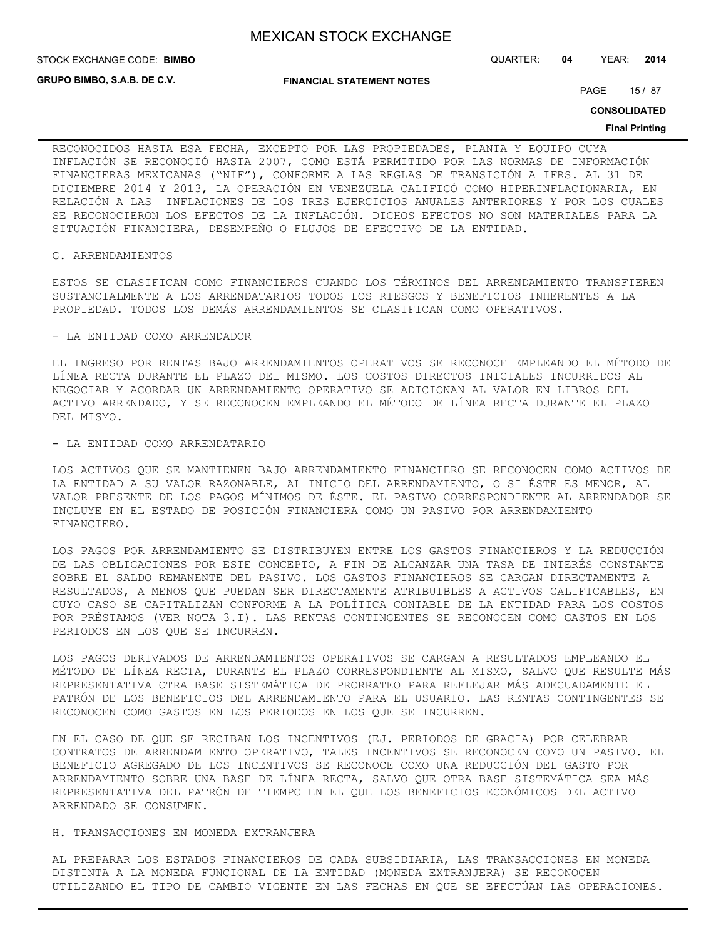**STOCK EXCHANGE CODE: BIMBO** 

**GRUPO BIMBO, S.A.B. DE C.V.**

**FINANCIAL STATEMENT NOTES**

PAGE 15 / 87

STOCK EXCHANGE CODE: QUARTER: **04** YEAR: **2014**

**CONSOLIDATED**

#### **Final Printing**

RECONOCIDOS HASTA ESA FECHA, EXCEPTO POR LAS PROPIEDADES, PLANTA Y EQUIPO CUYA INFLACIÓN SE RECONOCIÓ HASTA 2007, COMO ESTÁ PERMITIDO POR LAS NORMAS DE INFORMACIÓN FINANCIERAS MEXICANAS ("NIF"), CONFORME A LAS REGLAS DE TRANSICIÓN A IFRS. AL 31 DE DICIEMBRE 2014 Y 2013, LA OPERACIÓN EN VENEZUELA CALIFICÓ COMO HIPERINFLACIONARIA, EN RELACIÓN A LAS INFLACIONES DE LOS TRES EJERCICIOS ANUALES ANTERIORES Y POR LOS CUALES SE RECONOCIERON LOS EFECTOS DE LA INFLACIÓN. DICHOS EFECTOS NO SON MATERIALES PARA LA SITUACIÓN FINANCIERA, DESEMPEÑO O FLUJOS DE EFECTIVO DE LA ENTIDAD.

#### G. ARRENDAMIENTOS

ESTOS SE CLASIFICAN COMO FINANCIEROS CUANDO LOS TÉRMINOS DEL ARRENDAMIENTO TRANSFIEREN SUSTANCIALMENTE A LOS ARRENDATARIOS TODOS LOS RIESGOS Y BENEFICIOS INHERENTES A LA PROPIEDAD. TODOS LOS DEMÁS ARRENDAMIENTOS SE CLASIFICAN COMO OPERATIVOS.

#### - LA ENTIDAD COMO ARRENDADOR

EL INGRESO POR RENTAS BAJO ARRENDAMIENTOS OPERATIVOS SE RECONOCE EMPLEANDO EL MÉTODO DE LÍNEA RECTA DURANTE EL PLAZO DEL MISMO. LOS COSTOS DIRECTOS INICIALES INCURRIDOS AL NEGOCIAR Y ACORDAR UN ARRENDAMIENTO OPERATIVO SE ADICIONAN AL VALOR EN LIBROS DEL ACTIVO ARRENDADO, Y SE RECONOCEN EMPLEANDO EL MÉTODO DE LÍNEA RECTA DURANTE EL PLAZO DEL MISMO.

#### - LA ENTIDAD COMO ARRENDATARIO

LOS ACTIVOS QUE SE MANTIENEN BAJO ARRENDAMIENTO FINANCIERO SE RECONOCEN COMO ACTIVOS DE LA ENTIDAD A SU VALOR RAZONABLE, AL INICIO DEL ARRENDAMIENTO, O SI ÉSTE ES MENOR, AL VALOR PRESENTE DE LOS PAGOS MÍNIMOS DE ÉSTE. EL PASIVO CORRESPONDIENTE AL ARRENDADOR SE INCLUYE EN EL ESTADO DE POSICIÓN FINANCIERA COMO UN PASIVO POR ARRENDAMIENTO FINANCIERO.

LOS PAGOS POR ARRENDAMIENTO SE DISTRIBUYEN ENTRE LOS GASTOS FINANCIEROS Y LA REDUCCIÓN DE LAS OBLIGACIONES POR ESTE CONCEPTO, A FIN DE ALCANZAR UNA TASA DE INTERÉS CONSTANTE SOBRE EL SALDO REMANENTE DEL PASIVO. LOS GASTOS FINANCIEROS SE CARGAN DIRECTAMENTE A RESULTADOS, A MENOS QUE PUEDAN SER DIRECTAMENTE ATRIBUIBLES A ACTIVOS CALIFICABLES, EN CUYO CASO SE CAPITALIZAN CONFORME A LA POLÍTICA CONTABLE DE LA ENTIDAD PARA LOS COSTOS POR PRÉSTAMOS (VER NOTA 3.I). LAS RENTAS CONTINGENTES SE RECONOCEN COMO GASTOS EN LOS PERIODOS EN LOS QUE SE INCURREN.

LOS PAGOS DERIVADOS DE ARRENDAMIENTOS OPERATIVOS SE CARGAN A RESULTADOS EMPLEANDO EL MÉTODO DE LÍNEA RECTA, DURANTE EL PLAZO CORRESPONDIENTE AL MISMO, SALVO QUE RESULTE MÁS REPRESENTATIVA OTRA BASE SISTEMÁTICA DE PRORRATEO PARA REFLEJAR MÁS ADECUADAMENTE EL PATRÓN DE LOS BENEFICIOS DEL ARRENDAMIENTO PARA EL USUARIO. LAS RENTAS CONTINGENTES SE RECONOCEN COMO GASTOS EN LOS PERIODOS EN LOS QUE SE INCURREN.

EN EL CASO DE QUE SE RECIBAN LOS INCENTIVOS (EJ. PERIODOS DE GRACIA) POR CELEBRAR CONTRATOS DE ARRENDAMIENTO OPERATIVO, TALES INCENTIVOS SE RECONOCEN COMO UN PASIVO. EL BENEFICIO AGREGADO DE LOS INCENTIVOS SE RECONOCE COMO UNA REDUCCIÓN DEL GASTO POR ARRENDAMIENTO SOBRE UNA BASE DE LÍNEA RECTA, SALVO QUE OTRA BASE SISTEMÁTICA SEA MÁS REPRESENTATIVA DEL PATRÓN DE TIEMPO EN EL QUE LOS BENEFICIOS ECONÓMICOS DEL ACTIVO ARRENDADO SE CONSUMEN.

### H. TRANSACCIONES EN MONEDA EXTRANJERA

AL PREPARAR LOS ESTADOS FINANCIEROS DE CADA SUBSIDIARIA, LAS TRANSACCIONES EN MONEDA DISTINTA A LA MONEDA FUNCIONAL DE LA ENTIDAD (MONEDA EXTRANJERA) SE RECONOCEN UTILIZANDO EL TIPO DE CAMBIO VIGENTE EN LAS FECHAS EN QUE SE EFECTÚAN LAS OPERACIONES.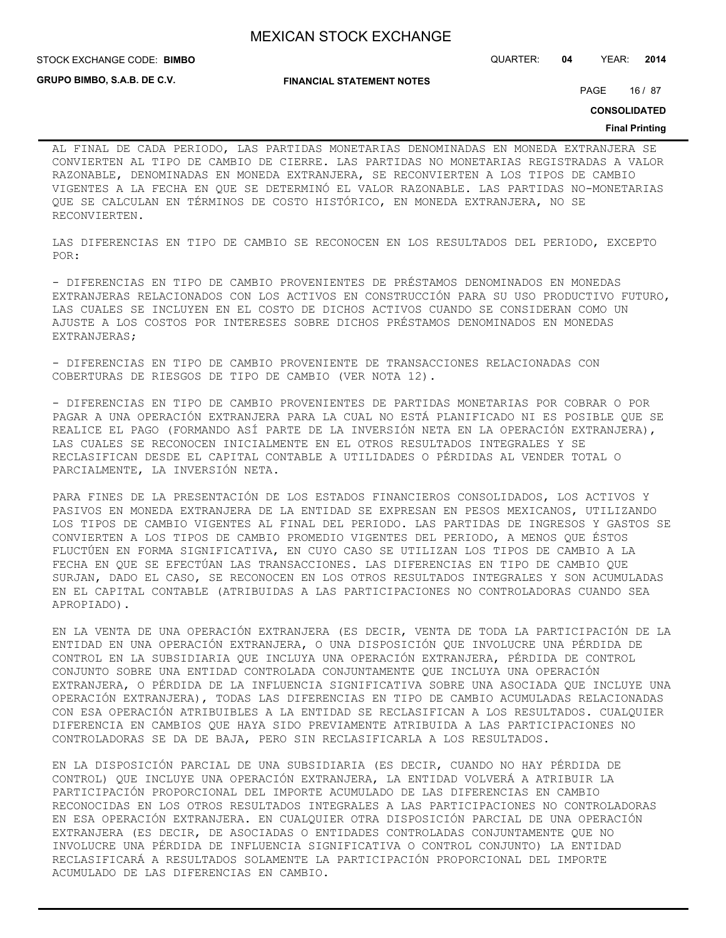STOCK EXCHANGE CODE: QUARTER: **04** YEAR: **2014 BIMBO**

**GRUPO BIMBO, S.A.B. DE C.V.**

**FINANCIAL STATEMENT NOTES**

PAGE 16 / 87

**CONSOLIDATED**

#### **Final Printing**

AL FINAL DE CADA PERIODO, LAS PARTIDAS MONETARIAS DENOMINADAS EN MONEDA EXTRANJERA SE CONVIERTEN AL TIPO DE CAMBIO DE CIERRE. LAS PARTIDAS NO MONETARIAS REGISTRADAS A VALOR RAZONABLE, DENOMINADAS EN MONEDA EXTRANJERA, SE RECONVIERTEN A LOS TIPOS DE CAMBIO VIGENTES A LA FECHA EN QUE SE DETERMINÓ EL VALOR RAZONABLE. LAS PARTIDAS NO-MONETARIAS QUE SE CALCULAN EN TÉRMINOS DE COSTO HISTÓRICO, EN MONEDA EXTRANJERA, NO SE RECONVIERTEN.

LAS DIFERENCIAS EN TIPO DE CAMBIO SE RECONOCEN EN LOS RESULTADOS DEL PERIODO, EXCEPTO POR:

- DIFERENCIAS EN TIPO DE CAMBIO PROVENIENTES DE PRÉSTAMOS DENOMINADOS EN MONEDAS EXTRANJERAS RELACIONADOS CON LOS ACTIVOS EN CONSTRUCCIÓN PARA SU USO PRODUCTIVO FUTURO, LAS CUALES SE INCLUYEN EN EL COSTO DE DICHOS ACTIVOS CUANDO SE CONSIDERAN COMO UN AJUSTE A LOS COSTOS POR INTERESES SOBRE DICHOS PRÉSTAMOS DENOMINADOS EN MONEDAS EXTRANJERAS;

- DIFERENCIAS EN TIPO DE CAMBIO PROVENIENTE DE TRANSACCIONES RELACIONADAS CON COBERTURAS DE RIESGOS DE TIPO DE CAMBIO (VER NOTA 12).

- DIFERENCIAS EN TIPO DE CAMBIO PROVENIENTES DE PARTIDAS MONETARIAS POR COBRAR O POR PAGAR A UNA OPERACIÓN EXTRANJERA PARA LA CUAL NO ESTÁ PLANIFICADO NI ES POSIBLE QUE SE REALICE EL PAGO (FORMANDO ASÍ PARTE DE LA INVERSIÓN NETA EN LA OPERACIÓN EXTRANJERA), LAS CUALES SE RECONOCEN INICIALMENTE EN EL OTROS RESULTADOS INTEGRALES Y SE RECLASIFICAN DESDE EL CAPITAL CONTABLE A UTILIDADES O PÉRDIDAS AL VENDER TOTAL O PARCIALMENTE, LA INVERSIÓN NETA.

PARA FINES DE LA PRESENTACIÓN DE LOS ESTADOS FINANCIEROS CONSOLIDADOS, LOS ACTIVOS Y PASIVOS EN MONEDA EXTRANJERA DE LA ENTIDAD SE EXPRESAN EN PESOS MEXICANOS, UTILIZANDO LOS TIPOS DE CAMBIO VIGENTES AL FINAL DEL PERIODO. LAS PARTIDAS DE INGRESOS Y GASTOS SE CONVIERTEN A LOS TIPOS DE CAMBIO PROMEDIO VIGENTES DEL PERIODO, A MENOS QUE ÉSTOS FLUCTÚEN EN FORMA SIGNIFICATIVA, EN CUYO CASO SE UTILIZAN LOS TIPOS DE CAMBIO A LA FECHA EN QUE SE EFECTÚAN LAS TRANSACCIONES. LAS DIFERENCIAS EN TIPO DE CAMBIO QUE SURJAN, DADO EL CASO, SE RECONOCEN EN LOS OTROS RESULTADOS INTEGRALES Y SON ACUMULADAS EN EL CAPITAL CONTABLE (ATRIBUIDAS A LAS PARTICIPACIONES NO CONTROLADORAS CUANDO SEA APROPIADO).

EN LA VENTA DE UNA OPERACIÓN EXTRANJERA (ES DECIR, VENTA DE TODA LA PARTICIPACIÓN DE LA ENTIDAD EN UNA OPERACIÓN EXTRANJERA, O UNA DISPOSICIÓN QUE INVOLUCRE UNA PÉRDIDA DE CONTROL EN LA SUBSIDIARIA QUE INCLUYA UNA OPERACIÓN EXTRANJERA, PÉRDIDA DE CONTROL CONJUNTO SOBRE UNA ENTIDAD CONTROLADA CONJUNTAMENTE QUE INCLUYA UNA OPERACIÓN EXTRANJERA, O PÉRDIDA DE LA INFLUENCIA SIGNIFICATIVA SOBRE UNA ASOCIADA QUE INCLUYE UNA OPERACIÓN EXTRANJERA), TODAS LAS DIFERENCIAS EN TIPO DE CAMBIO ACUMULADAS RELACIONADAS CON ESA OPERACIÓN ATRIBUIBLES A LA ENTIDAD SE RECLASIFICAN A LOS RESULTADOS. CUALQUIER DIFERENCIA EN CAMBIOS QUE HAYA SIDO PREVIAMENTE ATRIBUIDA A LAS PARTICIPACIONES NO CONTROLADORAS SE DA DE BAJA, PERO SIN RECLASIFICARLA A LOS RESULTADOS.

EN LA DISPOSICIÓN PARCIAL DE UNA SUBSIDIARIA (ES DECIR, CUANDO NO HAY PÉRDIDA DE CONTROL) QUE INCLUYE UNA OPERACIÓN EXTRANJERA, LA ENTIDAD VOLVERÁ A ATRIBUIR LA PARTICIPACIÓN PROPORCIONAL DEL IMPORTE ACUMULADO DE LAS DIFERENCIAS EN CAMBIO RECONOCIDAS EN LOS OTROS RESULTADOS INTEGRALES A LAS PARTICIPACIONES NO CONTROLADORAS EN ESA OPERACIÓN EXTRANJERA. EN CUALQUIER OTRA DISPOSICIÓN PARCIAL DE UNA OPERACIÓN EXTRANJERA (ES DECIR, DE ASOCIADAS O ENTIDADES CONTROLADAS CONJUNTAMENTE QUE NO INVOLUCRE UNA PÉRDIDA DE INFLUENCIA SIGNIFICATIVA O CONTROL CONJUNTO) LA ENTIDAD RECLASIFICARÁ A RESULTADOS SOLAMENTE LA PARTICIPACIÓN PROPORCIONAL DEL IMPORTE ACUMULADO DE LAS DIFERENCIAS EN CAMBIO.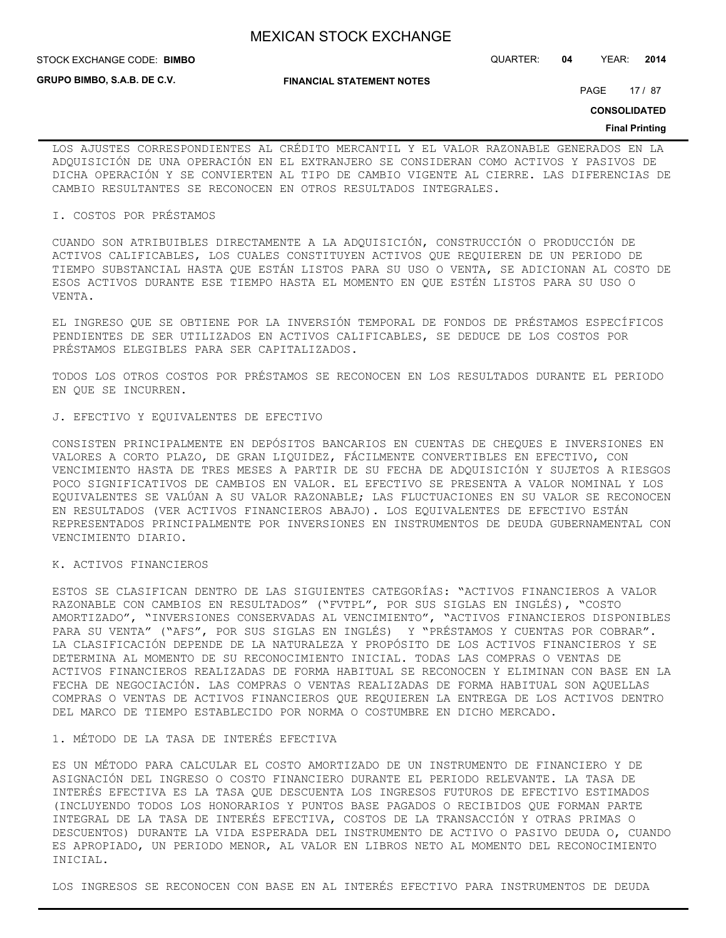**STOCK EXCHANGE CODE: BIMBO** 

**GRUPO BIMBO, S.A.B. DE C.V.**

**FINANCIAL STATEMENT NOTES**

STOCK EXCHANGE CODE: QUARTER: **04** YEAR: **2014**

PAGE 17 / 87

**CONSOLIDATED**

#### **Final Printing**

LOS AJUSTES CORRESPONDIENTES AL CRÉDITO MERCANTIL Y EL VALOR RAZONABLE GENERADOS EN LA ADQUISICIÓN DE UNA OPERACIÓN EN EL EXTRANJERO SE CONSIDERAN COMO ACTIVOS Y PASIVOS DE DICHA OPERACIÓN Y SE CONVIERTEN AL TIPO DE CAMBIO VIGENTE AL CIERRE. LAS DIFERENCIAS DE CAMBIO RESULTANTES SE RECONOCEN EN OTROS RESULTADOS INTEGRALES.

#### I. COSTOS POR PRÉSTAMOS

CUANDO SON ATRIBUIBLES DIRECTAMENTE A LA ADQUISICIÓN, CONSTRUCCIÓN O PRODUCCIÓN DE ACTIVOS CALIFICABLES, LOS CUALES CONSTITUYEN ACTIVOS QUE REQUIEREN DE UN PERIODO DE TIEMPO SUBSTANCIAL HASTA QUE ESTÁN LISTOS PARA SU USO O VENTA, SE ADICIONAN AL COSTO DE ESOS ACTIVOS DURANTE ESE TIEMPO HASTA EL MOMENTO EN QUE ESTÉN LISTOS PARA SU USO O VENTA.

EL INGRESO QUE SE OBTIENE POR LA INVERSIÓN TEMPORAL DE FONDOS DE PRÉSTAMOS ESPECÍFICOS PENDIENTES DE SER UTILIZADOS EN ACTIVOS CALIFICABLES, SE DEDUCE DE LOS COSTOS POR PRÉSTAMOS ELEGIBLES PARA SER CAPITALIZADOS.

TODOS LOS OTROS COSTOS POR PRÉSTAMOS SE RECONOCEN EN LOS RESULTADOS DURANTE EL PERIODO EN QUE SE INCURREN.

#### J. EFECTIVO Y EQUIVALENTES DE EFECTIVO

CONSISTEN PRINCIPALMENTE EN DEPÓSITOS BANCARIOS EN CUENTAS DE CHEQUES E INVERSIONES EN VALORES A CORTO PLAZO, DE GRAN LIQUIDEZ, FÁCILMENTE CONVERTIBLES EN EFECTIVO, CON VENCIMIENTO HASTA DE TRES MESES A PARTIR DE SU FECHA DE ADQUISICIÓN Y SUJETOS A RIESGOS POCO SIGNIFICATIVOS DE CAMBIOS EN VALOR. EL EFECTIVO SE PRESENTA A VALOR NOMINAL Y LOS EQUIVALENTES SE VALÚAN A SU VALOR RAZONABLE; LAS FLUCTUACIONES EN SU VALOR SE RECONOCEN EN RESULTADOS (VER ACTIVOS FINANCIEROS ABAJO). LOS EQUIVALENTES DE EFECTIVO ESTÁN REPRESENTADOS PRINCIPALMENTE POR INVERSIONES EN INSTRUMENTOS DE DEUDA GUBERNAMENTAL CON VENCIMIENTO DIARIO.

#### K. ACTIVOS FINANCIEROS

ESTOS SE CLASIFICAN DENTRO DE LAS SIGUIENTES CATEGORÍAS: "ACTIVOS FINANCIEROS A VALOR RAZONABLE CON CAMBIOS EN RESULTADOS" ("FVTPL", POR SUS SIGLAS EN INGLÉS), "COSTO AMORTIZADO", "INVERSIONES CONSERVADAS AL VENCIMIENTO", "ACTIVOS FINANCIEROS DISPONIBLES PARA SU VENTA" ("AFS", POR SUS SIGLAS EN INGLÉS) Y "PRÉSTAMOS Y CUENTAS POR COBRAR". LA CLASIFICACIÓN DEPENDE DE LA NATURALEZA Y PROPÓSITO DE LOS ACTIVOS FINANCIEROS Y SE DETERMINA AL MOMENTO DE SU RECONOCIMIENTO INICIAL. TODAS LAS COMPRAS O VENTAS DE ACTIVOS FINANCIEROS REALIZADAS DE FORMA HABITUAL SE RECONOCEN Y ELIMINAN CON BASE EN LA FECHA DE NEGOCIACIÓN. LAS COMPRAS O VENTAS REALIZADAS DE FORMA HABITUAL SON AQUELLAS COMPRAS O VENTAS DE ACTIVOS FINANCIEROS QUE REQUIEREN LA ENTREGA DE LOS ACTIVOS DENTRO DEL MARCO DE TIEMPO ESTABLECIDO POR NORMA O COSTUMBRE EN DICHO MERCADO.

#### 1. MÉTODO DE LA TASA DE INTERÉS EFECTIVA

ES UN MÉTODO PARA CALCULAR EL COSTO AMORTIZADO DE UN INSTRUMENTO DE FINANCIERO Y DE ASIGNACIÓN DEL INGRESO O COSTO FINANCIERO DURANTE EL PERIODO RELEVANTE. LA TASA DE INTERÉS EFECTIVA ES LA TASA QUE DESCUENTA LOS INGRESOS FUTUROS DE EFECTIVO ESTIMADOS (INCLUYENDO TODOS LOS HONORARIOS Y PUNTOS BASE PAGADOS O RECIBIDOS QUE FORMAN PARTE INTEGRAL DE LA TASA DE INTERÉS EFECTIVA, COSTOS DE LA TRANSACCIÓN Y OTRAS PRIMAS O DESCUENTOS) DURANTE LA VIDA ESPERADA DEL INSTRUMENTO DE ACTIVO O PASIVO DEUDA O, CUANDO ES APROPIADO, UN PERIODO MENOR, AL VALOR EN LIBROS NETO AL MOMENTO DEL RECONOCIMIENTO INICIAL.

LOS INGRESOS SE RECONOCEN CON BASE EN AL INTERÉS EFECTIVO PARA INSTRUMENTOS DE DEUDA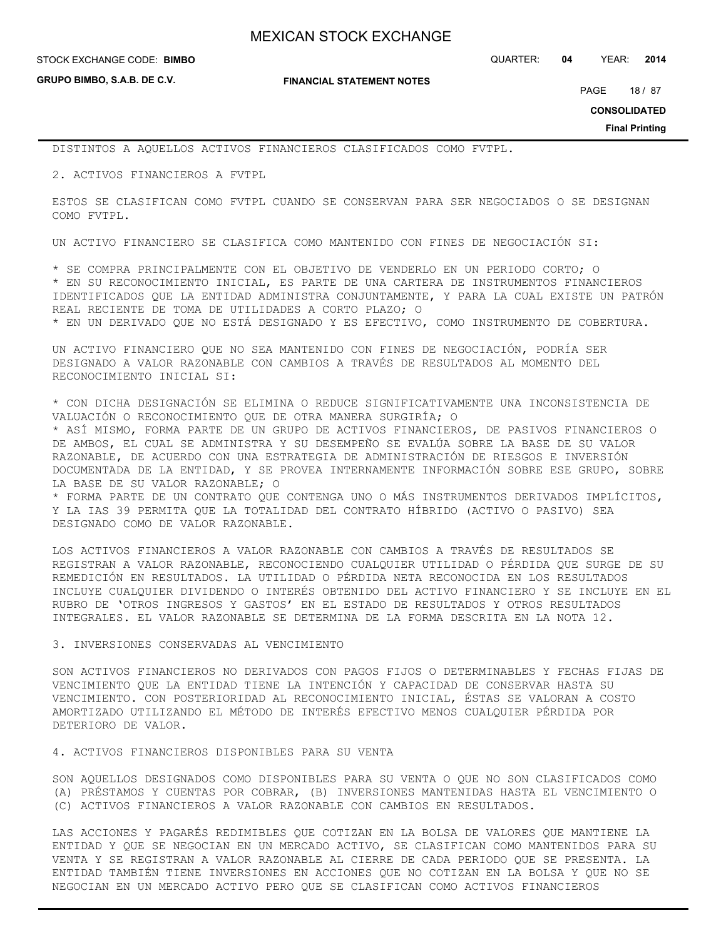**GRUPO BIMBO, S.A.B. DE C.V.**

**FINANCIAL STATEMENT NOTES**

PAGE 18 / 87

**CONSOLIDATED**

**Final Printing**

DISTINTOS A AQUELLOS ACTIVOS FINANCIEROS CLASIFICADOS COMO FVTPL.

2. ACTIVOS FINANCIEROS A FVTPL

ESTOS SE CLASIFICAN COMO FVTPL CUANDO SE CONSERVAN PARA SER NEGOCIADOS O SE DESIGNAN COMO FVTPL.

UN ACTIVO FINANCIERO SE CLASIFICA COMO MANTENIDO CON FINES DE NEGOCIACIÓN SI:

\* SE COMPRA PRINCIPALMENTE CON EL OBJETIVO DE VENDERLO EN UN PERIODO CORTO; O \* EN SU RECONOCIMIENTO INICIAL, ES PARTE DE UNA CARTERA DE INSTRUMENTOS FINANCIEROS IDENTIFICADOS QUE LA ENTIDAD ADMINISTRA CONJUNTAMENTE, Y PARA LA CUAL EXISTE UN PATRÓN REAL RECIENTE DE TOMA DE UTILIDADES A CORTO PLAZO; O \* EN UN DERIVADO QUE NO ESTÁ DESIGNADO Y ES EFECTIVO, COMO INSTRUMENTO DE COBERTURA.

UN ACTIVO FINANCIERO QUE NO SEA MANTENIDO CON FINES DE NEGOCIACIÓN, PODRÍA SER DESIGNADO A VALOR RAZONABLE CON CAMBIOS A TRAVÉS DE RESULTADOS AL MOMENTO DEL RECONOCIMIENTO INICIAL SI:

\* CON DICHA DESIGNACIÓN SE ELIMINA O REDUCE SIGNIFICATIVAMENTE UNA INCONSISTENCIA DE VALUACIÓN O RECONOCIMIENTO QUE DE OTRA MANERA SURGIRÍA; O

\* ASÍ MISMO, FORMA PARTE DE UN GRUPO DE ACTIVOS FINANCIEROS, DE PASIVOS FINANCIEROS O DE AMBOS, EL CUAL SE ADMINISTRA Y SU DESEMPEÑO SE EVALÚA SOBRE LA BASE DE SU VALOR RAZONABLE, DE ACUERDO CON UNA ESTRATEGIA DE ADMINISTRACIÓN DE RIESGOS E INVERSIÓN DOCUMENTADA DE LA ENTIDAD, Y SE PROVEA INTERNAMENTE INFORMACIÓN SOBRE ESE GRUPO, SOBRE LA BASE DE SU VALOR RAZONABLE; O

\* FORMA PARTE DE UN CONTRATO QUE CONTENGA UNO O MÁS INSTRUMENTOS DERIVADOS IMPLÍCITOS, Y LA IAS 39 PERMITA QUE LA TOTALIDAD DEL CONTRATO HÍBRIDO (ACTIVO O PASIVO) SEA DESIGNADO COMO DE VALOR RAZONABLE.

LOS ACTIVOS FINANCIEROS A VALOR RAZONABLE CON CAMBIOS A TRAVÉS DE RESULTADOS SE REGISTRAN A VALOR RAZONABLE, RECONOCIENDO CUALQUIER UTILIDAD O PÉRDIDA QUE SURGE DE SU REMEDICIÓN EN RESULTADOS. LA UTILIDAD O PÉRDIDA NETA RECONOCIDA EN LOS RESULTADOS INCLUYE CUALQUIER DIVIDENDO O INTERÉS OBTENIDO DEL ACTIVO FINANCIERO Y SE INCLUYE EN EL RUBRO DE 'OTROS INGRESOS Y GASTOS' EN EL ESTADO DE RESULTADOS Y OTROS RESULTADOS INTEGRALES. EL VALOR RAZONABLE SE DETERMINA DE LA FORMA DESCRITA EN LA NOTA 12.

#### 3. INVERSIONES CONSERVADAS AL VENCIMIENTO

SON ACTIVOS FINANCIEROS NO DERIVADOS CON PAGOS FIJOS O DETERMINABLES Y FECHAS FIJAS DE VENCIMIENTO QUE LA ENTIDAD TIENE LA INTENCIÓN Y CAPACIDAD DE CONSERVAR HASTA SU VENCIMIENTO. CON POSTERIORIDAD AL RECONOCIMIENTO INICIAL, ÉSTAS SE VALORAN A COSTO AMORTIZADO UTILIZANDO EL MÉTODO DE INTERÉS EFECTIVO MENOS CUALQUIER PÉRDIDA POR DETERIORO DE VALOR.

4. ACTIVOS FINANCIEROS DISPONIBLES PARA SU VENTA

SON AQUELLOS DESIGNADOS COMO DISPONIBLES PARA SU VENTA O QUE NO SON CLASIFICADOS COMO (A) PRÉSTAMOS Y CUENTAS POR COBRAR, (B) INVERSIONES MANTENIDAS HASTA EL VENCIMIENTO O (C) ACTIVOS FINANCIEROS A VALOR RAZONABLE CON CAMBIOS EN RESULTADOS.

LAS ACCIONES Y PAGARÉS REDIMIBLES QUE COTIZAN EN LA BOLSA DE VALORES QUE MANTIENE LA ENTIDAD Y QUE SE NEGOCIAN EN UN MERCADO ACTIVO, SE CLASIFICAN COMO MANTENIDOS PARA SU VENTA Y SE REGISTRAN A VALOR RAZONABLE AL CIERRE DE CADA PERIODO QUE SE PRESENTA. LA ENTIDAD TAMBIÉN TIENE INVERSIONES EN ACCIONES QUE NO COTIZAN EN LA BOLSA Y QUE NO SE NEGOCIAN EN UN MERCADO ACTIVO PERO QUE SE CLASIFICAN COMO ACTIVOS FINANCIEROS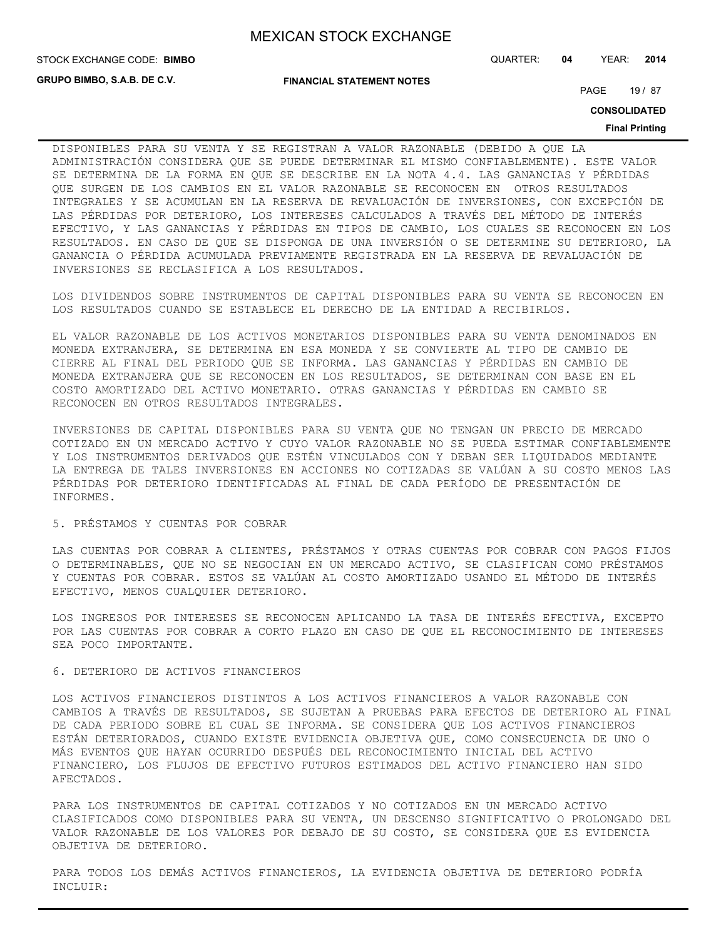**GRUPO BIMBO, S.A.B. DE C.V.**

**FINANCIAL STATEMENT NOTES**

PAGE 19 / 87

**CONSOLIDATED**

#### **Final Printing**

DISPONIBLES PARA SU VENTA Y SE REGISTRAN A VALOR RAZONABLE (DEBIDO A QUE LA ADMINISTRACIÓN CONSIDERA QUE SE PUEDE DETERMINAR EL MISMO CONFIABLEMENTE). ESTE VALOR SE DETERMINA DE LA FORMA EN QUE SE DESCRIBE EN LA NOTA 4.4. LAS GANANCIAS Y PÉRDIDAS QUE SURGEN DE LOS CAMBIOS EN EL VALOR RAZONABLE SE RECONOCEN EN OTROS RESULTADOS INTEGRALES Y SE ACUMULAN EN LA RESERVA DE REVALUACIÓN DE INVERSIONES, CON EXCEPCIÓN DE LAS PÉRDIDAS POR DETERIORO, LOS INTERESES CALCULADOS A TRAVÉS DEL MÉTODO DE INTERÉS EFECTIVO, Y LAS GANANCIAS Y PÉRDIDAS EN TIPOS DE CAMBIO, LOS CUALES SE RECONOCEN EN LOS RESULTADOS. EN CASO DE QUE SE DISPONGA DE UNA INVERSIÓN O SE DETERMINE SU DETERIORO, LA GANANCIA O PÉRDIDA ACUMULADA PREVIAMENTE REGISTRADA EN LA RESERVA DE REVALUACIÓN DE INVERSIONES SE RECLASIFICA A LOS RESULTADOS.

LOS DIVIDENDOS SOBRE INSTRUMENTOS DE CAPITAL DISPONIBLES PARA SU VENTA SE RECONOCEN EN LOS RESULTADOS CUANDO SE ESTABLECE EL DERECHO DE LA ENTIDAD A RECIBIRLOS.

EL VALOR RAZONABLE DE LOS ACTIVOS MONETARIOS DISPONIBLES PARA SU VENTA DENOMINADOS EN MONEDA EXTRANJERA, SE DETERMINA EN ESA MONEDA Y SE CONVIERTE AL TIPO DE CAMBIO DE CIERRE AL FINAL DEL PERIODO QUE SE INFORMA. LAS GANANCIAS Y PÉRDIDAS EN CAMBIO DE MONEDA EXTRANJERA QUE SE RECONOCEN EN LOS RESULTADOS, SE DETERMINAN CON BASE EN EL COSTO AMORTIZADO DEL ACTIVO MONETARIO. OTRAS GANANCIAS Y PÉRDIDAS EN CAMBIO SE RECONOCEN EN OTROS RESULTADOS INTEGRALES.

INVERSIONES DE CAPITAL DISPONIBLES PARA SU VENTA QUE NO TENGAN UN PRECIO DE MERCADO COTIZADO EN UN MERCADO ACTIVO Y CUYO VALOR RAZONABLE NO SE PUEDA ESTIMAR CONFIABLEMENTE Y LOS INSTRUMENTOS DERIVADOS QUE ESTÉN VINCULADOS CON Y DEBAN SER LIQUIDADOS MEDIANTE LA ENTREGA DE TALES INVERSIONES EN ACCIONES NO COTIZADAS SE VALÚAN A SU COSTO MENOS LAS PÉRDIDAS POR DETERIORO IDENTIFICADAS AL FINAL DE CADA PERÍODO DE PRESENTACIÓN DE INFORMES.

## 5. PRÉSTAMOS Y CUENTAS POR COBRAR

LAS CUENTAS POR COBRAR A CLIENTES, PRÉSTAMOS Y OTRAS CUENTAS POR COBRAR CON PAGOS FIJOS O DETERMINABLES, QUE NO SE NEGOCIAN EN UN MERCADO ACTIVO, SE CLASIFICAN COMO PRÉSTAMOS Y CUENTAS POR COBRAR. ESTOS SE VALÚAN AL COSTO AMORTIZADO USANDO EL MÉTODO DE INTERÉS EFECTIVO, MENOS CUALQUIER DETERIORO.

LOS INGRESOS POR INTERESES SE RECONOCEN APLICANDO LA TASA DE INTERÉS EFECTIVA, EXCEPTO POR LAS CUENTAS POR COBRAR A CORTO PLAZO EN CASO DE QUE EL RECONOCIMIENTO DE INTERESES SEA POCO IMPORTANTE.

### 6. DETERIORO DE ACTIVOS FINANCIEROS

LOS ACTIVOS FINANCIEROS DISTINTOS A LOS ACTIVOS FINANCIEROS A VALOR RAZONABLE CON CAMBIOS A TRAVÉS DE RESULTADOS, SE SUJETAN A PRUEBAS PARA EFECTOS DE DETERIORO AL FINAL DE CADA PERIODO SOBRE EL CUAL SE INFORMA. SE CONSIDERA QUE LOS ACTIVOS FINANCIEROS ESTÁN DETERIORADOS, CUANDO EXISTE EVIDENCIA OBJETIVA QUE, COMO CONSECUENCIA DE UNO O MÁS EVENTOS QUE HAYAN OCURRIDO DESPUÉS DEL RECONOCIMIENTO INICIAL DEL ACTIVO FINANCIERO, LOS FLUJOS DE EFECTIVO FUTUROS ESTIMADOS DEL ACTIVO FINANCIERO HAN SIDO AFECTADOS.

PARA LOS INSTRUMENTOS DE CAPITAL COTIZADOS Y NO COTIZADOS EN UN MERCADO ACTIVO CLASIFICADOS COMO DISPONIBLES PARA SU VENTA, UN DESCENSO SIGNIFICATIVO O PROLONGADO DEL VALOR RAZONABLE DE LOS VALORES POR DEBAJO DE SU COSTO, SE CONSIDERA QUE ES EVIDENCIA OBJETIVA DE DETERIORO.

PARA TODOS LOS DEMÁS ACTIVOS FINANCIEROS, LA EVIDENCIA OBJETIVA DE DETERIORO PODRÍA INCLUIR: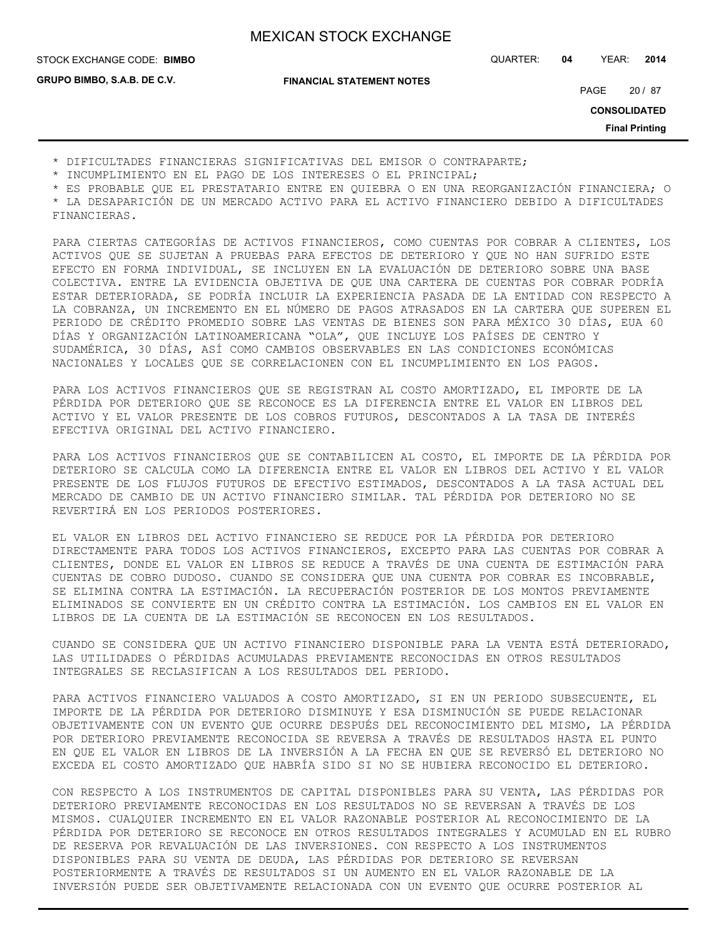**GRUPO BIMBO, S.A.B. DE C.V.**

**FINANCIAL STATEMENT NOTES**

STOCK EXCHANGE CODE: QUARTER: **04** YEAR: **2014 BIMBO**

PAGE 20 / 87

**CONSOLIDATED**

**Final Printing**

\* DIFICULTADES FINANCIERAS SIGNIFICATIVAS DEL EMISOR O CONTRAPARTE;

\* INCUMPLIMIENTO EN EL PAGO DE LOS INTERESES O EL PRINCIPAL;

\* ES PROBABLE QUE EL PRESTATARIO ENTRE EN QUIEBRA O EN UNA REORGANIZACIÓN FINANCIERA; O \* LA DESAPARICIÓN DE UN MERCADO ACTIVO PARA EL ACTIVO FINANCIERO DEBIDO A DIFICULTADES FINANCIERAS.

PARA CIERTAS CATEGORÍAS DE ACTIVOS FINANCIEROS, COMO CUENTAS POR COBRAR A CLIENTES, LOS ACTIVOS QUE SE SUJETAN A PRUEBAS PARA EFECTOS DE DETERIORO Y QUE NO HAN SUFRIDO ESTE EFECTO EN FORMA INDIVIDUAL, SE INCLUYEN EN LA EVALUACIÓN DE DETERIORO SOBRE UNA BASE COLECTIVA. ENTRE LA EVIDENCIA OBJETIVA DE QUE UNA CARTERA DE CUENTAS POR COBRAR PODRÍA ESTAR DETERIORADA, SE PODRÍA INCLUIR LA EXPERIENCIA PASADA DE LA ENTIDAD CON RESPECTO A LA COBRANZA, UN INCREMENTO EN EL NÚMERO DE PAGOS ATRASADOS EN LA CARTERA QUE SUPEREN EL PERIODO DE CRÉDITO PROMEDIO SOBRE LAS VENTAS DE BIENES SON PARA MÉXICO 30 DÍAS, EUA 60 DÍAS Y ORGANIZACIÓN LATINOAMERICANA "OLA", QUE INCLUYE LOS PAÍSES DE CENTRO Y SUDAMÉRICA, 30 DÍAS, ASÍ COMO CAMBIOS OBSERVABLES EN LAS CONDICIONES ECONÓMICAS NACIONALES Y LOCALES QUE SE CORRELACIONEN CON EL INCUMPLIMIENTO EN LOS PAGOS.

PARA LOS ACTIVOS FINANCIEROS QUE SE REGISTRAN AL COSTO AMORTIZADO, EL IMPORTE DE LA PÉRDIDA POR DETERIORO QUE SE RECONOCE ES LA DIFERENCIA ENTRE EL VALOR EN LIBROS DEL ACTIVO Y EL VALOR PRESENTE DE LOS COBROS FUTUROS, DESCONTADOS A LA TASA DE INTERÉS EFECTIVA ORIGINAL DEL ACTIVO FINANCIERO.

PARA LOS ACTIVOS FINANCIEROS QUE SE CONTABILICEN AL COSTO, EL IMPORTE DE LA PÉRDIDA POR DETERIORO SE CALCULA COMO LA DIFERENCIA ENTRE EL VALOR EN LIBROS DEL ACTIVO Y EL VALOR PRESENTE DE LOS FLUJOS FUTUROS DE EFECTIVO ESTIMADOS, DESCONTADOS A LA TASA ACTUAL DEL MERCADO DE CAMBIO DE UN ACTIVO FINANCIERO SIMILAR. TAL PÉRDIDA POR DETERIORO NO SE REVERTIRÁ EN LOS PERIODOS POSTERIORES.

EL VALOR EN LIBROS DEL ACTIVO FINANCIERO SE REDUCE POR LA PÉRDIDA POR DETERIORO DIRECTAMENTE PARA TODOS LOS ACTIVOS FINANCIEROS, EXCEPTO PARA LAS CUENTAS POR COBRAR A CLIENTES, DONDE EL VALOR EN LIBROS SE REDUCE A TRAVÉS DE UNA CUENTA DE ESTIMACIÓN PARA CUENTAS DE COBRO DUDOSO. CUANDO SE CONSIDERA QUE UNA CUENTA POR COBRAR ES INCOBRABLE, SE ELIMINA CONTRA LA ESTIMACIÓN. LA RECUPERACIÓN POSTERIOR DE LOS MONTOS PREVIAMENTE ELIMINADOS SE CONVIERTE EN UN CRÉDITO CONTRA LA ESTIMACIÓN. LOS CAMBIOS EN EL VALOR EN LIBROS DE LA CUENTA DE LA ESTIMACIÓN SE RECONOCEN EN LOS RESULTADOS.

CUANDO SE CONSIDERA QUE UN ACTIVO FINANCIERO DISPONIBLE PARA LA VENTA ESTÁ DETERIORADO, LAS UTILIDADES O PÉRDIDAS ACUMULADAS PREVIAMENTE RECONOCIDAS EN OTROS RESULTADOS INTEGRALES SE RECLASIFICAN A LOS RESULTADOS DEL PERIODO.

PARA ACTIVOS FINANCIERO VALUADOS A COSTO AMORTIZADO, SI EN UN PERIODO SUBSECUENTE, EL IMPORTE DE LA PÉRDIDA POR DETERIORO DISMINUYE Y ESA DISMINUCIÓN SE PUEDE RELACIONAR OBJETIVAMENTE CON UN EVENTO QUE OCURRE DESPUÉS DEL RECONOCIMIENTO DEL MISMO, LA PÉRDIDA POR DETERIORO PREVIAMENTE RECONOCIDA SE REVERSA A TRAVÉS DE RESULTADOS HASTA EL PUNTO EN QUE EL VALOR EN LIBROS DE LA INVERSIÓN A LA FECHA EN QUE SE REVERSÓ EL DETERIORO NO EXCEDA EL COSTO AMORTIZADO QUE HABRÍA SIDO SI NO SE HUBIERA RECONOCIDO EL DETERIORO.

CON RESPECTO A LOS INSTRUMENTOS DE CAPITAL DISPONIBLES PARA SU VENTA, LAS PÉRDIDAS POR DETERIORO PREVIAMENTE RECONOCIDAS EN LOS RESULTADOS NO SE REVERSAN A TRAVÉS DE LOS MISMOS. CUALQUIER INCREMENTO EN EL VALOR RAZONABLE POSTERIOR AL RECONOCIMIENTO DE LA PÉRDIDA POR DETERIORO SE RECONOCE EN OTROS RESULTADOS INTEGRALES Y ACUMULAD EN EL RUBRO DE RESERVA POR REVALUACIÓN DE LAS INVERSIONES. CON RESPECTO A LOS INSTRUMENTOS DISPONIBLES PARA SU VENTA DE DEUDA, LAS PÉRDIDAS POR DETERIORO SE REVERSAN POSTERIORMENTE A TRAVÉS DE RESULTADOS SI UN AUMENTO EN EL VALOR RAZONABLE DE LA INVERSIÓN PUEDE SER OBJETIVAMENTE RELACIONADA CON UN EVENTO QUE OCURRE POSTERIOR AL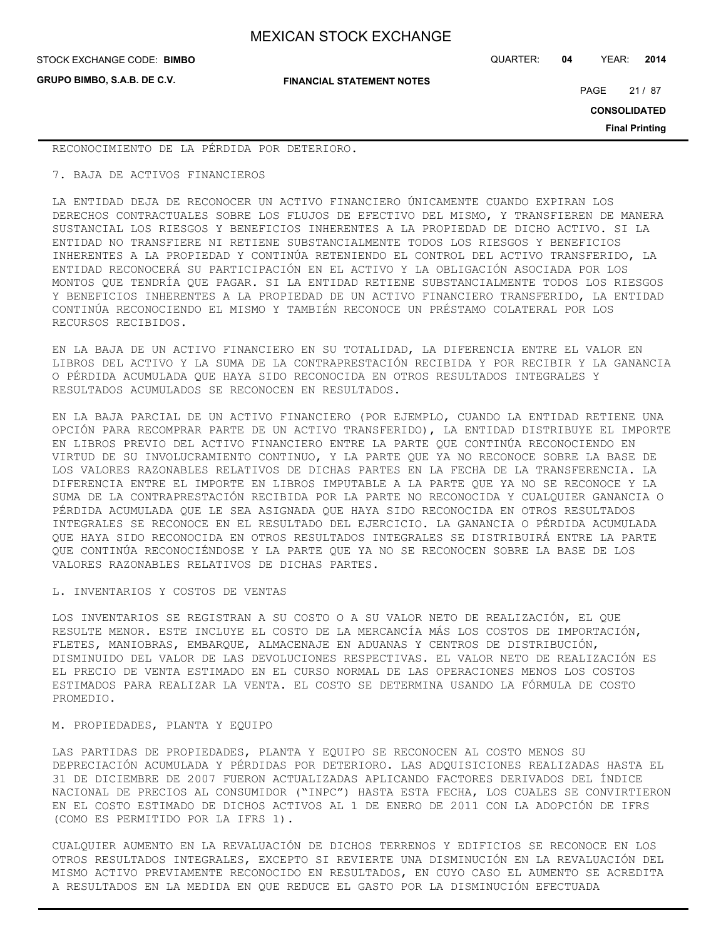**GRUPO BIMBO, S.A.B. DE C.V.**

STOCK EXCHANGE CODE: QUARTER: **04** YEAR: **2014 BIMBO**

**FINANCIAL STATEMENT NOTES**

PAGE 21 / 87

**CONSOLIDATED**

**Final Printing**

RECONOCIMIENTO DE LA PÉRDIDA POR DETERIORO.

7. BAJA DE ACTIVOS FINANCIEROS

LA ENTIDAD DEJA DE RECONOCER UN ACTIVO FINANCIERO ÚNICAMENTE CUANDO EXPIRAN LOS DERECHOS CONTRACTUALES SOBRE LOS FLUJOS DE EFECTIVO DEL MISMO, Y TRANSFIEREN DE MANERA SUSTANCIAL LOS RIESGOS Y BENEFICIOS INHERENTES A LA PROPIEDAD DE DICHO ACTIVO. SI LA ENTIDAD NO TRANSFIERE NI RETIENE SUBSTANCIALMENTE TODOS LOS RIESGOS Y BENEFICIOS INHERENTES A LA PROPIEDAD Y CONTINÚA RETENIENDO EL CONTROL DEL ACTIVO TRANSFERIDO, LA ENTIDAD RECONOCERÁ SU PARTICIPACIÓN EN EL ACTIVO Y LA OBLIGACIÓN ASOCIADA POR LOS MONTOS QUE TENDRÍA QUE PAGAR. SI LA ENTIDAD RETIENE SUBSTANCIALMENTE TODOS LOS RIESGOS Y BENEFICIOS INHERENTES A LA PROPIEDAD DE UN ACTIVO FINANCIERO TRANSFERIDO, LA ENTIDAD CONTINÚA RECONOCIENDO EL MISMO Y TAMBIÉN RECONOCE UN PRÉSTAMO COLATERAL POR LOS RECURSOS RECIBIDOS.

EN LA BAJA DE UN ACTIVO FINANCIERO EN SU TOTALIDAD, LA DIFERENCIA ENTRE EL VALOR EN LIBROS DEL ACTIVO Y LA SUMA DE LA CONTRAPRESTACIÓN RECIBIDA Y POR RECIBIR Y LA GANANCIA O PÉRDIDA ACUMULADA QUE HAYA SIDO RECONOCIDA EN OTROS RESULTADOS INTEGRALES Y RESULTADOS ACUMULADOS SE RECONOCEN EN RESULTADOS.

EN LA BAJA PARCIAL DE UN ACTIVO FINANCIERO (POR EJEMPLO, CUANDO LA ENTIDAD RETIENE UNA OPCIÓN PARA RECOMPRAR PARTE DE UN ACTIVO TRANSFERIDO), LA ENTIDAD DISTRIBUYE EL IMPORTE EN LIBROS PREVIO DEL ACTIVO FINANCIERO ENTRE LA PARTE QUE CONTINÚA RECONOCIENDO EN VIRTUD DE SU INVOLUCRAMIENTO CONTINUO, Y LA PARTE QUE YA NO RECONOCE SOBRE LA BASE DE LOS VALORES RAZONABLES RELATIVOS DE DICHAS PARTES EN LA FECHA DE LA TRANSFERENCIA. LA DIFERENCIA ENTRE EL IMPORTE EN LIBROS IMPUTABLE A LA PARTE QUE YA NO SE RECONOCE Y LA SUMA DE LA CONTRAPRESTACIÓN RECIBIDA POR LA PARTE NO RECONOCIDA Y CUALQUIER GANANCIA O PÉRDIDA ACUMULADA QUE LE SEA ASIGNADA QUE HAYA SIDO RECONOCIDA EN OTROS RESULTADOS INTEGRALES SE RECONOCE EN EL RESULTADO DEL EJERCICIO. LA GANANCIA O PÉRDIDA ACUMULADA QUE HAYA SIDO RECONOCIDA EN OTROS RESULTADOS INTEGRALES SE DISTRIBUIRÁ ENTRE LA PARTE QUE CONTINÚA RECONOCIÉNDOSE Y LA PARTE QUE YA NO SE RECONOCEN SOBRE LA BASE DE LOS VALORES RAZONABLES RELATIVOS DE DICHAS PARTES.

L. INVENTARIOS Y COSTOS DE VENTAS

LOS INVENTARIOS SE REGISTRAN A SU COSTO O A SU VALOR NETO DE REALIZACIÓN, EL QUE RESULTE MENOR. ESTE INCLUYE EL COSTO DE LA MERCANCÍA MÁS LOS COSTOS DE IMPORTACIÓN, FLETES, MANIOBRAS, EMBARQUE, ALMACENAJE EN ADUANAS Y CENTROS DE DISTRIBUCIÓN, DISMINUIDO DEL VALOR DE LAS DEVOLUCIONES RESPECTIVAS. EL VALOR NETO DE REALIZACIÓN ES EL PRECIO DE VENTA ESTIMADO EN EL CURSO NORMAL DE LAS OPERACIONES MENOS LOS COSTOS ESTIMADOS PARA REALIZAR LA VENTA. EL COSTO SE DETERMINA USANDO LA FÓRMULA DE COSTO PROMEDIO.

M. PROPIEDADES, PLANTA Y EQUIPO

LAS PARTIDAS DE PROPIEDADES, PLANTA Y EQUIPO SE RECONOCEN AL COSTO MENOS SU DEPRECIACIÓN ACUMULADA Y PÉRDIDAS POR DETERIORO. LAS ADQUISICIONES REALIZADAS HASTA EL 31 DE DICIEMBRE DE 2007 FUERON ACTUALIZADAS APLICANDO FACTORES DERIVADOS DEL ÍNDICE NACIONAL DE PRECIOS AL CONSUMIDOR ("INPC") HASTA ESTA FECHA, LOS CUALES SE CONVIRTIERON EN EL COSTO ESTIMADO DE DICHOS ACTIVOS AL 1 DE ENERO DE 2011 CON LA ADOPCIÓN DE IFRS (COMO ES PERMITIDO POR LA IFRS 1).

CUALQUIER AUMENTO EN LA REVALUACIÓN DE DICHOS TERRENOS Y EDIFICIOS SE RECONOCE EN LOS OTROS RESULTADOS INTEGRALES, EXCEPTO SI REVIERTE UNA DISMINUCIÓN EN LA REVALUACIÓN DEL MISMO ACTIVO PREVIAMENTE RECONOCIDO EN RESULTADOS, EN CUYO CASO EL AUMENTO SE ACREDITA A RESULTADOS EN LA MEDIDA EN QUE REDUCE EL GASTO POR LA DISMINUCIÓN EFECTUADA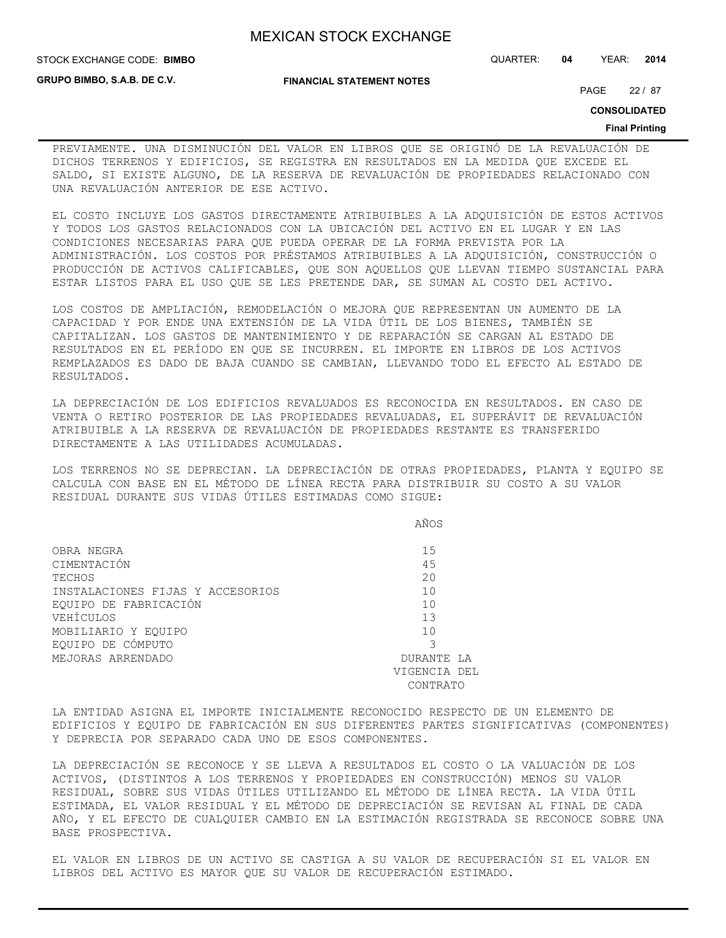**FINANCIAL STATEMENT NOTES**

**GRUPO BIMBO, S.A.B. DE C.V.**

### STOCK EXCHANGE CODE: QUARTER: **04** YEAR: **2014 BIMBO**

PAGE 22 / 87

**CONSOLIDATED**

### **Final Printing**

PREVIAMENTE. UNA DISMINUCIÓN DEL VALOR EN LIBROS QUE SE ORIGINÓ DE LA REVALUACIÓN DE DICHOS TERRENOS Y EDIFICIOS, SE REGISTRA EN RESULTADOS EN LA MEDIDA QUE EXCEDE EL SALDO, SI EXISTE ALGUNO, DE LA RESERVA DE REVALUACIÓN DE PROPIEDADES RELACIONADO CON UNA REVALUACIÓN ANTERIOR DE ESE ACTIVO.

EL COSTO INCLUYE LOS GASTOS DIRECTAMENTE ATRIBUIBLES A LA ADQUISICIÓN DE ESTOS ACTIVOS Y TODOS LOS GASTOS RELACIONADOS CON LA UBICACIÓN DEL ACTIVO EN EL LUGAR Y EN LAS CONDICIONES NECESARIAS PARA QUE PUEDA OPERAR DE LA FORMA PREVISTA POR LA ADMINISTRACIÓN. LOS COSTOS POR PRÉSTAMOS ATRIBUIBLES A LA ADQUISICIÓN, CONSTRUCCIÓN O PRODUCCIÓN DE ACTIVOS CALIFICABLES, QUE SON AQUELLOS QUE LLEVAN TIEMPO SUSTANCIAL PARA ESTAR LISTOS PARA EL USO QUE SE LES PRETENDE DAR, SE SUMAN AL COSTO DEL ACTIVO.

LOS COSTOS DE AMPLIACIÓN, REMODELACIÓN O MEJORA QUE REPRESENTAN UN AUMENTO DE LA CAPACIDAD Y POR ENDE UNA EXTENSIÓN DE LA VIDA ÚTIL DE LOS BIENES, TAMBIÉN SE CAPITALIZAN. LOS GASTOS DE MANTENIMIENTO Y DE REPARACIÓN SE CARGAN AL ESTADO DE RESULTADOS EN EL PERÍODO EN QUE SE INCURREN. EL IMPORTE EN LIBROS DE LOS ACTIVOS REMPLAZADOS ES DADO DE BAJA CUANDO SE CAMBIAN, LLEVANDO TODO EL EFECTO AL ESTADO DE RESULTADOS.

LA DEPRECIACIÓN DE LOS EDIFICIOS REVALUADOS ES RECONOCIDA EN RESULTADOS. EN CASO DE VENTA O RETIRO POSTERIOR DE LAS PROPIEDADES REVALUADAS, EL SUPERÁVIT DE REVALUACIÓN ATRIBUIBLE A LA RESERVA DE REVALUACIÓN DE PROPIEDADES RESTANTE ES TRANSFERIDO DIRECTAMENTE A LAS UTILIDADES ACUMULADAS.

LOS TERRENOS NO SE DEPRECIAN. LA DEPRECIACIÓN DE OTRAS PROPIEDADES, PLANTA Y EQUIPO SE CALCULA CON BASE EN EL MÉTODO DE LÍNEA RECTA PARA DISTRIBUIR SU COSTO A SU VALOR RESIDUAL DURANTE SUS VIDAS ÚTILES ESTIMADAS COMO SIGUE:

|                                  | AÑOS           |
|----------------------------------|----------------|
| OBRA NEGRA                       | 15             |
| CIMENTACIÓN                      | 45             |
| TECHOS                           | 20             |
| INSTALACIONES FIJAS Y ACCESORIOS | 10             |
| EOUIPO DE FABRICACIÓN            | 10             |
| VEHÍCULOS                        | 13             |
| MOBILIARIO Y EOUIPO              | 1 <sub>0</sub> |
| EOUIPO DE CÓMPUTO                |                |
| MEJORAS ARRENDADO                | DURANTE LA     |
|                                  | VIGENCIA DEL   |
|                                  | CONTRATO       |

LA ENTIDAD ASIGNA EL IMPORTE INICIALMENTE RECONOCIDO RESPECTO DE UN ELEMENTO DE EDIFICIOS Y EQUIPO DE FABRICACIÓN EN SUS DIFERENTES PARTES SIGNIFICATIVAS (COMPONENTES) Y DEPRECIA POR SEPARADO CADA UNO DE ESOS COMPONENTES.

LA DEPRECIACIÓN SE RECONOCE Y SE LLEVA A RESULTADOS EL COSTO O LA VALUACIÓN DE LOS ACTIVOS, (DISTINTOS A LOS TERRENOS Y PROPIEDADES EN CONSTRUCCIÓN) MENOS SU VALOR RESIDUAL, SOBRE SUS VIDAS ÚTILES UTILIZANDO EL MÉTODO DE LÍNEA RECTA. LA VIDA ÚTIL ESTIMADA, EL VALOR RESIDUAL Y EL MÉTODO DE DEPRECIACIÓN SE REVISAN AL FINAL DE CADA AÑO, Y EL EFECTO DE CUALQUIER CAMBIO EN LA ESTIMACIÓN REGISTRADA SE RECONOCE SOBRE UNA BASE PROSPECTIVA.

EL VALOR EN LIBROS DE UN ACTIVO SE CASTIGA A SU VALOR DE RECUPERACIÓN SI EL VALOR EN LIBROS DEL ACTIVO ES MAYOR QUE SU VALOR DE RECUPERACIÓN ESTIMADO.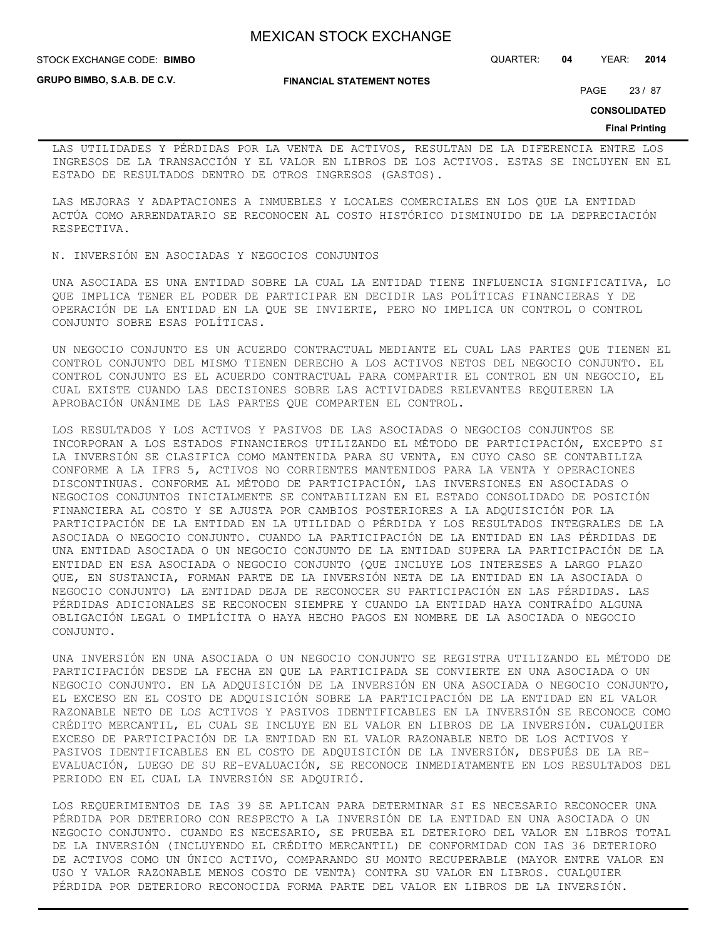STOCK EXCHANGE CODE: QUARTER: **04** YEAR: **2014 BIMBO**

**GRUPO BIMBO, S.A.B. DE C.V.**

**FINANCIAL STATEMENT NOTES**

PAGE 23 / 87

**CONSOLIDATED**

### **Final Printing**

LAS UTILIDADES Y PÉRDIDAS POR LA VENTA DE ACTIVOS, RESULTAN DE LA DIFERENCIA ENTRE LOS INGRESOS DE LA TRANSACCIÓN Y EL VALOR EN LIBROS DE LOS ACTIVOS. ESTAS SE INCLUYEN EN EL ESTADO DE RESULTADOS DENTRO DE OTROS INGRESOS (GASTOS).

LAS MEJORAS Y ADAPTACIONES A INMUEBLES Y LOCALES COMERCIALES EN LOS QUE LA ENTIDAD ACTÚA COMO ARRENDATARIO SE RECONOCEN AL COSTO HISTÓRICO DISMINUIDO DE LA DEPRECIACIÓN RESPECTIVA.

N. INVERSIÓN EN ASOCIADAS Y NEGOCIOS CONJUNTOS

UNA ASOCIADA ES UNA ENTIDAD SOBRE LA CUAL LA ENTIDAD TIENE INFLUENCIA SIGNIFICATIVA, LO QUE IMPLICA TENER EL PODER DE PARTICIPAR EN DECIDIR LAS POLÍTICAS FINANCIERAS Y DE OPERACIÓN DE LA ENTIDAD EN LA QUE SE INVIERTE, PERO NO IMPLICA UN CONTROL O CONTROL CONJUNTO SOBRE ESAS POLÍTICAS.

UN NEGOCIO CONJUNTO ES UN ACUERDO CONTRACTUAL MEDIANTE EL CUAL LAS PARTES QUE TIENEN EL CONTROL CONJUNTO DEL MISMO TIENEN DERECHO A LOS ACTIVOS NETOS DEL NEGOCIO CONJUNTO. EL CONTROL CONJUNTO ES EL ACUERDO CONTRACTUAL PARA COMPARTIR EL CONTROL EN UN NEGOCIO, EL CUAL EXISTE CUANDO LAS DECISIONES SOBRE LAS ACTIVIDADES RELEVANTES REQUIEREN LA APROBACIÓN UNÁNIME DE LAS PARTES QUE COMPARTEN EL CONTROL.

LOS RESULTADOS Y LOS ACTIVOS Y PASIVOS DE LAS ASOCIADAS O NEGOCIOS CONJUNTOS SE INCORPORAN A LOS ESTADOS FINANCIEROS UTILIZANDO EL MÉTODO DE PARTICIPACIÓN, EXCEPTO SI LA INVERSIÓN SE CLASIFICA COMO MANTENIDA PARA SU VENTA, EN CUYO CASO SE CONTABILIZA CONFORME A LA IFRS 5, ACTIVOS NO CORRIENTES MANTENIDOS PARA LA VENTA Y OPERACIONES DISCONTINUAS. CONFORME AL MÉTODO DE PARTICIPACIÓN, LAS INVERSIONES EN ASOCIADAS O NEGOCIOS CONJUNTOS INICIALMENTE SE CONTABILIZAN EN EL ESTADO CONSOLIDADO DE POSICIÓN FINANCIERA AL COSTO Y SE AJUSTA POR CAMBIOS POSTERIORES A LA ADQUISICIÓN POR LA PARTICIPACIÓN DE LA ENTIDAD EN LA UTILIDAD O PÉRDIDA Y LOS RESULTADOS INTEGRALES DE LA ASOCIADA O NEGOCIO CONJUNTO. CUANDO LA PARTICIPACIÓN DE LA ENTIDAD EN LAS PÉRDIDAS DE UNA ENTIDAD ASOCIADA O UN NEGOCIO CONJUNTO DE LA ENTIDAD SUPERA LA PARTICIPACIÓN DE LA ENTIDAD EN ESA ASOCIADA O NEGOCIO CONJUNTO (QUE INCLUYE LOS INTERESES A LARGO PLAZO QUE, EN SUSTANCIA, FORMAN PARTE DE LA INVERSIÓN NETA DE LA ENTIDAD EN LA ASOCIADA O NEGOCIO CONJUNTO) LA ENTIDAD DEJA DE RECONOCER SU PARTICIPACIÓN EN LAS PÉRDIDAS. LAS PÉRDIDAS ADICIONALES SE RECONOCEN SIEMPRE Y CUANDO LA ENTIDAD HAYA CONTRAÍDO ALGUNA OBLIGACIÓN LEGAL O IMPLÍCITA O HAYA HECHO PAGOS EN NOMBRE DE LA ASOCIADA O NEGOCIO CONJUNTO.

UNA INVERSIÓN EN UNA ASOCIADA O UN NEGOCIO CONJUNTO SE REGISTRA UTILIZANDO EL MÉTODO DE PARTICIPACIÓN DESDE LA FECHA EN QUE LA PARTICIPADA SE CONVIERTE EN UNA ASOCIADA O UN NEGOCIO CONJUNTO. EN LA ADQUISICIÓN DE LA INVERSIÓN EN UNA ASOCIADA O NEGOCIO CONJUNTO, EL EXCESO EN EL COSTO DE ADQUISICIÓN SOBRE LA PARTICIPACIÓN DE LA ENTIDAD EN EL VALOR RAZONABLE NETO DE LOS ACTIVOS Y PASIVOS IDENTIFICABLES EN LA INVERSIÓN SE RECONOCE COMO CRÉDITO MERCANTIL, EL CUAL SE INCLUYE EN EL VALOR EN LIBROS DE LA INVERSIÓN. CUALQUIER EXCESO DE PARTICIPACIÓN DE LA ENTIDAD EN EL VALOR RAZONABLE NETO DE LOS ACTIVOS Y PASIVOS IDENTIFICABLES EN EL COSTO DE ADQUISICIÓN DE LA INVERSIÓN, DESPUÉS DE LA RE-EVALUACIÓN, LUEGO DE SU RE-EVALUACIÓN, SE RECONOCE INMEDIATAMENTE EN LOS RESULTADOS DEL PERIODO EN EL CUAL LA INVERSIÓN SE ADQUIRIÓ.

LOS REQUERIMIENTOS DE IAS 39 SE APLICAN PARA DETERMINAR SI ES NECESARIO RECONOCER UNA PÉRDIDA POR DETERIORO CON RESPECTO A LA INVERSIÓN DE LA ENTIDAD EN UNA ASOCIADA O UN NEGOCIO CONJUNTO. CUANDO ES NECESARIO, SE PRUEBA EL DETERIORO DEL VALOR EN LIBROS TOTAL DE LA INVERSIÓN (INCLUYENDO EL CRÉDITO MERCANTIL) DE CONFORMIDAD CON IAS 36 DETERIORO DE ACTIVOS COMO UN ÚNICO ACTIVO, COMPARANDO SU MONTO RECUPERABLE (MAYOR ENTRE VALOR EN USO Y VALOR RAZONABLE MENOS COSTO DE VENTA) CONTRA SU VALOR EN LIBROS. CUALQUIER PÉRDIDA POR DETERIORO RECONOCIDA FORMA PARTE DEL VALOR EN LIBROS DE LA INVERSIÓN.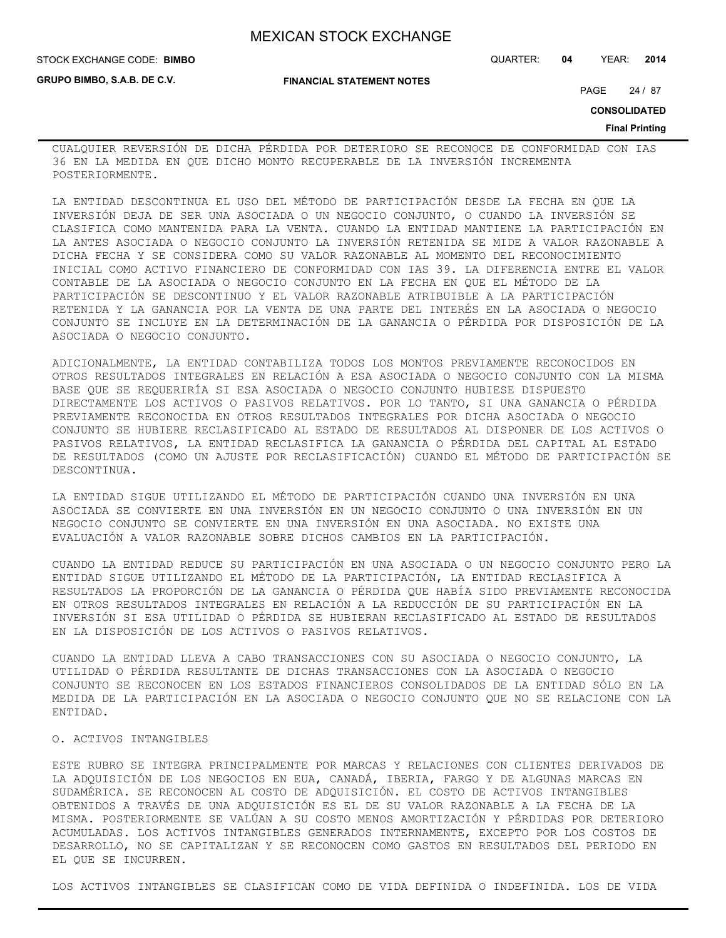**GRUPO BIMBO, S.A.B. DE C.V.**

STOCK EXCHANGE CODE: QUARTER: **04** YEAR: **2014 BIMBO**

**FINANCIAL STATEMENT NOTES**

PAGE 24 / 87

**CONSOLIDATED**

### **Final Printing**

CUALQUIER REVERSIÓN DE DICHA PÉRDIDA POR DETERIORO SE RECONOCE DE CONFORMIDAD CON IAS 36 EN LA MEDIDA EN QUE DICHO MONTO RECUPERABLE DE LA INVERSIÓN INCREMENTA POSTERIORMENTE.

LA ENTIDAD DESCONTINUA EL USO DEL MÉTODO DE PARTICIPACIÓN DESDE LA FECHA EN QUE LA INVERSIÓN DEJA DE SER UNA ASOCIADA O UN NEGOCIO CONJUNTO, O CUANDO LA INVERSIÓN SE CLASIFICA COMO MANTENIDA PARA LA VENTA. CUANDO LA ENTIDAD MANTIENE LA PARTICIPACIÓN EN LA ANTES ASOCIADA O NEGOCIO CONJUNTO LA INVERSIÓN RETENIDA SE MIDE A VALOR RAZONABLE A DICHA FECHA Y SE CONSIDERA COMO SU VALOR RAZONABLE AL MOMENTO DEL RECONOCIMIENTO INICIAL COMO ACTIVO FINANCIERO DE CONFORMIDAD CON IAS 39. LA DIFERENCIA ENTRE EL VALOR CONTABLE DE LA ASOCIADA O NEGOCIO CONJUNTO EN LA FECHA EN QUE EL MÉTODO DE LA PARTICIPACIÓN SE DESCONTINUO Y EL VALOR RAZONABLE ATRIBUIBLE A LA PARTICIPACIÓN RETENIDA Y LA GANANCIA POR LA VENTA DE UNA PARTE DEL INTERÉS EN LA ASOCIADA O NEGOCIO CONJUNTO SE INCLUYE EN LA DETERMINACIÓN DE LA GANANCIA O PÉRDIDA POR DISPOSICIÓN DE LA ASOCIADA O NEGOCIO CONJUNTO.

ADICIONALMENTE, LA ENTIDAD CONTABILIZA TODOS LOS MONTOS PREVIAMENTE RECONOCIDOS EN OTROS RESULTADOS INTEGRALES EN RELACIÓN A ESA ASOCIADA O NEGOCIO CONJUNTO CON LA MISMA BASE QUE SE REQUERIRÍA SI ESA ASOCIADA O NEGOCIO CONJUNTO HUBIESE DISPUESTO DIRECTAMENTE LOS ACTIVOS O PASIVOS RELATIVOS. POR LO TANTO, SI UNA GANANCIA O PÉRDIDA PREVIAMENTE RECONOCIDA EN OTROS RESULTADOS INTEGRALES POR DICHA ASOCIADA O NEGOCIO CONJUNTO SE HUBIERE RECLASIFICADO AL ESTADO DE RESULTADOS AL DISPONER DE LOS ACTIVOS O PASIVOS RELATIVOS, LA ENTIDAD RECLASIFICA LA GANANCIA O PÉRDIDA DEL CAPITAL AL ESTADO DE RESULTADOS (COMO UN AJUSTE POR RECLASIFICACIÓN) CUANDO EL MÉTODO DE PARTICIPACIÓN SE DESCONTINUA.

LA ENTIDAD SIGUE UTILIZANDO EL MÉTODO DE PARTICIPACIÓN CUANDO UNA INVERSIÓN EN UNA ASOCIADA SE CONVIERTE EN UNA INVERSIÓN EN UN NEGOCIO CONJUNTO O UNA INVERSIÓN EN UN NEGOCIO CONJUNTO SE CONVIERTE EN UNA INVERSIÓN EN UNA ASOCIADA. NO EXISTE UNA EVALUACIÓN A VALOR RAZONABLE SOBRE DICHOS CAMBIOS EN LA PARTICIPACIÓN.

CUANDO LA ENTIDAD REDUCE SU PARTICIPACIÓN EN UNA ASOCIADA O UN NEGOCIO CONJUNTO PERO LA ENTIDAD SIGUE UTILIZANDO EL MÉTODO DE LA PARTICIPACIÓN, LA ENTIDAD RECLASIFICA A RESULTADOS LA PROPORCIÓN DE LA GANANCIA O PÉRDIDA QUE HABÍA SIDO PREVIAMENTE RECONOCIDA EN OTROS RESULTADOS INTEGRALES EN RELACIÓN A LA REDUCCIÓN DE SU PARTICIPACIÓN EN LA INVERSIÓN SI ESA UTILIDAD O PÉRDIDA SE HUBIERAN RECLASIFICADO AL ESTADO DE RESULTADOS EN LA DISPOSICIÓN DE LOS ACTIVOS O PASIVOS RELATIVOS.

CUANDO LA ENTIDAD LLEVA A CABO TRANSACCIONES CON SU ASOCIADA O NEGOCIO CONJUNTO, LA UTILIDAD O PÉRDIDA RESULTANTE DE DICHAS TRANSACCIONES CON LA ASOCIADA O NEGOCIO CONJUNTO SE RECONOCEN EN LOS ESTADOS FINANCIEROS CONSOLIDADOS DE LA ENTIDAD SÓLO EN LA MEDIDA DE LA PARTICIPACIÓN EN LA ASOCIADA O NEGOCIO CONJUNTO QUE NO SE RELACIONE CON LA ENTIDAD.

### O. ACTIVOS INTANGIBLES

ESTE RUBRO SE INTEGRA PRINCIPALMENTE POR MARCAS Y RELACIONES CON CLIENTES DERIVADOS DE LA ADQUISICIÓN DE LOS NEGOCIOS EN EUA, CANADÁ, IBERIA, FARGO Y DE ALGUNAS MARCAS EN SUDAMÉRICA. SE RECONOCEN AL COSTO DE ADQUISICIÓN. EL COSTO DE ACTIVOS INTANGIBLES OBTENIDOS A TRAVÉS DE UNA ADQUISICIÓN ES EL DE SU VALOR RAZONABLE A LA FECHA DE LA MISMA. POSTERIORMENTE SE VALÚAN A SU COSTO MENOS AMORTIZACIÓN Y PÉRDIDAS POR DETERIORO ACUMULADAS. LOS ACTIVOS INTANGIBLES GENERADOS INTERNAMENTE, EXCEPTO POR LOS COSTOS DE DESARROLLO, NO SE CAPITALIZAN Y SE RECONOCEN COMO GASTOS EN RESULTADOS DEL PERIODO EN EL QUE SE INCURREN.

LOS ACTIVOS INTANGIBLES SE CLASIFICAN COMO DE VIDA DEFINIDA O INDEFINIDA. LOS DE VIDA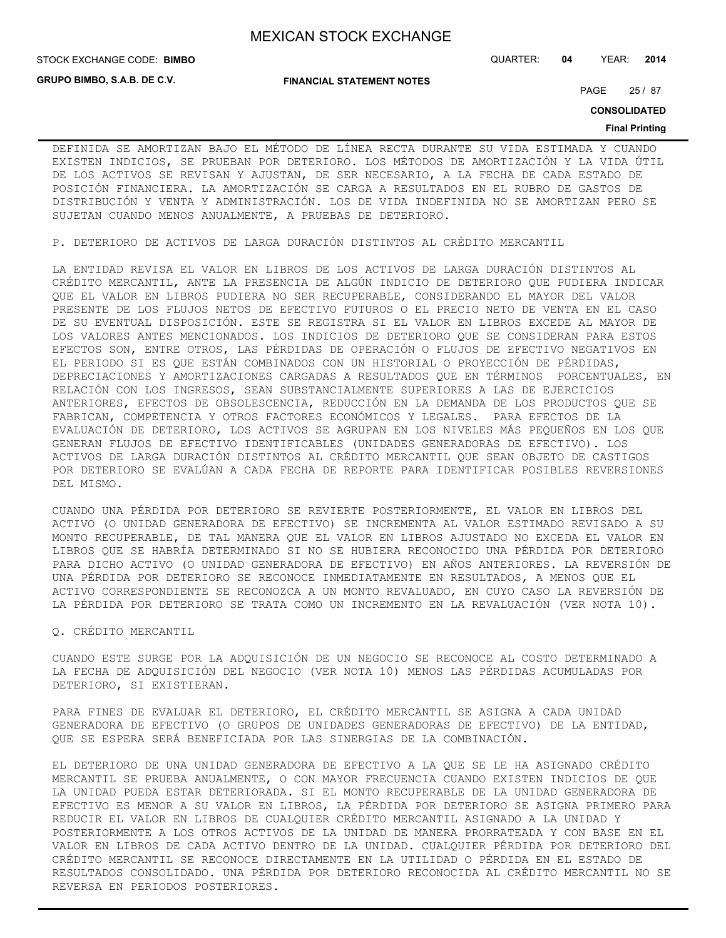STOCK EXCHANGE CODE: QUARTER: **04** YEAR: **2014 BIMBO**

**GRUPO BIMBO, S.A.B. DE C.V.**

**FINANCIAL STATEMENT NOTES**

PAGE 25 / 87

**CONSOLIDATED**

### **Final Printing**

DEFINIDA SE AMORTIZAN BAJO EL MÉTODO DE LÍNEA RECTA DURANTE SU VIDA ESTIMADA Y CUANDO EXISTEN INDICIOS, SE PRUEBAN POR DETERIORO. LOS MÉTODOS DE AMORTIZACIÓN Y LA VIDA ÚTIL DE LOS ACTIVOS SE REVISAN Y AJUSTAN, DE SER NECESARIO, A LA FECHA DE CADA ESTADO DE POSICIÓN FINANCIERA. LA AMORTIZACIÓN SE CARGA A RESULTADOS EN EL RUBRO DE GASTOS DE DISTRIBUCIÓN Y VENTA Y ADMINISTRACIÓN. LOS DE VIDA INDEFINIDA NO SE AMORTIZAN PERO SE SUJETAN CUANDO MENOS ANUALMENTE, A PRUEBAS DE DETERIORO.

P. DETERIORO DE ACTIVOS DE LARGA DURACIÓN DISTINTOS AL CRÉDITO MERCANTIL

LA ENTIDAD REVISA EL VALOR EN LIBROS DE LOS ACTIVOS DE LARGA DURACIÓN DISTINTOS AL CRÉDITO MERCANTIL, ANTE LA PRESENCIA DE ALGÚN INDICIO DE DETERIORO QUE PUDIERA INDICAR QUE EL VALOR EN LIBROS PUDIERA NO SER RECUPERABLE, CONSIDERANDO EL MAYOR DEL VALOR PRESENTE DE LOS FLUJOS NETOS DE EFECTIVO FUTUROS O EL PRECIO NETO DE VENTA EN EL CASO DE SU EVENTUAL DISPOSICIÓN. ESTE SE REGISTRA SI EL VALOR EN LIBROS EXCEDE AL MAYOR DE LOS VALORES ANTES MENCIONADOS. LOS INDICIOS DE DETERIORO QUE SE CONSIDERAN PARA ESTOS EFECTOS SON, ENTRE OTROS, LAS PÉRDIDAS DE OPERACIÓN O FLUJOS DE EFECTIVO NEGATIVOS EN EL PERIODO SI ES QUE ESTÁN COMBINADOS CON UN HISTORIAL O PROYECCIÓN DE PÉRDIDAS, DEPRECIACIONES Y AMORTIZACIONES CARGADAS A RESULTADOS QUE EN TÉRMINOS PORCENTUALES, EN RELACIÓN CON LOS INGRESOS, SEAN SUBSTANCIALMENTE SUPERIORES A LAS DE EJERCICIOS ANTERIORES, EFECTOS DE OBSOLESCENCIA, REDUCCIÓN EN LA DEMANDA DE LOS PRODUCTOS QUE SE FABRICAN, COMPETENCIA Y OTROS FACTORES ECONÓMICOS Y LEGALES. PARA EFECTOS DE LA EVALUACIÓN DE DETERIORO, LOS ACTIVOS SE AGRUPAN EN LOS NIVELES MÁS PEQUEÑOS EN LOS QUE GENERAN FLUJOS DE EFECTIVO IDENTIFICABLES (UNIDADES GENERADORAS DE EFECTIVO). LOS ACTIVOS DE LARGA DURACIÓN DISTINTOS AL CRÉDITO MERCANTIL QUE SEAN OBJETO DE CASTIGOS POR DETERIORO SE EVALÚAN A CADA FECHA DE REPORTE PARA IDENTIFICAR POSIBLES REVERSIONES DEL MISMO.

CUANDO UNA PÉRDIDA POR DETERIORO SE REVIERTE POSTERIORMENTE, EL VALOR EN LIBROS DEL ACTIVO (O UNIDAD GENERADORA DE EFECTIVO) SE INCREMENTA AL VALOR ESTIMADO REVISADO A SU MONTO RECUPERABLE, DE TAL MANERA QUE EL VALOR EN LIBROS AJUSTADO NO EXCEDA EL VALOR EN LIBROS QUE SE HABRÍA DETERMINADO SI NO SE HUBIERA RECONOCIDO UNA PÉRDIDA POR DETERIORO PARA DICHO ACTIVO (O UNIDAD GENERADORA DE EFECTIVO) EN AÑOS ANTERIORES. LA REVERSIÓN DE UNA PÉRDIDA POR DETERIORO SE RECONOCE INMEDIATAMENTE EN RESULTADOS, A MENOS QUE EL ACTIVO CORRESPONDIENTE SE RECONOZCA A UN MONTO REVALUADO, EN CUYO CASO LA REVERSIÓN DE LA PÉRDIDA POR DETERIORO SE TRATA COMO UN INCREMENTO EN LA REVALUACIÓN (VER NOTA 10).

## Q. CRÉDITO MERCANTIL

CUANDO ESTE SURGE POR LA ADQUISICIÓN DE UN NEGOCIO SE RECONOCE AL COSTO DETERMINADO A LA FECHA DE ADQUISICIÓN DEL NEGOCIO (VER NOTA 10) MENOS LAS PÉRDIDAS ACUMULADAS POR DETERIORO, SI EXISTIERAN.

PARA FINES DE EVALUAR EL DETERIORO, EL CRÉDITO MERCANTIL SE ASIGNA A CADA UNIDAD GENERADORA DE EFECTIVO (O GRUPOS DE UNIDADES GENERADORAS DE EFECTIVO) DE LA ENTIDAD, QUE SE ESPERA SERÁ BENEFICIADA POR LAS SINERGIAS DE LA COMBINACIÓN.

EL DETERIORO DE UNA UNIDAD GENERADORA DE EFECTIVO A LA QUE SE LE HA ASIGNADO CRÉDITO MERCANTIL SE PRUEBA ANUALMENTE, O CON MAYOR FRECUENCIA CUANDO EXISTEN INDICIOS DE QUE LA UNIDAD PUEDA ESTAR DETERIORADA. SI EL MONTO RECUPERABLE DE LA UNIDAD GENERADORA DE EFECTIVO ES MENOR A SU VALOR EN LIBROS, LA PÉRDIDA POR DETERIORO SE ASIGNA PRIMERO PARA REDUCIR EL VALOR EN LIBROS DE CUALQUIER CRÉDITO MERCANTIL ASIGNADO A LA UNIDAD Y POSTERIORMENTE A LOS OTROS ACTIVOS DE LA UNIDAD DE MANERA PRORRATEADA Y CON BASE EN EL VALOR EN LIBROS DE CADA ACTIVO DENTRO DE LA UNIDAD. CUALQUIER PÉRDIDA POR DETERIORO DEL CRÉDITO MERCANTIL SE RECONOCE DIRECTAMENTE EN LA UTILIDAD O PÉRDIDA EN EL ESTADO DE RESULTADOS CONSOLIDADO. UNA PÉRDIDA POR DETERIORO RECONOCIDA AL CRÉDITO MERCANTIL NO SE REVERSA EN PERIODOS POSTERIORES.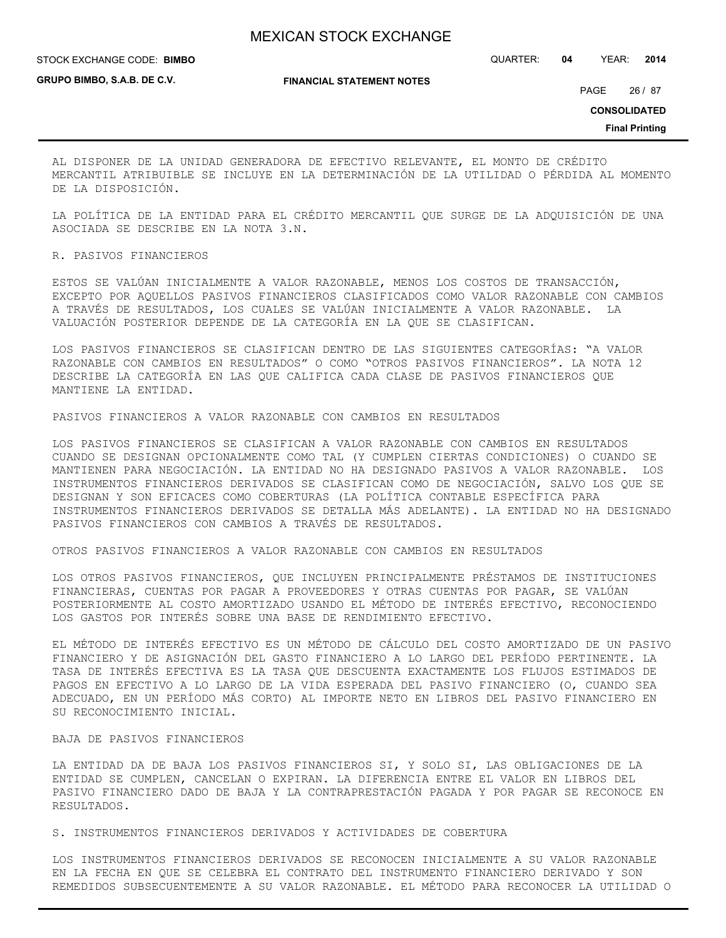STOCK EXCHANGE CODE: QUARTER: **04** YEAR: **2014 BIMBO**

**GRUPO BIMBO, S.A.B. DE C.V.**

**FINANCIAL STATEMENT NOTES**

PAGE 26 / 87

**CONSOLIDATED**

**Final Printing**

AL DISPONER DE LA UNIDAD GENERADORA DE EFECTIVO RELEVANTE, EL MONTO DE CRÉDITO MERCANTIL ATRIBUIBLE SE INCLUYE EN LA DETERMINACIÓN DE LA UTILIDAD O PÉRDIDA AL MOMENTO DE LA DISPOSICIÓN.

LA POLÍTICA DE LA ENTIDAD PARA EL CRÉDITO MERCANTIL QUE SURGE DE LA ADQUISICIÓN DE UNA ASOCIADA SE DESCRIBE EN LA NOTA 3.N.

R. PASIVOS FINANCIEROS

ESTOS SE VALÚAN INICIALMENTE A VALOR RAZONABLE, MENOS LOS COSTOS DE TRANSACCIÓN, EXCEPTO POR AQUELLOS PASIVOS FINANCIEROS CLASIFICADOS COMO VALOR RAZONABLE CON CAMBIOS A TRAVÉS DE RESULTADOS, LOS CUALES SE VALÚAN INICIALMENTE A VALOR RAZONABLE. LA VALUACIÓN POSTERIOR DEPENDE DE LA CATEGORÍA EN LA QUE SE CLASIFICAN.

LOS PASIVOS FINANCIEROS SE CLASIFICAN DENTRO DE LAS SIGUIENTES CATEGORÍAS: "A VALOR RAZONABLE CON CAMBIOS EN RESULTADOS" O COMO "OTROS PASIVOS FINANCIEROS". LA NOTA 12 DESCRIBE LA CATEGORÍA EN LAS QUE CALIFICA CADA CLASE DE PASIVOS FINANCIEROS QUE MANTIENE LA ENTIDAD.

PASIVOS FINANCIEROS A VALOR RAZONABLE CON CAMBIOS EN RESULTADOS

LOS PASIVOS FINANCIEROS SE CLASIFICAN A VALOR RAZONABLE CON CAMBIOS EN RESULTADOS CUANDO SE DESIGNAN OPCIONALMENTE COMO TAL (Y CUMPLEN CIERTAS CONDICIONES) O CUANDO SE MANTIENEN PARA NEGOCIACIÓN. LA ENTIDAD NO HA DESIGNADO PASIVOS A VALOR RAZONABLE. LOS INSTRUMENTOS FINANCIEROS DERIVADOS SE CLASIFICAN COMO DE NEGOCIACIÓN, SALVO LOS QUE SE DESIGNAN Y SON EFICACES COMO COBERTURAS (LA POLÍTICA CONTABLE ESPECÍFICA PARA INSTRUMENTOS FINANCIEROS DERIVADOS SE DETALLA MÁS ADELANTE). LA ENTIDAD NO HA DESIGNADO PASIVOS FINANCIEROS CON CAMBIOS A TRAVÉS DE RESULTADOS.

OTROS PASIVOS FINANCIEROS A VALOR RAZONABLE CON CAMBIOS EN RESULTADOS

LOS OTROS PASIVOS FINANCIEROS, QUE INCLUYEN PRINCIPALMENTE PRÉSTAMOS DE INSTITUCIONES FINANCIERAS, CUENTAS POR PAGAR A PROVEEDORES Y OTRAS CUENTAS POR PAGAR, SE VALÚAN POSTERIORMENTE AL COSTO AMORTIZADO USANDO EL MÉTODO DE INTERÉS EFECTIVO, RECONOCIENDO LOS GASTOS POR INTERÉS SOBRE UNA BASE DE RENDIMIENTO EFECTIVO.

EL MÉTODO DE INTERÉS EFECTIVO ES UN MÉTODO DE CÁLCULO DEL COSTO AMORTIZADO DE UN PASIVO FINANCIERO Y DE ASIGNACIÓN DEL GASTO FINANCIERO A LO LARGO DEL PERÍODO PERTINENTE. LA TASA DE INTERÉS EFECTIVA ES LA TASA QUE DESCUENTA EXACTAMENTE LOS FLUJOS ESTIMADOS DE PAGOS EN EFECTIVO A LO LARGO DE LA VIDA ESPERADA DEL PASIVO FINANCIERO (O, CUANDO SEA ADECUADO, EN UN PERÍODO MÁS CORTO) AL IMPORTE NETO EN LIBROS DEL PASIVO FINANCIERO EN SU RECONOCIMIENTO INICIAL.

## BAJA DE PASIVOS FINANCIEROS

LA ENTIDAD DA DE BAJA LOS PASIVOS FINANCIEROS SI, Y SOLO SI, LAS OBLIGACIONES DE LA ENTIDAD SE CUMPLEN, CANCELAN O EXPIRAN. LA DIFERENCIA ENTRE EL VALOR EN LIBROS DEL PASIVO FINANCIERO DADO DE BAJA Y LA CONTRAPRESTACIÓN PAGADA Y POR PAGAR SE RECONOCE EN RESULTADOS.

S. INSTRUMENTOS FINANCIEROS DERIVADOS Y ACTIVIDADES DE COBERTURA

LOS INSTRUMENTOS FINANCIEROS DERIVADOS SE RECONOCEN INICIALMENTE A SU VALOR RAZONABLE EN LA FECHA EN QUE SE CELEBRA EL CONTRATO DEL INSTRUMENTO FINANCIERO DERIVADO Y SON REMEDIDOS SUBSECUENTEMENTE A SU VALOR RAZONABLE. EL MÉTODO PARA RECONOCER LA UTILIDAD O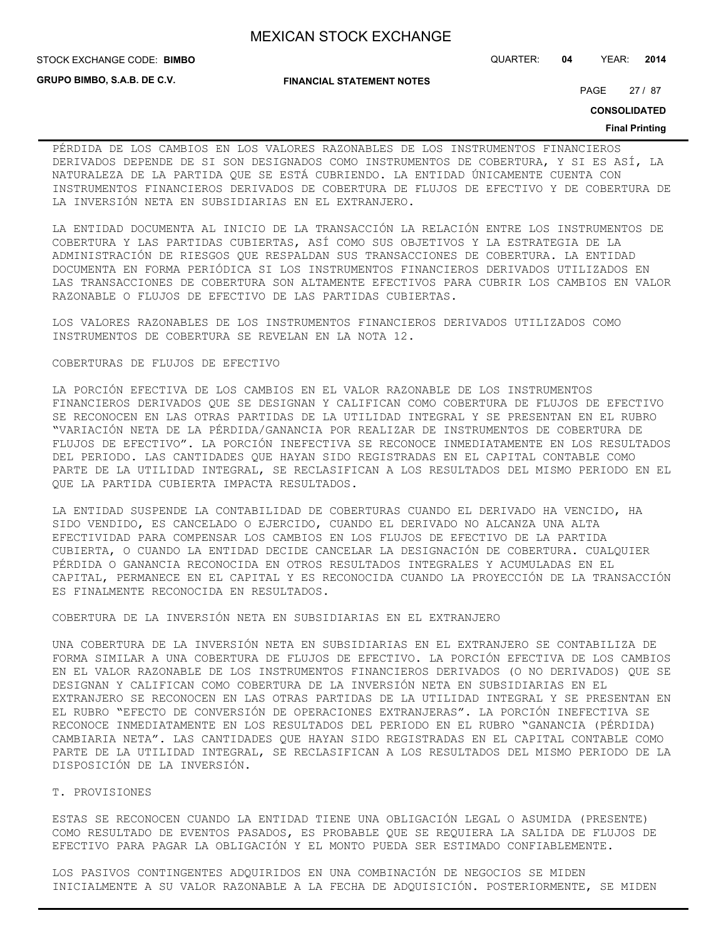**STOCK EXCHANGE CODE: BIMBO** 

**GRUPO BIMBO, S.A.B. DE C.V.**

**FINANCIAL STATEMENT NOTES**

STOCK EXCHANGE CODE: QUARTER: **04** YEAR: **2014**

PAGE 27 / 87

**CONSOLIDATED**

### **Final Printing**

PÉRDIDA DE LOS CAMBIOS EN LOS VALORES RAZONABLES DE LOS INSTRUMENTOS FINANCIEROS DERIVADOS DEPENDE DE SI SON DESIGNADOS COMO INSTRUMENTOS DE COBERTURA, Y SI ES ASÍ, LA NATURALEZA DE LA PARTIDA QUE SE ESTÁ CUBRIENDO. LA ENTIDAD ÚNICAMENTE CUENTA CON INSTRUMENTOS FINANCIEROS DERIVADOS DE COBERTURA DE FLUJOS DE EFECTIVO Y DE COBERTURA DE LA INVERSIÓN NETA EN SUBSIDIARIAS EN EL EXTRANJERO.

LA ENTIDAD DOCUMENTA AL INICIO DE LA TRANSACCIÓN LA RELACIÓN ENTRE LOS INSTRUMENTOS DE COBERTURA Y LAS PARTIDAS CUBIERTAS, ASÍ COMO SUS OBJETIVOS Y LA ESTRATEGIA DE LA ADMINISTRACIÓN DE RIESGOS QUE RESPALDAN SUS TRANSACCIONES DE COBERTURA. LA ENTIDAD DOCUMENTA EN FORMA PERIÓDICA SI LOS INSTRUMENTOS FINANCIEROS DERIVADOS UTILIZADOS EN LAS TRANSACCIONES DE COBERTURA SON ALTAMENTE EFECTIVOS PARA CUBRIR LOS CAMBIOS EN VALOR RAZONABLE O FLUJOS DE EFECTIVO DE LAS PARTIDAS CUBIERTAS.

LOS VALORES RAZONABLES DE LOS INSTRUMENTOS FINANCIEROS DERIVADOS UTILIZADOS COMO INSTRUMENTOS DE COBERTURA SE REVELAN EN LA NOTA 12.

## COBERTURAS DE FLUJOS DE EFECTIVO

LA PORCIÓN EFECTIVA DE LOS CAMBIOS EN EL VALOR RAZONABLE DE LOS INSTRUMENTOS FINANCIEROS DERIVADOS QUE SE DESIGNAN Y CALIFICAN COMO COBERTURA DE FLUJOS DE EFECTIVO SE RECONOCEN EN LAS OTRAS PARTIDAS DE LA UTILIDAD INTEGRAL Y SE PRESENTAN EN EL RUBRO "VARIACIÓN NETA DE LA PÉRDIDA/GANANCIA POR REALIZAR DE INSTRUMENTOS DE COBERTURA DE FLUJOS DE EFECTIVO". LA PORCIÓN INEFECTIVA SE RECONOCE INMEDIATAMENTE EN LOS RESULTADOS DEL PERIODO. LAS CANTIDADES QUE HAYAN SIDO REGISTRADAS EN EL CAPITAL CONTABLE COMO PARTE DE LA UTILIDAD INTEGRAL, SE RECLASIFICAN A LOS RESULTADOS DEL MISMO PERIODO EN EL QUE LA PARTIDA CUBIERTA IMPACTA RESULTADOS.

LA ENTIDAD SUSPENDE LA CONTABILIDAD DE COBERTURAS CUANDO EL DERIVADO HA VENCIDO, HA SIDO VENDIDO, ES CANCELADO O EJERCIDO, CUANDO EL DERIVADO NO ALCANZA UNA ALTA EFECTIVIDAD PARA COMPENSAR LOS CAMBIOS EN LOS FLUJOS DE EFECTIVO DE LA PARTIDA CUBIERTA, O CUANDO LA ENTIDAD DECIDE CANCELAR LA DESIGNACIÓN DE COBERTURA. CUALQUIER PÉRDIDA O GANANCIA RECONOCIDA EN OTROS RESULTADOS INTEGRALES Y ACUMULADAS EN EL CAPITAL, PERMANECE EN EL CAPITAL Y ES RECONOCIDA CUANDO LA PROYECCIÓN DE LA TRANSACCIÓN ES FINALMENTE RECONOCIDA EN RESULTADOS.

COBERTURA DE LA INVERSIÓN NETA EN SUBSIDIARIAS EN EL EXTRANJERO

UNA COBERTURA DE LA INVERSIÓN NETA EN SUBSIDIARIAS EN EL EXTRANJERO SE CONTABILIZA DE FORMA SIMILAR A UNA COBERTURA DE FLUJOS DE EFECTIVO. LA PORCIÓN EFECTIVA DE LOS CAMBIOS EN EL VALOR RAZONABLE DE LOS INSTRUMENTOS FINANCIEROS DERIVADOS (O NO DERIVADOS) QUE SE DESIGNAN Y CALIFICAN COMO COBERTURA DE LA INVERSIÓN NETA EN SUBSIDIARIAS EN EL EXTRANJERO SE RECONOCEN EN LAS OTRAS PARTIDAS DE LA UTILIDAD INTEGRAL Y SE PRESENTAN EN EL RUBRO "EFECTO DE CONVERSIÓN DE OPERACIONES EXTRANJERAS". LA PORCIÓN INEFECTIVA SE RECONOCE INMEDIATAMENTE EN LOS RESULTADOS DEL PERIODO EN EL RUBRO "GANANCIA (PÉRDIDA) CAMBIARIA NETA". LAS CANTIDADES QUE HAYAN SIDO REGISTRADAS EN EL CAPITAL CONTABLE COMO PARTE DE LA UTILIDAD INTEGRAL, SE RECLASIFICAN A LOS RESULTADOS DEL MISMO PERIODO DE LA DISPOSICIÓN DE LA INVERSIÓN.

## T. PROVISIONES

ESTAS SE RECONOCEN CUANDO LA ENTIDAD TIENE UNA OBLIGACIÓN LEGAL O ASUMIDA (PRESENTE) COMO RESULTADO DE EVENTOS PASADOS, ES PROBABLE QUE SE REQUIERA LA SALIDA DE FLUJOS DE EFECTIVO PARA PAGAR LA OBLIGACIÓN Y EL MONTO PUEDA SER ESTIMADO CONFIABLEMENTE.

LOS PASIVOS CONTINGENTES ADQUIRIDOS EN UNA COMBINACIÓN DE NEGOCIOS SE MIDEN INICIALMENTE A SU VALOR RAZONABLE A LA FECHA DE ADQUISICIÓN. POSTERIORMENTE, SE MIDEN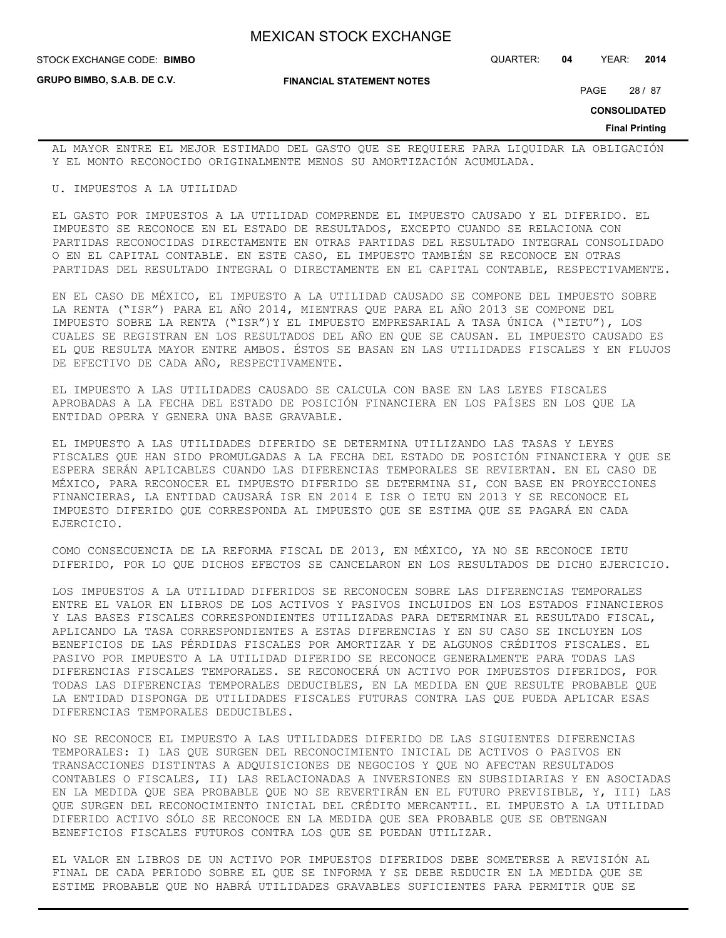**STOCK EXCHANGE CODE: BIMBO** 

**GRUPO BIMBO, S.A.B. DE C.V.**

STOCK EXCHANGE CODE: QUARTER: **04** YEAR: **2014**

**FINANCIAL STATEMENT NOTES**

PAGE 28 / 87

**CONSOLIDATED**

**Final Printing**

AL MAYOR ENTRE EL MEJOR ESTIMADO DEL GASTO QUE SE REQUIERE PARA LIQUIDAR LA OBLIGACIÓN Y EL MONTO RECONOCIDO ORIGINALMENTE MENOS SU AMORTIZACIÓN ACUMULADA.

## U. IMPUESTOS A LA UTILIDAD

EL GASTO POR IMPUESTOS A LA UTILIDAD COMPRENDE EL IMPUESTO CAUSADO Y EL DIFERIDO. EL IMPUESTO SE RECONOCE EN EL ESTADO DE RESULTADOS, EXCEPTO CUANDO SE RELACIONA CON PARTIDAS RECONOCIDAS DIRECTAMENTE EN OTRAS PARTIDAS DEL RESULTADO INTEGRAL CONSOLIDADO O EN EL CAPITAL CONTABLE. EN ESTE CASO, EL IMPUESTO TAMBIÉN SE RECONOCE EN OTRAS PARTIDAS DEL RESULTADO INTEGRAL O DIRECTAMENTE EN EL CAPITAL CONTABLE, RESPECTIVAMENTE.

EN EL CASO DE MÉXICO, EL IMPUESTO A LA UTILIDAD CAUSADO SE COMPONE DEL IMPUESTO SOBRE LA RENTA ("ISR") PARA EL AÑO 2014, MIENTRAS QUE PARA EL AÑO 2013 SE COMPONE DEL IMPUESTO SOBRE LA RENTA ("ISR")Y EL IMPUESTO EMPRESARIAL A TASA ÚNICA ("IETU"), LOS CUALES SE REGISTRAN EN LOS RESULTADOS DEL AÑO EN QUE SE CAUSAN. EL IMPUESTO CAUSADO ES EL QUE RESULTA MAYOR ENTRE AMBOS. ÉSTOS SE BASAN EN LAS UTILIDADES FISCALES Y EN FLUJOS DE EFECTIVO DE CADA AÑO, RESPECTIVAMENTE.

EL IMPUESTO A LAS UTILIDADES CAUSADO SE CALCULA CON BASE EN LAS LEYES FISCALES APROBADAS A LA FECHA DEL ESTADO DE POSICIÓN FINANCIERA EN LOS PAÍSES EN LOS QUE LA ENTIDAD OPERA Y GENERA UNA BASE GRAVABLE.

EL IMPUESTO A LAS UTILIDADES DIFERIDO SE DETERMINA UTILIZANDO LAS TASAS Y LEYES FISCALES QUE HAN SIDO PROMULGADAS A LA FECHA DEL ESTADO DE POSICIÓN FINANCIERA Y QUE SE ESPERA SERÁN APLICABLES CUANDO LAS DIFERENCIAS TEMPORALES SE REVIERTAN. EN EL CASO DE MÉXICO, PARA RECONOCER EL IMPUESTO DIFERIDO SE DETERMINA SI, CON BASE EN PROYECCIONES FINANCIERAS, LA ENTIDAD CAUSARÁ ISR EN 2014 E ISR O IETU EN 2013 Y SE RECONOCE EL IMPUESTO DIFERIDO QUE CORRESPONDA AL IMPUESTO QUE SE ESTIMA QUE SE PAGARÁ EN CADA EJERCICIO.

COMO CONSECUENCIA DE LA REFORMA FISCAL DE 2013, EN MÉXICO, YA NO SE RECONOCE IETU DIFERIDO, POR LO QUE DICHOS EFECTOS SE CANCELARON EN LOS RESULTADOS DE DICHO EJERCICIO.

LOS IMPUESTOS A LA UTILIDAD DIFERIDOS SE RECONOCEN SOBRE LAS DIFERENCIAS TEMPORALES ENTRE EL VALOR EN LIBROS DE LOS ACTIVOS Y PASIVOS INCLUIDOS EN LOS ESTADOS FINANCIEROS Y LAS BASES FISCALES CORRESPONDIENTES UTILIZADAS PARA DETERMINAR EL RESULTADO FISCAL, APLICANDO LA TASA CORRESPONDIENTES A ESTAS DIFERENCIAS Y EN SU CASO SE INCLUYEN LOS BENEFICIOS DE LAS PÉRDIDAS FISCALES POR AMORTIZAR Y DE ALGUNOS CRÉDITOS FISCALES. EL PASIVO POR IMPUESTO A LA UTILIDAD DIFERIDO SE RECONOCE GENERALMENTE PARA TODAS LAS DIFERENCIAS FISCALES TEMPORALES. SE RECONOCERÁ UN ACTIVO POR IMPUESTOS DIFERIDOS, POR TODAS LAS DIFERENCIAS TEMPORALES DEDUCIBLES, EN LA MEDIDA EN QUE RESULTE PROBABLE QUE LA ENTIDAD DISPONGA DE UTILIDADES FISCALES FUTURAS CONTRA LAS QUE PUEDA APLICAR ESAS DIFERENCIAS TEMPORALES DEDUCIBLES.

NO SE RECONOCE EL IMPUESTO A LAS UTILIDADES DIFERIDO DE LAS SIGUIENTES DIFERENCIAS TEMPORALES: I) LAS QUE SURGEN DEL RECONOCIMIENTO INICIAL DE ACTIVOS O PASIVOS EN TRANSACCIONES DISTINTAS A ADQUISICIONES DE NEGOCIOS Y QUE NO AFECTAN RESULTADOS CONTABLES O FISCALES, II) LAS RELACIONADAS A INVERSIONES EN SUBSIDIARIAS Y EN ASOCIADAS EN LA MEDIDA QUE SEA PROBABLE QUE NO SE REVERTIRÁN EN EL FUTURO PREVISIBLE, Y, III) LAS QUE SURGEN DEL RECONOCIMIENTO INICIAL DEL CRÉDITO MERCANTIL. EL IMPUESTO A LA UTILIDAD DIFERIDO ACTIVO SÓLO SE RECONOCE EN LA MEDIDA QUE SEA PROBABLE QUE SE OBTENGAN BENEFICIOS FISCALES FUTUROS CONTRA LOS QUE SE PUEDAN UTILIZAR.

EL VALOR EN LIBROS DE UN ACTIVO POR IMPUESTOS DIFERIDOS DEBE SOMETERSE A REVISIÓN AL FINAL DE CADA PERIODO SOBRE EL QUE SE INFORMA Y SE DEBE REDUCIR EN LA MEDIDA QUE SE ESTIME PROBABLE QUE NO HABRÁ UTILIDADES GRAVABLES SUFICIENTES PARA PERMITIR QUE SE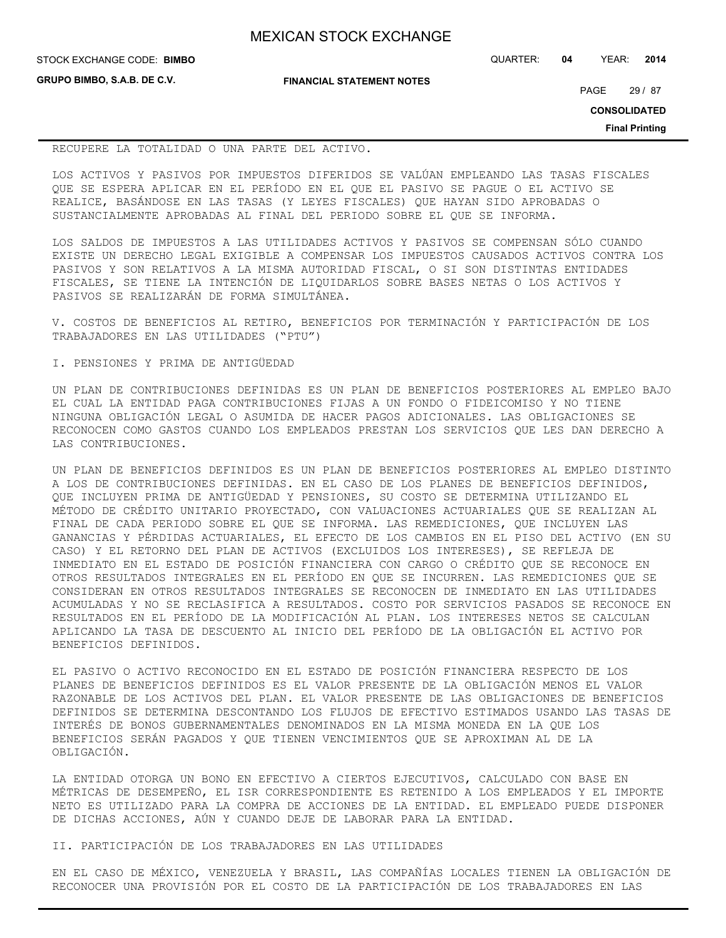**STOCK EXCHANGE CODE: BIMBO** 

**GRUPO BIMBO, S.A.B. DE C.V.**

**FINANCIAL STATEMENT NOTES**

STOCK EXCHANGE CODE: QUARTER: **04** YEAR: **2014**

PAGE 29 / 87

**CONSOLIDATED**

**Final Printing**

### RECUPERE LA TOTALIDAD O UNA PARTE DEL ACTIVO.

LOS ACTIVOS Y PASIVOS POR IMPUESTOS DIFERIDOS SE VALÚAN EMPLEANDO LAS TASAS FISCALES QUE SE ESPERA APLICAR EN EL PERÍODO EN EL QUE EL PASIVO SE PAGUE O EL ACTIVO SE REALICE, BASÁNDOSE EN LAS TASAS (Y LEYES FISCALES) QUE HAYAN SIDO APROBADAS O SUSTANCIALMENTE APROBADAS AL FINAL DEL PERIODO SOBRE EL QUE SE INFORMA.

LOS SALDOS DE IMPUESTOS A LAS UTILIDADES ACTIVOS Y PASIVOS SE COMPENSAN SÓLO CUANDO EXISTE UN DERECHO LEGAL EXIGIBLE A COMPENSAR LOS IMPUESTOS CAUSADOS ACTIVOS CONTRA LOS PASIVOS Y SON RELATIVOS A LA MISMA AUTORIDAD FISCAL, O SI SON DISTINTAS ENTIDADES FISCALES, SE TIENE LA INTENCIÓN DE LIQUIDARLOS SOBRE BASES NETAS O LOS ACTIVOS Y PASIVOS SE REALIZARÁN DE FORMA SIMULTÁNEA.

V. COSTOS DE BENEFICIOS AL RETIRO, BENEFICIOS POR TERMINACIÓN Y PARTICIPACIÓN DE LOS TRABAJADORES EN LAS UTILIDADES ("PTU")

## I. PENSIONES Y PRIMA DE ANTIGÜEDAD

UN PLAN DE CONTRIBUCIONES DEFINIDAS ES UN PLAN DE BENEFICIOS POSTERIORES AL EMPLEO BAJO EL CUAL LA ENTIDAD PAGA CONTRIBUCIONES FIJAS A UN FONDO O FIDEICOMISO Y NO TIENE NINGUNA OBLIGACIÓN LEGAL O ASUMIDA DE HACER PAGOS ADICIONALES. LAS OBLIGACIONES SE RECONOCEN COMO GASTOS CUANDO LOS EMPLEADOS PRESTAN LOS SERVICIOS QUE LES DAN DERECHO A LAS CONTRIBUCIONES.

UN PLAN DE BENEFICIOS DEFINIDOS ES UN PLAN DE BENEFICIOS POSTERIORES AL EMPLEO DISTINTO A LOS DE CONTRIBUCIONES DEFINIDAS. EN EL CASO DE LOS PLANES DE BENEFICIOS DEFINIDOS, QUE INCLUYEN PRIMA DE ANTIGÜEDAD Y PENSIONES, SU COSTO SE DETERMINA UTILIZANDO EL MÉTODO DE CRÉDITO UNITARIO PROYECTADO, CON VALUACIONES ACTUARIALES QUE SE REALIZAN AL FINAL DE CADA PERIODO SOBRE EL QUE SE INFORMA. LAS REMEDICIONES, QUE INCLUYEN LAS GANANCIAS Y PÉRDIDAS ACTUARIALES, EL EFECTO DE LOS CAMBIOS EN EL PISO DEL ACTIVO (EN SU CASO) Y EL RETORNO DEL PLAN DE ACTIVOS (EXCLUIDOS LOS INTERESES), SE REFLEJA DE INMEDIATO EN EL ESTADO DE POSICIÓN FINANCIERA CON CARGO O CRÉDITO QUE SE RECONOCE EN OTROS RESULTADOS INTEGRALES EN EL PERÍODO EN QUE SE INCURREN. LAS REMEDICIONES QUE SE CONSIDERAN EN OTROS RESULTADOS INTEGRALES SE RECONOCEN DE INMEDIATO EN LAS UTILIDADES ACUMULADAS Y NO SE RECLASIFICA A RESULTADOS. COSTO POR SERVICIOS PASADOS SE RECONOCE EN RESULTADOS EN EL PERÍODO DE LA MODIFICACIÓN AL PLAN. LOS INTERESES NETOS SE CALCULAN APLICANDO LA TASA DE DESCUENTO AL INICIO DEL PERÍODO DE LA OBLIGACIÓN EL ACTIVO POR BENEFICIOS DEFINIDOS.

EL PASIVO O ACTIVO RECONOCIDO EN EL ESTADO DE POSICIÓN FINANCIERA RESPECTO DE LOS PLANES DE BENEFICIOS DEFINIDOS ES EL VALOR PRESENTE DE LA OBLIGACIÓN MENOS EL VALOR RAZONABLE DE LOS ACTIVOS DEL PLAN. EL VALOR PRESENTE DE LAS OBLIGACIONES DE BENEFICIOS DEFINIDOS SE DETERMINA DESCONTANDO LOS FLUJOS DE EFECTIVO ESTIMADOS USANDO LAS TASAS DE INTERÉS DE BONOS GUBERNAMENTALES DENOMINADOS EN LA MISMA MONEDA EN LA QUE LOS BENEFICIOS SERÁN PAGADOS Y QUE TIENEN VENCIMIENTOS QUE SE APROXIMAN AL DE LA OBLIGACIÓN.

LA ENTIDAD OTORGA UN BONO EN EFECTIVO A CIERTOS EJECUTIVOS, CALCULADO CON BASE EN MÉTRICAS DE DESEMPEÑO, EL ISR CORRESPONDIENTE ES RETENIDO A LOS EMPLEADOS Y EL IMPORTE NETO ES UTILIZADO PARA LA COMPRA DE ACCIONES DE LA ENTIDAD. EL EMPLEADO PUEDE DISPONER DE DICHAS ACCIONES, AÚN Y CUANDO DEJE DE LABORAR PARA LA ENTIDAD.

## II. PARTICIPACIÓN DE LOS TRABAJADORES EN LAS UTILIDADES

EN EL CASO DE MÉXICO, VENEZUELA Y BRASIL, LAS COMPAÑÍAS LOCALES TIENEN LA OBLIGACIÓN DE RECONOCER UNA PROVISIÓN POR EL COSTO DE LA PARTICIPACIÓN DE LOS TRABAJADORES EN LAS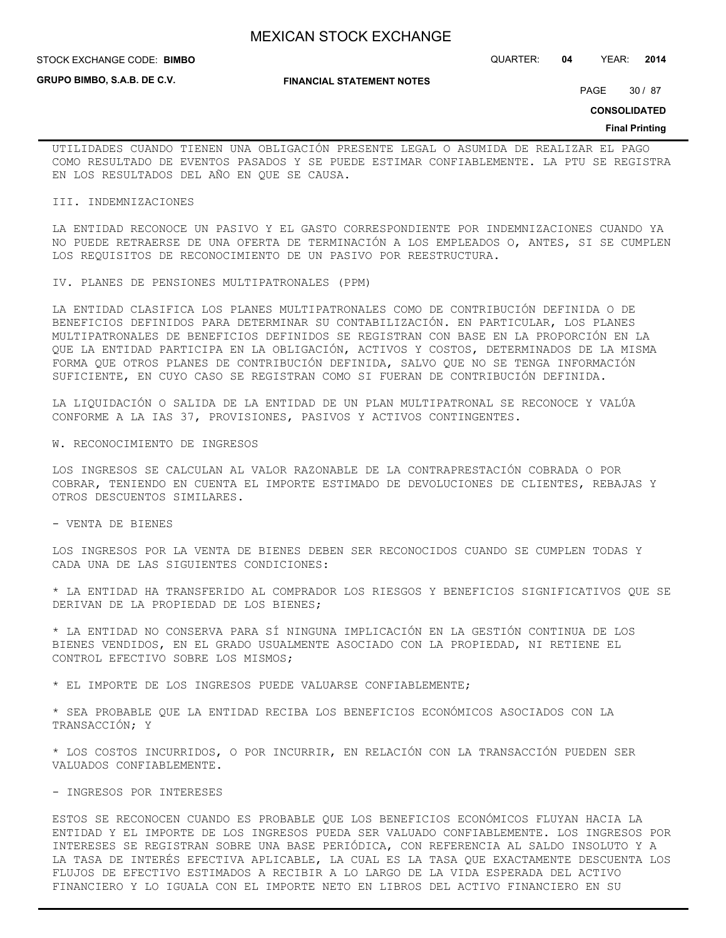**GRUPO BIMBO, S.A.B. DE C.V.**

**FINANCIAL STATEMENT NOTES**

STOCK EXCHANGE CODE: QUARTER: **04** YEAR: **2014 BIMBO**

PAGE 30 / 87

**CONSOLIDATED**

### **Final Printing**

UTILIDADES CUANDO TIENEN UNA OBLIGACIÓN PRESENTE LEGAL O ASUMIDA DE REALIZAR EL PAGO COMO RESULTADO DE EVENTOS PASADOS Y SE PUEDE ESTIMAR CONFIABLEMENTE. LA PTU SE REGISTRA EN LOS RESULTADOS DEL AÑO EN QUE SE CAUSA.

### III. INDEMNIZACIONES

LA ENTIDAD RECONOCE UN PASIVO Y EL GASTO CORRESPONDIENTE POR INDEMNIZACIONES CUANDO YA NO PUEDE RETRAERSE DE UNA OFERTA DE TERMINACIÓN A LOS EMPLEADOS O, ANTES, SI SE CUMPLEN LOS REQUISITOS DE RECONOCIMIENTO DE UN PASIVO POR REESTRUCTURA.

IV. PLANES DE PENSIONES MULTIPATRONALES (PPM)

LA ENTIDAD CLASIFICA LOS PLANES MULTIPATRONALES COMO DE CONTRIBUCIÓN DEFINIDA O DE BENEFICIOS DEFINIDOS PARA DETERMINAR SU CONTABILIZACIÓN. EN PARTICULAR, LOS PLANES MULTIPATRONALES DE BENEFICIOS DEFINIDOS SE REGISTRAN CON BASE EN LA PROPORCIÓN EN LA QUE LA ENTIDAD PARTICIPA EN LA OBLIGACIÓN, ACTIVOS Y COSTOS, DETERMINADOS DE LA MISMA FORMA QUE OTROS PLANES DE CONTRIBUCIÓN DEFINIDA, SALVO QUE NO SE TENGA INFORMACIÓN SUFICIENTE, EN CUYO CASO SE REGISTRAN COMO SI FUERAN DE CONTRIBUCIÓN DEFINIDA.

LA LIQUIDACIÓN O SALIDA DE LA ENTIDAD DE UN PLAN MULTIPATRONAL SE RECONOCE Y VALÚA CONFORME A LA IAS 37, PROVISIONES, PASIVOS Y ACTIVOS CONTINGENTES.

W. RECONOCIMIENTO DE INGRESOS

LOS INGRESOS SE CALCULAN AL VALOR RAZONABLE DE LA CONTRAPRESTACIÓN COBRADA O POR COBRAR, TENIENDO EN CUENTA EL IMPORTE ESTIMADO DE DEVOLUCIONES DE CLIENTES, REBAJAS Y OTROS DESCUENTOS SIMILARES.

- VENTA DE BIENES

LOS INGRESOS POR LA VENTA DE BIENES DEBEN SER RECONOCIDOS CUANDO SE CUMPLEN TODAS Y CADA UNA DE LAS SIGUIENTES CONDICIONES:

\* LA ENTIDAD HA TRANSFERIDO AL COMPRADOR LOS RIESGOS Y BENEFICIOS SIGNIFICATIVOS QUE SE DERIVAN DE LA PROPIEDAD DE LOS BIENES;

\* LA ENTIDAD NO CONSERVA PARA SÍ NINGUNA IMPLICACIÓN EN LA GESTIÓN CONTINUA DE LOS BIENES VENDIDOS, EN EL GRADO USUALMENTE ASOCIADO CON LA PROPIEDAD, NI RETIENE EL CONTROL EFECTIVO SOBRE LOS MISMOS;

\* EL IMPORTE DE LOS INGRESOS PUEDE VALUARSE CONFIABLEMENTE;

\* SEA PROBABLE QUE LA ENTIDAD RECIBA LOS BENEFICIOS ECONÓMICOS ASOCIADOS CON LA TRANSACCIÓN; Y

\* LOS COSTOS INCURRIDOS, O POR INCURRIR, EN RELACIÓN CON LA TRANSACCIÓN PUEDEN SER VALUADOS CONFIABLEMENTE.

- INGRESOS POR INTERESES

ESTOS SE RECONOCEN CUANDO ES PROBABLE QUE LOS BENEFICIOS ECONÓMICOS FLUYAN HACIA LA ENTIDAD Y EL IMPORTE DE LOS INGRESOS PUEDA SER VALUADO CONFIABLEMENTE. LOS INGRESOS POR INTERESES SE REGISTRAN SOBRE UNA BASE PERIÓDICA, CON REFERENCIA AL SALDO INSOLUTO Y A LA TASA DE INTERÉS EFECTIVA APLICABLE, LA CUAL ES LA TASA QUE EXACTAMENTE DESCUENTA LOS FLUJOS DE EFECTIVO ESTIMADOS A RECIBIR A LO LARGO DE LA VIDA ESPERADA DEL ACTIVO FINANCIERO Y LO IGUALA CON EL IMPORTE NETO EN LIBROS DEL ACTIVO FINANCIERO EN SU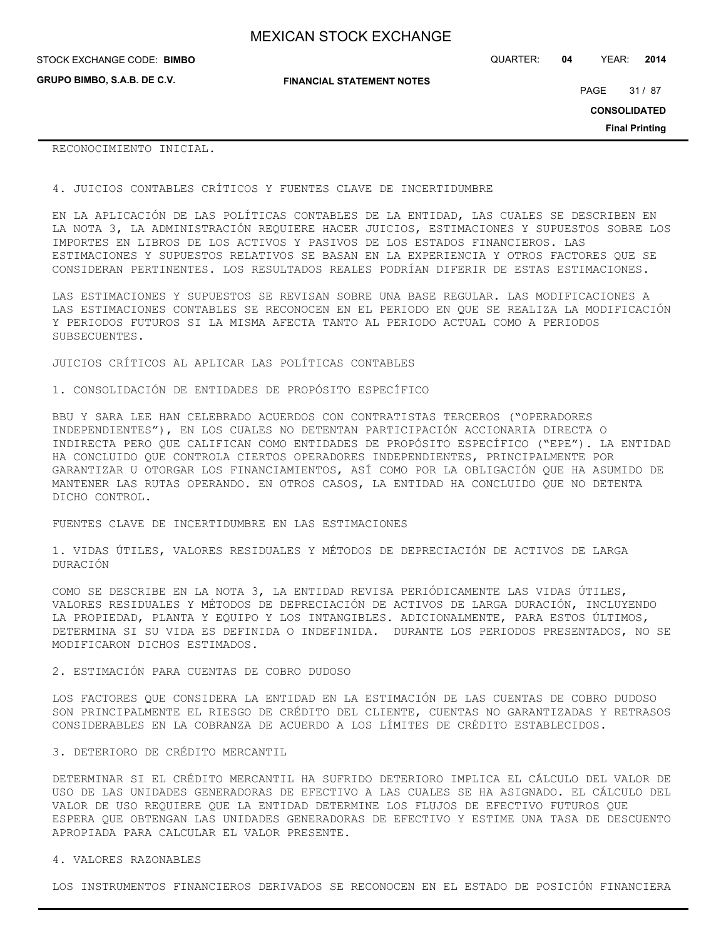**GRUPO BIMBO, S.A.B. DE C.V.**

**FINANCIAL STATEMENT NOTES**

STOCK EXCHANGE CODE: QUARTER: **04** YEAR: **2014 BIMBO**

PAGE 31 / 87

**CONSOLIDATED**

**Final Printing**

## RECONOCIMIENTO INICIAL.

4. JUICIOS CONTABLES CRÍTICOS Y FUENTES CLAVE DE INCERTIDUMBRE

EN LA APLICACIÓN DE LAS POLÍTICAS CONTABLES DE LA ENTIDAD, LAS CUALES SE DESCRIBEN EN LA NOTA 3, LA ADMINISTRACIÓN REQUIERE HACER JUICIOS, ESTIMACIONES Y SUPUESTOS SOBRE LOS IMPORTES EN LIBROS DE LOS ACTIVOS Y PASIVOS DE LOS ESTADOS FINANCIEROS. LAS ESTIMACIONES Y SUPUESTOS RELATIVOS SE BASAN EN LA EXPERIENCIA Y OTROS FACTORES QUE SE CONSIDERAN PERTINENTES. LOS RESULTADOS REALES PODRÍAN DIFERIR DE ESTAS ESTIMACIONES.

LAS ESTIMACIONES Y SUPUESTOS SE REVISAN SOBRE UNA BASE REGULAR. LAS MODIFICACIONES A LAS ESTIMACIONES CONTABLES SE RECONOCEN EN EL PERIODO EN QUE SE REALIZA LA MODIFICACIÓN Y PERIODOS FUTUROS SI LA MISMA AFECTA TANTO AL PERIODO ACTUAL COMO A PERIODOS SUBSECUENTES.

JUICIOS CRÍTICOS AL APLICAR LAS POLÍTICAS CONTABLES

## 1. CONSOLIDACIÓN DE ENTIDADES DE PROPÓSITO ESPECÍFICO

BBU Y SARA LEE HAN CELEBRADO ACUERDOS CON CONTRATISTAS TERCEROS ("OPERADORES INDEPENDIENTES"), EN LOS CUALES NO DETENTAN PARTICIPACIÓN ACCIONARIA DIRECTA O INDIRECTA PERO QUE CALIFICAN COMO ENTIDADES DE PROPÓSITO ESPECÍFICO ("EPE"). LA ENTIDAD HA CONCLUIDO QUE CONTROLA CIERTOS OPERADORES INDEPENDIENTES, PRINCIPALMENTE POR GARANTIZAR U OTORGAR LOS FINANCIAMIENTOS, ASÍ COMO POR LA OBLIGACIÓN QUE HA ASUMIDO DE MANTENER LAS RUTAS OPERANDO. EN OTROS CASOS, LA ENTIDAD HA CONCLUIDO QUE NO DETENTA DICHO CONTROL.

FUENTES CLAVE DE INCERTIDUMBRE EN LAS ESTIMACIONES

1. VIDAS ÚTILES, VALORES RESIDUALES Y MÉTODOS DE DEPRECIACIÓN DE ACTIVOS DE LARGA DURACIÓN

COMO SE DESCRIBE EN LA NOTA 3, LA ENTIDAD REVISA PERIÓDICAMENTE LAS VIDAS ÚTILES, VALORES RESIDUALES Y MÉTODOS DE DEPRECIACIÓN DE ACTIVOS DE LARGA DURACIÓN, INCLUYENDO LA PROPIEDAD, PLANTA Y EQUIPO Y LOS INTANGIBLES. ADICIONALMENTE, PARA ESTOS ÚLTIMOS, DETERMINA SI SU VIDA ES DEFINIDA O INDEFINIDA. DURANTE LOS PERIODOS PRESENTADOS, NO SE MODIFICARON DICHOS ESTIMADOS.

2. ESTIMACIÓN PARA CUENTAS DE COBRO DUDOSO

LOS FACTORES QUE CONSIDERA LA ENTIDAD EN LA ESTIMACIÓN DE LAS CUENTAS DE COBRO DUDOSO SON PRINCIPALMENTE EL RIESGO DE CRÉDITO DEL CLIENTE, CUENTAS NO GARANTIZADAS Y RETRASOS CONSIDERABLES EN LA COBRANZA DE ACUERDO A LOS LÍMITES DE CRÉDITO ESTABLECIDOS.

### 3. DETERIORO DE CRÉDITO MERCANTIL

DETERMINAR SI EL CRÉDITO MERCANTIL HA SUFRIDO DETERIORO IMPLICA EL CÁLCULO DEL VALOR DE USO DE LAS UNIDADES GENERADORAS DE EFECTIVO A LAS CUALES SE HA ASIGNADO. EL CÁLCULO DEL VALOR DE USO REQUIERE QUE LA ENTIDAD DETERMINE LOS FLUJOS DE EFECTIVO FUTUROS QUE ESPERA QUE OBTENGAN LAS UNIDADES GENERADORAS DE EFECTIVO Y ESTIME UNA TASA DE DESCUENTO APROPIADA PARA CALCULAR EL VALOR PRESENTE.

## 4. VALORES RAZONABLES

LOS INSTRUMENTOS FINANCIEROS DERIVADOS SE RECONOCEN EN EL ESTADO DE POSICIÓN FINANCIERA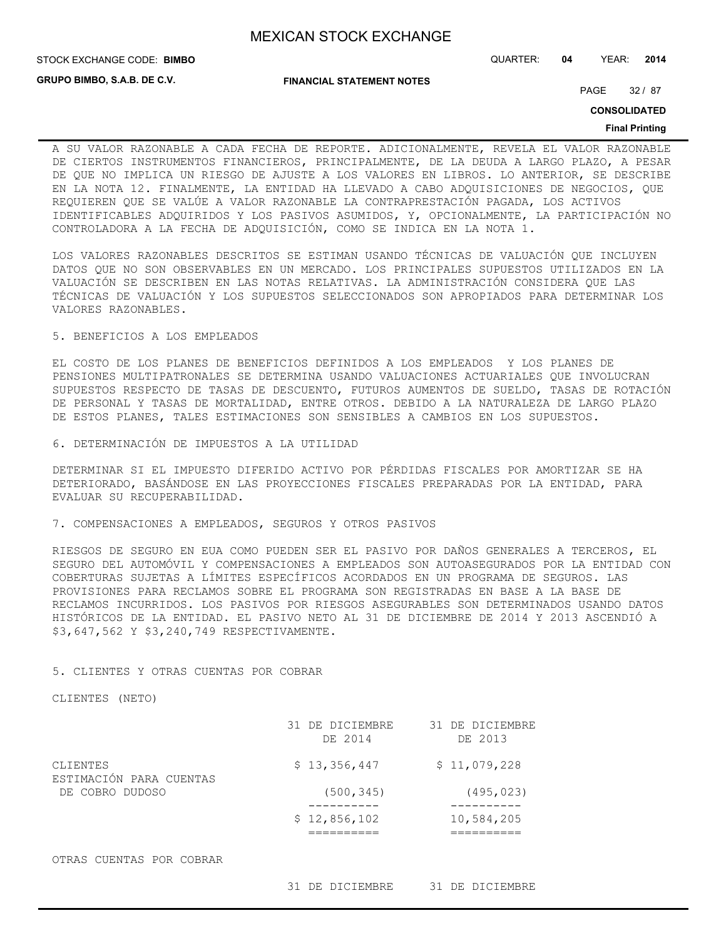**STOCK EXCHANGE CODE: BIMBO** 

STOCK EXCHANGE CODE: QUARTER: **04** YEAR: **2014**

**GRUPO BIMBO, S.A.B. DE C.V.**

**FINANCIAL STATEMENT NOTES**

PAGE 32 / 87

**CONSOLIDATED**

### **Final Printing**

A SU VALOR RAZONABLE A CADA FECHA DE REPORTE. ADICIONALMENTE, REVELA EL VALOR RAZONABLE DE CIERTOS INSTRUMENTOS FINANCIEROS, PRINCIPALMENTE, DE LA DEUDA A LARGO PLAZO, A PESAR DE QUE NO IMPLICA UN RIESGO DE AJUSTE A LOS VALORES EN LIBROS. LO ANTERIOR, SE DESCRIBE EN LA NOTA 12. FINALMENTE, LA ENTIDAD HA LLEVADO A CABO ADQUISICIONES DE NEGOCIOS, QUE REQUIEREN QUE SE VALÚE A VALOR RAZONABLE LA CONTRAPRESTACIÓN PAGADA, LOS ACTIVOS IDENTIFICABLES ADQUIRIDOS Y LOS PASIVOS ASUMIDOS, Y, OPCIONALMENTE, LA PARTICIPACIÓN NO CONTROLADORA A LA FECHA DE ADQUISICIÓN, COMO SE INDICA EN LA NOTA 1.

LOS VALORES RAZONABLES DESCRITOS SE ESTIMAN USANDO TÉCNICAS DE VALUACIÓN QUE INCLUYEN DATOS QUE NO SON OBSERVABLES EN UN MERCADO. LOS PRINCIPALES SUPUESTOS UTILIZADOS EN LA VALUACIÓN SE DESCRIBEN EN LAS NOTAS RELATIVAS. LA ADMINISTRACIÓN CONSIDERA QUE LAS TÉCNICAS DE VALUACIÓN Y LOS SUPUESTOS SELECCIONADOS SON APROPIADOS PARA DETERMINAR LOS VALORES RAZONABLES.

## 5. BENEFICIOS A LOS EMPLEADOS

EL COSTO DE LOS PLANES DE BENEFICIOS DEFINIDOS A LOS EMPLEADOS Y LOS PLANES DE PENSIONES MULTIPATRONALES SE DETERMINA USANDO VALUACIONES ACTUARIALES QUE INVOLUCRAN SUPUESTOS RESPECTO DE TASAS DE DESCUENTO, FUTUROS AUMENTOS DE SUELDO, TASAS DE ROTACIÓN DE PERSONAL Y TASAS DE MORTALIDAD, ENTRE OTROS. DEBIDO A LA NATURALEZA DE LARGO PLAZO DE ESTOS PLANES, TALES ESTIMACIONES SON SENSIBLES A CAMBIOS EN LOS SUPUESTOS.

6. DETERMINACIÓN DE IMPUESTOS A LA UTILIDAD

DETERMINAR SI EL IMPUESTO DIFERIDO ACTIVO POR PÉRDIDAS FISCALES POR AMORTIZAR SE HA DETERIORADO, BASÁNDOSE EN LAS PROYECCIONES FISCALES PREPARADAS POR LA ENTIDAD, PARA EVALUAR SU RECUPERABILIDAD.

### 7. COMPENSACIONES A EMPLEADOS, SEGUROS Y OTROS PASIVOS

RIESGOS DE SEGURO EN EUA COMO PUEDEN SER EL PASIVO POR DAÑOS GENERALES A TERCEROS, EL SEGURO DEL AUTOMÓVIL Y COMPENSACIONES A EMPLEADOS SON AUTOASEGURADOS POR LA ENTIDAD CON COBERTURAS SUJETAS A LÍMITES ESPECÍFICOS ACORDADOS EN UN PROGRAMA DE SEGUROS. LAS PROVISIONES PARA RECLAMOS SOBRE EL PROGRAMA SON REGISTRADAS EN BASE A LA BASE DE RECLAMOS INCURRIDOS. LOS PASIVOS POR RIESGOS ASEGURABLES SON DETERMINADOS USANDO DATOS HISTÓRICOS DE LA ENTIDAD. EL PASIVO NETO AL 31 DE DICIEMBRE DE 2014 Y 2013 ASCENDIÓ A \$3,647,562 Y \$3,240,749 RESPECTIVAMENTE.

## 5. CLIENTES Y OTRAS CUENTAS POR COBRAR

CLIENTES (NETO)

|                                     | 31 DE DICIEMBRE<br>DE 2014 | 31 DE DICIEMBRE<br>DE 2013 |
|-------------------------------------|----------------------------|----------------------------|
| CLIENTES<br>ESTIMACIÓN PARA CUENTAS | \$13,356,447               | \$11,079,228               |
| DE COBRO DUDOSO                     | (500, 345)                 | (495, 023)                 |
|                                     | \$12,856,102               | 10,584,205                 |
|                                     |                            |                            |

### OTRAS CUENTAS POR COBRAR

31 DE DICIEMBRE 31 DE DICIEMBRE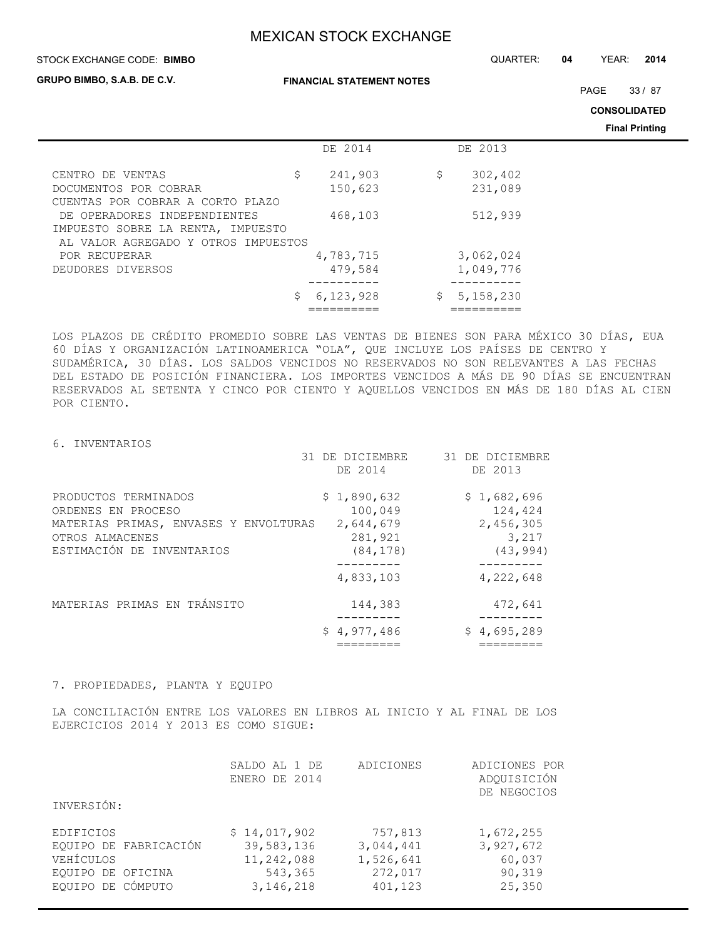STOCK EXCHANGE CODE: QUARTER: **04** YEAR: **2014 BIMBO**

**GRUPO BIMBO, S.A.B. DE C.V.**

**FINANCIAL STATEMENT NOTES**

PAGE 33 / 87

**CONSOLIDATED**

**Final Printing**

|                                                                          | DE 2014          | DE 2013         |  |
|--------------------------------------------------------------------------|------------------|-----------------|--|
| CENTRO DE VENTAS                                                         | \$<br>241,903    | \$<br>302,402   |  |
| DOCUMENTOS POR COBRAR                                                    | 150,623          | 231,089         |  |
| CUENTAS POR COBRAR A CORTO PLAZO                                         |                  |                 |  |
| DE OPERADORES INDEPENDIENTES                                             | 468,103          | 512,939         |  |
| IMPUESTO SOBRE LA RENTA, IMPUESTO<br>AL VALOR AGREGADO Y OTROS IMPUESTOS |                  |                 |  |
| POR RECUPERAR                                                            | 4,783,715        | 3,062,024       |  |
| DEUDORES DIVERSOS                                                        | 479,584          | 1,049,776       |  |
|                                                                          |                  |                 |  |
|                                                                          | 6,123,928<br>\$. | 5,158,230<br>S. |  |
|                                                                          |                  |                 |  |

LOS PLAZOS DE CRÉDITO PROMEDIO SOBRE LAS VENTAS DE BIENES SON PARA MÉXICO 30 DÍAS, EUA 60 DÍAS Y ORGANIZACIÓN LATINOAMERICA "OLA", QUE INCLUYE LOS PAÍSES DE CENTRO Y SUDAMÉRICA, 30 DÍAS. LOS SALDOS VENCIDOS NO RESERVADOS NO SON RELEVANTES A LAS FECHAS DEL ESTADO DE POSICIÓN FINANCIERA. LOS IMPORTES VENCIDOS A MÁS DE 90 DÍAS SE ENCUENTRAN RESERVADOS AL SETENTA Y CINCO POR CIENTO Y AQUELLOS VENCIDOS EN MÁS DE 180 DÍAS AL CIEN POR CIENTO.

6. INVENTARIOS

|                                                                                                                                     | 31 DE DICIEMBRE<br>DE 2014                                  | 31 DE DICIEMBRE<br>DE 2013                                |
|-------------------------------------------------------------------------------------------------------------------------------------|-------------------------------------------------------------|-----------------------------------------------------------|
| PRODUCTOS TERMINADOS<br>ORDENES EN PROCESO<br>MATERIAS PRIMAS, ENVASES Y ENVOLTURAS<br>OTROS ALMACENES<br>ESTIMACIÓN DE INVENTARIOS | \$1,890,632<br>100,049<br>2,644,679<br>281,921<br>(84, 178) | \$1,682,696<br>124,424<br>2,456,305<br>3,217<br>(43, 994) |
|                                                                                                                                     | 4,833,103                                                   | . - - - - - - -<br>4,222,648                              |
| MATERIAS PRIMAS EN TRÁNSITO                                                                                                         | 144,383                                                     | 472,641                                                   |
|                                                                                                                                     | \$4,977,486                                                 | \$4,695,289                                               |

7. PROPIEDADES, PLANTA Y EQUIPO

LA CONCILIACIÓN ENTRE LOS VALORES EN LIBROS AL INICIO Y AL FINAL DE LOS EJERCICIOS 2014 Y 2013 ES COMO SIGUE:

|                                                                      | SALDO AL 1 DE<br>ENERO DE 2014                      | ADICIONES                                    | ADICIONES POR<br>ADQUISICIÓN<br>DE NEGOCIOS |
|----------------------------------------------------------------------|-----------------------------------------------------|----------------------------------------------|---------------------------------------------|
| INVERSIÓN:                                                           |                                                     |                                              |                                             |
| EDIFICIOS<br>EQUIPO DE FABRICACIÓN<br>VEHÍCULOS<br>EOUIPO DE OFICINA | \$14,017,902<br>39,583,136<br>11,242,088<br>543,365 | 757,813<br>3,044,441<br>1,526,641<br>272,017 | 1,672,255<br>3,927,672<br>60,037<br>90,319  |
| EQUIPO DE CÓMPUTO                                                    | 3, 146, 218                                         | 401,123                                      | 25,350                                      |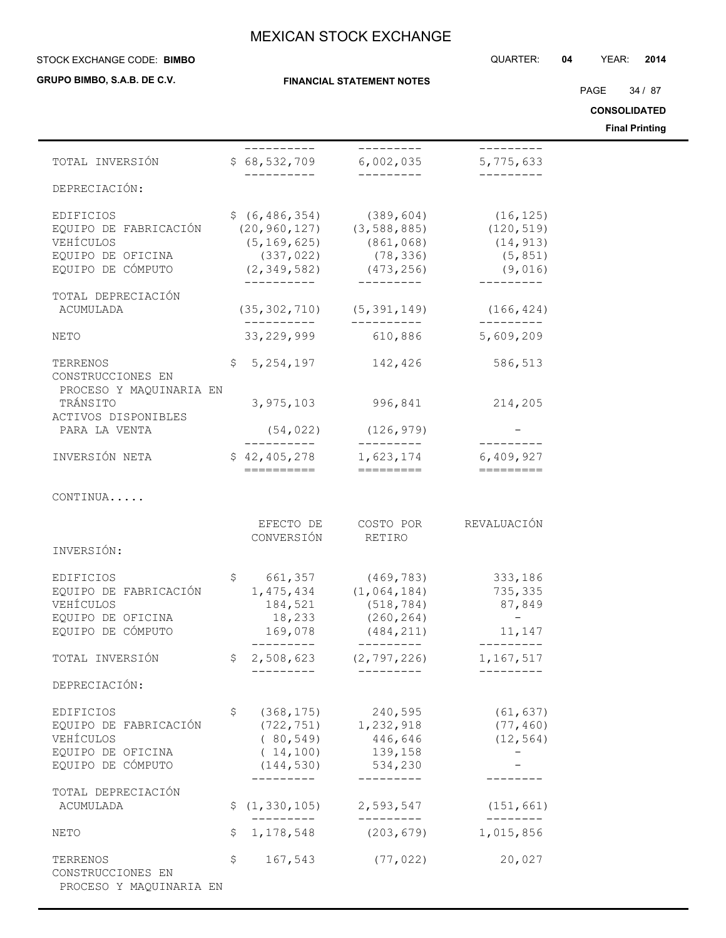### STOCK EXCHANGE CODE: QUARTER: **04** YEAR: **2014 BIMBO**

**GRUPO BIMBO, S.A.B. DE C.V.**

**FINANCIAL STATEMENT NOTES**

PAGE 34 / 87

**CONSOLIDATED**

**Final Printing**

|                                                                                           |                                                          |                                                                                                                                                                                                                                                                                                                                |                                                | Final Printing |
|-------------------------------------------------------------------------------------------|----------------------------------------------------------|--------------------------------------------------------------------------------------------------------------------------------------------------------------------------------------------------------------------------------------------------------------------------------------------------------------------------------|------------------------------------------------|----------------|
| TOTAL INVERSIÓN                                                                           | __________                                               | ----------<br>$$68,532,709$ 6,002,035                                                                                                                                                                                                                                                                                          | ----------<br>5,775,633                        |                |
| DEPRECIACIÓN:                                                                             | -----------                                              | ----------                                                                                                                                                                                                                                                                                                                     | ---------                                      |                |
| EDIFICIOS<br>EQUIPO DE FABRICACIÓN<br>VEHÍCULOS<br>EQUIPO DE OFICINA<br>EQUIPO DE CÓMPUTO |                                                          | $$ (6, 486, 354)$ (389, 604) (16, 125)<br>$(20, 960, 127)$ $(3, 588, 885)$ $(120, 519)$<br>$(5, 169, 625)$ (861,068)<br>$(2,349,582)$<br>$(-2,-349,-582)$<br>$(-2,-20,00)$<br>$(-2,-20,00)$<br>$(-2,-20,00)$<br>$(-2,349,-582)$<br>$(-2,349,-582)$<br>$(-2,349,-582)$<br>$(-2,349,-582)$<br>$(-2,349,-582)$<br>$(-2,349,-582)$ | (14, 913)<br>(5, 851)<br>(9,016)<br>---------- |                |
| TOTAL DEPRECIACIÓN<br>ACUMULADA                                                           |                                                          | $(35, 302, 710)$ $(5, 391, 149)$ $(166, 424)$                                                                                                                                                                                                                                                                                  |                                                |                |
| NETO                                                                                      |                                                          | ___________  ___________<br>33, 229, 999 610, 886 5, 609, 209                                                                                                                                                                                                                                                                  | __________                                     |                |
| TERRENOS<br>CONSTRUCCIONES EN                                                             |                                                          | $$5,254,197$ 142,426 586,513                                                                                                                                                                                                                                                                                                   |                                                |                |
| PROCESO Y MAQUINARIA EN<br>TRÁNSITO<br>ACTIVOS DISPONIBLES                                |                                                          | 3,975,103 996,841                                                                                                                                                                                                                                                                                                              | 214,205                                        |                |
| PARA LA VENTA                                                                             | __________                                               | $(54, 022)$ $(126, 979)$<br>__________                                                                                                                                                                                                                                                                                         | $- - - - - - - - -$                            |                |
| INVERSIÓN NETA                                                                            | ==========                                               | $$42,405,278$ 1,623,174 6,409,927<br>=========                                                                                                                                                                                                                                                                                 |                                                |                |
| CONTINUA                                                                                  |                                                          |                                                                                                                                                                                                                                                                                                                                |                                                |                |
| INVERSIÓN:                                                                                | EFECTO DE<br>CONVERSIÓN                                  | RETIRO                                                                                                                                                                                                                                                                                                                         | COSTO POR REVALUACIÓN                          |                |
| EDIFICIOS<br>EQUIPO DE FABRICACIÓN<br>VEHÍCULOS<br>EQUIPO DE OFICINA<br>EQUIPO DE CÓMPUTO | 184,521<br>18,233<br>169,078                             | \$ 661,357 (469,783) 333,186<br>$1,475,434$ $(1,064,184)$ 735,335<br>(518, 784)<br>(260, 264)<br>(484, 211)                                                                                                                                                                                                                    | 87,849<br>$\sim$ $-$<br>11,147                 |                |
| TOTAL INVERSIÓN                                                                           | ----------<br>\$2,508,623                                | (2, 797, 226)                                                                                                                                                                                                                                                                                                                  | _________<br>1,167,517                         |                |
| DEPRECIACIÓN:                                                                             |                                                          |                                                                                                                                                                                                                                                                                                                                |                                                |                |
| EDIFICIOS<br>EQUIPO DE FABRICACIÓN<br>VEHÍCULOS<br>EQUIPO DE OFICINA<br>EQUIPO DE CÓMPUTO | (368, 175)<br>\$<br>(80, 549)<br>(14, 100)<br>(144, 530) | 240,595<br>$(722, 751)$ 1, 232, 918<br>446,646<br>139,158<br>534,230                                                                                                                                                                                                                                                           | (61, 637)<br>(77, 460)<br>(12, 564)<br>$-$     |                |
| TOTAL DEPRECIACIÓN<br>ACUMULADA                                                           | ---------                                                | ----------<br>$\frac{1}{2}$ (1,330,105) 2,593,547                                                                                                                                                                                                                                                                              | (151, 661)                                     |                |
| NETO                                                                                      | ----------<br>1, 178, 548<br>\$                          | ----------<br>(203, 679)                                                                                                                                                                                                                                                                                                       | ---------<br>1,015,856                         |                |
| TERRENOS<br>CONSTRUCCIONES EN<br>PROCESO Y MAQUINARIA EN                                  | \$<br>167,543                                            | (77, 022)                                                                                                                                                                                                                                                                                                                      | 20,027                                         |                |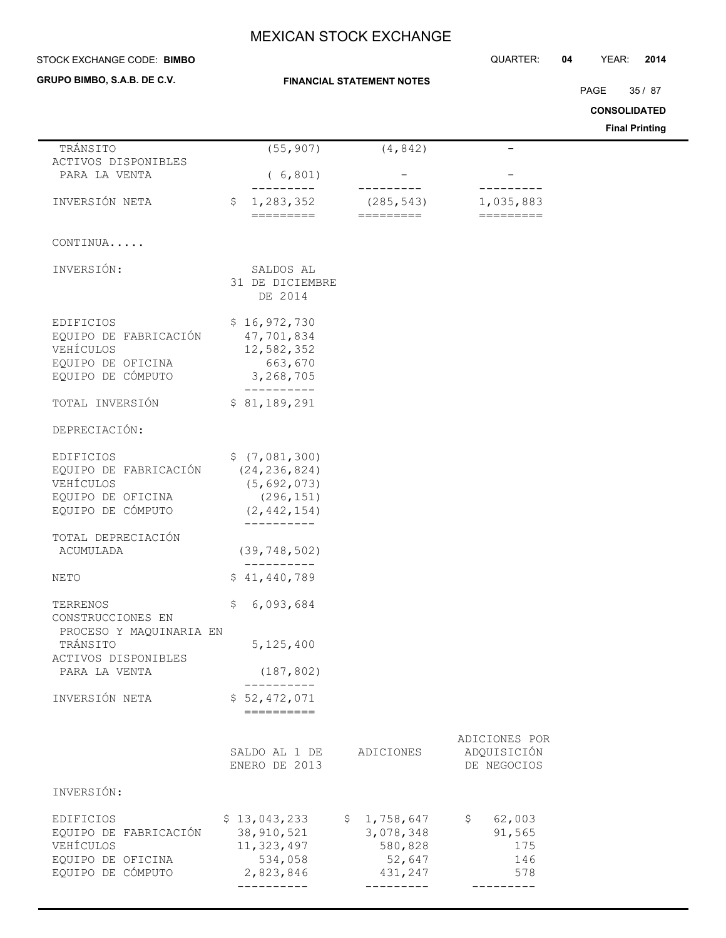| STOCK EXCHANGE CODE: BIMBO                                                                |                                                                                 |                                                          | QUARTER:                                              | 04 | YEAR:               | 2014                  |
|-------------------------------------------------------------------------------------------|---------------------------------------------------------------------------------|----------------------------------------------------------|-------------------------------------------------------|----|---------------------|-----------------------|
| GRUPO BIMBO, S.A.B. DE C.V.                                                               |                                                                                 | <b>FINANCIAL STATEMENT NOTES</b>                         |                                                       |    |                     |                       |
|                                                                                           |                                                                                 |                                                          |                                                       |    | PAGE                | 35/87                 |
|                                                                                           |                                                                                 |                                                          |                                                       |    | <b>CONSOLIDATED</b> | <b>Final Printing</b> |
| TRÁNSITO                                                                                  | (55, 907)                                                                       | (4, 842)                                                 |                                                       |    |                     |                       |
| ACTIVOS DISPONIBLES<br>PARA LA VENTA                                                      | (6, 801)                                                                        |                                                          |                                                       |    |                     |                       |
|                                                                                           |                                                                                 |                                                          |                                                       |    |                     |                       |
| INVERSIÓN NETA                                                                            | 1,283,352<br>\$<br>=========                                                    | (285, 543)<br>=========                                  | 1,035,883<br>=========                                |    |                     |                       |
| CONTINUA                                                                                  |                                                                                 |                                                          |                                                       |    |                     |                       |
| INVERSIÓN:                                                                                | SALDOS AL<br>31 DE DICIEMBRE<br>DE 2014                                         |                                                          |                                                       |    |                     |                       |
| EDIFICIOS<br>EQUIPO DE FABRICACIÓN<br>VEHÍCULOS<br>EQUIPO DE OFICINA<br>EQUIPO DE CÓMPUTO | \$16,972,730<br>47,701,834<br>12,582,352<br>663,670<br>3,268,705                |                                                          |                                                       |    |                     |                       |
| TOTAL INVERSIÓN                                                                           | \$81,189,291                                                                    |                                                          |                                                       |    |                     |                       |
| DEPRECIACIÓN:                                                                             |                                                                                 |                                                          |                                                       |    |                     |                       |
| EDIFICIOS<br>EQUIPO DE FABRICACIÓN<br>VEHÍCULOS<br>EQUIPO DE OFICINA<br>EQUIPO DE CÓMPUTO | \$(7,081,300)<br>(24, 236, 824)<br>(5, 692, 073)<br>(296, 151)<br>(2, 442, 154) |                                                          |                                                       |    |                     |                       |
| TOTAL DEPRECIACIÓN<br>ACUMULADA                                                           | (39, 748, 502)                                                                  |                                                          |                                                       |    |                     |                       |
| NETO                                                                                      | \$41,440,789                                                                    |                                                          |                                                       |    |                     |                       |
| TERRENOS<br>CONSTRUCCIONES EN<br>PROCESO Y MAQUINARIA EN                                  | 6,093,684<br>\$                                                                 |                                                          |                                                       |    |                     |                       |
| TRÁNSITO<br>ACTIVOS DISPONIBLES                                                           | 5,125,400                                                                       |                                                          |                                                       |    |                     |                       |
| PARA LA VENTA                                                                             | (187, 802)<br>-----------                                                       |                                                          |                                                       |    |                     |                       |
| INVERSIÓN NETA                                                                            | \$52,472,071<br>$=$ ==========                                                  |                                                          |                                                       |    |                     |                       |
|                                                                                           | SALDO AL 1 DE<br>ENERO DE 2013                                                  | ADICIONES                                                | ADICIONES POR<br>ADQUISICIÓN<br>DE NEGOCIOS           |    |                     |                       |
| INVERSIÓN:                                                                                |                                                                                 |                                                          |                                                       |    |                     |                       |
| EDIFICIOS<br>EQUIPO DE FABRICACIÓN<br>VEHÍCULOS<br>EQUIPO DE OFICINA<br>EQUIPO DE CÓMPUTO | \$13,043,233<br>38,910,521<br>11,323,497<br>534,058<br>2,823,846<br>----------- | \$1,758,647<br>3,078,348<br>580,828<br>52,647<br>431,247 | 62,003<br>$\mathsf{S}$<br>91,565<br>175<br>146<br>578 |    |                     |                       |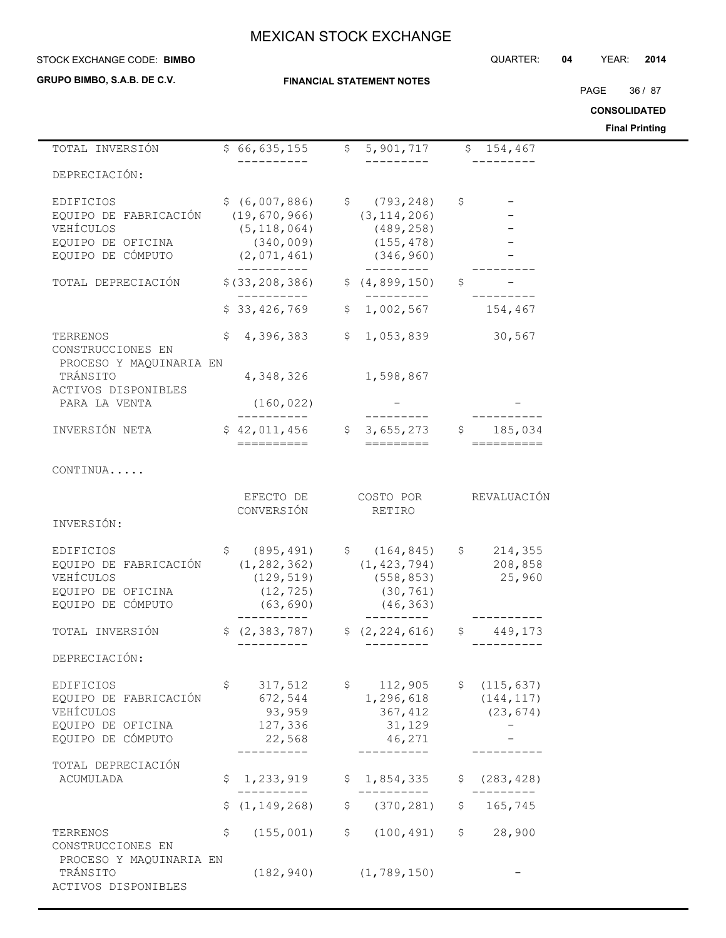**GRUPO BIMBO, S.A.B. DE C.V.**

## **FINANCIAL STATEMENT NOTES**

STOCK EXCHANGE CODE: QUARTER: **04** YEAR: **2014 BIMBO**

PAGE 36 / 87

**CONSOLIDATED**

**Final Printing**

| TOTAL INVERSIÓN                                                                           |              | \$66,635,155                                                                                                 |             | \$5,901,717                                                           |                | \$154,467                               |  |
|-------------------------------------------------------------------------------------------|--------------|--------------------------------------------------------------------------------------------------------------|-------------|-----------------------------------------------------------------------|----------------|-----------------------------------------|--|
| DEPRECIACIÓN:                                                                             |              |                                                                                                              |             |                                                                       |                |                                         |  |
| EDIFICIOS<br>EQUIPO DE FABRICACIÓN<br>VEHÍCULOS<br>EQUIPO DE OFICINA<br>EQUIPO DE CÓMPUTO |              | $$ (6,007,886)$ $$ (793,248)$<br>(19, 670, 966)<br>(5, 118, 064)<br>(340, 009)<br>(2,071,461)<br>----------- |             | (3, 114, 206)<br>(489, 258)<br>(155, 478)<br>(346, 960)<br>---------- | \$             |                                         |  |
| TOTAL DEPRECIACIÓN                                                                        |              | \$ (33, 208, 386)                                                                                            |             | \$(4, 899, 150)<br>----------                                         | \$             |                                         |  |
|                                                                                           |              | \$33,426,769                                                                                                 |             | \$1,002,567                                                           |                | 154,467                                 |  |
| TERRENOS<br>CONSTRUCCIONES EN                                                             | \$           | 4,396,383                                                                                                    |             | \$1,053,839                                                           |                | 30,567                                  |  |
| PROCESO Y MAQUINARIA EN<br>TRÁNSITO<br>ACTIVOS DISPONIBLES                                |              | 4,348,326                                                                                                    |             | 1,598,867                                                             |                |                                         |  |
| PARA LA VENTA                                                                             |              | (160, 022)                                                                                                   |             |                                                                       |                |                                         |  |
| INVERSIÓN NETA                                                                            |              | $$42,011,456$ $$3,655,273$ $$185,034$<br>==========                                                          |             | =========                                                             |                |                                         |  |
| CONTINUA                                                                                  |              |                                                                                                              |             |                                                                       |                |                                         |  |
| INVERSIÓN:                                                                                |              | EFECTO DE<br>CONVERSIÓN                                                                                      |             | COSTO POR<br>RETIRO                                                   |                | REVALUACIÓN                             |  |
| EDIFICIOS<br>EQUIPO DE FABRICACIÓN<br>VEHÍCULOS<br>EQUIPO DE OFICINA<br>EQUIPO DE CÓMPUTO | $\mathsf{S}$ | (895, 491)<br>(1, 282, 362)<br>(129, 519)<br>(12, 725)<br>(63, 690)                                          |             | \$(164, 845)<br>(1, 423, 794)<br>(558, 853)<br>(30, 761)<br>(46, 363) |                | \$214,355<br>208,858<br>25,960          |  |
| TOTAL INVERSIÓN                                                                           |              | -----------<br>\$ (2, 383, 787)                                                                              |             | \$(2, 224, 616)                                                       | $\mathfrak{S}$ | 449,173                                 |  |
| DEPRECIACIÓN:                                                                             |              |                                                                                                              |             |                                                                       |                |                                         |  |
| EDIFICIOS<br>EQUIPO DE FABRICACIÓN<br>VEHÍCULOS<br>EQUIPO DE OFICINA<br>EQUIPO DE CÓMPUTO | \$           | 317,512<br>672,544<br>93,959<br>127,336<br>22,568                                                            |             | \$112,905<br>1,296,618<br>367,412<br>31,129<br>46,271                 |                | \$(115, 637)<br>(144, 117)<br>(23, 674) |  |
| TOTAL DEPRECIACIÓN<br>ACUMULADA                                                           | \$           | 1,233,919                                                                                                    |             | \$1,854,335                                                           | \$.            | (283, 428)                              |  |
|                                                                                           | \$.          | (1, 149, 268)                                                                                                | \$          | (370, 281)                                                            | \$             | 165,745                                 |  |
| TERRENOS<br>CONSTRUCCIONES EN                                                             | \$           | (155, 001)                                                                                                   | $\varsigma$ | (100, 491)                                                            |                | \$28,900                                |  |
| PROCESO Y MAQUINARIA EN<br>TRÁNSITO<br>ACTIVOS DISPONIBLES                                |              | (182, 940)                                                                                                   |             | (1, 789, 150)                                                         |                |                                         |  |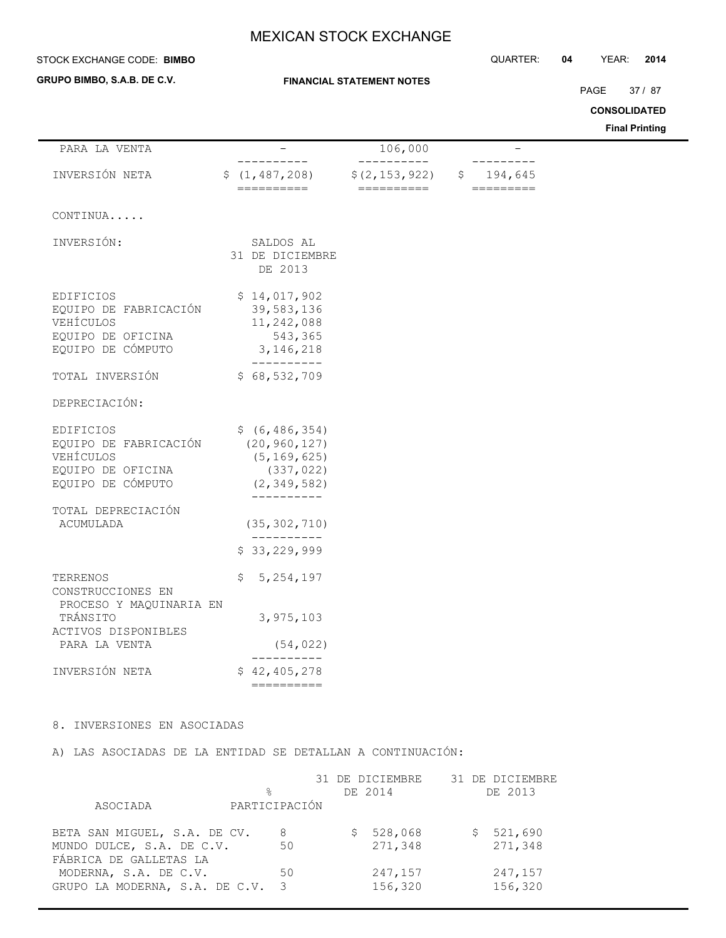## **STOCK EXCHANGE CODE: BIMBO**

**GRUPO BIMBO, S.A.B. DE C.V.**

 $\overline{\phantom{0}}$ 

## **FINANCIAL STATEMENT NOTES**

STOCK EXCHANGE CODE: QUARTER: **04** YEAR: **2014**

PAGE 37 / 87

**CONSOLIDATED**

**Final Printing**

| PARA LA VENTA                                              |                                         | 106,000         |               |
|------------------------------------------------------------|-----------------------------------------|-----------------|---------------|
| INVERSIÓN NETA                                             | \$(1, 487, 208)                         | \$(2, 153, 922) | 194,645<br>Ş. |
|                                                            | ==========                              | ==========      | =========     |
| CONTINUA                                                   |                                         |                 |               |
| INVERSIÓN:                                                 | SALDOS AL<br>31 DE DICIEMBRE<br>DE 2013 |                 |               |
|                                                            |                                         |                 |               |
| EDIFICIOS                                                  | \$14,017,902                            |                 |               |
| EQUIPO DE FABRICACIÓN<br>VEHÍCULOS                         | 39,583,136<br>11,242,088                |                 |               |
| EQUIPO DE OFICINA                                          | 543,365                                 |                 |               |
| EQUIPO DE CÓMPUTO                                          | 3, 146, 218                             |                 |               |
| TOTAL INVERSIÓN                                            | \$68,532,709                            |                 |               |
|                                                            |                                         |                 |               |
| DEPRECIACIÓN:                                              |                                         |                 |               |
| EDIFICIOS                                                  | \$ (6, 486, 354)                        |                 |               |
| EQUIPO DE FABRICACIÓN                                      | (20, 960, 127)                          |                 |               |
| VEHÍCULOS<br>EQUIPO DE OFICINA                             | (5, 169, 625)<br>(337, 022)             |                 |               |
| EQUIPO DE CÓMPUTO                                          | (2, 349, 582)                           |                 |               |
|                                                            |                                         |                 |               |
| TOTAL DEPRECIACIÓN<br>ACUMULADA                            | (35, 302, 710)                          |                 |               |
|                                                            |                                         |                 |               |
|                                                            | \$33,229,999                            |                 |               |
| TERRENOS<br>CONSTRUCCIONES EN                              | 5, 254, 197<br>\$.                      |                 |               |
| PROCESO Y MAQUINARIA EN<br>TRÁNSITO<br>ACTIVOS DISPONIBLES | 3,975,103                               |                 |               |
| PARA LA VENTA                                              | (54, 022)                               |                 |               |
| INVERSIÓN NETA                                             | \$42,405,278                            |                 |               |
|                                                            | ==========                              |                 |               |

## 8. INVERSIONES EN ASOCIADAS

A) LAS ASOCIADAS DE LA ENTIDAD SE DETALLAN A CONTINUACIÓN:

|                                |                         | 31 DE DICIEMBRE | 31 DE DICIEMBRE |
|--------------------------------|-------------------------|-----------------|-----------------|
|                                | ⊱                       | DE 2014         | DE 2013         |
| ASOCIADA                       | PARTICIPACIÓN           |                 |                 |
|                                |                         |                 |                 |
| BETA SAN MIGUEL, S.A. DE CV.   | 8                       | 528,068<br>S    | \$521,690       |
| MUNDO DULCE, S.A. DE C.V.      | 50                      | 271,348         | 271,348         |
| FÁBRICA DE GALLETAS LA         |                         |                 |                 |
| MODERNA, S.A. DE C.V.          | 50                      | 247,157         | 247,157         |
| GRUPO LA MODERNA, S.A. DE C.V. | $\overline{\mathbf{3}}$ | 156,320         | 156,320         |
|                                |                         |                 |                 |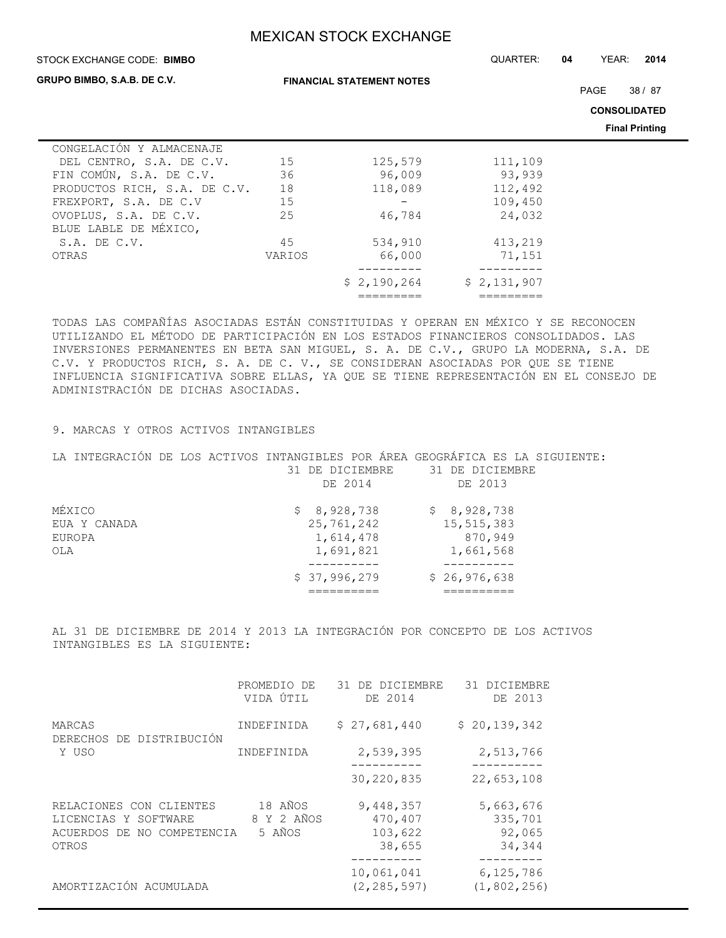### STOCK EXCHANGE CODE: QUARTER: **04** YEAR: **2014 BIMBO**

**GRUPO BIMBO, S.A.B. DE C.V.**

PAGE 38 / 87

**CONSOLIDATED**

**Final Printing**

| 15     | 125,579     | 111,109     |  |
|--------|-------------|-------------|--|
| 36     | 96,009      | 93,939      |  |
| 18     | 118,089     | 112,492     |  |
| 15     |             | 109,450     |  |
| 25     | 46,784      | 24,032      |  |
|        |             |             |  |
| 45     | 534,910     | 413,219     |  |
| VARIOS | 66,000      | 71,151      |  |
|        |             |             |  |
|        | \$2,190,264 | \$2,131,907 |  |
|        |             |             |  |
|        |             |             |  |

TODAS LAS COMPAÑÍAS ASOCIADAS ESTÁN CONSTITUIDAS Y OPERAN EN MÉXICO Y SE RECONOCEN UTILIZANDO EL MÉTODO DE PARTICIPACIÓN EN LOS ESTADOS FINANCIEROS CONSOLIDADOS. LAS INVERSIONES PERMANENTES EN BETA SAN MIGUEL, S. A. DE C.V., GRUPO LA MODERNA, S.A. DE C.V. Y PRODUCTOS RICH, S. A. DE C. V., SE CONSIDERAN ASOCIADAS POR QUE SE TIENE INFLUENCIA SIGNIFICATIVA SOBRE ELLAS, YA QUE SE TIENE REPRESENTACIÓN EN EL CONSEJO DE ADMINISTRACIÓN DE DICHAS ASOCIADAS.

## 9. MARCAS Y OTROS ACTIVOS INTANGIBLES

|     | LA INTEGRACIÓN DE LOS ACTIVOS INTANGIBLES POR ÁREA GEOGRÁFICA ES LA SIGUIENTE: |  |  |                 |  |                 |              |         |  |  |  |
|-----|--------------------------------------------------------------------------------|--|--|-----------------|--|-----------------|--------------|---------|--|--|--|
|     |                                                                                |  |  | 31 DE DICIEMBRE |  | 31 DE DICIEMBRE |              |         |  |  |  |
|     |                                                                                |  |  | DE 2014         |  |                 | DE 2013      |         |  |  |  |
|     | MÉXICO                                                                         |  |  | \$8,928,738     |  |                 | \$8,928,738  |         |  |  |  |
|     | EUA Y CANADA                                                                   |  |  | 25,761,242      |  |                 | 15,515,383   |         |  |  |  |
|     | EUROPA                                                                         |  |  | 1,614,478       |  |                 |              | 870,949 |  |  |  |
| OLA |                                                                                |  |  | 1,691,821       |  |                 | 1,661,568    |         |  |  |  |
|     |                                                                                |  |  |                 |  |                 |              |         |  |  |  |
|     |                                                                                |  |  | \$37,996,279    |  |                 | \$26,976,638 |         |  |  |  |
|     |                                                                                |  |  |                 |  |                 |              |         |  |  |  |

AL 31 DE DICIEMBRE DE 2014 Y 2013 LA INTEGRACIÓN POR CONCEPTO DE LOS ACTIVOS INTANGIBLES ES LA SIGUIENTE:

|                                                                                        | PROMEDIO DE<br>VIDA ÚTIL        | 31 DE DICIEMBRE<br>DE 2014                | 31 DICIEMBRE<br>DE 2013                  |
|----------------------------------------------------------------------------------------|---------------------------------|-------------------------------------------|------------------------------------------|
| MARCAS<br>DERECHOS DE DISTRIBUCIÓN<br>Y USO                                            | INDEFINIDA                      | \$27,681,440                              | \$20,139,342                             |
|                                                                                        | INDEFINIDA                      | 2,539,395                                 | 2,513,766                                |
|                                                                                        |                                 | 30,220,835                                | 22,653,108                               |
| RELACIONES CON CLIENTES<br>LICENCIAS Y SOFTWARE<br>ACUERDOS DE NO COMPETENCIA<br>OTROS | 18 AÑOS<br>8 Y 2 AÑOS<br>5 AÑOS | 9,448,357<br>470,407<br>103,622<br>38,655 | 5,663,676<br>335,701<br>92,065<br>34,344 |
|                                                                                        |                                 | 10,061,041                                | 6,125,786                                |
| AMORTIZACIÓN ACUMULADA                                                                 |                                 | (2, 285, 597)                             | (1, 802, 256)                            |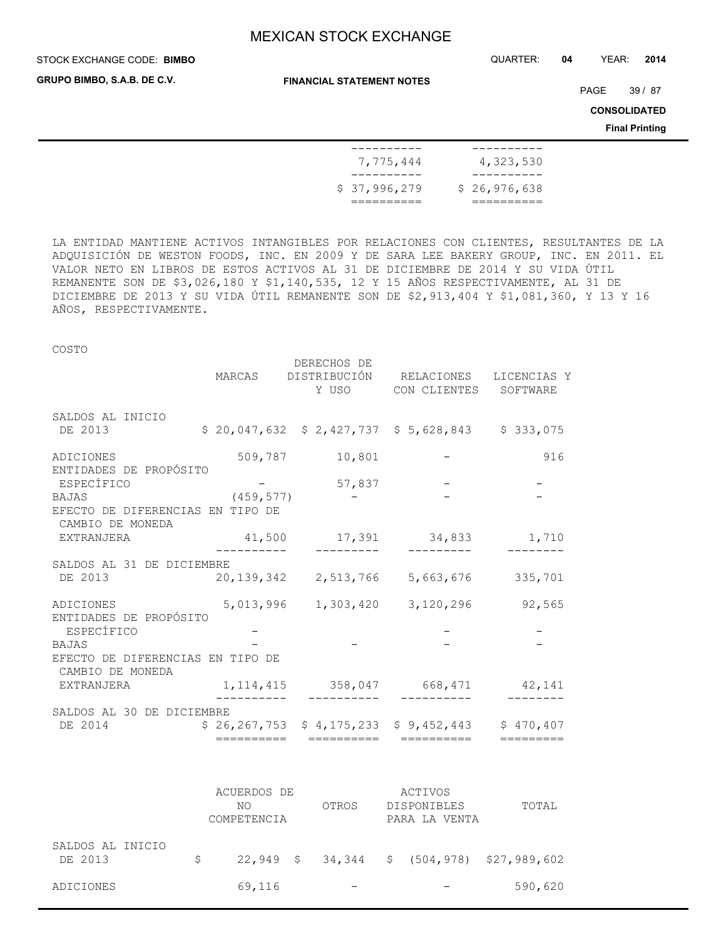STOCK EXCHANGE CODE: QUARTER: **04** YEAR: **2014 BIMBO**

**GRUPO BIMBO, S.A.B. DE C.V.**

**FINANCIAL STATEMENT NOTES**

PAGE 39 / 87

**CONSOLIDATED**

**Final Printing**

| ----------       |              |
|------------------|--------------|
| 7,775,444        | 4,323,530    |
| ---------        |              |
| \$37,996,279     | \$26,976,638 |
| ____<br>________ |              |

LA ENTIDAD MANTIENE ACTIVOS INTANGIBLES POR RELACIONES CON CLIENTES, RESULTANTES DE LA ADQUISICIÓN DE WESTON FOODS, INC. EN 2009 Y DE SARA LEE BAKERY GROUP, INC. EN 2011. EL VALOR NETO EN LIBROS DE ESTOS ACTIVOS AL 31 DE DICIEMBRE DE 2014 Y SU VIDA ÚTIL REMANENTE SON DE \$3,026,180 Y \$1,140,535, 12 Y 15 AÑOS RESPECTIVAMENTE, AL 31 DE DICIEMBRE DE 2013 Y SU VIDA ÚTIL REMANENTE SON DE \$2,913,404 Y \$1,081,360, Y 13 Y 16 AÑOS, RESPECTIVAMENTE.

## COSTO

|                                                      | MARCAS     | DERECHOS DE    | DISTRIBUCIÓN RELACIONES<br>Y USO CON CLIENTES SOFTWARE    | LICENCIAS Y |
|------------------------------------------------------|------------|----------------|-----------------------------------------------------------|-------------|
| SALDOS AL INICIO<br>DE 2013                          |            |                | $$20,047,632$ $$2,427,737$ $$5,628,843$ $$333,075$        |             |
| ADICIONES<br>ENTIDADES DE PROPÓSITO                  |            | 509,787 10,801 |                                                           | 916         |
| ESPECÍFICO                                           |            | 57,837         |                                                           |             |
| BAJAS                                                | (459, 577) |                |                                                           |             |
| EFECTO DE DIFERENCIAS EN TIPO DE<br>CAMBIO DE MONEDA |            |                |                                                           |             |
| EXTRANJERA                                           |            |                | 41,500 17,391 34,833 1,710                                |             |
| SALDOS AL 31 DE DICIEMBRE<br>DE 2013                 |            |                | 20,139,342  2,513,766  5,663,676  335,701                 |             |
| ADICIONES                                            |            |                | 5,013,996 1,303,420 3,120,296 92,565                      |             |
| ENTIDADES DE PROPÓSITO<br>ESPECÍFICO                 |            |                |                                                           |             |
| BAJAS                                                |            |                |                                                           |             |
| EFECTO DE DIFERENCIAS EN TIPO DE<br>CAMBIO DE MONEDA |            |                |                                                           |             |
| EXTRANJERA                                           |            |                | 1, 114, 415 358, 047 668, 471 42, 141                     |             |
| SALDOS AL 30 DE DICIEMBRE                            |            |                |                                                           |             |
| DE 2014                                              |            |                | $$26, 267, 753$ $$4, 175, 233$ $$9, 452, 443$ $$470, 407$ |             |
|                                                      | ========== | ===========    | ==========                                                | =========   |

|                             |   | ACUERDOS DE<br>NΟ<br>COMPETENCIA | OTROS | ACTIVOS<br><b>DISPONIBLES</b><br>PARA LA VENTA | TOTAL                                      |
|-----------------------------|---|----------------------------------|-------|------------------------------------------------|--------------------------------------------|
| SALDOS AL INICIO<br>DE 2013 | S |                                  |       |                                                | 22,949 \$ 34,344 \$ (504,978) \$27,989,602 |
| ADICIONES                   |   | 69,116                           |       |                                                | 590,620                                    |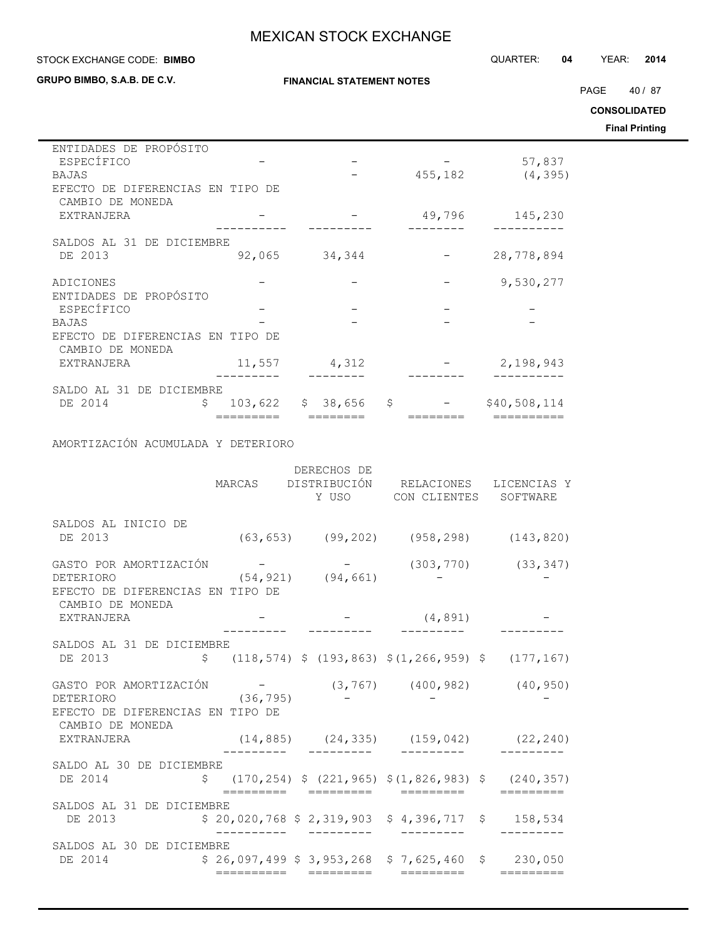**FINANCIAL STATEMENT NOTES**

### STOCK EXCHANGE CODE: QUARTER: **04** YEAR: **2014 BIMBO**

**GRUPO BIMBO, S.A.B. DE C.V.**

 $\overline{\phantom{0}}$ 

PAGE 40 / 87

**CONSOLIDATED**

**Final Printing**

| ENTIDADES DE PROPÓSITO                     |               |              |         |              |
|--------------------------------------------|---------------|--------------|---------|--------------|
| ESPECÍFICO                                 |               |              |         | 57,837       |
| <b>BAJAS</b>                               |               |              | 455,182 | (4, 395)     |
| DE DIFERENCIAS EN TIPO DE<br>EFECTO        |               |              |         |              |
| CAMBIO DE MONEDA                           |               |              |         |              |
| EXTRANJERA                                 |               |              | 49,796  | 145,230      |
|                                            |               |              |         |              |
| SALDOS AL 31 DE DICIEMBRE                  |               |              |         |              |
| DE 2013                                    | 92,065        | 34,344       |         | 28,778,894   |
|                                            |               |              |         |              |
| ADICIONES                                  |               |              |         | 9,530,277    |
| ENTIDADES DE PROPÓSITO                     |               |              |         |              |
| ESPECÍFICO                                 |               |              |         |              |
| <b>BAJAS</b>                               |               |              |         |              |
| DE DIFERENCIAS EN TIPO DE<br><b>EFECTO</b> |               |              |         |              |
| CAMBIO DE MONEDA                           |               |              |         |              |
| EXTRANJERA                                 | 11,557        | 4,312        |         | 2,198,943    |
|                                            |               |              |         |              |
| SALDO AL 31 DE DICIEMBRE                   |               |              |         |              |
| DE 2014                                    | \$<br>103,622 | \$<br>38,656 | \$      | \$40,508,114 |
|                                            |               |              |         |              |

## AMORTIZACIÓN ACUMULADA Y DETERIORO

|                                                                                                                        |  | DERECHOS DE          | Y USO CON CLIENTES SOFTWARE                        | MARCAS DISTRIBUCIÓN RELACIONES LICENCIAS Y        |
|------------------------------------------------------------------------------------------------------------------------|--|----------------------|----------------------------------------------------|---------------------------------------------------|
| SALDOS AL INICIO DE<br>DE 2013                                                                                         |  |                      |                                                    | $(63, 653)$ $(99, 202)$ $(958, 298)$ $(143, 820)$ |
| GASTO POR AMORTIZACIÓN<br>$(54, 921)$ $(94, 661)$<br>DETERIORO<br>EFECTO DE DIFERENCIAS EN TIPO DE<br>CAMBIO DE MONEDA |  |                      |                                                    | $  (303, 770)$ $(33, 347)$                        |
| EXTRANJERA                                                                                                             |  |                      | $    (4, 891)$<br>-------- -------- ---------      |                                                   |
| SALDOS AL 31 DE DICIEMBRE                                                                                              |  |                      |                                                    |                                                   |
| GASTO POR AMORTIZACIÓN -<br>(36, 795)<br>DETERIORO<br>EFECTO DE DIFERENCIAS EN TIPO DE<br>CAMBIO DE MONEDA             |  |                      |                                                    | $(3, 767)$ $(400, 982)$ $(40, 950)$               |
| EXTRANJERA                                                                                                             |  |                      |                                                    | $(14, 885)$ $(24, 335)$ $(159, 042)$ $(22, 240)$  |
| SALDO AL 30 DE DICIEMBRE<br>DE 2014 \$ (170,254) \$ (221,965) \$ (1,826,983) \$ (240,357)                              |  | =========  ========= | =========                                          |                                                   |
| SALDOS AL 31 DE DICIEMBRE<br>DE 2013                                                                                   |  |                      | $$20,020,768 $2,319,903 $4,396,717 $158,534$       |                                                   |
| SALDOS AL 30 DE DICIEMBRE<br>DE 2014                                                                                   |  |                      | $$26,097,499$ $$3,953,268$ $$7,625,460$ $$230,050$ |                                                   |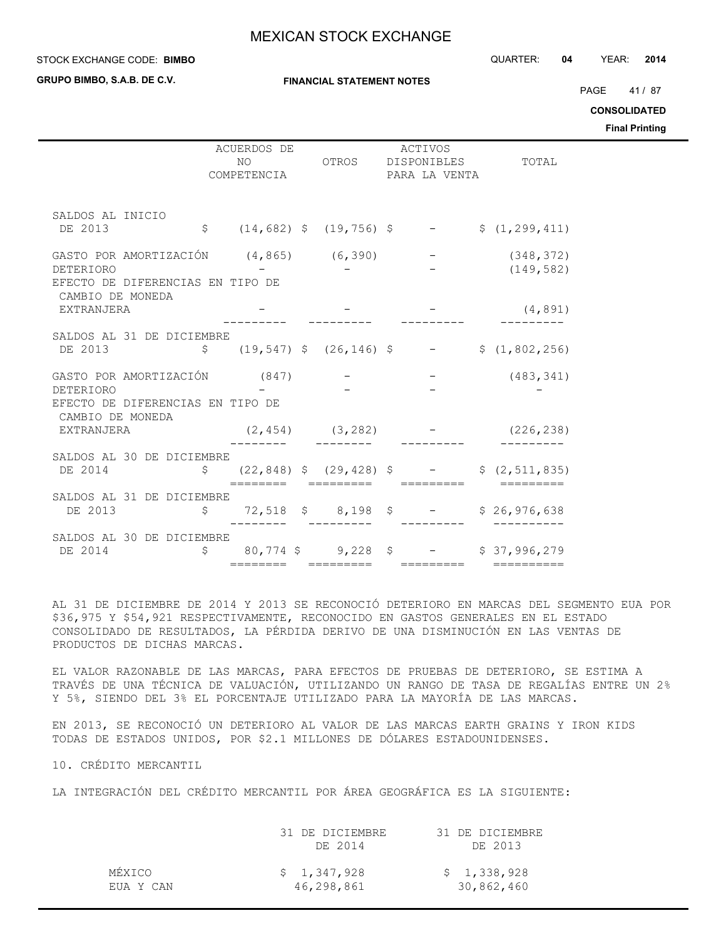**GRUPO BIMBO, S.A.B. DE C.V.**

**FINANCIAL STATEMENT NOTES**

PAGE 41/87

**CONSOLIDATED**

**Final Printing**

|                                                                          | ACUERDOS DE<br>NO |  | ACTIVOS<br>OTROS DISPONIBLES TOTAL |                                                                                                       |  |
|--------------------------------------------------------------------------|-------------------|--|------------------------------------|-------------------------------------------------------------------------------------------------------|--|
|                                                                          | COMPETENCIA       |  | PARA LA VENTA                      |                                                                                                       |  |
| SALDOS AL INICIO                                                         |                   |  |                                    |                                                                                                       |  |
| DE 2013                                                                  |                   |  |                                    | $\frac{1}{2}$ (14,682) $\frac{1}{2}$ (19,756) $\frac{1}{2}$ - $\frac{1}{2}$ (1,299,411)               |  |
| GASTO POR AMORTIZACIÓN $(4, 865)$ $(6, 390)$ -                           |                   |  |                                    | (348, 372)                                                                                            |  |
| <b>DETERIORO</b><br>EFECTO DE DIFERENCIAS EN TIPO DE<br>CAMBIO DE MONEDA |                   |  |                                    | (149, 582)                                                                                            |  |
| EXTRANJERA                                                               |                   |  |                                    | (4, 891)                                                                                              |  |
| SALDOS AL 31 DE DICIEMBRE                                                |                   |  |                                    |                                                                                                       |  |
| DE 2013 $\zeta$ (19,547) $\zeta$ (26,146) $\zeta$ - $\zeta$ (1,802,256)  |                   |  |                                    |                                                                                                       |  |
| GASTO POR AMORTIZACIÓN (847) –                                           |                   |  |                                    | $-$ (483, 341)                                                                                        |  |
| DETERIORO<br>EFECTO DE DIFERENCIAS EN TIPO DE<br>CAMBIO DE MONEDA        |                   |  |                                    |                                                                                                       |  |
| EXTRANJERA                                                               |                   |  |                                    | $(2, 454)$ $(3, 282)$ - $(226, 238)$                                                                  |  |
| SALDOS AL 30 DE DICIEMBRE                                                |                   |  |                                    |                                                                                                       |  |
| DE 2014                                                                  |                   |  |                                    | $\frac{1}{2}$ (22,848) $\frac{1}{2}$ (29,428) $\frac{1}{2}$ - $\frac{1}{2}$ (2,511,835)<br>========== |  |
| SALDOS AL 31 DE DICIEMBRE                                                |                   |  |                                    |                                                                                                       |  |
| DE 2013                                                                  |                   |  |                                    | $$72,518$ \$ 8,198 \$ - \$ 26,976,638                                                                 |  |
| SALDOS AL 30 DE DICIEMBRE                                                |                   |  |                                    |                                                                                                       |  |
| DE 2014                                                                  |                   |  |                                    | $$80,774$ \$9,228 \$ - \$37,996,279                                                                   |  |

AL 31 DE DICIEMBRE DE 2014 Y 2013 SE RECONOCIÓ DETERIORO EN MARCAS DEL SEGMENTO EUA POR \$36,975 Y \$54,921 RESPECTIVAMENTE, RECONOCIDO EN GASTOS GENERALES EN EL ESTADO CONSOLIDADO DE RESULTADOS, LA PÉRDIDA DERIVO DE UNA DISMINUCIÓN EN LAS VENTAS DE PRODUCTOS DE DICHAS MARCAS.

EL VALOR RAZONABLE DE LAS MARCAS, PARA EFECTOS DE PRUEBAS DE DETERIORO, SE ESTIMA A TRAVÉS DE UNA TÉCNICA DE VALUACIÓN, UTILIZANDO UN RANGO DE TASA DE REGALÍAS ENTRE UN 2% Y 5%, SIENDO DEL 3% EL PORCENTAJE UTILIZADO PARA LA MAYORÍA DE LAS MARCAS.

EN 2013, SE RECONOCIÓ UN DETERIORO AL VALOR DE LAS MARCAS EARTH GRAINS Y IRON KIDS TODAS DE ESTADOS UNIDOS, POR \$2.1 MILLONES DE DÓLARES ESTADOUNIDENSES.

10. CRÉDITO MERCANTIL

LA INTEGRACIÓN DEL CRÉDITO MERCANTIL POR ÁREA GEOGRÁFICA ES LA SIGUIENTE:

|           | 31 DE DICIEMBRE<br>DE 2014 | 31 DE DICIEMBRE<br>DE 2013 |
|-----------|----------------------------|----------------------------|
| MÉXICO    | \$1,347,928                | \$1,338,928                |
| EUA Y CAN | 46,298,861                 | 30,862,460                 |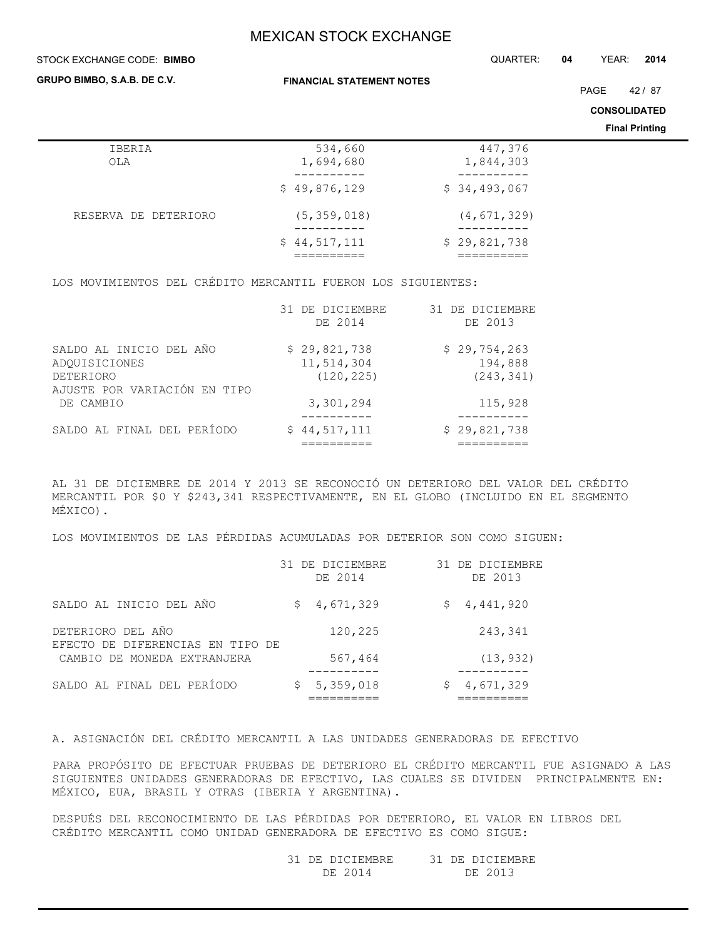STOCK EXCHANGE CODE: QUARTER: **04** YEAR: **2014 BIMBO**

| GRUPO BIMBO, S.A.B. DE C.V. |                            | <b>FINANCIAL STATEMENT NOTES</b> |  |                       |  |  |  |
|-----------------------------|----------------------------|----------------------------------|--|-----------------------|--|--|--|
|                             |                            |                                  |  | <b>CONSOLIDATED</b>   |  |  |  |
|                             |                            |                                  |  | <b>Final Printing</b> |  |  |  |
| IBERIA<br>OLA               | 534,660<br>1,694,680       | 447,376<br>1,844,303             |  |                       |  |  |  |
|                             | \$49,876,129               | \$34,493,067                     |  |                       |  |  |  |
| RESERVA DE DETERIORO        | (5, 359, 018)<br>--------- | (4, 671, 329)<br>----------      |  |                       |  |  |  |
|                             | \$44,517,111               | \$29,821,738                     |  |                       |  |  |  |

LOS MOVIMIENTOS DEL CRÉDITO MERCANTIL FUERON LOS SIGUIENTES:

|                                                                                       | 31 DE DICIEMBRE<br>DE 2014               | 31 DE DICIEMBRE<br>DE 2013            |
|---------------------------------------------------------------------------------------|------------------------------------------|---------------------------------------|
| SALDO AL INICIO DEL AÑO<br>ADOUISICIONES<br>DETERIORO<br>AJUSTE POR VARIACIÓN EN TIPO | \$29,821,738<br>11,514,304<br>(120, 225) | \$29,754,263<br>194,888<br>(243, 341) |
| DE CAMBIO                                                                             | 3,301,294                                | 115,928                               |
| SALDO AL FINAL DEL PERÍODO                                                            | \$44,517,111                             | \$29,821,738                          |

AL 31 DE DICIEMBRE DE 2014 Y 2013 SE RECONOCIÓ UN DETERIORO DEL VALOR DEL CRÉDITO MERCANTIL POR \$0 Y \$243,341 RESPECTIVAMENTE, EN EL GLOBO (INCLUIDO EN EL SEGMENTO MÉXICO).

LOS MOVIMIENTOS DE LAS PÉRDIDAS ACUMULADAS POR DETERIOR SON COMO SIGUEN:

|                                                       | 31 DE DICIEMBRE<br>DE 2014 | 31 DE DICIEMBRE<br>DE 2013 |
|-------------------------------------------------------|----------------------------|----------------------------|
| SALDO AL INICIO DEL AÑO                               | 4,671,329<br>\$.           | \$4,441,920                |
| DETERIORO DEL AÑO<br>EFECTO DE DIFERENCIAS EN TIPO DE | 120,225                    | 243,341                    |
| CAMBIO DE MONEDA EXTRANJERA                           | 567,464                    | (13, 932)                  |
| SALDO AL FINAL DEL PERÍODO                            | \$5,359,018                | 4,671,329                  |

A. ASIGNACIÓN DEL CRÉDITO MERCANTIL A LAS UNIDADES GENERADORAS DE EFECTIVO

PARA PROPÓSITO DE EFECTUAR PRUEBAS DE DETERIORO EL CRÉDITO MERCANTIL FUE ASIGNADO A LAS SIGUIENTES UNIDADES GENERADORAS DE EFECTIVO, LAS CUALES SE DIVIDEN PRINCIPALMENTE EN: MÉXICO, EUA, BRASIL Y OTRAS (IBERIA Y ARGENTINA).

DESPUÉS DEL RECONOCIMIENTO DE LAS PÉRDIDAS POR DETERIORO, EL VALOR EN LIBROS DEL CRÉDITO MERCANTIL COMO UNIDAD GENERADORA DE EFECTIVO ES COMO SIGUE:

> 31 DE DICIEMBRE 31 DE DICIEMBRE DE 2014 DE 2013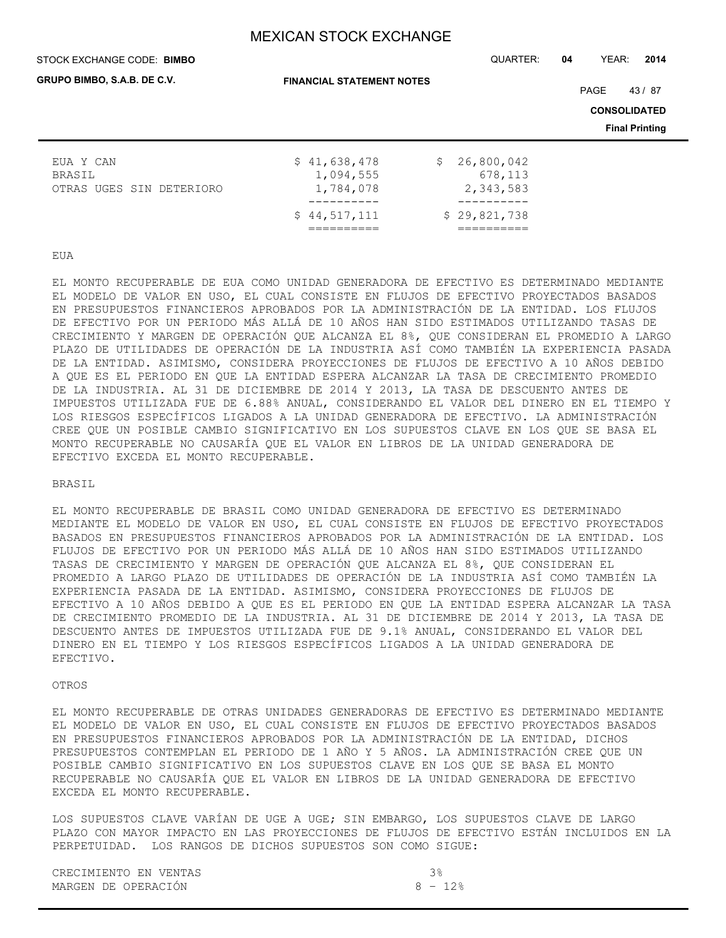### STOCK EXCHANGE CODE: QUARTER: **04** YEAR: **2014 BIMBO**

**FINANCIAL STATEMENT NOTES**

PAGE 43/87

**CONSOLIDATED**

**Final Printing**

|                          | \$44.517.111 | \$29,821,738 |
|--------------------------|--------------|--------------|
|                          |              |              |
| OTRAS UGES SIN DETERIORO | 1,784,078    | 2,343,583    |
| BRASIL                   | 1,094,555    | 678,113      |
| EUA Y CAN                | \$41,638,478 | \$26,800,042 |
|                          |              |              |

EUA

EL MONTO RECUPERABLE DE EUA COMO UNIDAD GENERADORA DE EFECTIVO ES DETERMINADO MEDIANTE EL MODELO DE VALOR EN USO, EL CUAL CONSISTE EN FLUJOS DE EFECTIVO PROYECTADOS BASADOS EN PRESUPUESTOS FINANCIEROS APROBADOS POR LA ADMINISTRACIÓN DE LA ENTIDAD. LOS FLUJOS DE EFECTIVO POR UN PERIODO MÁS ALLÁ DE 10 AÑOS HAN SIDO ESTIMADOS UTILIZANDO TASAS DE CRECIMIENTO Y MARGEN DE OPERACIÓN QUE ALCANZA EL 8%, QUE CONSIDERAN EL PROMEDIO A LARGO PLAZO DE UTILIDADES DE OPERACIÓN DE LA INDUSTRIA ASÍ COMO TAMBIÉN LA EXPERIENCIA PASADA DE LA ENTIDAD. ASIMISMO, CONSIDERA PROYECCIONES DE FLUJOS DE EFECTIVO A 10 AÑOS DEBIDO A QUE ES EL PERIODO EN QUE LA ENTIDAD ESPERA ALCANZAR LA TASA DE CRECIMIENTO PROMEDIO DE LA INDUSTRIA. AL 31 DE DICIEMBRE DE 2014 Y 2013, LA TASA DE DESCUENTO ANTES DE IMPUESTOS UTILIZADA FUE DE 6.88% ANUAL, CONSIDERANDO EL VALOR DEL DINERO EN EL TIEMPO Y LOS RIESGOS ESPECÍFICOS LIGADOS A LA UNIDAD GENERADORA DE EFECTIVO. LA ADMINISTRACIÓN CREE QUE UN POSIBLE CAMBIO SIGNIFICATIVO EN LOS SUPUESTOS CLAVE EN LOS QUE SE BASA EL MONTO RECUPERABLE NO CAUSARÍA QUE EL VALOR EN LIBROS DE LA UNIDAD GENERADORA DE EFECTIVO EXCEDA EL MONTO RECUPERABLE.

### BRASIL

EL MONTO RECUPERABLE DE BRASIL COMO UNIDAD GENERADORA DE EFECTIVO ES DETERMINADO MEDIANTE EL MODELO DE VALOR EN USO, EL CUAL CONSISTE EN FLUJOS DE EFECTIVO PROYECTADOS BASADOS EN PRESUPUESTOS FINANCIEROS APROBADOS POR LA ADMINISTRACIÓN DE LA ENTIDAD. LOS FLUJOS DE EFECTIVO POR UN PERIODO MÁS ALLÁ DE 10 AÑOS HAN SIDO ESTIMADOS UTILIZANDO TASAS DE CRECIMIENTO Y MARGEN DE OPERACIÓN QUE ALCANZA EL 8%, QUE CONSIDERAN EL PROMEDIO A LARGO PLAZO DE UTILIDADES DE OPERACIÓN DE LA INDUSTRIA ASÍ COMO TAMBIÉN LA EXPERIENCIA PASADA DE LA ENTIDAD. ASIMISMO, CONSIDERA PROYECCIONES DE FLUJOS DE EFECTIVO A 10 AÑOS DEBIDO A QUE ES EL PERIODO EN QUE LA ENTIDAD ESPERA ALCANZAR LA TASA DE CRECIMIENTO PROMEDIO DE LA INDUSTRIA. AL 31 DE DICIEMBRE DE 2014 Y 2013, LA TASA DE DESCUENTO ANTES DE IMPUESTOS UTILIZADA FUE DE 9.1% ANUAL, CONSIDERANDO EL VALOR DEL DINERO EN EL TIEMPO Y LOS RIESGOS ESPECÍFICOS LIGADOS A LA UNIDAD GENERADORA DE EFECTIVO.

## OTROS

EL MONTO RECUPERABLE DE OTRAS UNIDADES GENERADORAS DE EFECTIVO ES DETERMINADO MEDIANTE EL MODELO DE VALOR EN USO, EL CUAL CONSISTE EN FLUJOS DE EFECTIVO PROYECTADOS BASADOS EN PRESUPUESTOS FINANCIEROS APROBADOS POR LA ADMINISTRACIÓN DE LA ENTIDAD, DICHOS PRESUPUESTOS CONTEMPLAN EL PERIODO DE 1 AÑO Y 5 AÑOS. LA ADMINISTRACIÓN CREE QUE UN POSIBLE CAMBIO SIGNIFICATIVO EN LOS SUPUESTOS CLAVE EN LOS QUE SE BASA EL MONTO RECUPERABLE NO CAUSARÍA QUE EL VALOR EN LIBROS DE LA UNIDAD GENERADORA DE EFECTIVO EXCEDA EL MONTO RECUPERABLE.

LOS SUPUESTOS CLAVE VARÍAN DE UGE A UGE; SIN EMBARGO, LOS SUPUESTOS CLAVE DE LARGO PLAZO CON MAYOR IMPACTO EN LAS PROYECCIONES DE FLUJOS DE EFECTIVO ESTÁN INCLUIDOS EN LA PERPETUIDAD. LOS RANGOS DE DICHOS SUPUESTOS SON COMO SIGUE:

| CRECIMIENTO EN VENTAS |          |
|-----------------------|----------|
| MARGEN DE OPERACIÓN   | $8 - 12$ |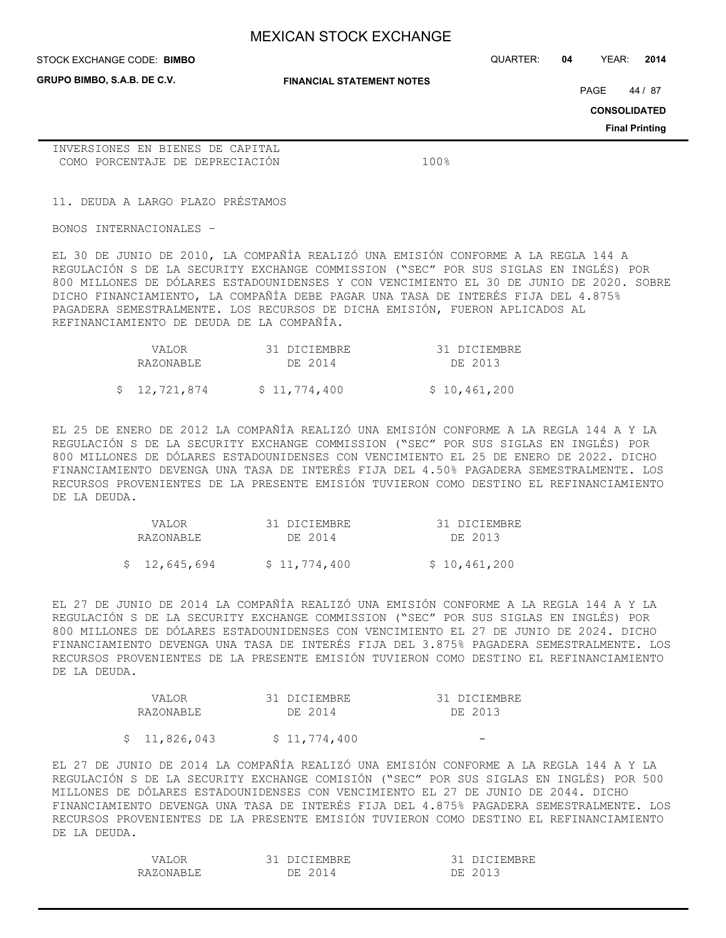**GRUPO BIMBO, S.A.B. DE C.V.**

STOCK EXCHANGE CODE: QUARTER: **04** YEAR: **2014 BIMBO**

**FINANCIAL STATEMENT NOTES**

PAGE 44 / 87

**CONSOLIDATED**

**Final Printing**

INVERSIONES EN BIENES DE CAPITAL COMO PORCENTAJE DE DEPRECIACIÓN 100%

11. DEUDA A LARGO PLAZO PRÉSTAMOS

BONOS INTERNACIONALES –

EL 30 DE JUNIO DE 2010, LA COMPAÑÍA REALIZÓ UNA EMISIÓN CONFORME A LA REGLA 144 A REGULACIÓN S DE LA SECURITY EXCHANGE COMMISSION ("SEC" POR SUS SIGLAS EN INGLÉS) POR 800 MILLONES DE DÓLARES ESTADOUNIDENSES Y CON VENCIMIENTO EL 30 DE JUNIO DE 2020. SOBRE DICHO FINANCIAMIENTO, LA COMPAÑÍA DEBE PAGAR UNA TASA DE INTERÉS FIJA DEL 4.875% PAGADERA SEMESTRALMENTE. LOS RECURSOS DE DICHA EMISIÓN, FUERON APLICADOS AL REFINANCIAMIENTO DE DEUDA DE LA COMPAÑÍA.

|  | VALOR        | 31 DICIEMBRE | 31 DICIEMBRE |
|--|--------------|--------------|--------------|
|  | RAZONABLE    | DE 2014      | DE 2013      |
|  | \$12,721,874 | \$11,774,400 | \$10,461,200 |

EL 25 DE ENERO DE 2012 LA COMPAÑÍA REALIZÓ UNA EMISIÓN CONFORME A LA REGLA 144 A Y LA REGULACIÓN S DE LA SECURITY EXCHANGE COMMISSION ("SEC" POR SUS SIGLAS EN INGLÉS) POR 800 MILLONES DE DÓLARES ESTADOUNIDENSES CON VENCIMIENTO EL 25 DE ENERO DE 2022. DICHO FINANCIAMIENTO DEVENGA UNA TASA DE INTERÉS FIJA DEL 4.50% PAGADERA SEMESTRALMENTE. LOS RECURSOS PROVENIENTES DE LA PRESENTE EMISIÓN TUVIERON COMO DESTINO EL REFINANCIAMIENTO DE LA DEUDA.

| <b>VALOR</b>  | 31 DICIEMBRE | 31 DICIEMBRE |
|---------------|--------------|--------------|
| RAZONABLE     | DE 2014      | DE 2013      |
| \$ 12,645,694 | \$11,774,400 | \$10,461,200 |

EL 27 DE JUNIO DE 2014 LA COMPAÑÍA REALIZÓ UNA EMISIÓN CONFORME A LA REGLA 144 A Y LA REGULACIÓN S DE LA SECURITY EXCHANGE COMMISSION ("SEC" POR SUS SIGLAS EN INGLÉS) POR 800 MILLONES DE DÓLARES ESTADOUNIDENSES CON VENCIMIENTO EL 27 DE JUNIO DE 2024. DICHO FINANCIAMIENTO DEVENGA UNA TASA DE INTERÉS FIJA DEL 3.875% PAGADERA SEMESTRALMENTE. LOS RECURSOS PROVENIENTES DE LA PRESENTE EMISIÓN TUVIERON COMO DESTINO EL REFINANCIAMIENTO DE LA DEUDA.

| VALOR     | 31 DICIEMBRE | 31 DICIEMBRE |
|-----------|--------------|--------------|
| RAZONABLE | DE 2014      | DE 2013      |
|           |              |              |

 $$ 11,826,043 \qquad $ 11,774,400$ 

EL 27 DE JUNIO DE 2014 LA COMPAÑÍA REALIZÓ UNA EMISIÓN CONFORME A LA REGLA 144 A Y LA REGULACIÓN S DE LA SECURITY EXCHANGE COMISIÓN ("SEC" POR SUS SIGLAS EN INGLÉS) POR 500 MILLONES DE DÓLARES ESTADOUNIDENSES CON VENCIMIENTO EL 27 DE JUNIO DE 2044. DICHO FINANCIAMIENTO DEVENGA UNA TASA DE INTERÉS FIJA DEL 4.875% PAGADERA SEMESTRALMENTE. LOS RECURSOS PROVENIENTES DE LA PRESENTE EMISIÓN TUVIERON COMO DESTINO EL REFINANCIAMIENTO DE LA DEUDA.

| A                  | $\sim$ $\sim$   | $\sim$ $\sim$  |
|--------------------|-----------------|----------------|
| .                  | IEMBRE          | IEMBRE         |
| ∩NARI.E<br>R A 7.0 | 7F.<br>$\Delta$ | , , , ,<br>ר ∩ |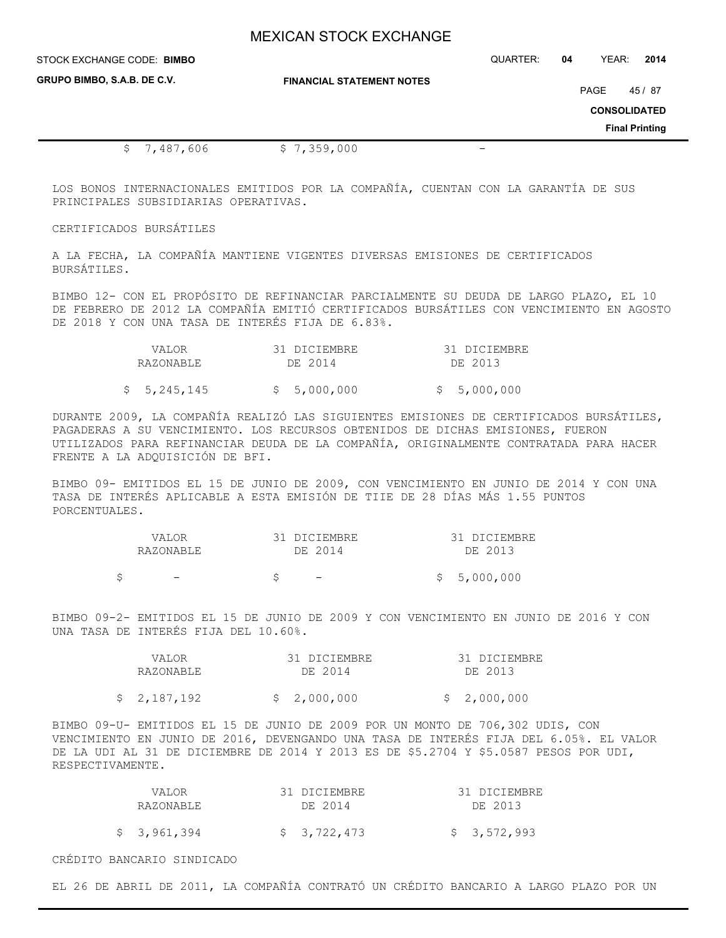| STOCK EXCHANGE CODE: BIMBO         |                                  | QUARTER: | 04   | YEAR:                 | 2014  |
|------------------------------------|----------------------------------|----------|------|-----------------------|-------|
| <b>GRUPO BIMBO, S.A.B. DE C.V.</b> | <b>FINANCIAL STATEMENT NOTES</b> |          | PAGE | <b>CONSOLIDATED</b>   | 45/87 |
|                                    |                                  |          |      | <b>Final Printing</b> |       |
| 487,606"                           | \$7,359,000                      |          |      |                       |       |

LOS BONOS INTERNACIONALES EMITIDOS POR LA COMPAÑÍA, CUENTAN CON LA GARANTÍA DE SUS PRINCIPALES SUBSIDIARIAS OPERATIVAS.

### CERTIFICADOS BURSÁTILES

A LA FECHA, LA COMPAÑÍA MANTIENE VIGENTES DIVERSAS EMISIONES DE CERTIFICADOS BURSÁTILES.

BIMBO 12- CON EL PROPÓSITO DE REFINANCIAR PARCIALMENTE SU DEUDA DE LARGO PLAZO, EL 10 DE FEBRERO DE 2012 LA COMPAÑÍA EMITIÓ CERTIFICADOS BURSÁTILES CON VENCIMIENTO EN AGOSTO DE 2018 Y CON UNA TASA DE INTERÉS FIJA DE 6.83%.

| VALOR       | 31 DICIEMBRE | 31 DICIEMBRE |
|-------------|--------------|--------------|
| RAZONABLE   | DE 2014      | DE 2013      |
| \$5,245,145 | \$5,000,000  | \$5,000,000  |

DURANTE 2009, LA COMPAÑÍA REALIZÓ LAS SIGUIENTES EMISIONES DE CERTIFICADOS BURSÁTILES, PAGADERAS A SU VENCIMIENTO. LOS RECURSOS OBTENIDOS DE DICHAS EMISIONES, FUERON UTILIZADOS PARA REFINANCIAR DEUDA DE LA COMPAÑÍA, ORIGINALMENTE CONTRATADA PARA HACER FRENTE A LA ADQUISICIÓN DE BFI.

BIMBO 09- EMITIDOS EL 15 DE JUNIO DE 2009, CON VENCIMIENTO EN JUNIO DE 2014 Y CON UNA TASA DE INTERÉS APLICABLE A ESTA EMISIÓN DE TIIE DE 28 DÍAS MÁS 1.55 PUNTOS PORCENTUALES.

| VALOR | RAZONABLE                |  | 31 DICIEMBRE<br>DE 2014 | 31 DICIEMBRE<br>DE 2013 |
|-------|--------------------------|--|-------------------------|-------------------------|
|       | $\overline{\phantom{0}}$ |  |                         | \$5,000,000             |

BIMBO 09-2- EMITIDOS EL 15 DE JUNIO DE 2009 Y CON VENCIMIENTO EN JUNIO DE 2016 Y CON UNA TASA DE INTERÉS FIJA DEL 10.60%.

| VALOR       | 31 DICIEMBRE | 31 DICIEMBRE |
|-------------|--------------|--------------|
| RAZONABLE   | DE 2014      | DE 2013      |
| \$2,187,192 | \$2,000,000  | \$2,000,000  |

BIMBO 09-U- EMITIDOS EL 15 DE JUNIO DE 2009 POR UN MONTO DE 706,302 UDIS, CON VENCIMIENTO EN JUNIO DE 2016, DEVENGANDO UNA TASA DE INTERÉS FIJA DEL 6.05%. EL VALOR DE LA UDI AL 31 DE DICIEMBRE DE 2014 Y 2013 ES DE \$5.2704 Y \$5.0587 PESOS POR UDI, RESPECTIVAMENTE.

| VALOR       | 31 DICIEMBRE | 31 DICIEMBRE |
|-------------|--------------|--------------|
| RAZONABLE   | DE 2014      | DE 2013      |
|             |              |              |
| \$3,961,394 | \$3,722,473  | \$3,572,993  |

CRÉDITO BANCARIO SINDICADO

EL 26 DE ABRIL DE 2011, LA COMPAÑÍA CONTRATÓ UN CRÉDITO BANCARIO A LARGO PLAZO POR UN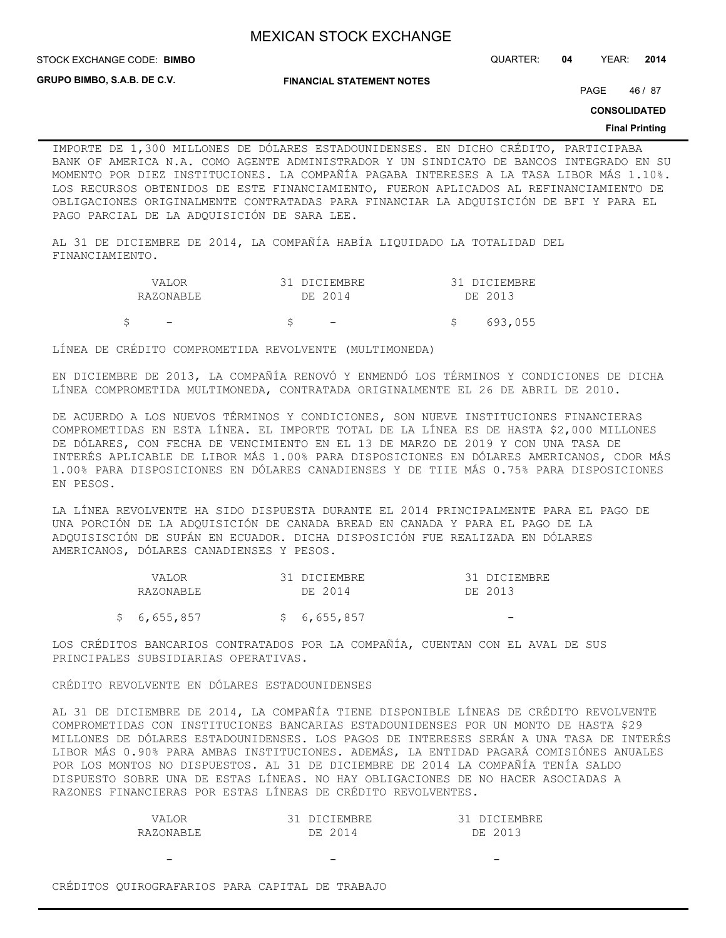STOCK EXCHANGE CODE: QUARTER: **04** YEAR: **2014 BIMBO**

**GRUPO BIMBO, S.A.B. DE C.V.**

**FINANCIAL STATEMENT NOTES**

PAGE 46 / 87

**CONSOLIDATED**

### **Final Printing**

IMPORTE DE 1,300 MILLONES DE DÓLARES ESTADOUNIDENSES. EN DICHO CRÉDITO, PARTICIPABA BANK OF AMERICA N.A. COMO AGENTE ADMINISTRADOR Y UN SINDICATO DE BANCOS INTEGRADO EN SU MOMENTO POR DIEZ INSTITUCIONES. LA COMPAÑÍA PAGABA INTERESES A LA TASA LIBOR MÁS 1.10%. LOS RECURSOS OBTENIDOS DE ESTE FINANCIAMIENTO, FUERON APLICADOS AL REFINANCIAMIENTO DE OBLIGACIONES ORIGINALMENTE CONTRATADAS PARA FINANCIAR LA ADQUISICIÓN DE BFI Y PARA EL PAGO PARCIAL DE LA ADQUISICIÓN DE SARA LEE.

AL 31 DE DICIEMBRE DE 2014, LA COMPAÑÍA HABÍA LIQUIDADO LA TOTALIDAD DEL FINANCIAMIENTO.

| VALOR                    | 31 DICIEMBRE             | 31 DICIEMBRE |
|--------------------------|--------------------------|--------------|
| RAZONABLE                | DE 2014                  | DE 2013      |
| $\overline{\phantom{0}}$ | $\overline{\phantom{0}}$ | 693.055      |

LÍNEA DE CRÉDITO COMPROMETIDA REVOLVENTE (MULTIMONEDA)

EN DICIEMBRE DE 2013, LA COMPAÑÍA RENOVÓ Y ENMENDÓ LOS TÉRMINOS Y CONDICIONES DE DICHA LÍNEA COMPROMETIDA MULTIMONEDA, CONTRATADA ORIGINALMENTE EL 26 DE ABRIL DE 2010.

DE ACUERDO A LOS NUEVOS TÉRMINOS Y CONDICIONES, SON NUEVE INSTITUCIONES FINANCIERAS COMPROMETIDAS EN ESTA LÍNEA. EL IMPORTE TOTAL DE LA LÍNEA ES DE HASTA \$2,000 MILLONES DE DÓLARES, CON FECHA DE VENCIMIENTO EN EL 13 DE MARZO DE 2019 Y CON UNA TASA DE INTERÉS APLICABLE DE LIBOR MÁS 1.00% PARA DISPOSICIONES EN DÓLARES AMERICANOS, CDOR MÁS 1.00% PARA DISPOSICIONES EN DÓLARES CANADIENSES Y DE TIIE MÁS 0.75% PARA DISPOSICIONES EN PESOS.

LA LÍNEA REVOLVENTE HA SIDO DISPUESTA DURANTE EL 2014 PRINCIPALMENTE PARA EL PAGO DE UNA PORCIÓN DE LA ADQUISICIÓN DE CANADA BREAD EN CANADA Y PARA EL PAGO DE LA ADQUISISCIÓN DE SUPÁN EN ECUADOR. DICHA DISPOSICIÓN FUE REALIZADA EN DÓLARES AMERICANOS, DÓLARES CANADIENSES Y PESOS.

| VALOR<br>RAZONABLE | 31 DICIEMBRE<br>DE 2014 | 31 DICIEMBRE<br>DE 2013 |
|--------------------|-------------------------|-------------------------|
| \$6,655,857        | \$6,655,857             |                         |

LOS CRÉDITOS BANCARIOS CONTRATADOS POR LA COMPAÑÍA, CUENTAN CON EL AVAL DE SUS PRINCIPALES SUBSIDIARIAS OPERATIVAS.

CRÉDITO REVOLVENTE EN DÓLARES ESTADOUNIDENSES

AL 31 DE DICIEMBRE DE 2014, LA COMPAÑÍA TIENE DISPONIBLE LÍNEAS DE CRÉDITO REVOLVENTE COMPROMETIDAS CON INSTITUCIONES BANCARIAS ESTADOUNIDENSES POR UN MONTO DE HASTA \$29 MILLONES DE DÓLARES ESTADOUNIDENSES. LOS PAGOS DE INTERESES SERÁN A UNA TASA DE INTERÉS LIBOR MÁS 0.90% PARA AMBAS INSTITUCIONES. ADEMÁS, LA ENTIDAD PAGARÁ COMISIÓNES ANUALES POR LOS MONTOS NO DISPUESTOS. AL 31 DE DICIEMBRE DE 2014 LA COMPAÑÍA TENÍA SALDO DISPUESTO SOBRE UNA DE ESTAS LÍNEAS. NO HAY OBLIGACIONES DE NO HACER ASOCIADAS A RAZONES FINANCIERAS POR ESTAS LÍNEAS DE CRÉDITO REVOLVENTES.

| VALOR      | 31 DICIEMBRE | 31 DICIEMBRE |
|------------|--------------|--------------|
| RAZONARLE. | DE 2014      | DE 2013      |

CRÉDITOS QUIROGRAFARIOS PARA CAPITAL DE TRABAJO

- - -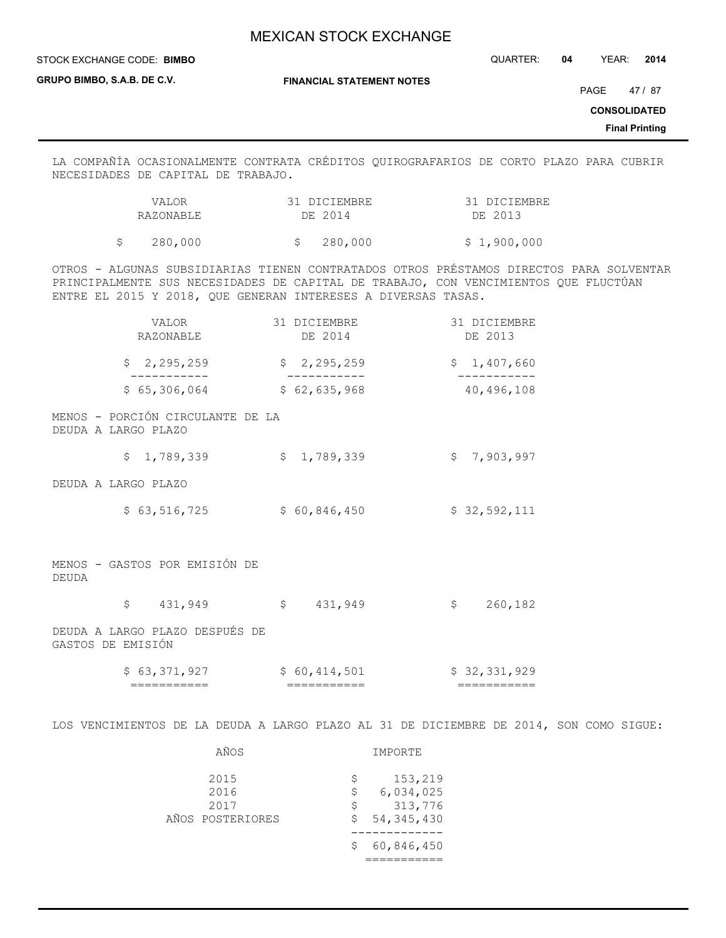STOCK EXCHANGE CODE: QUARTER: **04** YEAR: **2014**

**GRUPO BIMBO, S.A.B. DE C.V.**

**STOCK EXCHANGE CODE: BIMBO** 

**FINANCIAL STATEMENT NOTES**

PAGE 47 / 87

**CONSOLIDATED**

**Final Printing**

LA COMPAÑÍA OCASIONALMENTE CONTRATA CRÉDITOS QUIROGRAFARIOS DE CORTO PLAZO PARA CUBRIR NECESIDADES DE CAPITAL DE TRABAJO.

| VALOR     | 31 DICIEMBRE | 31 DICIEMBRE |
|-----------|--------------|--------------|
| RAZONABLE | DE 2014      | DE 2013      |
|           |              |              |

\$ 280,000 \$ 280,000 \$ 1,900,000

OTROS - ALGUNAS SUBSIDIARIAS TIENEN CONTRATADOS OTROS PRÉSTAMOS DIRECTOS PARA SOLVENTAR PRINCIPALMENTE SUS NECESIDADES DE CAPITAL DE TRABAJO, CON VENCIMIENTOS QUE FLUCTÚAN ENTRE EL 2015 Y 2018, QUE GENERAN INTERESES A DIVERSAS TASAS.

| VALOR<br>RAZONABLE                                      | 31 DICIEMBRE<br>DE 2014 | 31 DICIEMBRE<br>DE 2013 |
|---------------------------------------------------------|-------------------------|-------------------------|
| \$2, 295, 259                                           | \$2,295,259             | \$1,407,660             |
| \$65,306,064                                            | \$62,635,968            | 40,496,108              |
| MENOS - PORCIÓN CIRCULANTE DE LA<br>DEUDA A LARGO PLAZO |                         |                         |
| \$1,789,339                                             | \$1,789,339             | \$7,903,997             |
| DEUDA A LARGO PLAZO                                     |                         |                         |
| \$63,516,725                                            | \$60,846,450            | \$32,592,111            |
| MENOS - GASTOS POR EMISIÓN DE<br>DEUDA                  |                         |                         |

\$ 431,949 \$ 431,949 \$ 260,182

DEUDA A LARGO PLAZO DESPUÉS DE GASTOS DE EMISIÓN

| 63,371,927  | 414,501<br>60 | \$32,331,929 |
|-------------|---------------|--------------|
| ___________ | ___________   | ___________  |
| ___________ | ___________   | ___________  |

LOS VENCIMIENTOS DE LA DEUDA A LARGO PLAZO AL 31 DE DICIEMBRE DE 2014, SON COMO SIGUE:

| AÑOS                                     |                      | IMPORTE                                         |
|------------------------------------------|----------------------|-------------------------------------------------|
| 2015<br>2016<br>2017<br>AÑOS POSTERIORES | \$.<br>\$<br>\$<br>S | 153,219<br>6,034,025<br>313,776<br>54, 345, 430 |
|                                          | S                    | 60,846,450                                      |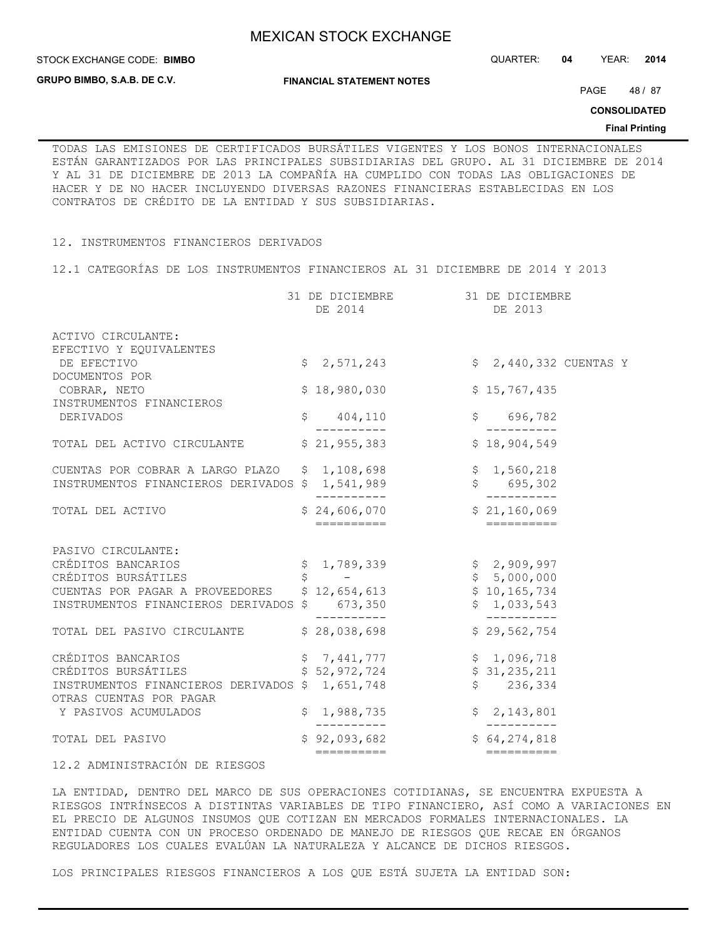**STOCK EXCHANGE CODE: BIMBO** 

**GRUPO BIMBO, S.A.B. DE C.V.**

**FINANCIAL STATEMENT NOTES**

STOCK EXCHANGE CODE: QUARTER: **04** YEAR: **2014**

PAGE 48 / 87

**CONSOLIDATED**

### **Final Printing**

TODAS LAS EMISIONES DE CERTIFICADOS BURSÁTILES VIGENTES Y LOS BONOS INTERNACIONALES ESTÁN GARANTIZADOS POR LAS PRINCIPALES SUBSIDIARIAS DEL GRUPO. AL 31 DICIEMBRE DE 2014 Y AL 31 DE DICIEMBRE DE 2013 LA COMPAÑÍA HA CUMPLIDO CON TODAS LAS OBLIGACIONES DE HACER Y DE NO HACER INCLUYENDO DIVERSAS RAZONES FINANCIERAS ESTABLECIDAS EN LOS CONTRATOS DE CRÉDITO DE LA ENTIDAD Y SUS SUBSIDIARIAS.

## 12. INSTRUMENTOS FINANCIEROS DERIVADOS

12.1 CATEGORÍAS DE LOS INSTRUMENTOS FINANCIEROS AL 31 DICIEMBRE DE 2014 Y 2013

|                                                                            | 31 DE DICIEMBRE<br>DE 2014                                                                                    | 31 DE DICIEMBRE<br>DE 2013                                                                                                                                                                                                                                                                                                                                                                                                                                                                                                                                 |  |
|----------------------------------------------------------------------------|---------------------------------------------------------------------------------------------------------------|------------------------------------------------------------------------------------------------------------------------------------------------------------------------------------------------------------------------------------------------------------------------------------------------------------------------------------------------------------------------------------------------------------------------------------------------------------------------------------------------------------------------------------------------------------|--|
| ACTIVO CIRCULANTE:                                                         |                                                                                                               |                                                                                                                                                                                                                                                                                                                                                                                                                                                                                                                                                            |  |
| EFECTIVO Y EQUIVALENTES                                                    |                                                                                                               |                                                                                                                                                                                                                                                                                                                                                                                                                                                                                                                                                            |  |
| DE EFECTIVO<br>DOCUMENTOS POR                                              | \$2,571,243                                                                                                   | \$ 2,440,332 CUENTAS Y                                                                                                                                                                                                                                                                                                                                                                                                                                                                                                                                     |  |
| COBRAR, NETO                                                               | \$18,980,030                                                                                                  | \$15,767,435                                                                                                                                                                                                                                                                                                                                                                                                                                                                                                                                               |  |
| INSTRUMENTOS FINANCIEROS                                                   |                                                                                                               |                                                                                                                                                                                                                                                                                                                                                                                                                                                                                                                                                            |  |
| DERIVADOS                                                                  | \$<br>404,110                                                                                                 | \$<br>696,782                                                                                                                                                                                                                                                                                                                                                                                                                                                                                                                                              |  |
| TOTAL DEL ACTIVO CIRCULANTE                                                | \$21,955,383                                                                                                  | ----------<br>\$18,904,549                                                                                                                                                                                                                                                                                                                                                                                                                                                                                                                                 |  |
| CUENTAS POR COBRAR A LARGO PLAZO \$1,108,698                               |                                                                                                               |                                                                                                                                                                                                                                                                                                                                                                                                                                                                                                                                                            |  |
| INSTRUMENTOS FINANCIEROS DERIVADOS \$ 1,541,989                            |                                                                                                               | $$1,560,218$<br>$$695,302$                                                                                                                                                                                                                                                                                                                                                                                                                                                                                                                                 |  |
| TOTAL DEL ACTIVO                                                           | \$24,606,070                                                                                                  | . _ _ _ _ _ _ _ _<br>\$21,160,069                                                                                                                                                                                                                                                                                                                                                                                                                                                                                                                          |  |
|                                                                            | -----------                                                                                                   | $\begin{tabular}{ll} \multicolumn{2}{c}{\textbf{2.2}} & \multicolumn{2}{c}{\textbf{2.2}} & \multicolumn{2}{c}{\textbf{2.2}} & \multicolumn{2}{c}{\textbf{2.2}} & \multicolumn{2}{c}{\textbf{2.2}} & \multicolumn{2}{c}{\textbf{2.2}} & \multicolumn{2}{c}{\textbf{2.2}} & \multicolumn{2}{c}{\textbf{2.2}} & \multicolumn{2}{c}{\textbf{2.2}} & \multicolumn{2}{c}{\textbf{2.2}} & \multicolumn{2}{c}{\textbf{2.2}} & \multicolumn{2}{c}{\textbf{2$                                                                                                        |  |
| PASIVO CIRCULANTE:                                                         |                                                                                                               |                                                                                                                                                                                                                                                                                                                                                                                                                                                                                                                                                            |  |
| CRÉDITOS BANCARIOS                                                         | \$1,789,339                                                                                                   | \$2,909,997                                                                                                                                                                                                                                                                                                                                                                                                                                                                                                                                                |  |
| CRÉDITOS BURSÁTILES                                                        | $\begin{array}{ccc} \n\mathsf{S} & & -\\ \n\end{array}$                                                       | \$5,000,000                                                                                                                                                                                                                                                                                                                                                                                                                                                                                                                                                |  |
| CUENTAS POR PAGAR A PROVEEDORES \$12,654,613                               |                                                                                                               | \$10, 165, 734                                                                                                                                                                                                                                                                                                                                                                                                                                                                                                                                             |  |
| INSTRUMENTOS FINANCIEROS DERIVADOS \$673,350                               | ----------                                                                                                    | \$1,033,543<br>----------                                                                                                                                                                                                                                                                                                                                                                                                                                                                                                                                  |  |
| TOTAL DEL PASIVO CIRCULANTE                                                | \$28,038,698                                                                                                  | \$29,562,754                                                                                                                                                                                                                                                                                                                                                                                                                                                                                                                                               |  |
| CRÉDITOS BANCARIOS                                                         | $\begin{array}{lllllll} \xi & 7,441,777 & \xi & 1,096,718 \\ \xi & 52,972,724 & \xi & 31,235,211 \end{array}$ |                                                                                                                                                                                                                                                                                                                                                                                                                                                                                                                                                            |  |
| CRÉDITOS BURSÁTILES                                                        |                                                                                                               |                                                                                                                                                                                                                                                                                                                                                                                                                                                                                                                                                            |  |
| INSTRUMENTOS FINANCIEROS DERIVADOS \$ 1,651,748<br>OTRAS CUENTAS POR PAGAR |                                                                                                               | \$236,334                                                                                                                                                                                                                                                                                                                                                                                                                                                                                                                                                  |  |
| Y PASIVOS ACUMULADOS                                                       | \$1,988,735                                                                                                   | \$2,143,801                                                                                                                                                                                                                                                                                                                                                                                                                                                                                                                                                |  |
| TOTAL DEL PASIVO                                                           | $$92,093,682$<br>===========                                                                                  | \$64, 274, 818                                                                                                                                                                                                                                                                                                                                                                                                                                                                                                                                             |  |
|                                                                            |                                                                                                               | $\begin{tabular}{ll} \multicolumn{2}{l}{{\color{red}\boldsymbol{=}}} & \multicolumn{2}{l}{\color{blue}\boldsymbol{=}} & \multicolumn{2}{l}{\color{blue}\boldsymbol{=}} & \multicolumn{2}{l}{\color{blue}\boldsymbol{=}} & \multicolumn{2}{l}{\color{blue}\boldsymbol{=}} & \multicolumn{2}{l}{\color{blue}\boldsymbol{=}} & \multicolumn{2}{l}{\color{blue}\boldsymbol{=}} & \multicolumn{2}{l}{\color{blue}\boldsymbol{=}} & \multicolumn{2}{l}{\color{blue}\boldsymbol{=}} & \multicolumn{2}{l}{\color{blue}\boldsymbol{=}} & \multicolumn{2}{l}{\color$ |  |

## 12.2 ADMINISTRACIÓN DE RIESGOS

LA ENTIDAD, DENTRO DEL MARCO DE SUS OPERACIONES COTIDIANAS, SE ENCUENTRA EXPUESTA A RIESGOS INTRÍNSECOS A DISTINTAS VARIABLES DE TIPO FINANCIERO, ASÍ COMO A VARIACIONES EN EL PRECIO DE ALGUNOS INSUMOS QUE COTIZAN EN MERCADOS FORMALES INTERNACIONALES. LA ENTIDAD CUENTA CON UN PROCESO ORDENADO DE MANEJO DE RIESGOS QUE RECAE EN ÓRGANOS REGULADORES LOS CUALES EVALÚAN LA NATURALEZA Y ALCANCE DE DICHOS RIESGOS.

LOS PRINCIPALES RIESGOS FINANCIEROS A LOS QUE ESTÁ SUJETA LA ENTIDAD SON: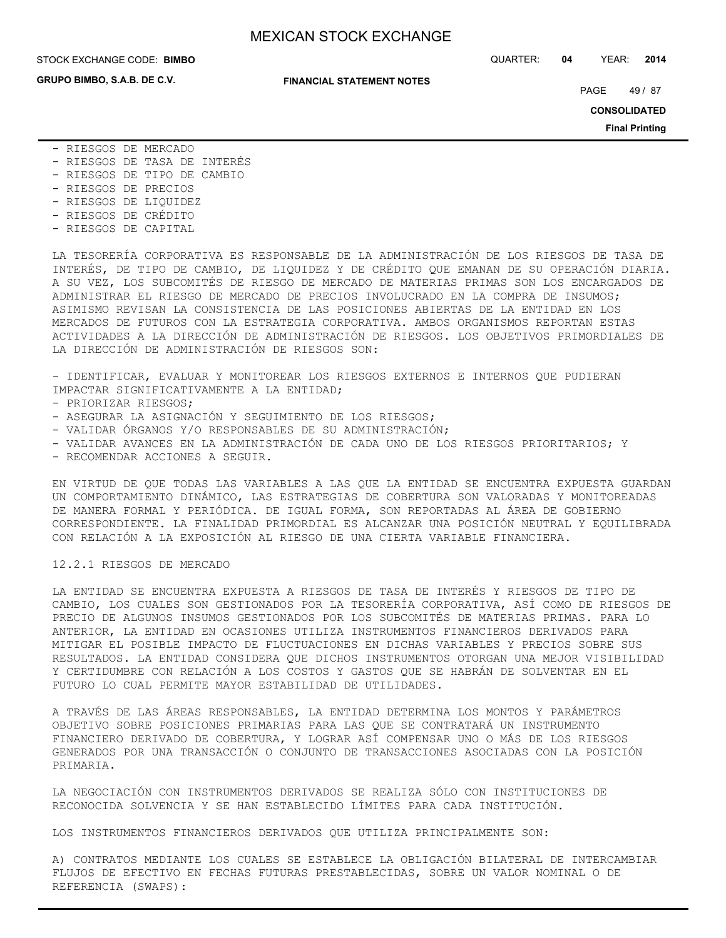**GRUPO BIMBO, S.A.B. DE C.V.**

STOCK EXCHANGE CODE: QUARTER: **04** YEAR: **2014 BIMBO**

### **FINANCIAL STATEMENT NOTES**

PAGE 49 / 87

**CONSOLIDATED**

**Final Printing**

- RIESGOS DE MERCADO
- RIESGOS DE TASA DE INTERÉS
- RIESGOS DE TIPO DE CAMBIO
- RIESGOS DE PRECIOS
- RIESGOS DE LIQUIDEZ
- RIESGOS DE CRÉDITO
- RIESGOS DE CAPITAL

LA TESORERÍA CORPORATIVA ES RESPONSABLE DE LA ADMINISTRACIÓN DE LOS RIESGOS DE TASA DE INTERÉS, DE TIPO DE CAMBIO, DE LIQUIDEZ Y DE CRÉDITO QUE EMANAN DE SU OPERACIÓN DIARIA. A SU VEZ, LOS SUBCOMITÉS DE RIESGO DE MERCADO DE MATERIAS PRIMAS SON LOS ENCARGADOS DE ADMINISTRAR EL RIESGO DE MERCADO DE PRECIOS INVOLUCRADO EN LA COMPRA DE INSUMOS; ASIMISMO REVISAN LA CONSISTENCIA DE LAS POSICIONES ABIERTAS DE LA ENTIDAD EN LOS MERCADOS DE FUTUROS CON LA ESTRATEGIA CORPORATIVA. AMBOS ORGANISMOS REPORTAN ESTAS ACTIVIDADES A LA DIRECCIÓN DE ADMINISTRACIÓN DE RIESGOS. LOS OBJETIVOS PRIMORDIALES DE LA DIRECCIÓN DE ADMINISTRACIÓN DE RIESGOS SON:

- IDENTIFICAR, EVALUAR Y MONITOREAR LOS RIESGOS EXTERNOS E INTERNOS QUE PUDIERAN IMPACTAR SIGNIFICATIVAMENTE A LA ENTIDAD;

- PRIORIZAR RIESGOS;
- ASEGURAR LA ASIGNACIÓN Y SEGUIMIENTO DE LOS RIESGOS;
- VALIDAR ÓRGANOS Y/O RESPONSABLES DE SU ADMINISTRACIÓN;
- VALIDAR AVANCES EN LA ADMINISTRACIÓN DE CADA UNO DE LOS RIESGOS PRIORITARIOS; Y
- RECOMENDAR ACCIONES A SEGUIR.

EN VIRTUD DE QUE TODAS LAS VARIABLES A LAS QUE LA ENTIDAD SE ENCUENTRA EXPUESTA GUARDAN UN COMPORTAMIENTO DINÁMICO, LAS ESTRATEGIAS DE COBERTURA SON VALORADAS Y MONITOREADAS DE MANERA FORMAL Y PERIÓDICA. DE IGUAL FORMA, SON REPORTADAS AL ÁREA DE GOBIERNO CORRESPONDIENTE. LA FINALIDAD PRIMORDIAL ES ALCANZAR UNA POSICIÓN NEUTRAL Y EQUILIBRADA CON RELACIÓN A LA EXPOSICIÓN AL RIESGO DE UNA CIERTA VARIABLE FINANCIERA.

## 12.2.1 RIESGOS DE MERCADO

LA ENTIDAD SE ENCUENTRA EXPUESTA A RIESGOS DE TASA DE INTERÉS Y RIESGOS DE TIPO DE CAMBIO, LOS CUALES SON GESTIONADOS POR LA TESORERÍA CORPORATIVA, ASÍ COMO DE RIESGOS DE PRECIO DE ALGUNOS INSUMOS GESTIONADOS POR LOS SUBCOMITÉS DE MATERIAS PRIMAS. PARA LO ANTERIOR, LA ENTIDAD EN OCASIONES UTILIZA INSTRUMENTOS FINANCIEROS DERIVADOS PARA MITIGAR EL POSIBLE IMPACTO DE FLUCTUACIONES EN DICHAS VARIABLES Y PRECIOS SOBRE SUS RESULTADOS. LA ENTIDAD CONSIDERA QUE DICHOS INSTRUMENTOS OTORGAN UNA MEJOR VISIBILIDAD Y CERTIDUMBRE CON RELACIÓN A LOS COSTOS Y GASTOS QUE SE HABRÁN DE SOLVENTAR EN EL FUTURO LO CUAL PERMITE MAYOR ESTABILIDAD DE UTILIDADES.

A TRAVÉS DE LAS ÁREAS RESPONSABLES, LA ENTIDAD DETERMINA LOS MONTOS Y PARÁMETROS OBJETIVO SOBRE POSICIONES PRIMARIAS PARA LAS QUE SE CONTRATARÁ UN INSTRUMENTO FINANCIERO DERIVADO DE COBERTURA, Y LOGRAR ASÍ COMPENSAR UNO O MÁS DE LOS RIESGOS GENERADOS POR UNA TRANSACCIÓN O CONJUNTO DE TRANSACCIONES ASOCIADAS CON LA POSICIÓN PRIMARIA.

LA NEGOCIACIÓN CON INSTRUMENTOS DERIVADOS SE REALIZA SÓLO CON INSTITUCIONES DE RECONOCIDA SOLVENCIA Y SE HAN ESTABLECIDO LÍMITES PARA CADA INSTITUCIÓN.

LOS INSTRUMENTOS FINANCIEROS DERIVADOS QUE UTILIZA PRINCIPALMENTE SON:

A) CONTRATOS MEDIANTE LOS CUALES SE ESTABLECE LA OBLIGACIÓN BILATERAL DE INTERCAMBIAR FLUJOS DE EFECTIVO EN FECHAS FUTURAS PRESTABLECIDAS, SOBRE UN VALOR NOMINAL O DE REFERENCIA (SWAPS):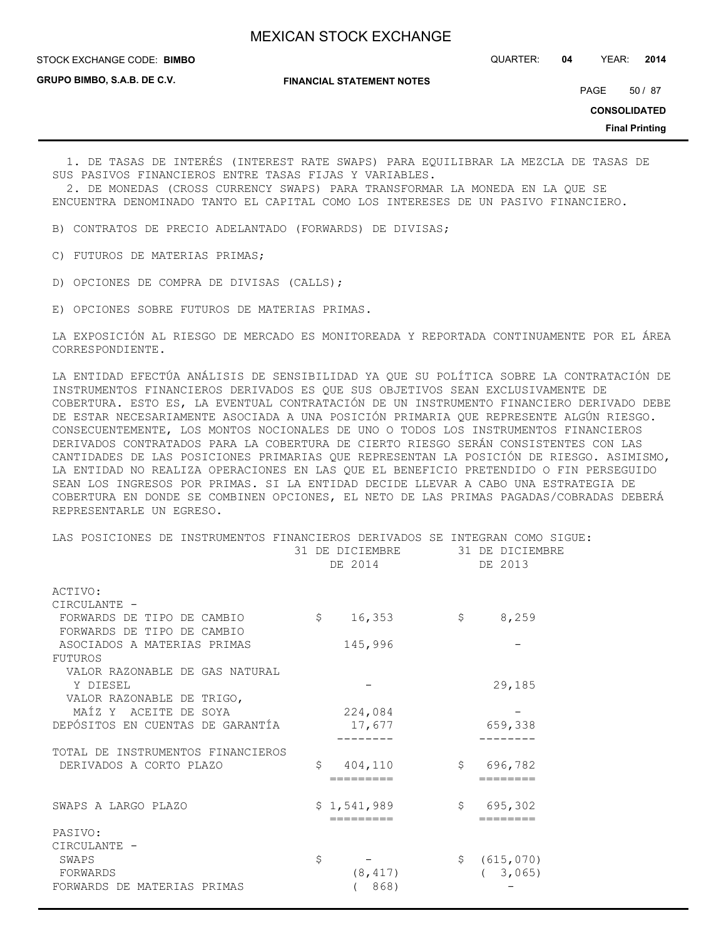STOCK EXCHANGE CODE: QUARTER: **04** YEAR: **2014 BIMBO**

**GRUPO BIMBO, S.A.B. DE C.V.**

**FINANCIAL STATEMENT NOTES**

PAGE 50 / 87

**CONSOLIDATED**

**Final Printing**

 1. DE TASAS DE INTERÉS (INTEREST RATE SWAPS) PARA EQUILIBRAR LA MEZCLA DE TASAS DE SUS PASIVOS FINANCIEROS ENTRE TASAS FIJAS Y VARIABLES.

 2. DE MONEDAS (CROSS CURRENCY SWAPS) PARA TRANSFORMAR LA MONEDA EN LA QUE SE ENCUENTRA DENOMINADO TANTO EL CAPITAL COMO LOS INTERESES DE UN PASIVO FINANCIERO.

B) CONTRATOS DE PRECIO ADELANTADO (FORWARDS) DE DIVISAS;

C) FUTUROS DE MATERIAS PRIMAS;

D) OPCIONES DE COMPRA DE DIVISAS (CALLS);

E) OPCIONES SOBRE FUTUROS DE MATERIAS PRIMAS.

LA EXPOSICIÓN AL RIESGO DE MERCADO ES MONITOREADA Y REPORTADA CONTINUAMENTE POR EL ÁREA CORRESPONDIENTE.

LA ENTIDAD EFECTÚA ANÁLISIS DE SENSIBILIDAD YA QUE SU POLÍTICA SOBRE LA CONTRATACIÓN DE INSTRUMENTOS FINANCIEROS DERIVADOS ES QUE SUS OBJETIVOS SEAN EXCLUSIVAMENTE DE COBERTURA. ESTO ES, LA EVENTUAL CONTRATACIÓN DE UN INSTRUMENTO FINANCIERO DERIVADO DEBE DE ESTAR NECESARIAMENTE ASOCIADA A UNA POSICIÓN PRIMARIA QUE REPRESENTE ALGÚN RIESGO. CONSECUENTEMENTE, LOS MONTOS NOCIONALES DE UNO O TODOS LOS INSTRUMENTOS FINANCIEROS DERIVADOS CONTRATADOS PARA LA COBERTURA DE CIERTO RIESGO SERÁN CONSISTENTES CON LAS CANTIDADES DE LAS POSICIONES PRIMARIAS QUE REPRESENTAN LA POSICIÓN DE RIESGO. ASIMISMO, LA ENTIDAD NO REALIZA OPERACIONES EN LAS QUE EL BENEFICIO PRETENDIDO O FIN PERSEGUIDO SEAN LOS INGRESOS POR PRIMAS. SI LA ENTIDAD DECIDE LLEVAR A CABO UNA ESTRATEGIA DE COBERTURA EN DONDE SE COMBINEN OPCIONES, EL NETO DE LAS PRIMAS PAGADAS/COBRADAS DEBERÁ REPRESENTARLE UN EGRESO.

| LAS POSICIONES DE INSTRUMENTOS FINANCIEROS DERIVADOS SE INTEGRAN COMO SIGUE: | 31 DE DICIEMBRE 31 DE DICIEMBRE<br>DE 2014 | DE 2013                  |
|------------------------------------------------------------------------------|--------------------------------------------|--------------------------|
| ACTIVO:                                                                      |                                            |                          |
| CIRCULANTE -                                                                 |                                            |                          |
| FORWARDS DE TIPO DE CAMBIO                                                   | \$<br>16,353                               | 8,259<br>$\mathsf{S}$    |
| FORWARDS DE TIPO DE CAMBIO                                                   |                                            |                          |
| ASOCIADOS A MATERIAS PRIMAS                                                  | 145,996                                    |                          |
| FUTUROS                                                                      |                                            |                          |
| VALOR RAZONABLE DE GAS NATURAL                                               |                                            |                          |
| Y DIESEL                                                                     |                                            | 29,185                   |
| VALOR RAZONABLE DE TRIGO,                                                    |                                            |                          |
| MAÍZ Y ACEITE DE SOYA                                                        | 224,084                                    |                          |
| DEPÓSITOS EN CUENTAS DE GARANTÍA                                             | 17,677                                     | 659,338                  |
|                                                                              |                                            |                          |
| TOTAL DE INSTRUMENTOS FINANCIEROS                                            |                                            |                          |
| DERIVADOS A CORTO PLAZO                                                      | S.<br>404,110                              | \$696,782                |
|                                                                              | =========                                  |                          |
|                                                                              |                                            |                          |
| SWAPS A LARGO PLAZO                                                          | \$1,541,989                                | 695,302<br>$\mathcal{S}$ |
|                                                                              | =========                                  | ========                 |
| PASIVO:                                                                      |                                            |                          |
| CIRCULANTE -<br>SWAPS                                                        | \$                                         | $\mathsf{S}$             |
|                                                                              |                                            | (615,070)                |
| FORWARDS                                                                     | (8, 417)                                   | (3, 065)                 |
| FORWARDS DE MATERIAS PRIMAS                                                  | (868)                                      |                          |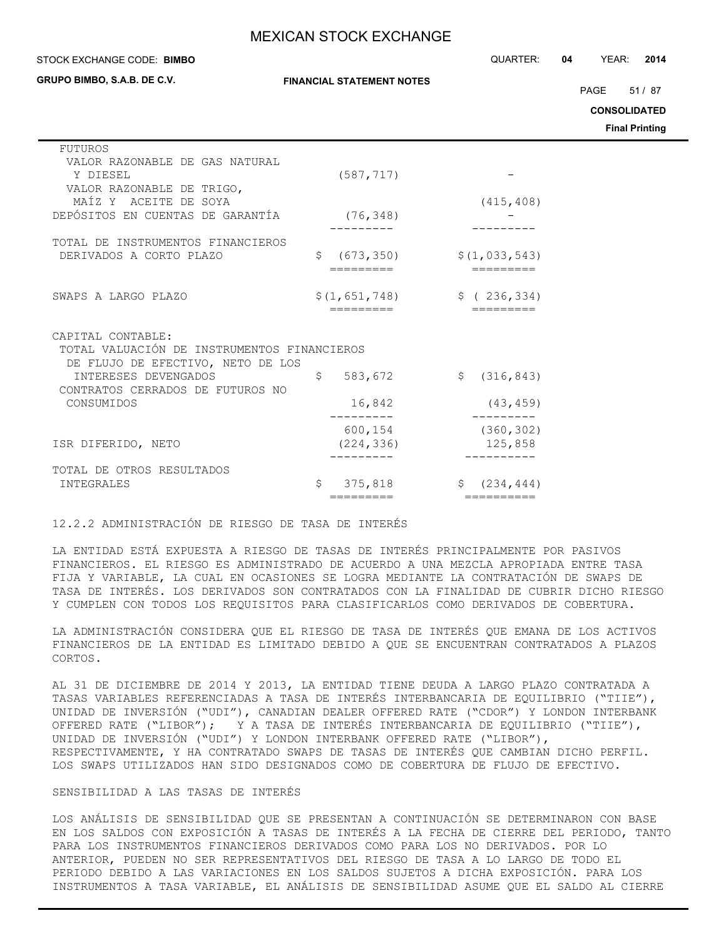**GRUPO BIMBO, S.A.B. DE C.V.**

STOCK EXCHANGE CODE: QUARTER: **04** YEAR: **2014 BIMBO**

PAGE 51 / 87

**CONSOLIDATED**

**Final Printing**

| <b>FUTUROS</b>                              |                               |                                |
|---------------------------------------------|-------------------------------|--------------------------------|
| VALOR RAZONABLE DE GAS NATURAL              |                               |                                |
| Y DIESEL                                    | (587, 717)                    |                                |
| VALOR RAZONABLE DE TRIGO,                   |                               |                                |
| MAÍZ Y ACEITE DE SOYA                       |                               | (415, 408)                     |
| DEPÓSITOS EN CUENTAS DE GARANTÍA            | (76, 348)                     |                                |
|                                             |                               |                                |
| TOTAL DE INSTRUMENTOS FINANCIEROS           |                               |                                |
| DERIVADOS A CORTO PLAZO                     | Ŝ.                            | \$(1, 033, 543)                |
|                                             | (673, 350)                    |                                |
|                                             |                               |                                |
|                                             |                               |                                |
| SWAPS A LARGO PLAZO                         | \$(1,651,748)                 | \$ (236, 334)                  |
|                                             | =========                     | =========                      |
|                                             |                               |                                |
| CAPITAL CONTABLE:                           |                               |                                |
| TOTAL VALUACIÓN DE INSTRUMENTOS FINANCIEROS |                               |                                |
| DE FLUJO DE EFECTIVO, NETO DE LOS           |                               |                                |
| INTERESES DEVENGADOS                        | $\hat{\mathsf{S}}$<br>583,672 | \$(316, 843)                   |
| CONTRATOS CERRADOS DE FUTUROS NO            |                               |                                |
| CONSUMIDOS                                  | 16,842                        | (43, 459)                      |
|                                             |                               |                                |
|                                             | 600,154                       | (360, 302)                     |
| ISR DIFERIDO, NETO                          | (224, 336)                    | 125,858                        |
|                                             |                               |                                |
| TOTAL DE OTROS RESULTADOS                   |                               |                                |
|                                             | Ŝ                             |                                |
| INTEGRALES                                  | 375,818                       | (234, 444)<br>S.<br>========== |
|                                             | =========                     |                                |

## 12.2.2 ADMINISTRACIÓN DE RIESGO DE TASA DE INTERÉS

LA ENTIDAD ESTÁ EXPUESTA A RIESGO DE TASAS DE INTERÉS PRINCIPALMENTE POR PASIVOS FINANCIEROS. EL RIESGO ES ADMINISTRADO DE ACUERDO A UNA MEZCLA APROPIADA ENTRE TASA FIJA Y VARIABLE, LA CUAL EN OCASIONES SE LOGRA MEDIANTE LA CONTRATACIÓN DE SWAPS DE TASA DE INTERÉS. LOS DERIVADOS SON CONTRATADOS CON LA FINALIDAD DE CUBRIR DICHO RIESGO Y CUMPLEN CON TODOS LOS REQUISITOS PARA CLASIFICARLOS COMO DERIVADOS DE COBERTURA.

LA ADMINISTRACIÓN CONSIDERA QUE EL RIESGO DE TASA DE INTERÉS QUE EMANA DE LOS ACTIVOS FINANCIEROS DE LA ENTIDAD ES LIMITADO DEBIDO A QUE SE ENCUENTRAN CONTRATADOS A PLAZOS CORTOS.

AL 31 DE DICIEMBRE DE 2014 Y 2013, LA ENTIDAD TIENE DEUDA A LARGO PLAZO CONTRATADA A TASAS VARIABLES REFERENCIADAS A TASA DE INTERÉS INTERBANCARIA DE EQUILIBRIO ("TIIE"), UNIDAD DE INVERSIÓN ("UDI"), CANADIAN DEALER OFFERED RATE ("CDOR") Y LONDON INTERBANK OFFERED RATE ("LIBOR"); Y A TASA DE INTERÉS INTERBANCARIA DE EQUILIBRIO ("TIIE"), UNIDAD DE INVERSIÓN ("UDI") Y LONDON INTERBANK OFFERED RATE ("LIBOR"), RESPECTIVAMENTE, Y HA CONTRATADO SWAPS DE TASAS DE INTERÉS QUE CAMBIAN DICHO PERFIL. LOS SWAPS UTILIZADOS HAN SIDO DESIGNADOS COMO DE COBERTURA DE FLUJO DE EFECTIVO.

## SENSIBILIDAD A LAS TASAS DE INTERÉS

LOS ANÁLISIS DE SENSIBILIDAD QUE SE PRESENTAN A CONTINUACIÓN SE DETERMINARON CON BASE EN LOS SALDOS CON EXPOSICIÓN A TASAS DE INTERÉS A LA FECHA DE CIERRE DEL PERIODO, TANTO PARA LOS INSTRUMENTOS FINANCIEROS DERIVADOS COMO PARA LOS NO DERIVADOS. POR LO ANTERIOR, PUEDEN NO SER REPRESENTATIVOS DEL RIESGO DE TASA A LO LARGO DE TODO EL PERIODO DEBIDO A LAS VARIACIONES EN LOS SALDOS SUJETOS A DICHA EXPOSICIÓN. PARA LOS INSTRUMENTOS A TASA VARIABLE, EL ANÁLISIS DE SENSIBILIDAD ASUME QUE EL SALDO AL CIERRE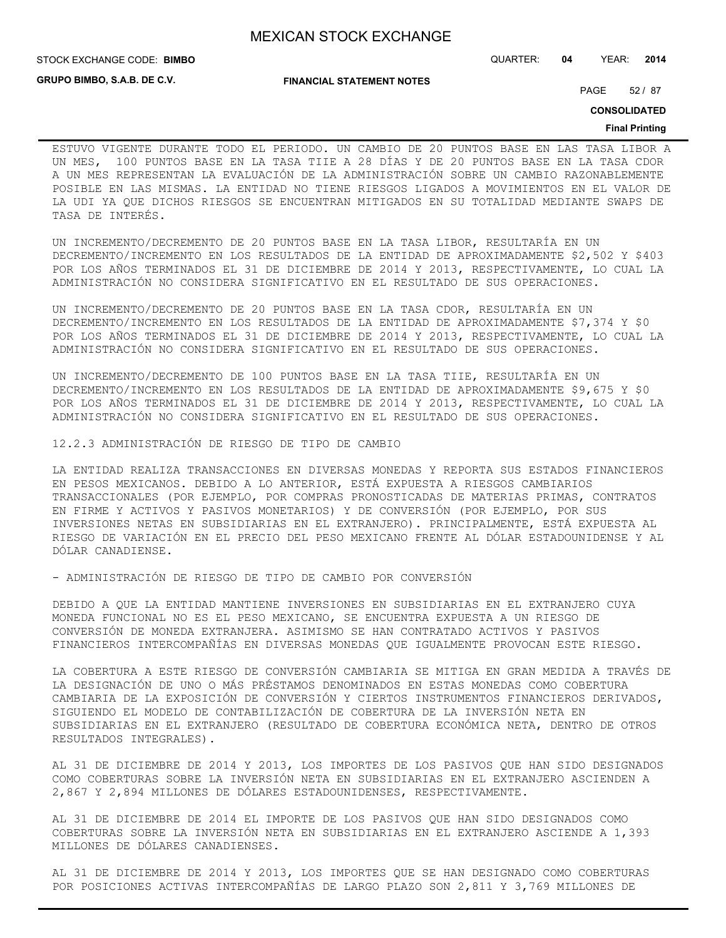STOCK EXCHANGE CODE: QUARTER: **04** YEAR: **2014 BIMBO**

**GRUPO BIMBO, S.A.B. DE C.V.**

**FINANCIAL STATEMENT NOTES**

PAGE 52 / 87

**CONSOLIDATED**

### **Final Printing**

ESTUVO VIGENTE DURANTE TODO EL PERIODO. UN CAMBIO DE 20 PUNTOS BASE EN LAS TASA LIBOR A UN MES, 100 PUNTOS BASE EN LA TASA TIIE A 28 DÍAS Y DE 20 PUNTOS BASE EN LA TASA CDOR A UN MES REPRESENTAN LA EVALUACIÓN DE LA ADMINISTRACIÓN SOBRE UN CAMBIO RAZONABLEMENTE POSIBLE EN LAS MISMAS. LA ENTIDAD NO TIENE RIESGOS LIGADOS A MOVIMIENTOS EN EL VALOR DE LA UDI YA QUE DICHOS RIESGOS SE ENCUENTRAN MITIGADOS EN SU TOTALIDAD MEDIANTE SWAPS DE TASA DE INTERÉS.

UN INCREMENTO/DECREMENTO DE 20 PUNTOS BASE EN LA TASA LIBOR, RESULTARÍA EN UN DECREMENTO/INCREMENTO EN LOS RESULTADOS DE LA ENTIDAD DE APROXIMADAMENTE \$2,502 Y \$403 POR LOS AÑOS TERMINADOS EL 31 DE DICIEMBRE DE 2014 Y 2013, RESPECTIVAMENTE, LO CUAL LA ADMINISTRACIÓN NO CONSIDERA SIGNIFICATIVO EN EL RESULTADO DE SUS OPERACIONES.

UN INCREMENTO/DECREMENTO DE 20 PUNTOS BASE EN LA TASA CDOR, RESULTARÍA EN UN DECREMENTO/INCREMENTO EN LOS RESULTADOS DE LA ENTIDAD DE APROXIMADAMENTE \$7,374 Y \$0 POR LOS AÑOS TERMINADOS EL 31 DE DICIEMBRE DE 2014 Y 2013, RESPECTIVAMENTE, LO CUAL LA ADMINISTRACIÓN NO CONSIDERA SIGNIFICATIVO EN EL RESULTADO DE SUS OPERACIONES.

UN INCREMENTO/DECREMENTO DE 100 PUNTOS BASE EN LA TASA TIIE, RESULTARÍA EN UN DECREMENTO/INCREMENTO EN LOS RESULTADOS DE LA ENTIDAD DE APROXIMADAMENTE \$9,675 Y \$0 POR LOS AÑOS TERMINADOS EL 31 DE DICIEMBRE DE 2014 Y 2013, RESPECTIVAMENTE, LO CUAL LA ADMINISTRACIÓN NO CONSIDERA SIGNIFICATIVO EN EL RESULTADO DE SUS OPERACIONES.

12.2.3 ADMINISTRACIÓN DE RIESGO DE TIPO DE CAMBIO

LA ENTIDAD REALIZA TRANSACCIONES EN DIVERSAS MONEDAS Y REPORTA SUS ESTADOS FINANCIEROS EN PESOS MEXICANOS. DEBIDO A LO ANTERIOR, ESTÁ EXPUESTA A RIESGOS CAMBIARIOS TRANSACCIONALES (POR EJEMPLO, POR COMPRAS PRONOSTICADAS DE MATERIAS PRIMAS, CONTRATOS EN FIRME Y ACTIVOS Y PASIVOS MONETARIOS) Y DE CONVERSIÓN (POR EJEMPLO, POR SUS INVERSIONES NETAS EN SUBSIDIARIAS EN EL EXTRANJERO). PRINCIPALMENTE, ESTÁ EXPUESTA AL RIESGO DE VARIACIÓN EN EL PRECIO DEL PESO MEXICANO FRENTE AL DÓLAR ESTADOUNIDENSE Y AL DÓLAR CANADIENSE.

- ADMINISTRACIÓN DE RIESGO DE TIPO DE CAMBIO POR CONVERSIÓN

DEBIDO A QUE LA ENTIDAD MANTIENE INVERSIONES EN SUBSIDIARIAS EN EL EXTRANJERO CUYA MONEDA FUNCIONAL NO ES EL PESO MEXICANO, SE ENCUENTRA EXPUESTA A UN RIESGO DE CONVERSIÓN DE MONEDA EXTRANJERA. ASIMISMO SE HAN CONTRATADO ACTIVOS Y PASIVOS FINANCIEROS INTERCOMPAÑÍAS EN DIVERSAS MONEDAS QUE IGUALMENTE PROVOCAN ESTE RIESGO.

LA COBERTURA A ESTE RIESGO DE CONVERSIÓN CAMBIARIA SE MITIGA EN GRAN MEDIDA A TRAVÉS DE LA DESIGNACIÓN DE UNO O MÁS PRÉSTAMOS DENOMINADOS EN ESTAS MONEDAS COMO COBERTURA CAMBIARIA DE LA EXPOSICIÓN DE CONVERSIÓN Y CIERTOS INSTRUMENTOS FINANCIEROS DERIVADOS, SIGUIENDO EL MODELO DE CONTABILIZACIÓN DE COBERTURA DE LA INVERSIÓN NETA EN SUBSIDIARIAS EN EL EXTRANJERO (RESULTADO DE COBERTURA ECONÓMICA NETA, DENTRO DE OTROS RESULTADOS INTEGRALES).

AL 31 DE DICIEMBRE DE 2014 Y 2013, LOS IMPORTES DE LOS PASIVOS QUE HAN SIDO DESIGNADOS COMO COBERTURAS SOBRE LA INVERSIÓN NETA EN SUBSIDIARIAS EN EL EXTRANJERO ASCIENDEN A 2,867 Y 2,894 MILLONES DE DÓLARES ESTADOUNIDENSES, RESPECTIVAMENTE.

AL 31 DE DICIEMBRE DE 2014 EL IMPORTE DE LOS PASIVOS QUE HAN SIDO DESIGNADOS COMO COBERTURAS SOBRE LA INVERSIÓN NETA EN SUBSIDIARIAS EN EL EXTRANJERO ASCIENDE A 1,393 MILLONES DE DÓLARES CANADIENSES.

AL 31 DE DICIEMBRE DE 2014 Y 2013, LOS IMPORTES QUE SE HAN DESIGNADO COMO COBERTURAS POR POSICIONES ACTIVAS INTERCOMPAÑÍAS DE LARGO PLAZO SON 2,811 Y 3,769 MILLONES DE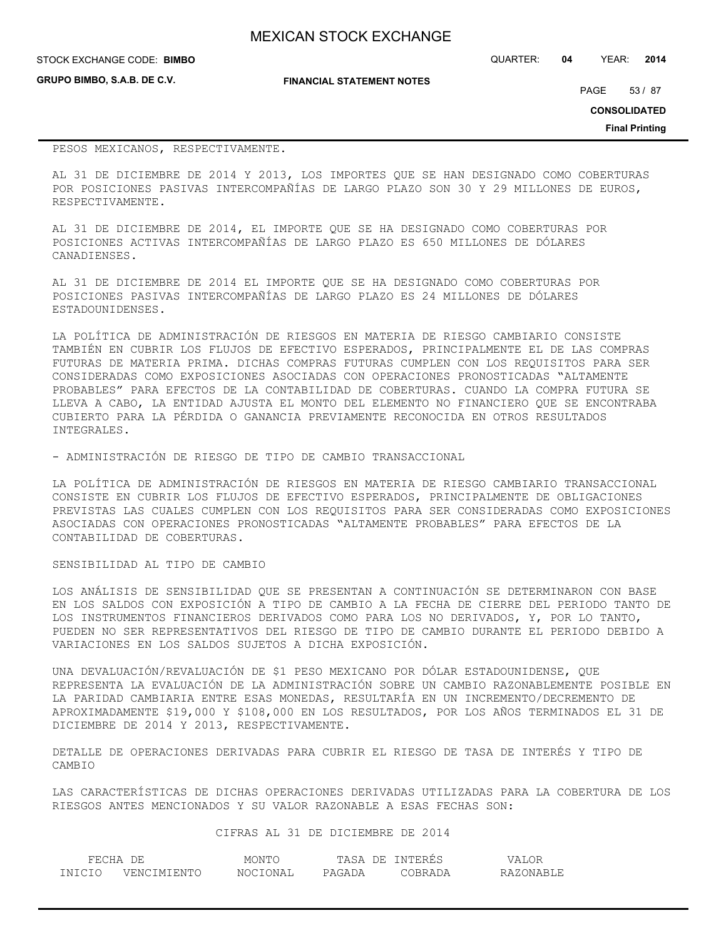| <b>MEXICAN STOCK EXCHANGE</b> |
|-------------------------------|
|-------------------------------|

## **STOCK EXCHANGE CODE: BIMBO**

**GRUPO BIMBO, S.A.B. DE C.V.**

STOCK EXCHANGE CODE: QUARTER: **04** YEAR: **2014**

**FINANCIAL STATEMENT NOTES**

PAGE 53 / 87

**CONSOLIDATED**

**Final Printing**

### PESOS MEXICANOS, RESPECTIVAMENTE.

AL 31 DE DICIEMBRE DE 2014 Y 2013, LOS IMPORTES QUE SE HAN DESIGNADO COMO COBERTURAS POR POSICIONES PASIVAS INTERCOMPAÑÍAS DE LARGO PLAZO SON 30 Y 29 MILLONES DE EUROS, RESPECTIVAMENTE.

AL 31 DE DICIEMBRE DE 2014, EL IMPORTE QUE SE HA DESIGNADO COMO COBERTURAS POR POSICIONES ACTIVAS INTERCOMPAÑÍAS DE LARGO PLAZO ES 650 MILLONES DE DÓLARES CANADIENSES.

AL 31 DE DICIEMBRE DE 2014 EL IMPORTE QUE SE HA DESIGNADO COMO COBERTURAS POR POSICIONES PASIVAS INTERCOMPAÑÍAS DE LARGO PLAZO ES 24 MILLONES DE DÓLARES ESTADOUNIDENSES.

LA POLÍTICA DE ADMINISTRACIÓN DE RIESGOS EN MATERIA DE RIESGO CAMBIARIO CONSISTE TAMBIÉN EN CUBRIR LOS FLUJOS DE EFECTIVO ESPERADOS, PRINCIPALMENTE EL DE LAS COMPRAS FUTURAS DE MATERIA PRIMA. DICHAS COMPRAS FUTURAS CUMPLEN CON LOS REQUISITOS PARA SER CONSIDERADAS COMO EXPOSICIONES ASOCIADAS CON OPERACIONES PRONOSTICADAS "ALTAMENTE PROBABLES" PARA EFECTOS DE LA CONTABILIDAD DE COBERTURAS. CUANDO LA COMPRA FUTURA SE LLEVA A CABO, LA ENTIDAD AJUSTA EL MONTO DEL ELEMENTO NO FINANCIERO QUE SE ENCONTRABA CUBIERTO PARA LA PÉRDIDA O GANANCIA PREVIAMENTE RECONOCIDA EN OTROS RESULTADOS INTEGRALES.

- ADMINISTRACIÓN DE RIESGO DE TIPO DE CAMBIO TRANSACCIONAL

LA POLÍTICA DE ADMINISTRACIÓN DE RIESGOS EN MATERIA DE RIESGO CAMBIARIO TRANSACCIONAL CONSISTE EN CUBRIR LOS FLUJOS DE EFECTIVO ESPERADOS, PRINCIPALMENTE DE OBLIGACIONES PREVISTAS LAS CUALES CUMPLEN CON LOS REQUISITOS PARA SER CONSIDERADAS COMO EXPOSICIONES ASOCIADAS CON OPERACIONES PRONOSTICADAS "ALTAMENTE PROBABLES" PARA EFECTOS DE LA CONTABILIDAD DE COBERTURAS.

## SENSIBILIDAD AL TIPO DE CAMBIO

LOS ANÁLISIS DE SENSIBILIDAD QUE SE PRESENTAN A CONTINUACIÓN SE DETERMINARON CON BASE EN LOS SALDOS CON EXPOSICIÓN A TIPO DE CAMBIO A LA FECHA DE CIERRE DEL PERIODO TANTO DE LOS INSTRUMENTOS FINANCIEROS DERIVADOS COMO PARA LOS NO DERIVADOS, Y, POR LO TANTO, PUEDEN NO SER REPRESENTATIVOS DEL RIESGO DE TIPO DE CAMBIO DURANTE EL PERIODO DEBIDO A VARIACIONES EN LOS SALDOS SUJETOS A DICHA EXPOSICIÓN.

UNA DEVALUACIÓN/REVALUACIÓN DE \$1 PESO MEXICANO POR DÓLAR ESTADOUNIDENSE, QUE REPRESENTA LA EVALUACIÓN DE LA ADMINISTRACIÓN SOBRE UN CAMBIO RAZONABLEMENTE POSIBLE EN LA PARIDAD CAMBIARIA ENTRE ESAS MONEDAS, RESULTARÍA EN UN INCREMENTO/DECREMENTO DE APROXIMADAMENTE \$19,000 Y \$108,000 EN LOS RESULTADOS, POR LOS AÑOS TERMINADOS EL 31 DE DICIEMBRE DE 2014 Y 2013, RESPECTIVAMENTE.

DETALLE DE OPERACIONES DERIVADAS PARA CUBRIR EL RIESGO DE TASA DE INTERÉS Y TIPO DE CAMBIO

LAS CARACTERÍSTICAS DE DICHAS OPERACIONES DERIVADAS UTILIZADAS PARA LA COBERTURA DE LOS RIESGOS ANTES MENCIONADOS Y SU VALOR RAZONABLE A ESAS FECHAS SON:

CIFRAS AL 31 DE DICIEMBRE DE 2014

| FECHA  | DE                 | MONTO    | TASA<br>DE. | INTERES | /ALOR     |
|--------|--------------------|----------|-------------|---------|-----------|
| TNTCTO | <b>VENCIMIENTO</b> | NOCTONAL | PAGADA      | COBRADA | RAZONABLE |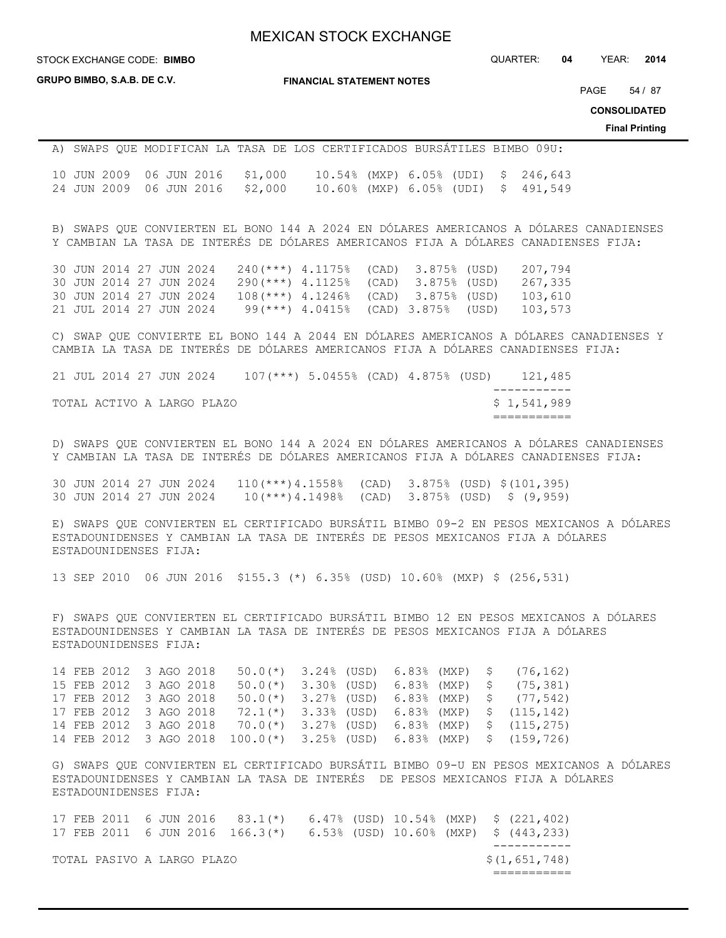**STOCK EXCHANGE CODE: BIMBO** 

**GRUPO BIMBO, S.A.B. DE C.V.**

**FINANCIAL STATEMENT NOTES**

STOCK EXCHANGE CODE: QUARTER: **04** YEAR: **2014**

PAGE 54 / 87

**CONSOLIDATED**

**Final Printing**

# A) SWAPS QUE MODIFICAN LA TASA DE LOS CERTIFICADOS BURSÁTILES BIMBO 09U: 10 JUN 2009 06 JUN 2016 \$1,000 10.54% (MXP) 6.05% (UDI) \$ 246,643 24 JUN 2009 06 JUN 2016 \$2,000 10.60% (MXP) 6.05% (UDI) \$ 491,549

B) SWAPS QUE CONVIERTEN EL BONO 144 A 2024 EN DÓLARES AMERICANOS A DÓLARES CANADIENSES Y CAMBIAN LA TASA DE INTERÉS DE DÓLARES AMERICANOS FIJA A DÓLARES CANADIENSES FIJA:

30 JUN 2014 27 JUN 2024 240(\*\*\*) 4.1175% (CAD) 3.875% (USD) 207,794 30 JUN 2014 27 JUN 2024 290(\*\*\*) 4.1125% (CAD) 3.875% (USD) 267,335 30 JUN 2014 27 JUN 2024 108(\*\*\*) 4.1246% (CAD) 3.875% (USD) 103,610 21 JUL 2014 27 JUN 2024 99(\*\*\*) 4.0415% (CAD) 3.875% (USD) 103,573

C) SWAP QUE CONVIERTE EL BONO 144 A 2044 EN DÓLARES AMERICANOS A DÓLARES CANADIENSES Y CAMBIA LA TASA DE INTERÉS DE DÓLARES AMERICANOS FIJA A DÓLARES CANADIENSES FIJA:

21 JUL 2014 27 JUN 2024 107(\*\*\*) 5.0455% (CAD) 4.875% (USD) 121,485 ----------- TOTAL ACTIVO A LARGO PLAZO **\$ 1,541,989** ===========

D) SWAPS QUE CONVIERTEN EL BONO 144 A 2024 EN DÓLARES AMERICANOS A DÓLARES CANADIENSES Y CAMBIAN LA TASA DE INTERÉS DE DÓLARES AMERICANOS FIJA A DÓLARES CANADIENSES FIJA:

30 JUN 2014 27 JUN 2024 110(\*\*\*)4.1558% (CAD) 3.875% (USD) \$(101,395) 30 JUN 2014 27 JUN 2024 10(\*\*\*)4.1498% (CAD) 3.875% (USD) \$ (9,959)

E) SWAPS QUE CONVIERTEN EL CERTIFICADO BURSÁTIL BIMBO 09-2 EN PESOS MEXICANOS A DÓLARES ESTADOUNIDENSES Y CAMBIAN LA TASA DE INTERÉS DE PESOS MEXICANOS FIJA A DÓLARES ESTADOUNIDENSES FIJA:

13 SEP 2010 06 JUN 2016 \$155.3 (\*) 6.35% (USD) 10.60% (MXP) \$ (256,531)

F) SWAPS QUE CONVIERTEN EL CERTIFICADO BURSÁTIL BIMBO 12 EN PESOS MEXICANOS A DÓLARES ESTADOUNIDENSES Y CAMBIAN LA TASA DE INTERÉS DE PESOS MEXICANOS FIJA A DÓLARES ESTADOUNIDENSES FIJA:

14 FEB 2012 3 AGO 2018 50.0(\*) 3.24% (USD) 6.83% (MXP) \$ (76,162) 15 FEB 2012 3 AGO 2018 50.0(\*) 3.30% (USD) 6.83% (MXP) \$ (75,381) 17 FEB 2012 3 AGO 2018 50.0(\*) 3.27% (USD) 6.83% (MXP) \$ (77,542) 17 FEB 2012 3 AGO 2018 72.1(\*) 3.33% (USD) 6.83% (MXP) \$ (115,142) 14 FEB 2012 3 AGO 2018 70.0(\*) 3.27% (USD) 6.83% (MXP) \$ (115,275) 14 FEB 2012 3 AGO 2018 100.0(\*) 3.25% (USD) 6.83% (MXP) \$ (159,726)

G) SWAPS QUE CONVIERTEN EL CERTIFICADO BURSÁTIL BIMBO 09-U EN PESOS MEXICANOS A DÓLARES ESTADOUNIDENSES Y CAMBIAN LA TASA DE INTERÉS DE PESOS MEXICANOS FIJA A DÓLARES ESTADOUNIDENSES FIJA:

|  | TOTAL PASIVO A LARGO PLAZO |  |                                                                       |  |  | \$(1,651,748) |  |
|--|----------------------------|--|-----------------------------------------------------------------------|--|--|---------------|--|
|  |                            |  |                                                                       |  |  |               |  |
|  |                            |  | 17 FEB 2011 6 JUN 2016 166.3(*) 6.53% (USD) 10.60% (MXP) \$ (443,233) |  |  |               |  |
|  |                            |  | 17 FEB 2011 6 JUN 2016 83.1(*) 6.47% (USD) 10.54% (MXP) \$ (221,402)  |  |  |               |  |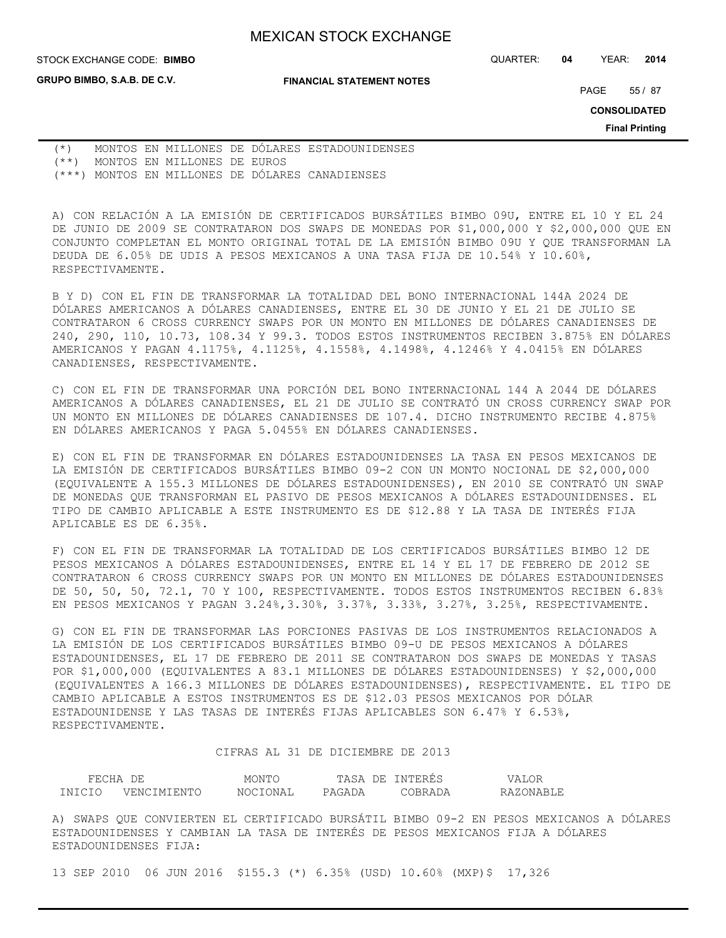**GRUPO BIMBO, S.A.B. DE C.V.**

STOCK EXCHANGE CODE: QUARTER: **04** YEAR: **2014 BIMBO**

**FINANCIAL STATEMENT NOTES**

PAGE 55 / 87

**CONSOLIDATED**

**Final Printing**

(\*) MONTOS EN MILLONES DE DÓLARES ESTADOUNIDENSES (\*\*) MONTOS EN MILLONES DE EUROS (\*\*\*) MONTOS EN MILLONES DE DÓLARES CANADIENSES

A) CON RELACIÓN A LA EMISIÓN DE CERTIFICADOS BURSÁTILES BIMBO 09U, ENTRE EL 10 Y EL 24 DE JUNIO DE 2009 SE CONTRATARON DOS SWAPS DE MONEDAS POR \$1,000,000 Y \$2,000,000 QUE EN CONJUNTO COMPLETAN EL MONTO ORIGINAL TOTAL DE LA EMISIÓN BIMBO 09U Y QUE TRANSFORMAN LA DEUDA DE 6.05% DE UDIS A PESOS MEXICANOS A UNA TASA FIJA DE 10.54% Y 10.60%, RESPECTIVAMENTE.

B Y D) CON EL FIN DE TRANSFORMAR LA TOTALIDAD DEL BONO INTERNACIONAL 144A 2024 DE DÓLARES AMERICANOS A DÓLARES CANADIENSES, ENTRE EL 30 DE JUNIO Y EL 21 DE JULIO SE CONTRATARON 6 CROSS CURRENCY SWAPS POR UN MONTO EN MILLONES DE DÓLARES CANADIENSES DE 240, 290, 110, 10.73, 108.34 Y 99.3. TODOS ESTOS INSTRUMENTOS RECIBEN 3.875% EN DÓLARES AMERICANOS Y PAGAN 4.1175%, 4.1125%, 4.1558%, 4.1498%, 4.1246% Y 4.0415% EN DÓLARES CANADIENSES, RESPECTIVAMENTE.

C) CON EL FIN DE TRANSFORMAR UNA PORCIÓN DEL BONO INTERNACIONAL 144 A 2044 DE DÓLARES AMERICANOS A DÓLARES CANADIENSES, EL 21 DE JULIO SE CONTRATÓ UN CROSS CURRENCY SWAP POR UN MONTO EN MILLONES DE DÓLARES CANADIENSES DE 107.4. DICHO INSTRUMENTO RECIBE 4.875% EN DÓLARES AMERICANOS Y PAGA 5.0455% EN DÓLARES CANADIENSES.

E) CON EL FIN DE TRANSFORMAR EN DÓLARES ESTADOUNIDENSES LA TASA EN PESOS MEXICANOS DE LA EMISIÓN DE CERTIFICADOS BURSÁTILES BIMBO 09-2 CON UN MONTO NOCIONAL DE \$2,000,000 (EQUIVALENTE A 155.3 MILLONES DE DÓLARES ESTADOUNIDENSES), EN 2010 SE CONTRATÓ UN SWAP DE MONEDAS QUE TRANSFORMAN EL PASIVO DE PESOS MEXICANOS A DÓLARES ESTADOUNIDENSES. EL TIPO DE CAMBIO APLICABLE A ESTE INSTRUMENTO ES DE \$12.88 Y LA TASA DE INTERÉS FIJA APLICABLE ES DE 6.35%.

F) CON EL FIN DE TRANSFORMAR LA TOTALIDAD DE LOS CERTIFICADOS BURSÁTILES BIMBO 12 DE PESOS MEXICANOS A DÓLARES ESTADOUNIDENSES, ENTRE EL 14 Y EL 17 DE FEBRERO DE 2012 SE CONTRATARON 6 CROSS CURRENCY SWAPS POR UN MONTO EN MILLONES DE DÓLARES ESTADOUNIDENSES DE 50, 50, 50, 72.1, 70 Y 100, RESPECTIVAMENTE. TODOS ESTOS INSTRUMENTOS RECIBEN 6.83% EN PESOS MEXICANOS Y PAGAN 3.24%,3.30%, 3.37%, 3.33%, 3.27%, 3.25%, RESPECTIVAMENTE.

G) CON EL FIN DE TRANSFORMAR LAS PORCIONES PASIVAS DE LOS INSTRUMENTOS RELACIONADOS A LA EMISIÓN DE LOS CERTIFICADOS BURSÁTILES BIMBO 09-U DE PESOS MEXICANOS A DÓLARES ESTADOUNIDENSES, EL 17 DE FEBRERO DE 2011 SE CONTRATARON DOS SWAPS DE MONEDAS Y TASAS POR \$1,000,000 (EQUIVALENTES A 83.1 MILLONES DE DÓLARES ESTADOUNIDENSES) Y \$2,000,000 (EQUIVALENTES A 166.3 MILLONES DE DÓLARES ESTADOUNIDENSES), RESPECTIVAMENTE. EL TIPO DE CAMBIO APLICABLE A ESTOS INSTRUMENTOS ES DE \$12.03 PESOS MEXICANOS POR DÓLAR ESTADOUNIDENSE Y LAS TASAS DE INTERÉS FIJAS APLICABLES SON 6.47% Y 6.53%, RESPECTIVAMENTE.

## CIFRAS AL 31 DE DICIEMBRE DE 2013

| FECHA  | DF          | MONTO    | DE.<br>'ASA | INTERES | ALOR<br>/ A I |
|--------|-------------|----------|-------------|---------|---------------|
| TNICIO | VENCIMIENTO | NOCTONAL | PAGADA      | CORRADA | RAZONARLE     |

A) SWAPS QUE CONVIERTEN EL CERTIFICADO BURSÁTIL BIMBO 09-2 EN PESOS MEXICANOS A DÓLARES ESTADOUNIDENSES Y CAMBIAN LA TASA DE INTERÉS DE PESOS MEXICANOS FIJA A DÓLARES ESTADOUNIDENSES FIJA:

13 SEP 2010 06 JUN 2016 \$155.3 (\*) 6.35% (USD) 10.60% (MXP)\$ 17,326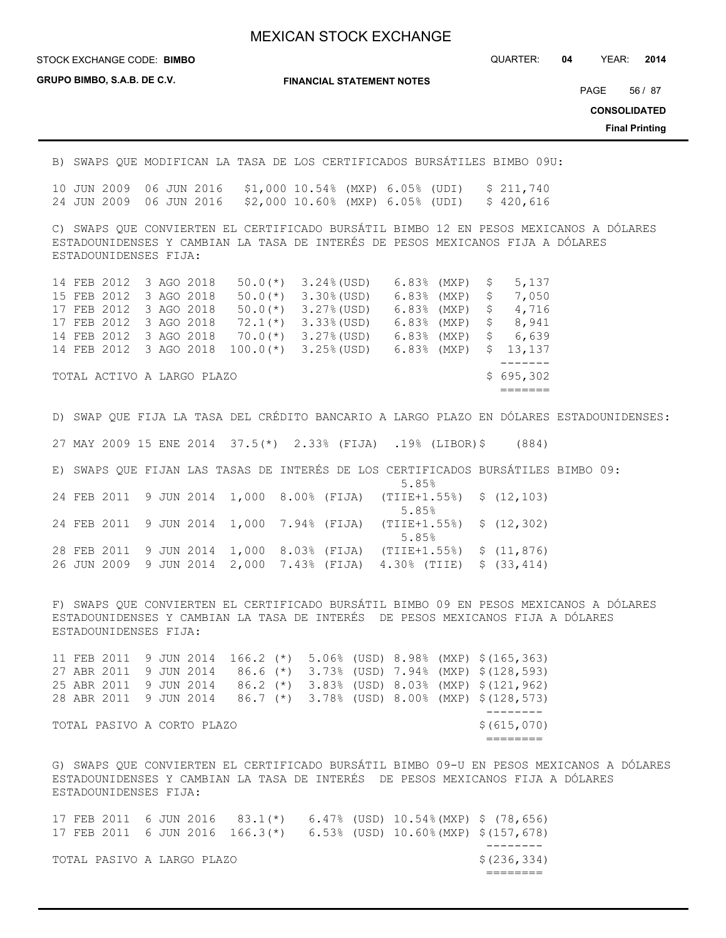### STOCK EXCHANGE CODE: QUARTER: **04** YEAR: **2014 BIMBO**

**GRUPO BIMBO, S.A.B. DE C.V.**

**FINANCIAL STATEMENT NOTES**

PAGE 56 / 87

**CONSOLIDATED**

**Final Printing**

B) SWAPS QUE MODIFICAN LA TASA DE LOS CERTIFICADOS BURSÁTILES BIMBO 09U:

10 JUN 2009 06 JUN 2016 \$1,000 10.54% (MXP) 6.05% (UDI) \$ 211,740 24 JUN 2009 06 JUN 2016 \$2,000 10.60% (MXP) 6.05% (UDI) \$ 420,616

C) SWAPS QUE CONVIERTEN EL CERTIFICADO BURSÁTIL BIMBO 12 EN PESOS MEXICANOS A DÓLARES ESTADOUNIDENSES Y CAMBIAN LA TASA DE INTERÉS DE PESOS MEXICANOS FIJA A DÓLARES ESTADOUNIDENSES FIJA:

|  | 14 FEB 2012 3 AGO 2018     |  |             | $50.0$ (*) $3.24$ (USD) | 6.83% (MXP) \$ |    | 5,137     |
|--|----------------------------|--|-------------|-------------------------|----------------|----|-----------|
|  | 15 FEB 2012 3 AGO 2018     |  | $50.0(*)$   | 3.30% (USD)             | $6.83%$ (MXP)  | \$ | 7,050     |
|  | 17 FEB 2012 3 AGO 2018     |  | $50.0(*)$   | $3.27%$ (USD)           | $6.83%$ (MXP)  | S  | 4,716     |
|  | 17 FEB 2012 3 AGO 2018     |  | $72.1(*)$   | $3.33$ (USD)            | $6.83%$ (MXP)  | S  | 8,941     |
|  | 14 FEB 2012 3 AGO 2018     |  | $70.0(*)$   | $3.27%$ (USD)           | $6.83%$ (MXP)  | \$ | 6,639     |
|  | 14 FEB 2012 3 AGO 2018     |  | $100.0$ (*) | $3.25%$ (USD)           | 6.83% (MXP)    |    | \$13,137  |
|  |                            |  |             |                         |                |    |           |
|  | TOTAL ACTIVO A LARGO PLAZO |  |             |                         |                |    | \$695,302 |
|  |                            |  |             |                         |                |    |           |

D) SWAP QUE FIJA LA TASA DEL CRÉDITO BANCARIO A LARGO PLAZO EN DÓLARES ESTADOUNIDENSES: 27 MAY 2009 15 ENE 2014 37.5(\*) 2.33% (FIJA) .19% (LIBOR)\$ (884) E) SWAPS QUE FIJAN LAS TASAS DE INTERÉS DE LOS CERTIFICADOS BURSÁTILES BIMBO 09:  $5.85%$ 24 FEB 2011 9 JUN 2014 1,000 8.00% (FIJA) (TIIE+1.55%) \$ (12,103)  $5.85%$ 24 FEB 2011 9 JUN 2014 1,000 7.94% (FIJA) (TIIE+1.55%) \$ (12,302)  $5.85%$ 28 FEB 2011 9 JUN 2014 1,000 8.03% (FIJA) (TIIE+1.55%) \$ (11,876)

26 JUN 2009 9 JUN 2014 2,000 7.43% (FIJA) 4.30% (TIIE) \$ (33,414)

F) SWAPS QUE CONVIERTEN EL CERTIFICADO BURSÁTIL BIMBO 09 EN PESOS MEXICANOS A DÓLARES ESTADOUNIDENSES Y CAMBIAN LA TASA DE INTERÉS DE PESOS MEXICANOS FIJA A DÓLARES ESTADOUNIDENSES FIJA:

|                                           |  |                        |  |  |  |  |  |  |  |  | 11 FEB 2011 9 JUN 2014 166.2 (*) 5.06% (USD) 8.98% (MXP) \$(165,363) |
|-------------------------------------------|--|------------------------|--|--|--|--|--|--|--|--|----------------------------------------------------------------------|
|                                           |  |                        |  |  |  |  |  |  |  |  | 27 ABR 2011 9 JUN 2014 86.6 (*) 3.73% (USD) 7.94% (MXP) \$(128,593)  |
|                                           |  | 25 ABR 2011 9 JUN 2014 |  |  |  |  |  |  |  |  | 86.2 (*) 3.83% (USD) 8.03% (MXP) \$(121,962)                         |
|                                           |  |                        |  |  |  |  |  |  |  |  | 28 ABR 2011 9 JUN 2014 86.7 (*) 3.78% (USD) 8.00% (MXP) \$(128,573)  |
|                                           |  |                        |  |  |  |  |  |  |  |  |                                                                      |
| \$(615,070)<br>TOTAL PASIVO A CORTO PLAZO |  |                        |  |  |  |  |  |  |  |  |                                                                      |
|                                           |  |                        |  |  |  |  |  |  |  |  |                                                                      |

G) SWAPS QUE CONVIERTEN EL CERTIFICADO BURSÁTIL BIMBO 09-U EN PESOS MEXICANOS A DÓLARES ESTADOUNIDENSES Y CAMBIAN LA TASA DE INTERÉS DE PESOS MEXICANOS FIJA A DÓLARES ESTADOUNIDENSES FIJA:

17 FEB 2011 6 JUN 2016 83.1(\*) 6.47% (USD) 10.54%(MXP) \$ (78,656) 17 FEB 2011 6 JUN 2016 166.3(\*) 6.53% (USD) 10.60%(MXP) \$(157,678) -------- TOTAL PASIVO A LARGO PLAZO **\$**(236,334) ========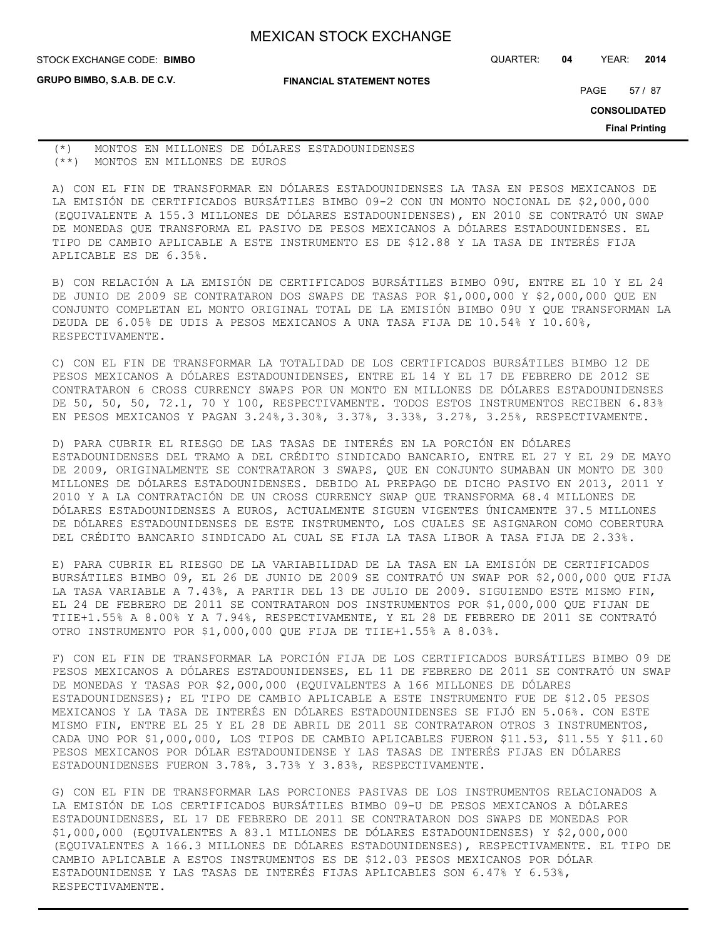STOCK EXCHANGE CODE: QUARTER: **04** YEAR: **2014 BIMBO**

**GRUPO BIMBO, S.A.B. DE C.V.**

**FINANCIAL STATEMENT NOTES**

PAGE 57 / 87

**CONSOLIDATED**

**Final Printing**

(\*) MONTOS EN MILLONES DE DÓLARES ESTADOUNIDENSES (\*\*) MONTOS EN MILLONES DE EUROS

A) CON EL FIN DE TRANSFORMAR EN DÓLARES ESTADOUNIDENSES LA TASA EN PESOS MEXICANOS DE LA EMISIÓN DE CERTIFICADOS BURSÁTILES BIMBO 09-2 CON UN MONTO NOCIONAL DE \$2,000,000 (EQUIVALENTE A 155.3 MILLONES DE DÓLARES ESTADOUNIDENSES), EN 2010 SE CONTRATÓ UN SWAP DE MONEDAS QUE TRANSFORMA EL PASIVO DE PESOS MEXICANOS A DÓLARES ESTADOUNIDENSES. EL TIPO DE CAMBIO APLICABLE A ESTE INSTRUMENTO ES DE \$12.88 Y LA TASA DE INTERÉS FIJA APLICABLE ES DE 6.35%.

B) CON RELACIÓN A LA EMISIÓN DE CERTIFICADOS BURSÁTILES BIMBO 09U, ENTRE EL 10 Y EL 24 DE JUNIO DE 2009 SE CONTRATARON DOS SWAPS DE TASAS POR \$1,000,000 Y \$2,000,000 QUE EN CONJUNTO COMPLETAN EL MONTO ORIGINAL TOTAL DE LA EMISIÓN BIMBO 09U Y QUE TRANSFORMAN LA DEUDA DE 6.05% DE UDIS A PESOS MEXICANOS A UNA TASA FIJA DE 10.54% Y 10.60%, RESPECTIVAMENTE.

C) CON EL FIN DE TRANSFORMAR LA TOTALIDAD DE LOS CERTIFICADOS BURSÁTILES BIMBO 12 DE PESOS MEXICANOS A DÓLARES ESTADOUNIDENSES, ENTRE EL 14 Y EL 17 DE FEBRERO DE 2012 SE CONTRATARON 6 CROSS CURRENCY SWAPS POR UN MONTO EN MILLONES DE DÓLARES ESTADOUNIDENSES DE 50, 50, 50, 72.1, 70 Y 100, RESPECTIVAMENTE. TODOS ESTOS INSTRUMENTOS RECIBEN 6.83% EN PESOS MEXICANOS Y PAGAN 3.24%,3.30%, 3.37%, 3.33%, 3.27%, 3.25%, RESPECTIVAMENTE.

D) PARA CUBRIR EL RIESGO DE LAS TASAS DE INTERÉS EN LA PORCIÓN EN DÓLARES ESTADOUNIDENSES DEL TRAMO A DEL CRÉDITO SINDICADO BANCARIO, ENTRE EL 27 Y EL 29 DE MAYO DE 2009, ORIGINALMENTE SE CONTRATARON 3 SWAPS, QUE EN CONJUNTO SUMABAN UN MONTO DE 300 MILLONES DE DÓLARES ESTADOUNIDENSES. DEBIDO AL PREPAGO DE DICHO PASIVO EN 2013, 2011 Y 2010 Y A LA CONTRATACIÓN DE UN CROSS CURRENCY SWAP QUE TRANSFORMA 68.4 MILLONES DE DÓLARES ESTADOUNIDENSES A EUROS, ACTUALMENTE SIGUEN VIGENTES ÚNICAMENTE 37.5 MILLONES DE DÓLARES ESTADOUNIDENSES DE ESTE INSTRUMENTO, LOS CUALES SE ASIGNARON COMO COBERTURA DEL CRÉDITO BANCARIO SINDICADO AL CUAL SE FIJA LA TASA LIBOR A TASA FIJA DE 2.33%.

E) PARA CUBRIR EL RIESGO DE LA VARIABILIDAD DE LA TASA EN LA EMISIÓN DE CERTIFICADOS BURSÁTILES BIMBO 09, EL 26 DE JUNIO DE 2009 SE CONTRATÓ UN SWAP POR \$2,000,000 QUE FIJA LA TASA VARIABLE A 7.43%, A PARTIR DEL 13 DE JULIO DE 2009. SIGUIENDO ESTE MISMO FIN, EL 24 DE FEBRERO DE 2011 SE CONTRATARON DOS INSTRUMENTOS POR \$1,000,000 QUE FIJAN DE TIIE+1.55% A 8.00% Y A 7.94%, RESPECTIVAMENTE, Y EL 28 DE FEBRERO DE 2011 SE CONTRATÓ OTRO INSTRUMENTO POR \$1,000,000 QUE FIJA DE TIIE+1.55% A 8.03%.

F) CON EL FIN DE TRANSFORMAR LA PORCIÓN FIJA DE LOS CERTIFICADOS BURSÁTILES BIMBO 09 DE PESOS MEXICANOS A DÓLARES ESTADOUNIDENSES, EL 11 DE FEBRERO DE 2011 SE CONTRATÓ UN SWAP DE MONEDAS Y TASAS POR \$2,000,000 (EQUIVALENTES A 166 MILLONES DE DÓLARES ESTADOUNIDENSES); EL TIPO DE CAMBIO APLICABLE A ESTE INSTRUMENTO FUE DE \$12.05 PESOS MEXICANOS Y LA TASA DE INTERÉS EN DÓLARES ESTADOUNIDENSES SE FIJÓ EN 5.06%. CON ESTE MISMO FIN, ENTRE EL 25 Y EL 28 DE ABRIL DE 2011 SE CONTRATARON OTROS 3 INSTRUMENTOS, CADA UNO POR \$1,000,000, LOS TIPOS DE CAMBIO APLICABLES FUERON \$11.53, \$11.55 Y \$11.60 PESOS MEXICANOS POR DÓLAR ESTADOUNIDENSE Y LAS TASAS DE INTERÉS FIJAS EN DÓLARES ESTADOUNIDENSES FUERON 3.78%, 3.73% Y 3.83%, RESPECTIVAMENTE.

G) CON EL FIN DE TRANSFORMAR LAS PORCIONES PASIVAS DE LOS INSTRUMENTOS RELACIONADOS A LA EMISIÓN DE LOS CERTIFICADOS BURSÁTILES BIMBO 09-U DE PESOS MEXICANOS A DÓLARES ESTADOUNIDENSES, EL 17 DE FEBRERO DE 2011 SE CONTRATARON DOS SWAPS DE MONEDAS POR \$1,000,000 (EQUIVALENTES A 83.1 MILLONES DE DÓLARES ESTADOUNIDENSES) Y \$2,000,000 (EQUIVALENTES A 166.3 MILLONES DE DÓLARES ESTADOUNIDENSES), RESPECTIVAMENTE. EL TIPO DE CAMBIO APLICABLE A ESTOS INSTRUMENTOS ES DE \$12.03 PESOS MEXICANOS POR DÓLAR ESTADOUNIDENSE Y LAS TASAS DE INTERÉS FIJAS APLICABLES SON 6.47% Y 6.53%, RESPECTIVAMENTE.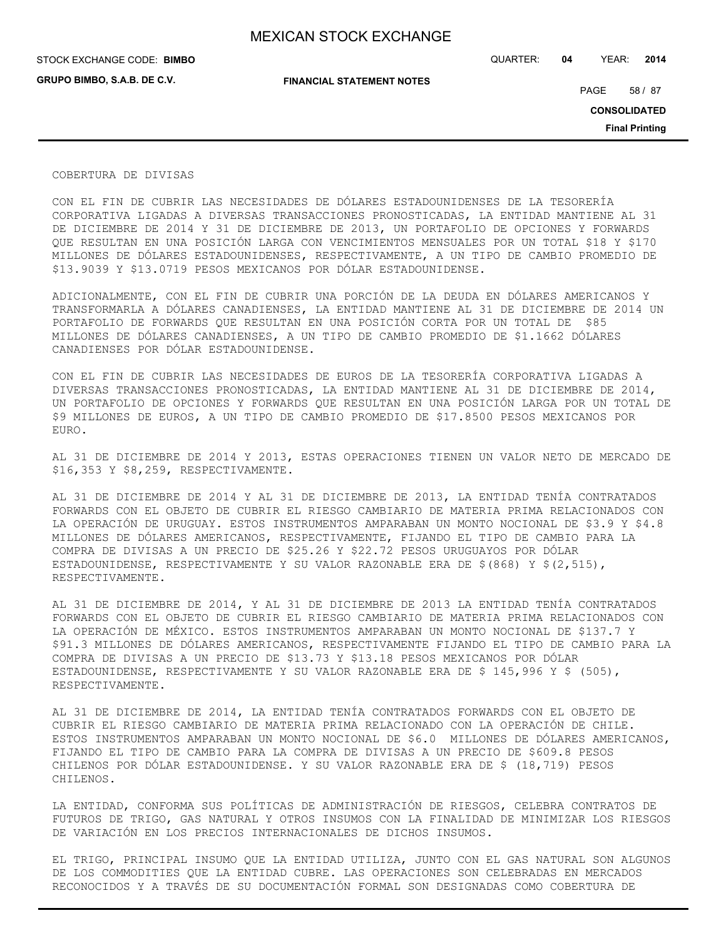**GRUPO BIMBO, S.A.B. DE C.V.**

STOCK EXCHANGE CODE: QUARTER: **04** YEAR: **2014 BIMBO**

**FINANCIAL STATEMENT NOTES**

PAGE 58 / 87

**CONSOLIDATED**

**Final Printing**

#### COBERTURA DE DIVISAS

CON EL FIN DE CUBRIR LAS NECESIDADES DE DÓLARES ESTADOUNIDENSES DE LA TESORERÍA CORPORATIVA LIGADAS A DIVERSAS TRANSACCIONES PRONOSTICADAS, LA ENTIDAD MANTIENE AL 31 DE DICIEMBRE DE 2014 Y 31 DE DICIEMBRE DE 2013, UN PORTAFOLIO DE OPCIONES Y FORWARDS QUE RESULTAN EN UNA POSICIÓN LARGA CON VENCIMIENTOS MENSUALES POR UN TOTAL \$18 Y \$170 MILLONES DE DÓLARES ESTADOUNIDENSES, RESPECTIVAMENTE, A UN TIPO DE CAMBIO PROMEDIO DE \$13.9039 Y \$13.0719 PESOS MEXICANOS POR DÓLAR ESTADOUNIDENSE.

ADICIONALMENTE, CON EL FIN DE CUBRIR UNA PORCIÓN DE LA DEUDA EN DÓLARES AMERICANOS Y TRANSFORMARLA A DÓLARES CANADIENSES, LA ENTIDAD MANTIENE AL 31 DE DICIEMBRE DE 2014 UN PORTAFOLIO DE FORWARDS QUE RESULTAN EN UNA POSICIÓN CORTA POR UN TOTAL DE \$85 MILLONES DE DÓLARES CANADIENSES, A UN TIPO DE CAMBIO PROMEDIO DE \$1.1662 DÓLARES CANADIENSES POR DÓLAR ESTADOUNIDENSE.

CON EL FIN DE CUBRIR LAS NECESIDADES DE EUROS DE LA TESORERÍA CORPORATIVA LIGADAS A DIVERSAS TRANSACCIONES PRONOSTICADAS, LA ENTIDAD MANTIENE AL 31 DE DICIEMBRE DE 2014, UN PORTAFOLIO DE OPCIONES Y FORWARDS QUE RESULTAN EN UNA POSICIÓN LARGA POR UN TOTAL DE \$9 MILLONES DE EUROS, A UN TIPO DE CAMBIO PROMEDIO DE \$17.8500 PESOS MEXICANOS POR EURO.

AL 31 DE DICIEMBRE DE 2014 Y 2013, ESTAS OPERACIONES TIENEN UN VALOR NETO DE MERCADO DE \$16,353 Y \$8,259, RESPECTIVAMENTE.

AL 31 DE DICIEMBRE DE 2014 Y AL 31 DE DICIEMBRE DE 2013, LA ENTIDAD TENÍA CONTRATADOS FORWARDS CON EL OBJETO DE CUBRIR EL RIESGO CAMBIARIO DE MATERIA PRIMA RELACIONADOS CON LA OPERACIÓN DE URUGUAY. ESTOS INSTRUMENTOS AMPARABAN UN MONTO NOCIONAL DE \$3.9 Y \$4.8 MILLONES DE DÓLARES AMERICANOS, RESPECTIVAMENTE, FIJANDO EL TIPO DE CAMBIO PARA LA COMPRA DE DIVISAS A UN PRECIO DE \$25.26 Y \$22.72 PESOS URUGUAYOS POR DÓLAR ESTADOUNIDENSE, RESPECTIVAMENTE Y SU VALOR RAZONABLE ERA DE \$(868) Y \$(2,515), RESPECTIVAMENTE.

AL 31 DE DICIEMBRE DE 2014, Y AL 31 DE DICIEMBRE DE 2013 LA ENTIDAD TENÍA CONTRATADOS FORWARDS CON EL OBJETO DE CUBRIR EL RIESGO CAMBIARIO DE MATERIA PRIMA RELACIONADOS CON LA OPERACIÓN DE MÉXICO. ESTOS INSTRUMENTOS AMPARABAN UN MONTO NOCIONAL DE \$137.7 Y \$91.3 MILLONES DE DÓLARES AMERICANOS, RESPECTIVAMENTE FIJANDO EL TIPO DE CAMBIO PARA LA COMPRA DE DIVISAS A UN PRECIO DE \$13.73 Y \$13.18 PESOS MEXICANOS POR DÓLAR ESTADOUNIDENSE, RESPECTIVAMENTE Y SU VALOR RAZONABLE ERA DE \$ 145,996 Y \$ (505), RESPECTIVAMENTE.

AL 31 DE DICIEMBRE DE 2014, LA ENTIDAD TENÍA CONTRATADOS FORWARDS CON EL OBJETO DE CUBRIR EL RIESGO CAMBIARIO DE MATERIA PRIMA RELACIONADO CON LA OPERACIÓN DE CHILE. ESTOS INSTRUMENTOS AMPARABAN UN MONTO NOCIONAL DE \$6.0 MILLONES DE DÓLARES AMERICANOS, FIJANDO EL TIPO DE CAMBIO PARA LA COMPRA DE DIVISAS A UN PRECIO DE \$609.8 PESOS CHILENOS POR DÓLAR ESTADOUNIDENSE. Y SU VALOR RAZONABLE ERA DE \$ (18,719) PESOS CHILENOS.

LA ENTIDAD, CONFORMA SUS POLÍTICAS DE ADMINISTRACIÓN DE RIESGOS, CELEBRA CONTRATOS DE FUTUROS DE TRIGO, GAS NATURAL Y OTROS INSUMOS CON LA FINALIDAD DE MINIMIZAR LOS RIESGOS DE VARIACIÓN EN LOS PRECIOS INTERNACIONALES DE DICHOS INSUMOS.

EL TRIGO, PRINCIPAL INSUMO QUE LA ENTIDAD UTILIZA, JUNTO CON EL GAS NATURAL SON ALGUNOS DE LOS COMMODITIES QUE LA ENTIDAD CUBRE. LAS OPERACIONES SON CELEBRADAS EN MERCADOS RECONOCIDOS Y A TRAVÉS DE SU DOCUMENTACIÓN FORMAL SON DESIGNADAS COMO COBERTURA DE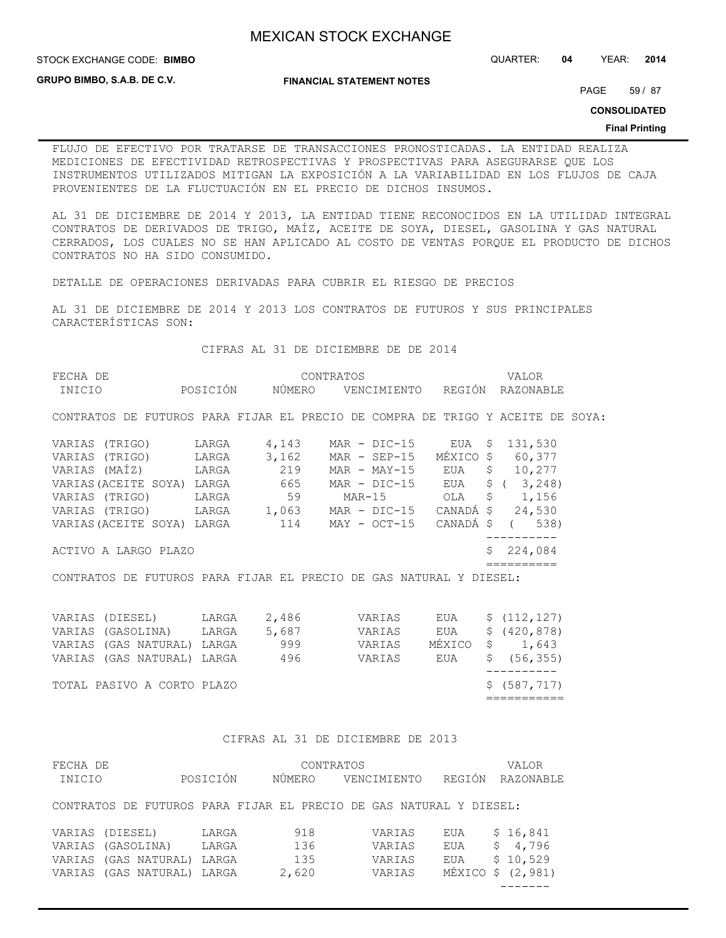**GRUPO BIMBO, S.A.B. DE C.V.**

**FINANCIAL STATEMENT NOTES**

PAGE 59 / 87

**CONSOLIDATED**

#### **Final Printing**

FLUJO DE EFECTIVO POR TRATARSE DE TRANSACCIONES PRONOSTICADAS. LA ENTIDAD REALIZA MEDICIONES DE EFECTIVIDAD RETROSPECTIVAS Y PROSPECTIVAS PARA ASEGURARSE QUE LOS INSTRUMENTOS UTILIZADOS MITIGAN LA EXPOSICIÓN A LA VARIABILIDAD EN LOS FLUJOS DE CAJA PROVENIENTES DE LA FLUCTUACIÓN EN EL PRECIO DE DICHOS INSUMOS.

AL 31 DE DICIEMBRE DE 2014 Y 2013, LA ENTIDAD TIENE RECONOCIDOS EN LA UTILIDAD INTEGRAL CONTRATOS DE DERIVADOS DE TRIGO, MAÍZ, ACEITE DE SOYA, DIESEL, GASOLINA Y GAS NATURAL CERRADOS, LOS CUALES NO SE HAN APLICADO AL COSTO DE VENTAS PORQUE EL PRODUCTO DE DICHOS CONTRATOS NO HA SIDO CONSUMIDO.

DETALLE DE OPERACIONES DERIVADAS PARA CUBRIR EL RIESGO DE PRECIOS

AL 31 DE DICIEMBRE DE 2014 Y 2013 LOS CONTRATOS DE FUTUROS Y SUS PRINCIPALES CARACTERÍSTICAS SON:

CIFRAS AL 31 DE DICIEMBRE DE DE 2014

| FECHA DE                                                                       |                 | CONTRATOS          | VALOR      |  |
|--------------------------------------------------------------------------------|-----------------|--------------------|------------|--|
| INICIO                                                                         | POSICIÓN NÚMERO | VENCIMIENTO REGIÓN | RAZONABLE  |  |
| CONTRATOS DE FUTUROS PARA FIJAR EL PRECIO DE COMPRA DE TRIGO Y ACEITE DE SOYA: |                 |                    |            |  |
| VARIAS (TRIGO) LARGA $4,143$ MAR - DIC-15 EUA \$ 131,530                       |                 |                    |            |  |
| VARIAS (TRIGO) LARGA 3,162 MAR - SEP-15 MÉXICO \$ 60,377                       |                 |                    |            |  |
|                                                                                |                 |                    |            |  |
| VARIAS (ACEITE SOYA) LARGA 665 MAR - DIC-15 EUA \$ (3,248)                     |                 |                    |            |  |
| VARIAS (TRIGO) LARGA 59 MAR-15 OLA \$ 1,156                                    |                 |                    |            |  |
| VARIAS (TRIGO) LARGA 1,063 MAR - DIC-15 CANADÁ \$ 24,530                       |                 |                    |            |  |
| VARIAS (ACEITE SOYA) LARGA 114 MAY - OCT-15 CANADÁ \$ (538)                    |                 |                    |            |  |
| ACTIVO A LARGO PLAZO                                                           |                 |                    | \$224,084  |  |
|                                                                                |                 |                    | ========== |  |
| CONTRATOS DE FUTUROS PARA FIJAR EL PRECIO DE GAS NATURAL Y DIESEL:             |                 |                    |            |  |
| VARIAS (DIESEL) LARGA 2,486 VARIAS EUA \$ (112,127)                            |                 |                    |            |  |
| VARIAS (GASOLINA) LARGA 5,687 VARIAS EUA \$ (420,878)                          |                 |                    |            |  |
|                                                                                |                 |                    |            |  |

|  | VARIAS (GAS NATURAL) LARGA | 999 | VARIAS |  | MÉXICO \$ 1,643 |
|--|----------------------------|-----|--------|--|-----------------|
|  | VARIAS (GAS NATURAL) LARGA | 496 | VARIAS |  | EUA \$ (56,355) |
|  |                            |     |        |  |                 |
|  | TOTAL PASIVO A CORTO PLAZO |     |        |  | \$(587,717)     |
|  |                            |     |        |  |                 |
|  |                            |     |        |  |                 |

## CIFRAS AL 31 DE DICIEMBRE DE 2013

| FECHA DE |            |               |          | CONTRATOS |                                                                    |        | VALOR           |
|----------|------------|---------------|----------|-----------|--------------------------------------------------------------------|--------|-----------------|
| INICIO   |            |               | POSICIÓN | NUMERO    | VENCIMIENTO                                                        | REGIÓN | RAZONABLE       |
|          |            |               |          |           | CONTRATOS DE FUTUROS PARA FIJAR EL PRECIO DE GAS NATURAL Y DIESEL: |        |                 |
| VARIAS   | (DIESEL)   |               | LARGA    | 918       | VARIAS                                                             | EUA    | \$16,841        |
| VARIAS   | (GASOLINA) |               | LARGA    | 136       | VARIAS                                                             | EUA    | 4,796<br>\$.    |
| VARIAS   |            | (GAS NATURAL) | LARGA    | 135       | VARIAS                                                             | EUA    | \$10,529        |
| VARIAS   |            | (GAS NATURAL) | LARGA    | 2,620     | VARIAS                                                             | MÉXICO | (2, 981)<br>\$. |
|          |            |               |          |           |                                                                    |        |                 |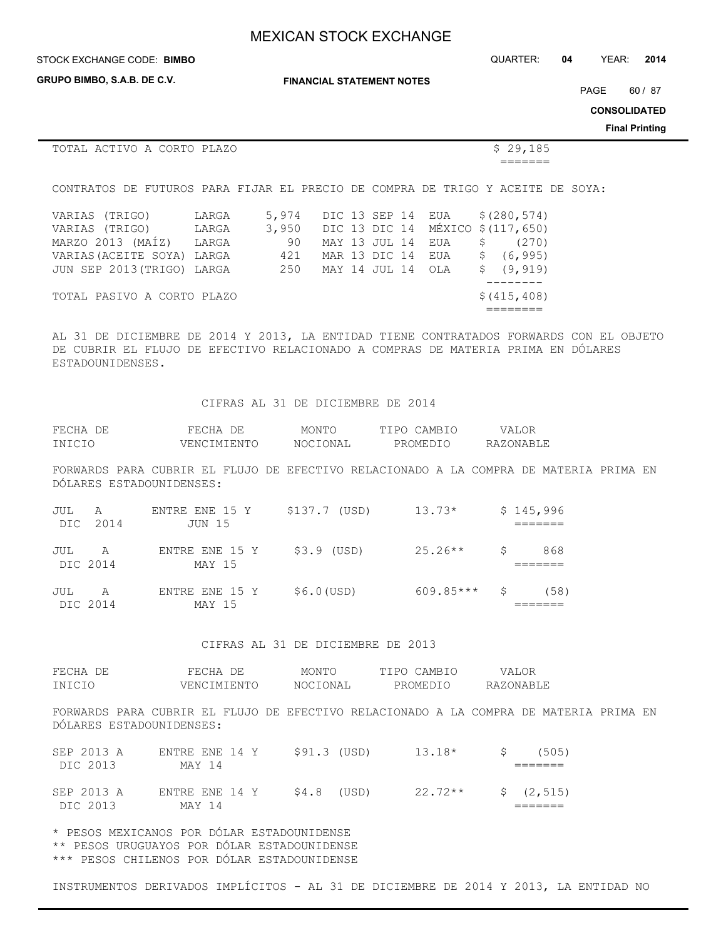**GRUPO BIMBO, S.A.B. DE C.V.**

STOCK EXCHANGE CODE: QUARTER: **04** YEAR: **2014 BIMBO**

**FINANCIAL STATEMENT NOTES**

PAGE 60 / 87

**CONSOLIDATED**

#### **Final Printing**

|                                                                                |       |       |  |               |                    |               | . |
|--------------------------------------------------------------------------------|-------|-------|--|---------------|--------------------|---------------|---|
| TOTAL ACTIVO A CORTO PLAZO                                                     |       |       |  |               |                    | \$29,185      |   |
|                                                                                |       |       |  |               |                    |               |   |
| CONTRATOS DE FUTUROS PARA FIJAR EL PRECIO DE COMPRA DE TRIGO Y ACEITE DE SOYA: |       |       |  |               |                    |               |   |
| VARIAS (TRIGO)                                                                 | LARGA | 5,974 |  | DIC 13 SEP 14 | EUA                | \$(280, 574)  |   |
| VARIAS (TRIGO)                                                                 | LARGA | 3,950 |  | DIC 13 DIC 14 | MÉXICO \$(117,650) |               |   |
| MARZO 2013 (MAÍZ)                                                              | LARGA | 90    |  | MAY 13 JUL 14 | \$<br>EUA          | (270)         |   |
| VARIAS (ACEITE SOYA) LARGA                                                     |       | 421   |  | MAR 13 DIC 14 | \$.<br>EUA         | (6, 995)      |   |
| JUN SEP 2013 (TRIGO) LARGA                                                     |       | 250   |  | MAY 14 JUL 14 | S<br>OLA           | (9, 919)      |   |
|                                                                                |       |       |  |               |                    |               |   |
| TOTAL PASIVO A CORTO PLAZO                                                     |       |       |  |               |                    | \$ (415, 408) |   |
|                                                                                |       |       |  |               |                    |               |   |

AL 31 DE DICIEMBRE DE 2014 Y 2013, LA ENTIDAD TIENE CONTRATADOS FORWARDS CON EL OBJETO DE CUBRIR EL FLUJO DE EFECTIVO RELACIONADO A COMPRAS DE MATERIA PRIMA EN DÓLARES ESTADOUNIDENSES.

#### CIFRAS AL 31 DE DICIEMBRE DE 2014

| FECHA DE | FECHA DE    | MONTO    | TIPO CAMBIO | VALOR     |
|----------|-------------|----------|-------------|-----------|
| INICIO   | VENCIMIENTO | NOCIONAL | PROMEDIO    | RAZONABLE |

FORWARDS PARA CUBRIR EL FLUJO DE EFECTIVO RELACIONADO A LA COMPRA DE MATERIA PRIMA EN DÓLARES ESTADOUNIDENSES:

| JUL A           | DIC 2014       | ENTRE ENE 15 Y<br>JUN 15 | \$137.7 (USD) | $13.73*$    |    | \$145,996 |
|-----------------|----------------|--------------------------|---------------|-------------|----|-----------|
| JUL<br>DIC 2014 | $\overline{A}$ | ENTRE ENE 15 Y<br>MAY 15 | \$3.9 (USD)   | $25.26**$   | S. | 868       |
| JUL             | A<br>DIC 2014  | ENTRE ENE 15 Y<br>MAY 15 | $$6.0$ (USD)  | $609.85***$ | S. | (58)      |

#### CIFRAS AL 31 DE DICIEMBRE DE 2013

| FECHA  | FECHA<br>– DE | MONTO    | TIPO CAMBIO | VALOR     |
|--------|---------------|----------|-------------|-----------|
| INICIO | VENCIMIENTO   | NOCIONAL | PROMEDIC    | RAZONABLE |

FORWARDS PARA CUBRIR EL FLUJO DE EFECTIVO RELACIONADO A LA COMPRA DE MATERIA PRIMA EN DÓLARES ESTADOUNIDENSES:

| SEP 2013 A | ENTRE ENE 14 Y | \$91.3 (USD) | 13.18*    | S in | (505)       |
|------------|----------------|--------------|-----------|------|-------------|
| DIC 2013   | MAY 14         |              |           |      |             |
| SEP 2013 A | ENTRE ENE 14 Y | $$4.8$ (USD) | $22.72**$ |      | \$ (2, 515) |
| DIC 2013   | MAY 14         |              |           |      |             |

\* PESOS MEXICANOS POR DÓLAR ESTADOUNIDENSE \*\* PESOS URUGUAYOS POR DÓLAR ESTADOUNIDENSE

\*\*\* PESOS CHILENOS POR DÓLAR ESTADOUNIDENSE

INSTRUMENTOS DERIVADOS IMPLÍCITOS - AL 31 DE DICIEMBRE DE 2014 Y 2013, LA ENTIDAD NO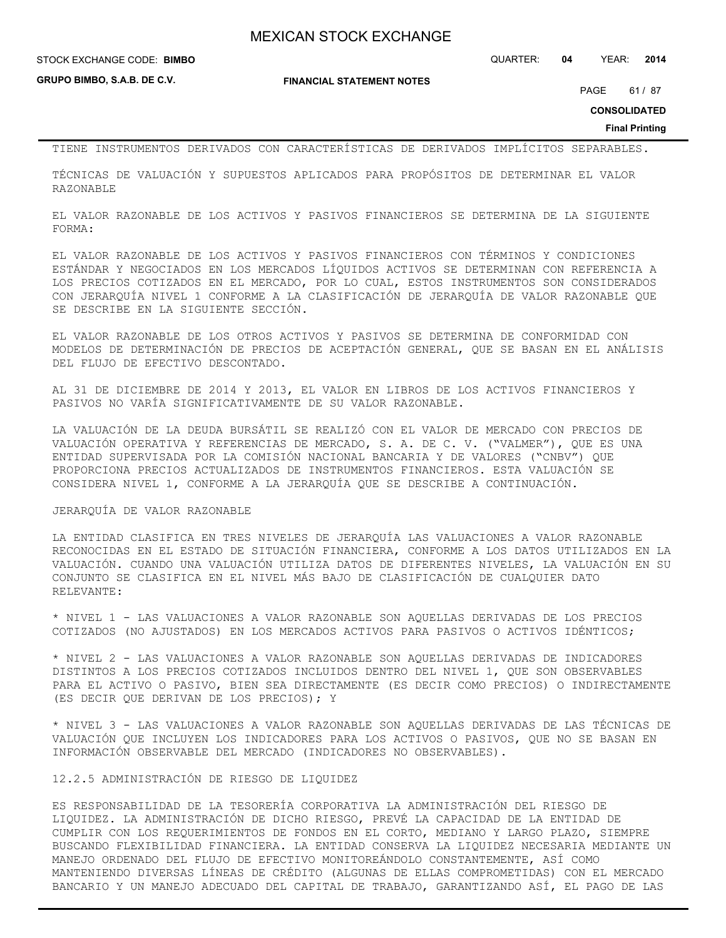**GRUPO BIMBO, S.A.B. DE C.V.**

**FINANCIAL STATEMENT NOTES**

STOCK EXCHANGE CODE: QUARTER: **04** YEAR: **2014 BIMBO**

PAGE 61 / 87

**CONSOLIDATED**

**Final Printing**

TIENE INSTRUMENTOS DERIVADOS CON CARACTERÍSTICAS DE DERIVADOS IMPLÍCITOS SEPARABLES.

TÉCNICAS DE VALUACIÓN Y SUPUESTOS APLICADOS PARA PROPÓSITOS DE DETERMINAR EL VALOR RAZONABLE

EL VALOR RAZONABLE DE LOS ACTIVOS Y PASIVOS FINANCIEROS SE DETERMINA DE LA SIGUIENTE FORMA:

EL VALOR RAZONABLE DE LOS ACTIVOS Y PASIVOS FINANCIEROS CON TÉRMINOS Y CONDICIONES ESTÁNDAR Y NEGOCIADOS EN LOS MERCADOS LÍQUIDOS ACTIVOS SE DETERMINAN CON REFERENCIA A LOS PRECIOS COTIZADOS EN EL MERCADO, POR LO CUAL, ESTOS INSTRUMENTOS SON CONSIDERADOS CON JERARQUÍA NIVEL 1 CONFORME A LA CLASIFICACIÓN DE JERARQUÍA DE VALOR RAZONABLE QUE SE DESCRIBE EN LA SIGUIENTE SECCIÓN.

EL VALOR RAZONABLE DE LOS OTROS ACTIVOS Y PASIVOS SE DETERMINA DE CONFORMIDAD CON MODELOS DE DETERMINACIÓN DE PRECIOS DE ACEPTACIÓN GENERAL, QUE SE BASAN EN EL ANÁLISIS DEL FLUJO DE EFECTIVO DESCONTADO.

AL 31 DE DICIEMBRE DE 2014 Y 2013, EL VALOR EN LIBROS DE LOS ACTIVOS FINANCIEROS Y PASIVOS NO VARÍA SIGNIFICATIVAMENTE DE SU VALOR RAZONABLE.

LA VALUACIÓN DE LA DEUDA BURSÁTIL SE REALIZÓ CON EL VALOR DE MERCADO CON PRECIOS DE VALUACIÓN OPERATIVA Y REFERENCIAS DE MERCADO, S. A. DE C. V. ("VALMER"), QUE ES UNA ENTIDAD SUPERVISADA POR LA COMISIÓN NACIONAL BANCARIA Y DE VALORES ("CNBV") QUE PROPORCIONA PRECIOS ACTUALIZADOS DE INSTRUMENTOS FINANCIEROS. ESTA VALUACIÓN SE CONSIDERA NIVEL 1, CONFORME A LA JERARQUÍA QUE SE DESCRIBE A CONTINUACIÓN.

### JERARQUÍA DE VALOR RAZONABLE

LA ENTIDAD CLASIFICA EN TRES NIVELES DE JERARQUÍA LAS VALUACIONES A VALOR RAZONABLE RECONOCIDAS EN EL ESTADO DE SITUACIÓN FINANCIERA, CONFORME A LOS DATOS UTILIZADOS EN LA VALUACIÓN. CUANDO UNA VALUACIÓN UTILIZA DATOS DE DIFERENTES NIVELES, LA VALUACIÓN EN SU CONJUNTO SE CLASIFICA EN EL NIVEL MÁS BAJO DE CLASIFICACIÓN DE CUALQUIER DATO RELEVANTE:

\* NIVEL 1 - LAS VALUACIONES A VALOR RAZONABLE SON AQUELLAS DERIVADAS DE LOS PRECIOS COTIZADOS (NO AJUSTADOS) EN LOS MERCADOS ACTIVOS PARA PASIVOS O ACTIVOS IDÉNTICOS;

\* NIVEL 2 - LAS VALUACIONES A VALOR RAZONABLE SON AQUELLAS DERIVADAS DE INDICADORES DISTINTOS A LOS PRECIOS COTIZADOS INCLUIDOS DENTRO DEL NIVEL 1, QUE SON OBSERVABLES PARA EL ACTIVO O PASIVO, BIEN SEA DIRECTAMENTE (ES DECIR COMO PRECIOS) O INDIRECTAMENTE (ES DECIR QUE DERIVAN DE LOS PRECIOS); Y

\* NIVEL 3 - LAS VALUACIONES A VALOR RAZONABLE SON AQUELLAS DERIVADAS DE LAS TÉCNICAS DE VALUACIÓN QUE INCLUYEN LOS INDICADORES PARA LOS ACTIVOS O PASIVOS, QUE NO SE BASAN EN INFORMACIÓN OBSERVABLE DEL MERCADO (INDICADORES NO OBSERVABLES).

12.2.5 ADMINISTRACIÓN DE RIESGO DE LIQUIDEZ

ES RESPONSABILIDAD DE LA TESORERÍA CORPORATIVA LA ADMINISTRACIÓN DEL RIESGO DE LIQUIDEZ. LA ADMINISTRACIÓN DE DICHO RIESGO, PREVÉ LA CAPACIDAD DE LA ENTIDAD DE CUMPLIR CON LOS REQUERIMIENTOS DE FONDOS EN EL CORTO, MEDIANO Y LARGO PLAZO, SIEMPRE BUSCANDO FLEXIBILIDAD FINANCIERA. LA ENTIDAD CONSERVA LA LIQUIDEZ NECESARIA MEDIANTE UN MANEJO ORDENADO DEL FLUJO DE EFECTIVO MONITOREÁNDOLO CONSTANTEMENTE, ASÍ COMO MANTENIENDO DIVERSAS LÍNEAS DE CRÉDITO (ALGUNAS DE ELLAS COMPROMETIDAS) CON EL MERCADO BANCARIO Y UN MANEJO ADECUADO DEL CAPITAL DE TRABAJO, GARANTIZANDO ASÍ, EL PAGO DE LAS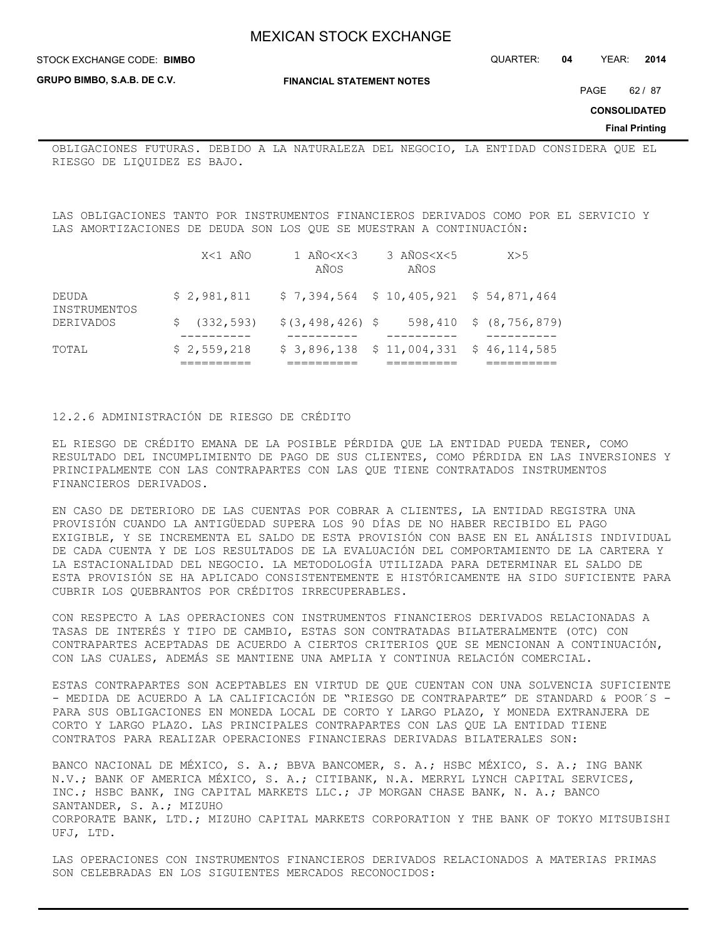STOCK EXCHANGE CODE: QUARTER: **04** YEAR: **2014 BIMBO**

**GRUPO BIMBO, S.A.B. DE C.V.**

**FINANCIAL STATEMENT NOTES**

PAGE 62 / 87

**CONSOLIDATED**

**Final Printing**

OBLIGACIONES FUTURAS. DEBIDO A LA NATURALEZA DEL NEGOCIO, LA ENTIDAD CONSIDERA QUE EL RIESGO DE LIQUIDEZ ES BAJO.

LAS OBLIGACIONES TANTO POR INSTRUMENTOS FINANCIEROS DERIVADOS COMO POR EL SERVICIO Y LAS AMORTIZACIONES DE DEUDA SON LOS QUE SE MUESTRAN A CONTINUACIÓN:

| TOTAL                     | \$2,559,218   |                             | $$3,896,138$ $$11,004,331$ $$46,114,585$ |                        |
|---------------------------|---------------|-----------------------------|------------------------------------------|------------------------|
| INSTRUMENTOS<br>DERIVADOS | \$ (332, 593) | $$(3, 498, 426)$ \$         |                                          | 598,410 \$ (8,756,879) |
| DEUDA                     | \$2.981.811   |                             | $$7,394,564$ $$10,405,921$ $$54,871,464$ |                        |
|                           | X<1 AÑO       | 1 AÑ0 <x<3<br>AÑOS</x<3<br> | 3 AÑOS <x<5<br>AÑOS</x<5<br>             | X>5                    |

## 12.2.6 ADMINISTRACIÓN DE RIESGO DE CRÉDITO

EL RIESGO DE CRÉDITO EMANA DE LA POSIBLE PÉRDIDA QUE LA ENTIDAD PUEDA TENER, COMO RESULTADO DEL INCUMPLIMIENTO DE PAGO DE SUS CLIENTES, COMO PÉRDIDA EN LAS INVERSIONES Y PRINCIPALMENTE CON LAS CONTRAPARTES CON LAS QUE TIENE CONTRATADOS INSTRUMENTOS FINANCIEROS DERIVADOS.

EN CASO DE DETERIORO DE LAS CUENTAS POR COBRAR A CLIENTES, LA ENTIDAD REGISTRA UNA PROVISIÓN CUANDO LA ANTIGÜEDAD SUPERA LOS 90 DÍAS DE NO HABER RECIBIDO EL PAGO EXIGIBLE, Y SE INCREMENTA EL SALDO DE ESTA PROVISIÓN CON BASE EN EL ANÁLISIS INDIVIDUAL DE CADA CUENTA Y DE LOS RESULTADOS DE LA EVALUACIÓN DEL COMPORTAMIENTO DE LA CARTERA Y LA ESTACIONALIDAD DEL NEGOCIO. LA METODOLOGÍA UTILIZADA PARA DETERMINAR EL SALDO DE ESTA PROVISIÓN SE HA APLICADO CONSISTENTEMENTE E HISTÓRICAMENTE HA SIDO SUFICIENTE PARA CUBRIR LOS QUEBRANTOS POR CRÉDITOS IRRECUPERABLES.

CON RESPECTO A LAS OPERACIONES CON INSTRUMENTOS FINANCIEROS DERIVADOS RELACIONADAS A TASAS DE INTERÉS Y TIPO DE CAMBIO, ESTAS SON CONTRATADAS BILATERALMENTE (OTC) CON CONTRAPARTES ACEPTADAS DE ACUERDO A CIERTOS CRITERIOS QUE SE MENCIONAN A CONTINUACIÓN, CON LAS CUALES, ADEMÁS SE MANTIENE UNA AMPLIA Y CONTINUA RELACIÓN COMERCIAL.

ESTAS CONTRAPARTES SON ACEPTABLES EN VIRTUD DE QUE CUENTAN CON UNA SOLVENCIA SUFICIENTE - MEDIDA DE ACUERDO A LA CALIFICACIÓN DE "RIESGO DE CONTRAPARTE" DE STANDARD & POOR´S -PARA SUS OBLIGACIONES EN MONEDA LOCAL DE CORTO Y LARGO PLAZO, Y MONEDA EXTRANJERA DE CORTO Y LARGO PLAZO. LAS PRINCIPALES CONTRAPARTES CON LAS QUE LA ENTIDAD TIENE CONTRATOS PARA REALIZAR OPERACIONES FINANCIERAS DERIVADAS BILATERALES SON:

BANCO NACIONAL DE MÉXICO, S. A.; BBVA BANCOMER, S. A.; HSBC MÉXICO, S. A.; ING BANK N.V.; BANK OF AMERICA MÉXICO, S. A.; CITIBANK, N.A. MERRYL LYNCH CAPITAL SERVICES, INC.; HSBC BANK, ING CAPITAL MARKETS LLC.; JP MORGAN CHASE BANK, N. A.; BANCO SANTANDER, S. A.; MIZUHO CORPORATE BANK, LTD.; MIZUHO CAPITAL MARKETS CORPORATION Y THE BANK OF TOKYO MITSUBISHI UFJ, LTD.

LAS OPERACIONES CON INSTRUMENTOS FINANCIEROS DERIVADOS RELACIONADOS A MATERIAS PRIMAS SON CELEBRADAS EN LOS SIGUIENTES MERCADOS RECONOCIDOS: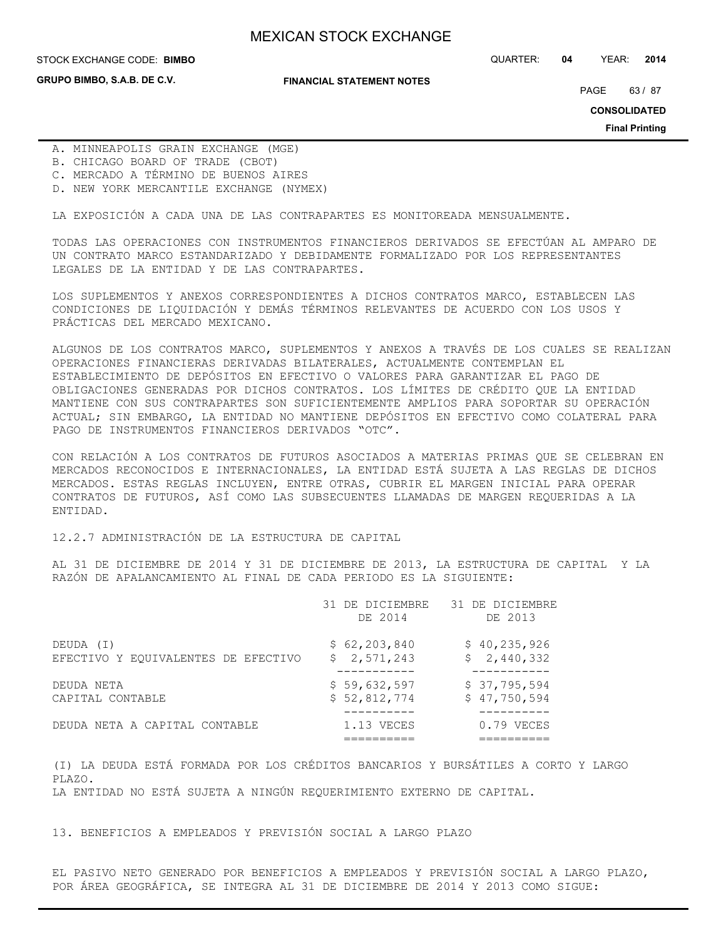**GRUPO BIMBO, S.A.B. DE C.V.**

#### **FINANCIAL STATEMENT NOTES**

STOCK EXCHANGE CODE: QUARTER: **04** YEAR: **2014 BIMBO**

PAGE 63 / 87

**CONSOLIDATED**

**Final Printing**

- A. MINNEAPOLIS GRAIN EXCHANGE (MGE)
- B. CHICAGO BOARD OF TRADE (CBOT)
- C. MERCADO A TÉRMINO DE BUENOS AIRES
- D. NEW YORK MERCANTILE EXCHANGE (NYMEX)

LA EXPOSICIÓN A CADA UNA DE LAS CONTRAPARTES ES MONITOREADA MENSUALMENTE.

TODAS LAS OPERACIONES CON INSTRUMENTOS FINANCIEROS DERIVADOS SE EFECTÚAN AL AMPARO DE UN CONTRATO MARCO ESTANDARIZADO Y DEBIDAMENTE FORMALIZADO POR LOS REPRESENTANTES LEGALES DE LA ENTIDAD Y DE LAS CONTRAPARTES.

LOS SUPLEMENTOS Y ANEXOS CORRESPONDIENTES A DICHOS CONTRATOS MARCO, ESTABLECEN LAS CONDICIONES DE LIQUIDACIÓN Y DEMÁS TÉRMINOS RELEVANTES DE ACUERDO CON LOS USOS Y PRÁCTICAS DEL MERCADO MEXICANO.

ALGUNOS DE LOS CONTRATOS MARCO, SUPLEMENTOS Y ANEXOS A TRAVÉS DE LOS CUALES SE REALIZAN OPERACIONES FINANCIERAS DERIVADAS BILATERALES, ACTUALMENTE CONTEMPLAN EL ESTABLECIMIENTO DE DEPÓSITOS EN EFECTIVO O VALORES PARA GARANTIZAR EL PAGO DE OBLIGACIONES GENERADAS POR DICHOS CONTRATOS. LOS LÍMITES DE CRÉDITO QUE LA ENTIDAD MANTIENE CON SUS CONTRAPARTES SON SUFICIENTEMENTE AMPLIOS PARA SOPORTAR SU OPERACIÓN ACTUAL; SIN EMBARGO, LA ENTIDAD NO MANTIENE DEPÓSITOS EN EFECTIVO COMO COLATERAL PARA PAGO DE INSTRUMENTOS FINANCIEROS DERIVADOS "OTC".

CON RELACIÓN A LOS CONTRATOS DE FUTUROS ASOCIADOS A MATERIAS PRIMAS QUE SE CELEBRAN EN MERCADOS RECONOCIDOS E INTERNACIONALES, LA ENTIDAD ESTÁ SUJETA A LAS REGLAS DE DICHOS MERCADOS. ESTAS REGLAS INCLUYEN, ENTRE OTRAS, CUBRIR EL MARGEN INICIAL PARA OPERAR CONTRATOS DE FUTUROS, ASÍ COMO LAS SUBSECUENTES LLAMADAS DE MARGEN REQUERIDAS A LA ENTIDAD.

#### 12.2.7 ADMINISTRACIÓN DE LA ESTRUCTURA DE CAPITAL

AL 31 DE DICIEMBRE DE 2014 Y 31 DE DICIEMBRE DE 2013, LA ESTRUCTURA DE CAPITAL Y LA RAZÓN DE APALANCAMIENTO AL FINAL DE CADA PERIODO ES LA SIGUIENTE:

|                                     | 31 DE DICIEMBRE<br>DE 2014 | 31 DE DICIEMBRE<br>DE 2013 |
|-------------------------------------|----------------------------|----------------------------|
| DEUDA (I)                           | \$62, 203, 840             | \$40, 235, 926             |
| EFECTIVO Y EQUIVALENTES DE EFECTIVO | \$2,571,243                | \$2,440,332                |
| DEUDA NETA                          | \$59,632,597               | \$37,795,594               |
| CAPITAL CONTABLE                    | \$52,812,774               | \$47,750,594               |
| DEUDA NETA A CAPITAL CONTABLE       | 1.13 VECES                 | $0.79$ VECES               |
|                                     |                            |                            |

(I) LA DEUDA ESTÁ FORMADA POR LOS CRÉDITOS BANCARIOS Y BURSÁTILES A CORTO Y LARGO PLAZO. LA ENTIDAD NO ESTÁ SUJETA A NINGÚN REQUERIMIENTO EXTERNO DE CAPITAL.

13. BENEFICIOS A EMPLEADOS Y PREVISIÓN SOCIAL A LARGO PLAZO

EL PASIVO NETO GENERADO POR BENEFICIOS A EMPLEADOS Y PREVISIÓN SOCIAL A LARGO PLAZO, POR ÁREA GEOGRÁFICA, SE INTEGRA AL 31 DE DICIEMBRE DE 2014 Y 2013 COMO SIGUE: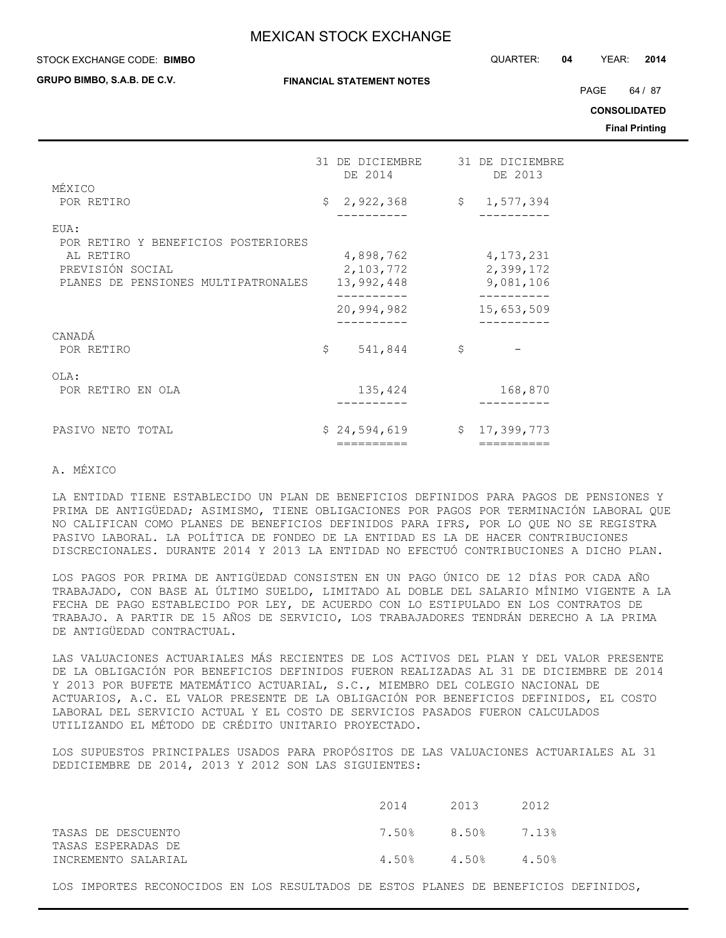#### STOCK EXCHANGE CODE: QUARTER: **04** YEAR: **2014 BIMBO**

**GRUPO BIMBO, S.A.B. DE C.V.**

**FINANCIAL STATEMENT NOTES**

PAGE 64 / 87

**CONSOLIDATED**

**Final Printing**

|                                                                                                                     | 31 DE DICIEMBRE<br>DE 2014           | 31 DE DICIEMBRE<br>DE 2013            |
|---------------------------------------------------------------------------------------------------------------------|--------------------------------------|---------------------------------------|
| MÉXICO<br>POR RETIRO                                                                                                | \$2,922,368                          | \$1,577,394                           |
| EUA:<br>POR RETIRO Y BENEFICIOS POSTERIORES<br>AL RETIRO<br>PREVISIÓN SOCIAL<br>PLANES DE PENSIONES MULTIPATRONALES | 4,898,762<br>2,103,772<br>13,992,448 | 4, 173, 231<br>2,399,172<br>9,081,106 |
| CANADÁ                                                                                                              | 20,994,982                           | 15,653,509                            |
| POR RETIRO                                                                                                          | \$<br>541,844                        | \$                                    |
| OLA:<br>POR RETIRO EN OLA                                                                                           | 135,424                              | 168,870                               |
| PASIVO NETO TOTAL                                                                                                   | \$24,594,619<br>=========            | \$17,399,773<br>==========            |
|                                                                                                                     |                                      |                                       |

## A. MÉXICO

LA ENTIDAD TIENE ESTABLECIDO UN PLAN DE BENEFICIOS DEFINIDOS PARA PAGOS DE PENSIONES Y PRIMA DE ANTIGÜEDAD; ASIMISMO, TIENE OBLIGACIONES POR PAGOS POR TERMINACIÓN LABORAL QUE NO CALIFICAN COMO PLANES DE BENEFICIOS DEFINIDOS PARA IFRS, POR LO QUE NO SE REGISTRA PASIVO LABORAL. LA POLÍTICA DE FONDEO DE LA ENTIDAD ES LA DE HACER CONTRIBUCIONES DISCRECIONALES. DURANTE 2014 Y 2013 LA ENTIDAD NO EFECTUÓ CONTRIBUCIONES A DICHO PLAN.

LOS PAGOS POR PRIMA DE ANTIGÜEDAD CONSISTEN EN UN PAGO ÚNICO DE 12 DÍAS POR CADA AÑO TRABAJADO, CON BASE AL ÚLTIMO SUELDO, LIMITADO AL DOBLE DEL SALARIO MÍNIMO VIGENTE A LA FECHA DE PAGO ESTABLECIDO POR LEY, DE ACUERDO CON LO ESTIPULADO EN LOS CONTRATOS DE TRABAJO. A PARTIR DE 15 AÑOS DE SERVICIO, LOS TRABAJADORES TENDRÁN DERECHO A LA PRIMA DE ANTIGÜEDAD CONTRACTUAL.

LAS VALUACIONES ACTUARIALES MÁS RECIENTES DE LOS ACTIVOS DEL PLAN Y DEL VALOR PRESENTE DE LA OBLIGACIÓN POR BENEFICIOS DEFINIDOS FUERON REALIZADAS AL 31 DE DICIEMBRE DE 2014 Y 2013 POR BUFETE MATEMÁTICO ACTUARIAL, S.C., MIEMBRO DEL COLEGIO NACIONAL DE ACTUARIOS, A.C. EL VALOR PRESENTE DE LA OBLIGACIÓN POR BENEFICIOS DEFINIDOS, EL COSTO LABORAL DEL SERVICIO ACTUAL Y EL COSTO DE SERVICIOS PASADOS FUERON CALCULADOS UTILIZANDO EL MÉTODO DE CRÉDITO UNITARIO PROYECTADO.

LOS SUPUESTOS PRINCIPALES USADOS PARA PROPÓSITOS DE LAS VALUACIONES ACTUARIALES AL 31 DEDICIEMBRE DE 2014, 2013 Y 2012 SON LAS SIGUIENTES:

|                                          | 2014              | 2013  | 2012  |
|------------------------------------------|-------------------|-------|-------|
| TASAS DE DESCUENTO<br>TASAS ESPERADAS DE | 7.50% 8.50% 7.13% |       |       |
| INCREMENTO SALARIAL                      | 4.50%             | 4.50% | 4.50% |

LOS IMPORTES RECONOCIDOS EN LOS RESULTADOS DE ESTOS PLANES DE BENEFICIOS DEFINIDOS,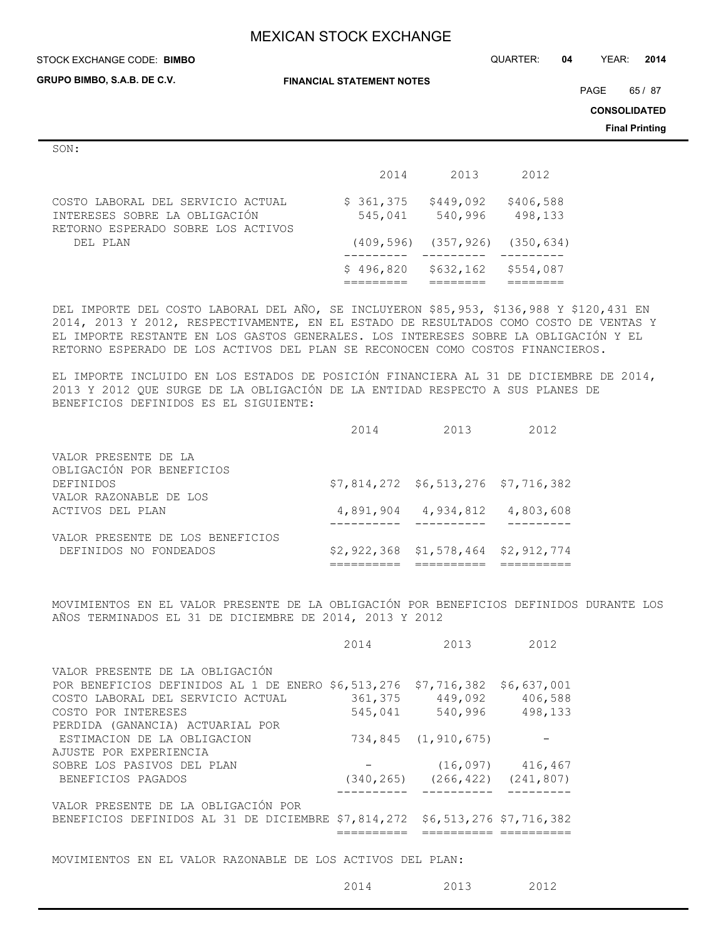#### STOCK EXCHANGE CODE: QUARTER: **04** YEAR: **2014 BIMBO**

**GRUPO BIMBO, S.A.B. DE C.V.**

**FINANCIAL STATEMENT NOTES**

PAGE 65 / 87

**CONSOLIDATED**

**Final Printing**

|               | an i |
|---------------|------|
| I<br>۰,<br>۰. | ×    |
|               |      |

|                                                                                                          | 2014                 | 2013                                   | 2012                 |
|----------------------------------------------------------------------------------------------------------|----------------------|----------------------------------------|----------------------|
| COSTO LABORAL DEL SERVICIO ACTUAL<br>INTERESES SOBRE LA OBLIGACIÓN<br>RETORNO ESPERADO SOBRE LOS ACTIVOS | \$361,375<br>545,041 | \$449,092<br>540,996                   | \$406,588<br>498,133 |
| DEL PLAN                                                                                                 |                      | $(409, 596)$ $(357, 926)$ $(350, 634)$ |                      |
|                                                                                                          | \$496,820            | \$632,162                              | \$554,087            |

DEL IMPORTE DEL COSTO LABORAL DEL AÑO, SE INCLUYERON \$85,953, \$136,988 Y \$120,431 EN 2014, 2013 Y 2012, RESPECTIVAMENTE, EN EL ESTADO DE RESULTADOS COMO COSTO DE VENTAS Y EL IMPORTE RESTANTE EN LOS GASTOS GENERALES. LOS INTERESES SOBRE LA OBLIGACIÓN Y EL RETORNO ESPERADO DE LOS ACTIVOS DEL PLAN SE RECONOCEN COMO COSTOS FINANCIEROS.

EL IMPORTE INCLUIDO EN LOS ESTADOS DE POSICIÓN FINANCIERA AL 31 DE DICIEMBRE DE 2014, 2013 Y 2012 QUE SURGE DE LA OBLIGACIÓN DE LA ENTIDAD RESPECTO A SUS PLANES DE BENEFICIOS DEFINIDOS ES EL SIGUIENTE:

|                                  | 2014 | 2013                                   | 2012 |
|----------------------------------|------|----------------------------------------|------|
| VALOR PRESENTE DE LA             |      |                                        |      |
| OBLIGACIÓN POR BENEFICIOS        |      |                                        |      |
| DEFINIDOS                        |      | $$7,814,272$ $$6,513,276$ $$7,716,382$ |      |
| VALOR RAZONABLE DE LOS           |      |                                        |      |
| ACTIVOS DEL PLAN                 |      | 4,891,904 4,934,812 4,803,608          |      |
|                                  |      |                                        |      |
| VALOR PRESENTE DE LOS BENEFICIOS |      |                                        |      |
| DEFINIDOS NO FONDEADOS           |      | $$2,922,368$ $$1,578,464$ $$2,912,774$ |      |
|                                  |      |                                        |      |

MOVIMIENTOS EN EL VALOR PRESENTE DE LA OBLIGACIÓN POR BENEFICIOS DEFINIDOS DURANTE LOS AÑOS TERMINADOS EL 31 DE DICIEMBRE DE 2014, 2013 Y 2012

|                                                                             | 2014 | 2013                                   | 2012                   |
|-----------------------------------------------------------------------------|------|----------------------------------------|------------------------|
| VALOR PRESENTE DE LA OBLIGACIÓN                                             |      |                                        |                        |
| POR BENEFICIOS DEFINIDOS AL 1 DE ENERO \$6,513,276 \$7,716,382              |      |                                        | \$6,637,001            |
| COSTO LABORAL DEL SERVICIO ACTUAL                                           |      | 361,375 449,092 406,588                |                        |
| COSTO POR INTERESES                                                         |      | 545,041 540,996 498,133                |                        |
| PERDIDA (GANANCIA) ACTUARIAL POR                                            |      |                                        |                        |
| ESTIMACION DE LA OBLIGACION                                                 |      | 734,845 (1,910,675)                    |                        |
| AJUSTE POR EXPERIENCIA                                                      |      |                                        |                        |
| SOBRE LOS PASIVOS DEL PLAN                                                  |      |                                        | $(16, 097)$ $416, 467$ |
| BENEFICIOS PAGADOS                                                          |      | $(340, 265)$ $(266, 422)$ $(241, 807)$ |                        |
|                                                                             |      |                                        |                        |
| VALOR PRESENTE DE LA OBLIGACIÓN POR                                         |      |                                        |                        |
| BENEFICIOS DEFINIDOS AL 31 DE DICIEMBRE \$7,814,272 \$6,513,276 \$7,716,382 |      |                                        |                        |
|                                                                             |      |                                        |                        |

MOVIMIENTOS EN EL VALOR RAZONABLE DE LOS ACTIVOS DEL PLAN:

2014 2013 2012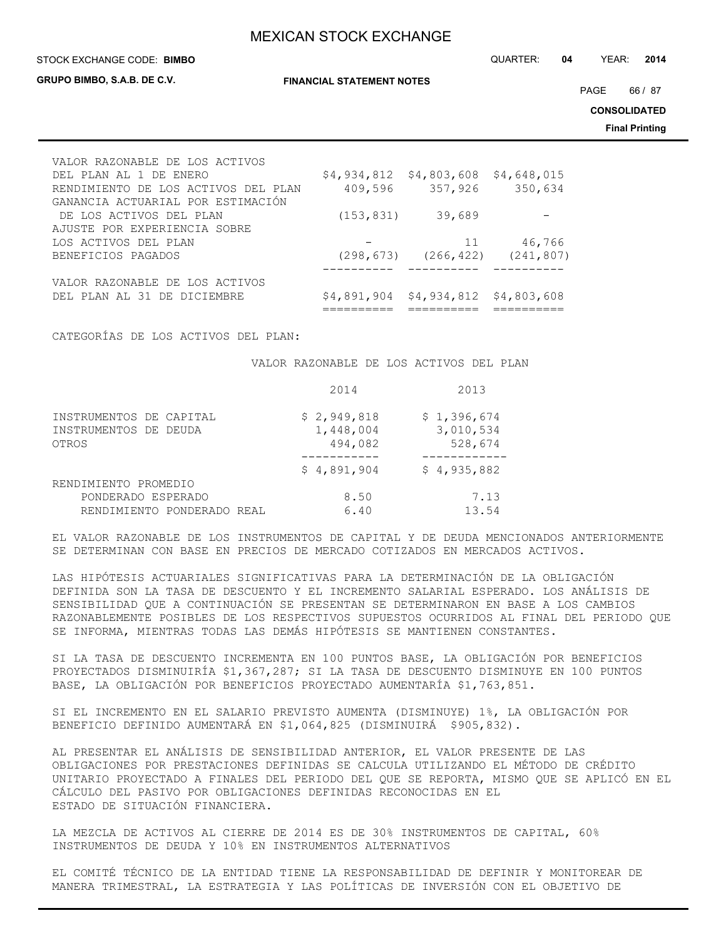#### STOCK EXCHANGE CODE: QUARTER: **04** YEAR: **2014 BIMBO**

**GRUPO BIMBO, S.A.B. DE C.V.**

**FINANCIAL STATEMENT NOTES**

PAGE 66 / 87

**CONSOLIDATED**

**Final Printing**

| VALOR RAZONABLE DE LOS ACTIVOS      |            |                                        |            |
|-------------------------------------|------------|----------------------------------------|------------|
| DEL PLAN AL 1 DE ENERO              |            | $$4,934,812$ $$4,803,608$ $$4,648,015$ |            |
| RENDIMIENTO DE LOS ACTIVOS DEL PLAN | 409,596    | 357,926                                | 350,634    |
| GANANCIA ACTUARIAL POR ESTIMACIÓN   |            |                                        |            |
| DE LOS ACTIVOS DEL PLAN             | (153, 831) | 39,689                                 |            |
| AJUSTE POR EXPERIENCIA SOBRE        |            |                                        |            |
| LOS ACTIVOS DEL PLAN                |            | 11                                     | 46,766     |
| BENEFICIOS PAGADOS                  |            | $(298, 673)$ $(266, 422)$              | (241, 807) |
|                                     |            |                                        |            |
| VALOR RAZONABLE DE LOS ACTIVOS      |            |                                        |            |
| DEL PLAN AL 31 DE DICIEMBRE         |            | \$4,891,904 \$4,934,812 \$4,803,608    |            |
|                                     |            |                                        |            |

CATEGORÍAS DE LOS ACTIVOS DEL PLAN:

VALOR RAZONABLE DE LOS ACTIVOS DEL PLAN

|                                                           | 2014                                | 2013                                |
|-----------------------------------------------------------|-------------------------------------|-------------------------------------|
| INSTRUMENTOS DE CAPITAL<br>INSTRUMENTOS DE DEUDA<br>OTROS | \$2,949,818<br>1,448,004<br>494,082 | \$1,396,674<br>3,010,534<br>528,674 |
|                                                           | \$4,891,904                         | \$4,935,882                         |
| RENDIMIENTO PROMEDIO                                      |                                     |                                     |
| PONDERADO ESPERADO<br>RENDIMIENTO PONDERADO REAL          | 8.50<br>6.40                        | 7.13<br>13.54                       |

EL VALOR RAZONABLE DE LOS INSTRUMENTOS DE CAPITAL Y DE DEUDA MENCIONADOS ANTERIORMENTE SE DETERMINAN CON BASE EN PRECIOS DE MERCADO COTIZADOS EN MERCADOS ACTIVOS.

LAS HIPÓTESIS ACTUARIALES SIGNIFICATIVAS PARA LA DETERMINACIÓN DE LA OBLIGACIÓN DEFINIDA SON LA TASA DE DESCUENTO Y EL INCREMENTO SALARIAL ESPERADO. LOS ANÁLISIS DE SENSIBILIDAD QUE A CONTINUACIÓN SE PRESENTAN SE DETERMINARON EN BASE A LOS CAMBIOS RAZONABLEMENTE POSIBLES DE LOS RESPECTIVOS SUPUESTOS OCURRIDOS AL FINAL DEL PERIODO QUE SE INFORMA, MIENTRAS TODAS LAS DEMÁS HIPÓTESIS SE MANTIENEN CONSTANTES.

SI LA TASA DE DESCUENTO INCREMENTA EN 100 PUNTOS BASE, LA OBLIGACIÓN POR BENEFICIOS PROYECTADOS DISMINUIRÍA \$1,367,287; SI LA TASA DE DESCUENTO DISMINUYE EN 100 PUNTOS BASE, LA OBLIGACIÓN POR BENEFICIOS PROYECTADO AUMENTARÍA \$1,763,851.

SI EL INCREMENTO EN EL SALARIO PREVISTO AUMENTA (DISMINUYE) 1%, LA OBLIGACIÓN POR BENEFICIO DEFINIDO AUMENTARÁ EN \$1,064,825 (DISMINUIRÁ \$905,832).

AL PRESENTAR EL ANÁLISIS DE SENSIBILIDAD ANTERIOR, EL VALOR PRESENTE DE LAS OBLIGACIONES POR PRESTACIONES DEFINIDAS SE CALCULA UTILIZANDO EL MÉTODO DE CRÉDITO UNITARIO PROYECTADO A FINALES DEL PERIODO DEL QUE SE REPORTA, MISMO QUE SE APLICÓ EN EL CÁLCULO DEL PASIVO POR OBLIGACIONES DEFINIDAS RECONOCIDAS EN EL ESTADO DE SITUACIÓN FINANCIERA.

LA MEZCLA DE ACTIVOS AL CIERRE DE 2014 ES DE 30% INSTRUMENTOS DE CAPITAL, 60% INSTRUMENTOS DE DEUDA Y 10% EN INSTRUMENTOS ALTERNATIVOS

EL COMITÉ TÉCNICO DE LA ENTIDAD TIENE LA RESPONSABILIDAD DE DEFINIR Y MONITOREAR DE MANERA TRIMESTRAL, LA ESTRATEGIA Y LAS POLÍTICAS DE INVERSIÓN CON EL OBJETIVO DE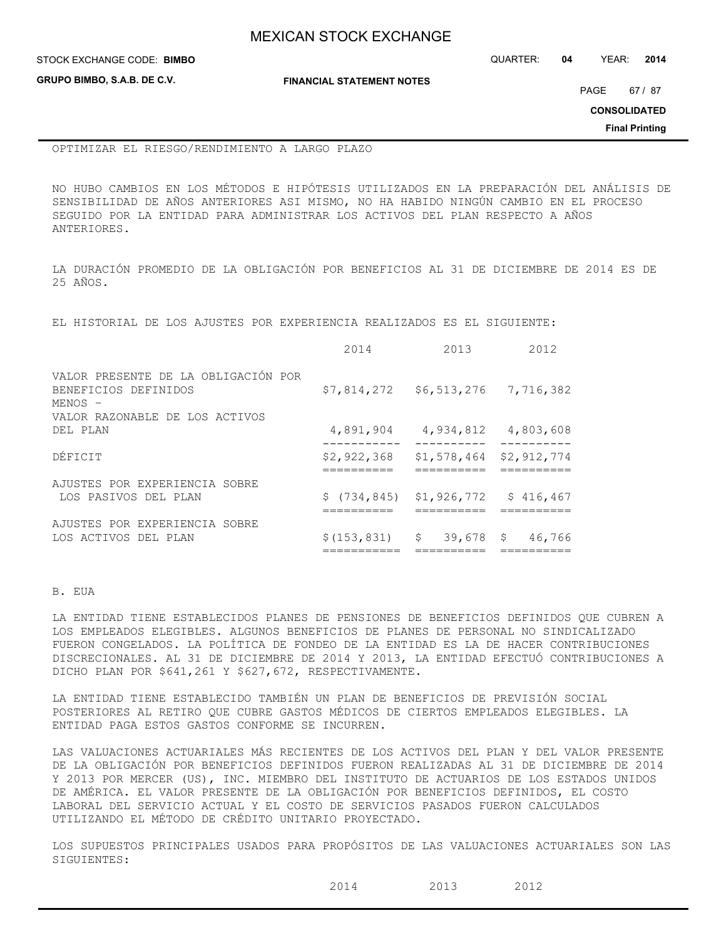| <b>MEXICAN STOCK EXCHANGE</b> |
|-------------------------------|
|-------------------------------|

STOCK EXCHANGE CODE: QUARTER: **04** YEAR: **2014 BIMBO**

**GRUPO BIMBO, S.A.B. DE C.V.**

**FINANCIAL STATEMENT NOTES**

PAGE 67 / 87

**CONSOLIDATED**

**Final Printing**

OPTIMIZAR EL RIESGO/RENDIMIENTO A LARGO PLAZO

NO HUBO CAMBIOS EN LOS MÉTODOS E HIPÓTESIS UTILIZADOS EN LA PREPARACIÓN DEL ANÁLISIS DE SENSIBILIDAD DE AÑOS ANTERIORES ASI MISMO, NO HA HABIDO NINGÚN CAMBIO EN EL PROCESO SEGUIDO POR LA ENTIDAD PARA ADMINISTRAR LOS ACTIVOS DEL PLAN RESPECTO A AÑOS ANTERIORES.

LA DURACIÓN PROMEDIO DE LA OBLIGACIÓN POR BENEFICIOS AL 31 DE DICIEMBRE DE 2014 ES DE 25 AÑOS.

EL HISTORIAL DE LOS AJUSTES POR EXPERIENCIA REALIZADOS ES EL SIGUIENTE:

|                                                                        | 2014             | 2013                                  | 2012        |
|------------------------------------------------------------------------|------------------|---------------------------------------|-------------|
| VALOR PRESENTE DE LA OBLIGACIÓN POR<br>BENEFICIOS DEFINIDOS<br>MENOS - |                  | $$7,814,272$ $$6,513,276$ $7,716,382$ |             |
| VALOR RAZONABLE DE LOS ACTIVOS                                         |                  |                                       |             |
| DEL PLAN                                                               |                  | 4,891,904 4,934,812 4,803,608         |             |
| DÉFICIT                                                                | \$2,922,368      | \$1,578,464                           | \$2,912,774 |
| AJUSTES POR EXPERIENCIA SOBRE                                          |                  |                                       |             |
| LOS PASIVOS DEL PLAN                                                   |                  | \$ (734,845) \$1,926,772              | \$416,467   |
| AJUSTES POR EXPERIENCIA SOBRE                                          |                  |                                       |             |
| LOS ACTIVOS DEL PLAN                                                   | $$(153, 831)$ \$ | 39,678 \$                             | 46,766      |

B. EUA

LA ENTIDAD TIENE ESTABLECIDOS PLANES DE PENSIONES DE BENEFICIOS DEFINIDOS QUE CUBREN A LOS EMPLEADOS ELEGIBLES. ALGUNOS BENEFICIOS DE PLANES DE PERSONAL NO SINDICALIZADO FUERON CONGELADOS. LA POLÍTICA DE FONDEO DE LA ENTIDAD ES LA DE HACER CONTRIBUCIONES DISCRECIONALES. AL 31 DE DICIEMBRE DE 2014 Y 2013, LA ENTIDAD EFECTUÓ CONTRIBUCIONES A DICHO PLAN POR \$641,261 Y \$627,672, RESPECTIVAMENTE.

LA ENTIDAD TIENE ESTABLECIDO TAMBIÉN UN PLAN DE BENEFICIOS DE PREVISIÓN SOCIAL POSTERIORES AL RETIRO QUE CUBRE GASTOS MÉDICOS DE CIERTOS EMPLEADOS ELEGIBLES. LA ENTIDAD PAGA ESTOS GASTOS CONFORME SE INCURREN.

LAS VALUACIONES ACTUARIALES MÁS RECIENTES DE LOS ACTIVOS DEL PLAN Y DEL VALOR PRESENTE DE LA OBLIGACIÓN POR BENEFICIOS DEFINIDOS FUERON REALIZADAS AL 31 DE DICIEMBRE DE 2014 Y 2013 POR MERCER (US), INC. MIEMBRO DEL INSTITUTO DE ACTUARIOS DE LOS ESTADOS UNIDOS DE AMÉRICA. EL VALOR PRESENTE DE LA OBLIGACIÓN POR BENEFICIOS DEFINIDOS, EL COSTO LABORAL DEL SERVICIO ACTUAL Y EL COSTO DE SERVICIOS PASADOS FUERON CALCULADOS UTILIZANDO EL MÉTODO DE CRÉDITO UNITARIO PROYECTADO.

LOS SUPUESTOS PRINCIPALES USADOS PARA PROPÓSITOS DE LAS VALUACIONES ACTUARIALES SON LAS SIGUIENTES: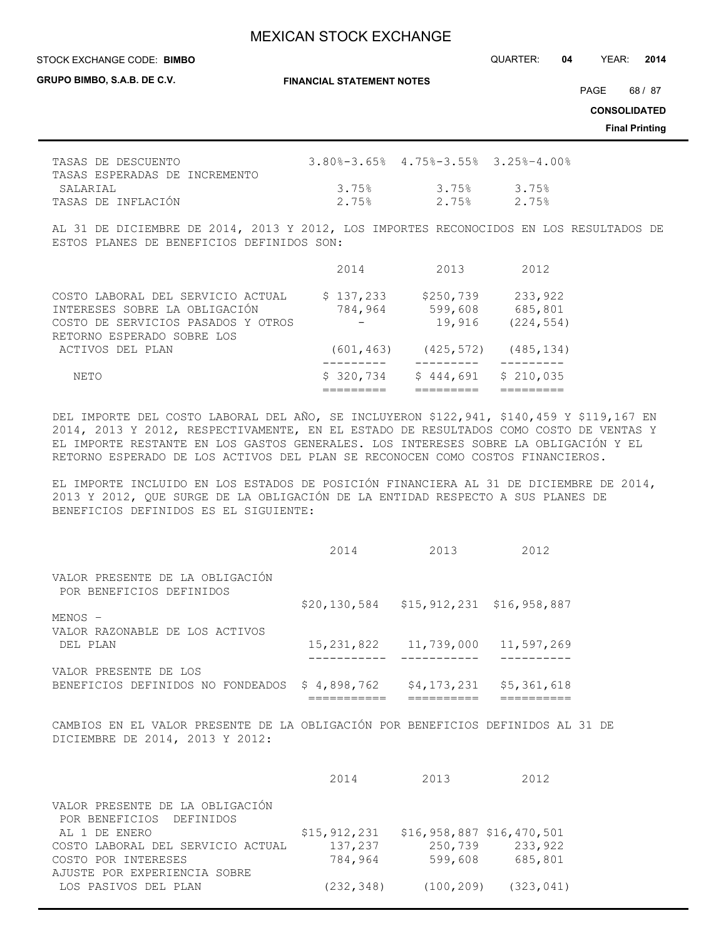**GRUPO BIMBO, S.A.B. DE C.V.**

**FINANCIAL STATEMENT NOTES**

PAGE 68 / 87

**CONSOLIDATED**

**Final Printing**

| TASAS DE DESCUENTO            |       | $3.80\text{-}3.65\text{-}8$ 4.75%-3.55% 3.25%-4.00% |       |
|-------------------------------|-------|-----------------------------------------------------|-------|
| TASAS ESPERADAS DE INCREMENTO |       |                                                     |       |
| SALARTAL                      | 3.75% | 3.75%                                               | 3 75% |
| TASAS DE INFLACIÓN            | 2.75% | 2.75%                                               | 2 75% |

AL 31 DE DICIEMBRE DE 2014, 2013 Y 2012, LOS IMPORTES RECONOCIDOS EN LOS RESULTADOS DE ESTOS PLANES DE BENEFICIOS DEFINIDOS SON:

|                                    | 2014       | 2013       | 2012       |
|------------------------------------|------------|------------|------------|
| COSTO LABORAL DEL SERVICIO ACTUAL  | \$137,233  | \$250,739  | 233,922    |
| INTERESES SOBRE LA OBLIGACIÓN      | 784,964    | 599,608    | 685,801    |
| COSTO DE SERVICIOS PASADOS Y OTROS |            | 19,916     | (224, 554) |
| RETORNO ESPERADO SOBRE LOS         |            |            |            |
| ACTIVOS DEL PLAN                   | (601, 463) | (425, 572) | (485, 134) |
|                                    |            |            |            |
| NETO                               | \$320,734  | \$444.691  | \$210,035  |
|                                    |            |            |            |

DEL IMPORTE DEL COSTO LABORAL DEL AÑO, SE INCLUYERON \$122,941, \$140,459 Y \$119,167 EN 2014, 2013 Y 2012, RESPECTIVAMENTE, EN EL ESTADO DE RESULTADOS COMO COSTO DE VENTAS Y EL IMPORTE RESTANTE EN LOS GASTOS GENERALES. LOS INTERESES SOBRE LA OBLIGACIÓN Y EL RETORNO ESPERADO DE LOS ACTIVOS DEL PLAN SE RECONOCEN COMO COSTOS FINANCIEROS.

EL IMPORTE INCLUIDO EN LOS ESTADOS DE POSICIÓN FINANCIERA AL 31 DE DICIEMBRE DE 2014, 2013 Y 2012, QUE SURGE DE LA OBLIGACIÓN DE LA ENTIDAD RESPECTO A SUS PLANES DE BENEFICIOS DEFINIDOS ES EL SIGUIENTE:

|                                                             | 2014        | 2013                                            | 2012                          |
|-------------------------------------------------------------|-------------|-------------------------------------------------|-------------------------------|
| VALOR PRESENTE DE LA OBLIGACIÓN<br>POR BENEFICIOS DEFINIDOS |             |                                                 |                               |
|                                                             |             | $$20, 130, 584$ $$15, 912, 231$ $$16, 958, 887$ |                               |
| $MENOS -$                                                   |             |                                                 |                               |
| VALOR RAZONABLE DE LOS ACTIVOS<br>DEL PLAN                  | 15,231,822  | 11,739,000                                      | 11,597,269                    |
| VALOR PRESENTE DE LOS<br>BENEFICIOS DEFINIDOS NO FONDEADOS  | \$4,898,762 |                                                 | $$4, 173, 231$ $$5, 361, 618$ |

CAMBIOS EN EL VALOR PRESENTE DE LA OBLIGACIÓN POR BENEFICIOS DEFINIDOS AL 31 DE DICIEMBRE DE 2014, 2013 Y 2012:

|                                           | 2014         | 2013                       | 2012                      |
|-------------------------------------------|--------------|----------------------------|---------------------------|
| VALOR PRESENTE DE LA OBLIGACIÓN           |              |                            |                           |
| POR BENEFICIOS DEFINIDOS<br>AL 1 DE ENERO | \$15,912,231 | $$16,958,887$ \$16,470,501 |                           |
| COSTO LABORAL DEL SERVICIO ACTUAL         | 137,237      |                            | 250,739 233,922           |
| COSTO POR INTERESES                       | 784,964      |                            | 599,608 685,801           |
| AJUSTE POR EXPERIENCIA SOBRE              |              |                            |                           |
| LOS PASIVOS DEL PLAN                      | (232, 348)   |                            | $(100, 209)$ $(323, 041)$ |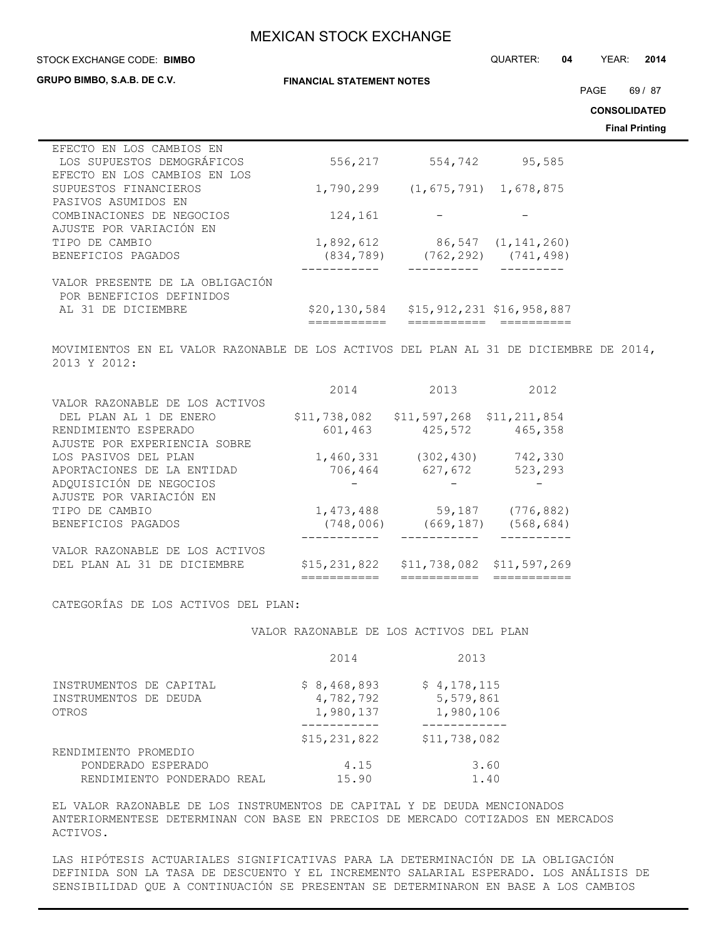#### **STOCK EXCHANGE CODE: BIMBO**

**GRUPO BIMBO, S.A.B. DE C.V.**

STOCK EXCHANGE CODE: QUARTER: **04** YEAR: **2014**

PAGE 69 / 87

**CONSOLIDATED**

**Final Printing**

| EFECTO EN LOS CAMBIOS EN        |              |               |                           |
|---------------------------------|--------------|---------------|---------------------------|
| LOS SUPUESTOS DEMOGRÁFICOS      | 556,217      | 554,742       | 95,585                    |
| EFECTO EN LOS CAMBIOS EN LOS    |              |               |                           |
| SUPUESTOS FINANCIEROS           | 1,790,299    | (1, 675, 791) | 1,678,875                 |
| PASIVOS ASUMIDOS EN             |              |               |                           |
| COMBINACIONES DE NEGOCIOS       | 124,161      |               |                           |
| AJUSTE POR VARIACIÓN EN         |              |               |                           |
| TIPO DE CAMBIO                  | 1,892,612    |               | 86,547 (1,141,260)        |
| BENEFICIOS PAGADOS              | (834, 789)   |               | $(762, 292)$ $(741, 498)$ |
|                                 |              |               |                           |
| VALOR PRESENTE DE LA OBLIGACIÓN |              |               |                           |
| POR BENEFICIOS DEFINIDOS        |              |               |                           |
| AL 31 DE DICIEMBRE              | \$20,130,584 |               | \$15,912,231 \$16,958,887 |
|                                 |              |               |                           |

MOVIMIENTOS EN EL VALOR RAZONABLE DE LOS ACTIVOS DEL PLAN AL 31 DE DICIEMBRE DE 2014, 2013 Y 2012:

|                                | 2014         | 2013                        | 2012                        |
|--------------------------------|--------------|-----------------------------|-----------------------------|
| VALOR RAZONABLE DE LOS ACTIVOS |              |                             |                             |
| DEL PLAN AL 1 DE ENERO         | \$11,738,082 | $$11,597,268$ $$11,211,854$ |                             |
| RENDIMIENTO ESPERADO           | 601,463      | 425,572                     | 465,358                     |
| AJUSTE POR EXPERIENCIA SOBRE   |              |                             |                             |
| LOS PASIVOS DEL PLAN           | 1,460,331    | (302, 430)                  | 742,330                     |
| APORTACIONES DE LA ENTIDAD     | 706,464      | 627,672                     | 523,293                     |
| ADQUISICIÓN DE NEGOCIOS        |              |                             |                             |
| AJUSTE POR VARIACIÓN EN        |              |                             |                             |
| TIPO DE CAMBIO                 | 1,473,488    | 59,187                      | (776, 882)                  |
| BENEFICIOS PAGADOS             | (748,006)    | (669,187)                   | (568, 684)                  |
|                                |              |                             |                             |
| VALOR RAZONABLE DE LOS ACTIVOS |              |                             |                             |
| DEL PLAN AL 31 DE DICIEMBRE    | \$15,231,822 |                             | $$11,738,082$ $$11,597,269$ |
|                                | :=========   | ===========                 |                             |

CATEGORÍAS DE LOS ACTIVOS DEL PLAN:

VALOR RAZONABLE DE LOS ACTIVOS DEL PLAN

|                                                           | 2014                                  | 2013                                  |
|-----------------------------------------------------------|---------------------------------------|---------------------------------------|
| INSTRUMENTOS DE CAPITAL<br>INSTRUMENTOS DE DEUDA<br>OTROS | \$8,468,893<br>4,782,792<br>1,980,137 | \$4,178,115<br>5,579,861<br>1,980,106 |
|                                                           | \$15,231,822                          | \$11,738,082                          |
| RENDIMIENTO PROMEDIO                                      |                                       |                                       |
| PONDERADO ESPERADO                                        | 4.15                                  | 3.60                                  |
| RENDIMIENTO PONDERADO REAL                                | 15.90                                 | 1.40                                  |

EL VALOR RAZONABLE DE LOS INSTRUMENTOS DE CAPITAL Y DE DEUDA MENCIONADOS ANTERIORMENTESE DETERMINAN CON BASE EN PRECIOS DE MERCADO COTIZADOS EN MERCADOS ACTIVOS.

LAS HIPÓTESIS ACTUARIALES SIGNIFICATIVAS PARA LA DETERMINACIÓN DE LA OBLIGACIÓN DEFINIDA SON LA TASA DE DESCUENTO Y EL INCREMENTO SALARIAL ESPERADO. LOS ANÁLISIS DE SENSIBILIDAD QUE A CONTINUACIÓN SE PRESENTAN SE DETERMINARON EN BASE A LOS CAMBIOS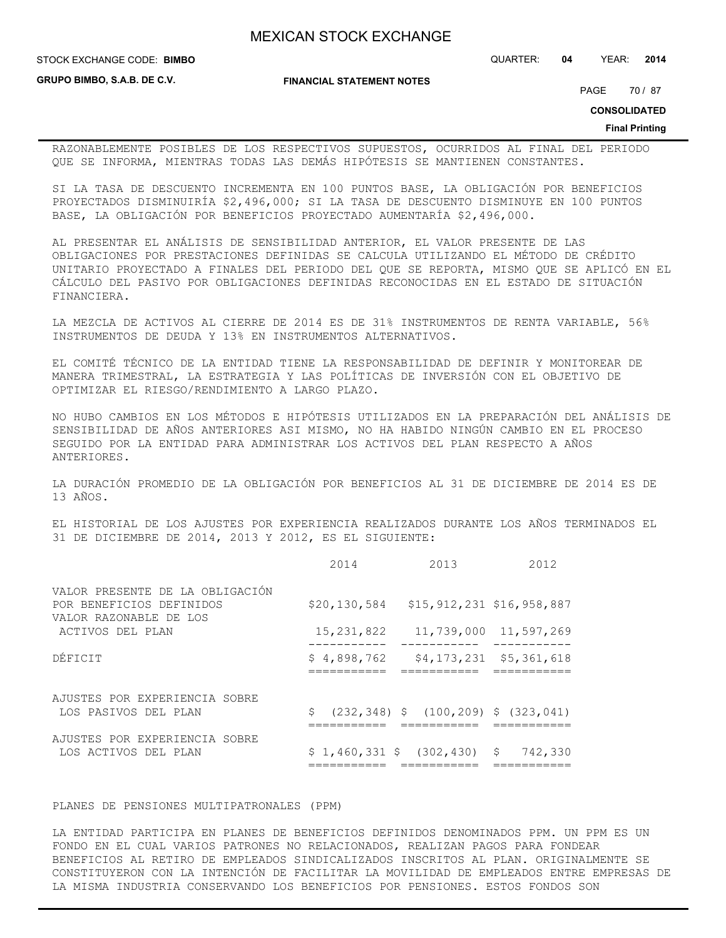**STOCK EXCHANGE CODE: BIMBO** 

**FINANCIAL STATEMENT NOTES**

**GRUPO BIMBO, S.A.B. DE C.V.**

PAGE 70 / 87

**CONSOLIDATED**

### **Final Printing**

RAZONABLEMENTE POSIBLES DE LOS RESPECTIVOS SUPUESTOS, OCURRIDOS AL FINAL DEL PERIODO QUE SE INFORMA, MIENTRAS TODAS LAS DEMÁS HIPÓTESIS SE MANTIENEN CONSTANTES.

SI LA TASA DE DESCUENTO INCREMENTA EN 100 PUNTOS BASE, LA OBLIGACIÓN POR BENEFICIOS PROYECTADOS DISMINUIRÍA \$2,496,000; SI LA TASA DE DESCUENTO DISMINUYE EN 100 PUNTOS BASE, LA OBLIGACIÓN POR BENEFICIOS PROYECTADO AUMENTARÍA \$2,496,000.

AL PRESENTAR EL ANÁLISIS DE SENSIBILIDAD ANTERIOR, EL VALOR PRESENTE DE LAS OBLIGACIONES POR PRESTACIONES DEFINIDAS SE CALCULA UTILIZANDO EL MÉTODO DE CRÉDITO UNITARIO PROYECTADO A FINALES DEL PERIODO DEL QUE SE REPORTA, MISMO QUE SE APLICÓ EN EL CÁLCULO DEL PASIVO POR OBLIGACIONES DEFINIDAS RECONOCIDAS EN EL ESTADO DE SITUACIÓN FINANCIERA.

LA MEZCLA DE ACTIVOS AL CIERRE DE 2014 ES DE 31% INSTRUMENTOS DE RENTA VARIABLE, 56% INSTRUMENTOS DE DEUDA Y 13% EN INSTRUMENTOS ALTERNATIVOS.

EL COMITÉ TÉCNICO DE LA ENTIDAD TIENE LA RESPONSABILIDAD DE DEFINIR Y MONITOREAR DE MANERA TRIMESTRAL, LA ESTRATEGIA Y LAS POLÍTICAS DE INVERSIÓN CON EL OBJETIVO DE OPTIMIZAR EL RIESGO/RENDIMIENTO A LARGO PLAZO.

NO HUBO CAMBIOS EN LOS MÉTODOS E HIPÓTESIS UTILIZADOS EN LA PREPARACIÓN DEL ANÁLISIS DE SENSIBILIDAD DE AÑOS ANTERIORES ASI MISMO, NO HA HABIDO NINGÚN CAMBIO EN EL PROCESO SEGUIDO POR LA ENTIDAD PARA ADMINISTRAR LOS ACTIVOS DEL PLAN RESPECTO A AÑOS ANTERIORES.

LA DURACIÓN PROMEDIO DE LA OBLIGACIÓN POR BENEFICIOS AL 31 DE DICIEMBRE DE 2014 ES DE 13 AÑOS.

EL HISTORIAL DE LOS AJUSTES POR EXPERIENCIA REALIZADOS DURANTE LOS AÑOS TERMINADOS EL 31 DE DICIEMBRE DE 2014, 2013 Y 2012, ES EL SIGUIENTE:

|                                                                                       | 2014         | 2013                                            | 2012                          |
|---------------------------------------------------------------------------------------|--------------|-------------------------------------------------|-------------------------------|
| VALOR PRESENTE DE LA OBLIGACIÓN<br>POR BENEFICIOS DEFINIDOS<br>VALOR RAZONABLE DE LOS |              | $$20, 130, 584$ $$15, 912, 231$ $$16, 958, 887$ |                               |
| ACTIVOS DEL PLAN                                                                      | 15, 231, 822 |                                                 | 11,739,000 11,597,269         |
| DÉFICIT                                                                               | \$4,898,762  |                                                 | $$4, 173, 231$ $$5, 361, 618$ |
| AJUSTES POR EXPERIENCIA SOBRE<br>LOS PASIVOS DEL PLAN                                 |              | $$(232, 348)$ \$ $(100, 209)$ \$ $(323, 041)$   |                               |
| AJUSTES POR EXPERIENCIA SOBRE<br>LOS ACTIVOS DEL PLAN                                 |              | $$1,460,331$ \$ (302,430) \$ 742,330            |                               |

PLANES DE PENSIONES MULTIPATRONALES (PPM)

LA ENTIDAD PARTICIPA EN PLANES DE BENEFICIOS DEFINIDOS DENOMINADOS PPM. UN PPM ES UN FONDO EN EL CUAL VARIOS PATRONES NO RELACIONADOS, REALIZAN PAGOS PARA FONDEAR BENEFICIOS AL RETIRO DE EMPLEADOS SINDICALIZADOS INSCRITOS AL PLAN. ORIGINALMENTE SE CONSTITUYERON CON LA INTENCIÓN DE FACILITAR LA MOVILIDAD DE EMPLEADOS ENTRE EMPRESAS DE LA MISMA INDUSTRIA CONSERVANDO LOS BENEFICIOS POR PENSIONES. ESTOS FONDOS SON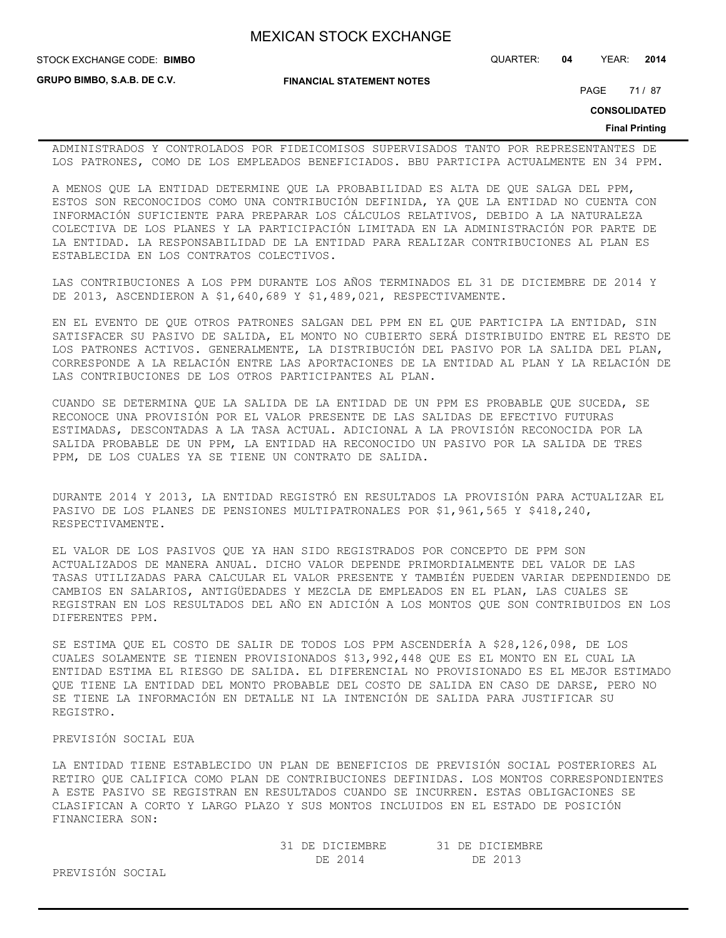**STOCK EXCHANGE CODE: BIMBO** 

**GRUPO BIMBO, S.A.B. DE C.V.**

**FINANCIAL STATEMENT NOTES**

STOCK EXCHANGE CODE: QUARTER: **04** YEAR: **2014**

PAGE 71/87

**CONSOLIDATED**

#### **Final Printing**

ADMINISTRADOS Y CONTROLADOS POR FIDEICOMISOS SUPERVISADOS TANTO POR REPRESENTANTES DE LOS PATRONES, COMO DE LOS EMPLEADOS BENEFICIADOS. BBU PARTICIPA ACTUALMENTE EN 34 PPM.

A MENOS QUE LA ENTIDAD DETERMINE QUE LA PROBABILIDAD ES ALTA DE QUE SALGA DEL PPM, ESTOS SON RECONOCIDOS COMO UNA CONTRIBUCIÓN DEFINIDA, YA QUE LA ENTIDAD NO CUENTA CON INFORMACIÓN SUFICIENTE PARA PREPARAR LOS CÁLCULOS RELATIVOS, DEBIDO A LA NATURALEZA COLECTIVA DE LOS PLANES Y LA PARTICIPACIÓN LIMITADA EN LA ADMINISTRACIÓN POR PARTE DE LA ENTIDAD. LA RESPONSABILIDAD DE LA ENTIDAD PARA REALIZAR CONTRIBUCIONES AL PLAN ES ESTABLECIDA EN LOS CONTRATOS COLECTIVOS.

LAS CONTRIBUCIONES A LOS PPM DURANTE LOS AÑOS TERMINADOS EL 31 DE DICIEMBRE DE 2014 Y DE 2013, ASCENDIERON A \$1,640,689 Y \$1,489,021, RESPECTIVAMENTE.

EN EL EVENTO DE QUE OTROS PATRONES SALGAN DEL PPM EN EL QUE PARTICIPA LA ENTIDAD, SIN SATISFACER SU PASIVO DE SALIDA, EL MONTO NO CUBIERTO SERÁ DISTRIBUIDO ENTRE EL RESTO DE LOS PATRONES ACTIVOS. GENERALMENTE, LA DISTRIBUCIÓN DEL PASIVO POR LA SALIDA DEL PLAN, CORRESPONDE A LA RELACIÓN ENTRE LAS APORTACIONES DE LA ENTIDAD AL PLAN Y LA RELACIÓN DE LAS CONTRIBUCIONES DE LOS OTROS PARTICIPANTES AL PLAN.

CUANDO SE DETERMINA QUE LA SALIDA DE LA ENTIDAD DE UN PPM ES PROBABLE QUE SUCEDA, SE RECONOCE UNA PROVISIÓN POR EL VALOR PRESENTE DE LAS SALIDAS DE EFECTIVO FUTURAS ESTIMADAS, DESCONTADAS A LA TASA ACTUAL. ADICIONAL A LA PROVISIÓN RECONOCIDA POR LA SALIDA PROBABLE DE UN PPM, LA ENTIDAD HA RECONOCIDO UN PASIVO POR LA SALIDA DE TRES PPM, DE LOS CUALES YA SE TIENE UN CONTRATO DE SALIDA.

DURANTE 2014 Y 2013, LA ENTIDAD REGISTRÓ EN RESULTADOS LA PROVISIÓN PARA ACTUALIZAR EL PASIVO DE LOS PLANES DE PENSIONES MULTIPATRONALES POR \$1,961,565 Y \$418,240, RESPECTIVAMENTE.

EL VALOR DE LOS PASIVOS QUE YA HAN SIDO REGISTRADOS POR CONCEPTO DE PPM SON ACTUALIZADOS DE MANERA ANUAL. DICHO VALOR DEPENDE PRIMORDIALMENTE DEL VALOR DE LAS TASAS UTILIZADAS PARA CALCULAR EL VALOR PRESENTE Y TAMBIÉN PUEDEN VARIAR DEPENDIENDO DE CAMBIOS EN SALARIOS, ANTIGÜEDADES Y MEZCLA DE EMPLEADOS EN EL PLAN, LAS CUALES SE REGISTRAN EN LOS RESULTADOS DEL AÑO EN ADICIÓN A LOS MONTOS QUE SON CONTRIBUIDOS EN LOS DIFERENTES PPM.

SE ESTIMA QUE EL COSTO DE SALIR DE TODOS LOS PPM ASCENDERÍA A \$28,126,098, DE LOS CUALES SOLAMENTE SE TIENEN PROVISIONADOS \$13,992,448 QUE ES EL MONTO EN EL CUAL LA ENTIDAD ESTIMA EL RIESGO DE SALIDA. EL DIFERENCIAL NO PROVISIONADO ES EL MEJOR ESTIMADO QUE TIENE LA ENTIDAD DEL MONTO PROBABLE DEL COSTO DE SALIDA EN CASO DE DARSE, PERO NO SE TIENE LA INFORMACIÓN EN DETALLE NI LA INTENCIÓN DE SALIDA PARA JUSTIFICAR SU REGISTRO.

### PREVISIÓN SOCIAL EUA

LA ENTIDAD TIENE ESTABLECIDO UN PLAN DE BENEFICIOS DE PREVISIÓN SOCIAL POSTERIORES AL RETIRO QUE CALIFICA COMO PLAN DE CONTRIBUCIONES DEFINIDAS. LOS MONTOS CORRESPONDIENTES A ESTE PASIVO SE REGISTRAN EN RESULTADOS CUANDO SE INCURREN. ESTAS OBLIGACIONES SE CLASIFICAN A CORTO Y LARGO PLAZO Y SUS MONTOS INCLUIDOS EN EL ESTADO DE POSICIÓN FINANCIERA SON:

| 31 DE DICIEMBRE | 31 DE DICIEMBRE |
|-----------------|-----------------|
| DE 2014         | DE 2013         |

PREVISIÓN SOCIAL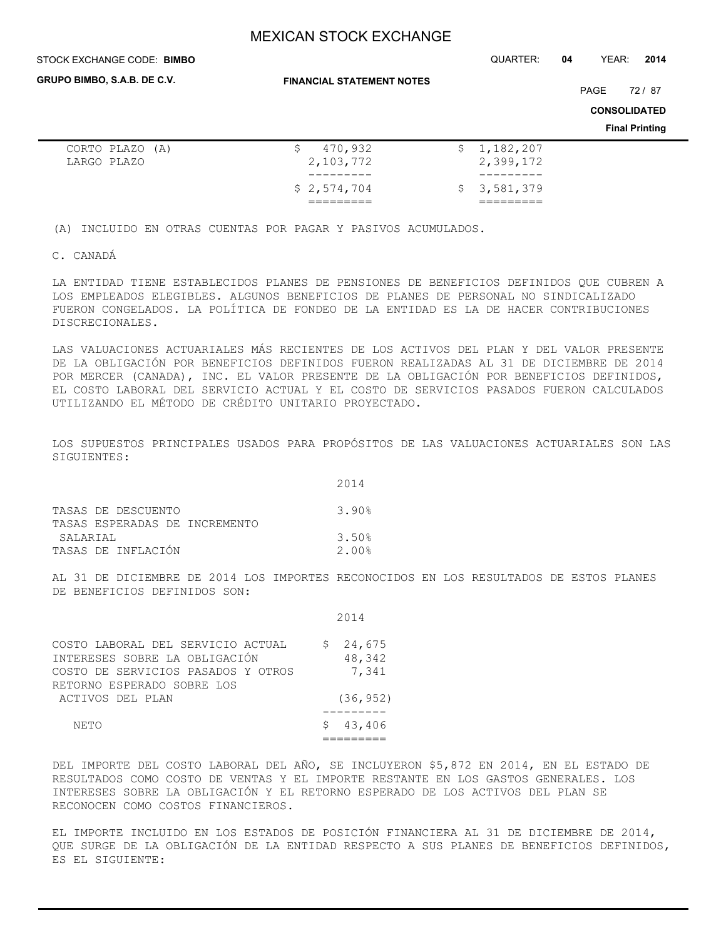| STOCK EXCHANGE CODE: BIMBO     |                                  |     | QUARTER:               | 04 | YEAR: | 2014                  |  |
|--------------------------------|----------------------------------|-----|------------------------|----|-------|-----------------------|--|
| GRUPO BIMBO, S.A.B. DE C.V.    | <b>FINANCIAL STATEMENT NOTES</b> |     |                        |    | PAGE  | 72/87                 |  |
|                                |                                  |     |                        |    |       | <b>CONSOLIDATED</b>   |  |
|                                |                                  |     |                        |    |       | <b>Final Printing</b> |  |
| CORTO PLAZO (A)<br>LARGO PLAZO | 470,932<br>\$.<br>2,103,772      | \$. | 1,182,207<br>2,399,172 |    |       |                       |  |
|                                | \$2,574,704                      | \$. | 3,581,379              |    |       |                       |  |

(A) INCLUIDO EN OTRAS CUENTAS POR PAGAR Y PASIVOS ACUMULADOS.

C. CANADÁ

LA ENTIDAD TIENE ESTABLECIDOS PLANES DE PENSIONES DE BENEFICIOS DEFINIDOS QUE CUBREN A LOS EMPLEADOS ELEGIBLES. ALGUNOS BENEFICIOS DE PLANES DE PERSONAL NO SINDICALIZADO FUERON CONGELADOS. LA POLÍTICA DE FONDEO DE LA ENTIDAD ES LA DE HACER CONTRIBUCIONES DISCRECIONALES.

LAS VALUACIONES ACTUARIALES MÁS RECIENTES DE LOS ACTIVOS DEL PLAN Y DEL VALOR PRESENTE DE LA OBLIGACIÓN POR BENEFICIOS DEFINIDOS FUERON REALIZADAS AL 31 DE DICIEMBRE DE 2014 POR MERCER (CANADA), INC. EL VALOR PRESENTE DE LA OBLIGACIÓN POR BENEFICIOS DEFINIDOS, EL COSTO LABORAL DEL SERVICIO ACTUAL Y EL COSTO DE SERVICIOS PASADOS FUERON CALCULADOS UTILIZANDO EL MÉTODO DE CRÉDITO UNITARIO PROYECTADO.

LOS SUPUESTOS PRINCIPALES USADOS PARA PROPÓSITOS DE LAS VALUACIONES ACTUARIALES SON LAS SIGUIENTES:

|                               | 2014  |
|-------------------------------|-------|
| TASAS DE DESCUENTO            | 3.90% |
| TASAS ESPERADAS DE INCREMENTO |       |
| SALARTAL                      | 3.50% |
| TASAS DE INFLACIÓN            | 2.00% |

AL 31 DE DICIEMBRE DE 2014 LOS IMPORTES RECONOCIDOS EN LOS RESULTADOS DE ESTOS PLANES DE BENEFICIOS DEFINIDOS SON:

|                                                                                                                                        | 2014                            |
|----------------------------------------------------------------------------------------------------------------------------------------|---------------------------------|
| COSTO LABORAL DEL SERVICIO ACTUAL<br>INTERESES SOBRE LA OBLIGACIÓN<br>COSTO DE SERVICIOS PASADOS Y OTROS<br>RETORNO ESPERADO SOBRE LOS | 24,675<br>S.<br>48,342<br>7,341 |
| ACTIVOS DEL PLAN                                                                                                                       | (36, 952)                       |
| NE.TO                                                                                                                                  | 43,406<br>S.                    |

DEL IMPORTE DEL COSTO LABORAL DEL AÑO, SE INCLUYERON \$5,872 EN 2014, EN EL ESTADO DE RESULTADOS COMO COSTO DE VENTAS Y EL IMPORTE RESTANTE EN LOS GASTOS GENERALES. LOS INTERESES SOBRE LA OBLIGACIÓN Y EL RETORNO ESPERADO DE LOS ACTIVOS DEL PLAN SE RECONOCEN COMO COSTOS FINANCIEROS.

EL IMPORTE INCLUIDO EN LOS ESTADOS DE POSICIÓN FINANCIERA AL 31 DE DICIEMBRE DE 2014, QUE SURGE DE LA OBLIGACIÓN DE LA ENTIDAD RESPECTO A SUS PLANES DE BENEFICIOS DEFINIDOS, ES EL SIGUIENTE: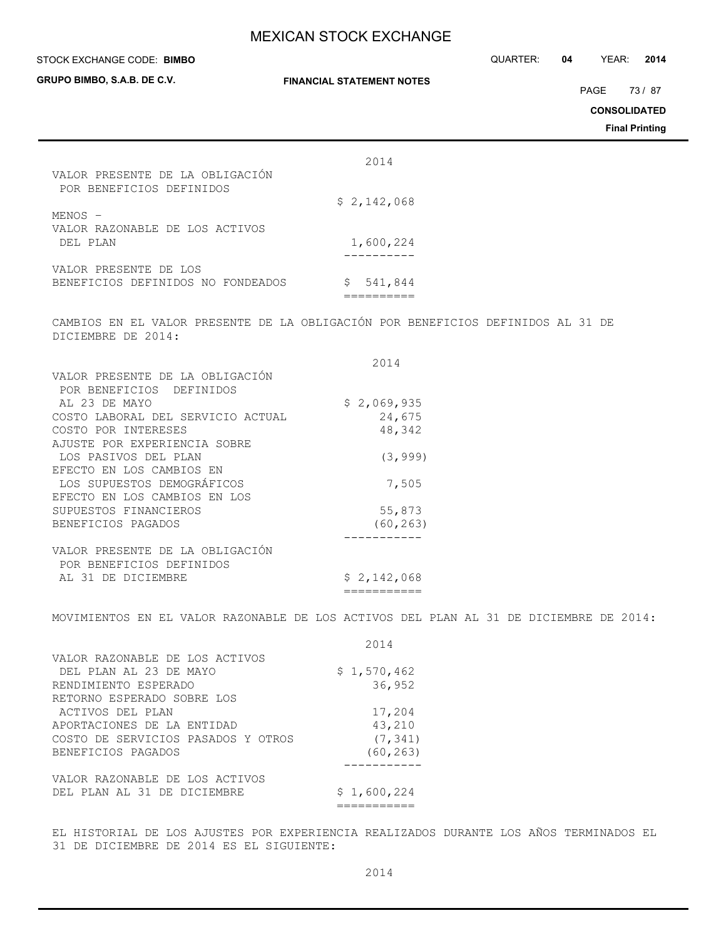| STOCK EXCHANGE CODE: BIMBO<br>GRUPO BIMBO, S.A.B. DE C.V.                                             | <b>FINANCIAL STATEMENT NOTES</b> | QUARTER: | 04 | YEAR:<br>PAGE<br><b>CONSOLIDATED</b> | 2014<br>73/87<br><b>Final Printing</b> |
|-------------------------------------------------------------------------------------------------------|----------------------------------|----------|----|--------------------------------------|----------------------------------------|
|                                                                                                       | 2014                             |          |    |                                      |                                        |
| VALOR PRESENTE DE LA OBLIGACIÓN<br>POR BENEFICIOS DEFINIDOS                                           |                                  |          |    |                                      |                                        |
|                                                                                                       | \$2,142,068                      |          |    |                                      |                                        |
| MENOS -<br>VALOR RAZONABLE DE LOS ACTIVOS<br>DEL PLAN                                                 | 1,600,224                        |          |    |                                      |                                        |
| VALOR PRESENTE DE LOS<br>BENEFICIOS DEFINIDOS NO FONDEADOS                                            | \$541,844                        |          |    |                                      |                                        |
| CAMBIOS EN EL VALOR PRESENTE DE LA OBLIGACIÓN POR BENEFICIOS DEFINIDOS AL 31 DE<br>DICIEMBRE DE 2014: |                                  |          |    |                                      |                                        |
|                                                                                                       |                                  |          |    |                                      |                                        |
|                                                                                                       | 2014                             |          |    |                                      |                                        |
| VALOR PRESENTE DE LA OBLIGACIÓN                                                                       |                                  |          |    |                                      |                                        |
| POR BENEFICIOS DEFINIDOS                                                                              |                                  |          |    |                                      |                                        |
| AL 23 DE MAYO                                                                                         | \$2,069,935                      |          |    |                                      |                                        |
| COSTO LABORAL DEL SERVICIO ACTUAL                                                                     | 24,675                           |          |    |                                      |                                        |
| COSTO POR INTERESES                                                                                   | 48,342                           |          |    |                                      |                                        |
| AJUSTE POR EXPERIENCIA SOBRE<br>LOS PASIVOS DEL PLAN                                                  | (3, 999)                         |          |    |                                      |                                        |
| EFECTO EN LOS CAMBIOS EN                                                                              |                                  |          |    |                                      |                                        |
| LOS SUPUESTOS DEMOGRÁFICOS                                                                            | 7,505                            |          |    |                                      |                                        |
| EFECTO EN LOS CAMBIOS EN LOS                                                                          |                                  |          |    |                                      |                                        |
|                                                                                                       |                                  |          |    |                                      |                                        |
| SUPUESTOS FINANCIEROS                                                                                 | 55,873                           |          |    |                                      |                                        |
| BENEFICIOS PAGADOS                                                                                    | (60, 263)                        |          |    |                                      |                                        |
| VALOR PRESENTE DE LA OBLIGACIÓN                                                                       |                                  |          |    |                                      |                                        |
| POR BENEFICIOS DEFINIDOS                                                                              |                                  |          |    |                                      |                                        |
|                                                                                                       |                                  |          |    |                                      |                                        |
| AL 31 DE DICIEMBRE                                                                                    | \$2,142,068<br>===========       |          |    |                                      |                                        |
| MOVIMIENTOS EN EL VALOR RAZONABLE DE LOS ACTIVOS DEL PLAN AL 31 DE DICIEMBRE DE 2014:                 |                                  |          |    |                                      |                                        |
|                                                                                                       | 2014                             |          |    |                                      |                                        |
| VALOR RAZONABLE DE LOS ACTIVOS                                                                        |                                  |          |    |                                      |                                        |
| DEL PLAN AL 23 DE MAYO                                                                                | \$1,570,462                      |          |    |                                      |                                        |
| RENDIMIENTO ESPERADO                                                                                  | 36,952                           |          |    |                                      |                                        |
| RETORNO ESPERADO SOBRE LOS                                                                            |                                  |          |    |                                      |                                        |
| ACTIVOS DEL PLAN                                                                                      | 17,204                           |          |    |                                      |                                        |
|                                                                                                       |                                  |          |    |                                      |                                        |
| APORTACIONES DE LA ENTIDAD                                                                            | 43,210                           |          |    |                                      |                                        |
| COSTO DE SERVICIOS PASADOS Y OTROS                                                                    | (7, 341)                         |          |    |                                      |                                        |
| BENEFICIOS PAGADOS                                                                                    | (60, 263)                        |          |    |                                      |                                        |
| VALOR RAZONABLE DE LOS ACTIVOS                                                                        |                                  |          |    |                                      |                                        |
| DEL PLAN AL 31 DE DICIEMBRE                                                                           | \$1,600,224                      |          |    |                                      |                                        |
|                                                                                                       |                                  |          |    |                                      |                                        |

===========

EL HISTORIAL DE LOS AJUSTES POR EXPERIENCIA REALIZADOS DURANTE LOS AÑOS TERMINADOS EL 31 DE DICIEMBRE DE 2014 ES EL SIGUIENTE: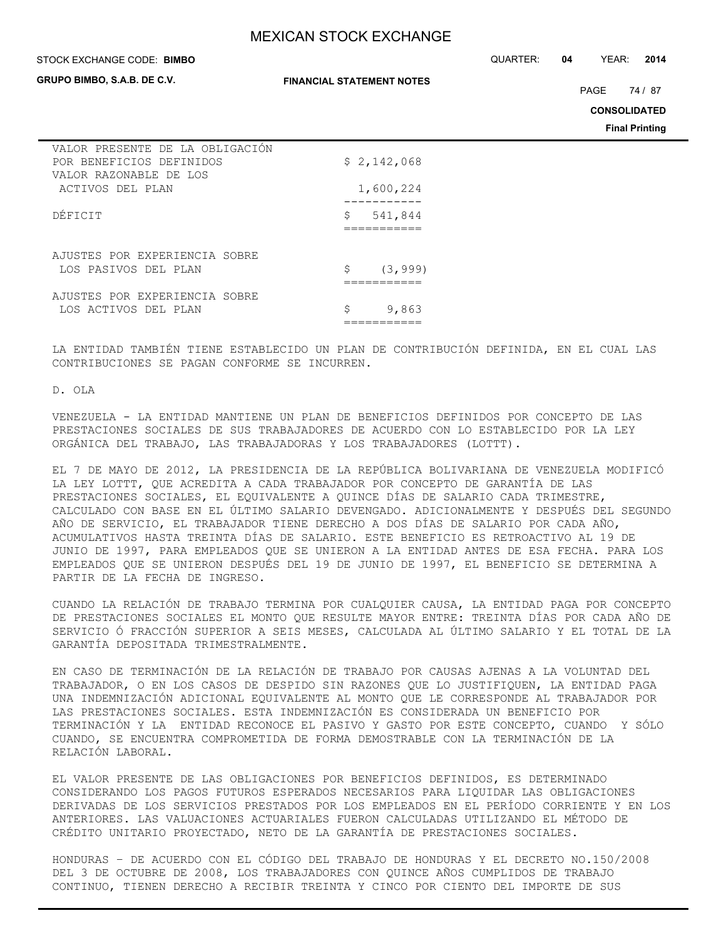#### **STOCK EXCHANGE CODE: BIMBO**

**GRUPO BIMBO, S.A.B. DE C.V.**

#### **FINANCIAL STATEMENT NOTES**

STOCK EXCHANGE CODE: QUARTER: **04** YEAR: **2014**

PAGE 74 / 87

**CONSOLIDATED**

**Final Printing**

| VALOR PRESENTE DE LA OBLIGACIÓN<br>POR BENEFICIOS DEFINIDOS |    | \$2,142,068 |
|-------------------------------------------------------------|----|-------------|
| VALOR RAZONABLE DE LOS                                      |    |             |
| ACTIVOS DEL PLAN                                            |    | 1,600,224   |
|                                                             |    |             |
| DÉFICIT                                                     | \$ | 541,844     |
|                                                             |    |             |
|                                                             |    |             |
| AJUSTES POR EXPERIENCIA SOBRE                               |    |             |
| LOS PASIVOS DEL PLAN                                        | S. | (3, 999)    |
|                                                             |    |             |
| AJUSTES POR EXPERIENCIA SOBRE                               |    |             |
| LOS ACTIVOS DEL PLAN                                        | \$ | 9,863       |
|                                                             |    |             |
|                                                             |    |             |

LA ENTIDAD TAMBIÉN TIENE ESTABLECIDO UN PLAN DE CONTRIBUCIÓN DEFINIDA, EN EL CUAL LAS CONTRIBUCIONES SE PAGAN CONFORME SE INCURREN.

D. OLA

VENEZUELA - LA ENTIDAD MANTIENE UN PLAN DE BENEFICIOS DEFINIDOS POR CONCEPTO DE LAS PRESTACIONES SOCIALES DE SUS TRABAJADORES DE ACUERDO CON LO ESTABLECIDO POR LA LEY ORGÁNICA DEL TRABAJO, LAS TRABAJADORAS Y LOS TRABAJADORES (LOTTT).

EL 7 DE MAYO DE 2012, LA PRESIDENCIA DE LA REPÚBLICA BOLIVARIANA DE VENEZUELA MODIFICÓ LA LEY LOTTT, QUE ACREDITA A CADA TRABAJADOR POR CONCEPTO DE GARANTÍA DE LAS PRESTACIONES SOCIALES, EL EQUIVALENTE A QUINCE DÍAS DE SALARIO CADA TRIMESTRE, CALCULADO CON BASE EN EL ÚLTIMO SALARIO DEVENGADO. ADICIONALMENTE Y DESPUÉS DEL SEGUNDO AÑO DE SERVICIO, EL TRABAJADOR TIENE DERECHO A DOS DÍAS DE SALARIO POR CADA AÑO, ACUMULATIVOS HASTA TREINTA DÍAS DE SALARIO. ESTE BENEFICIO ES RETROACTIVO AL 19 DE JUNIO DE 1997, PARA EMPLEADOS QUE SE UNIERON A LA ENTIDAD ANTES DE ESA FECHA. PARA LOS EMPLEADOS QUE SE UNIERON DESPUÉS DEL 19 DE JUNIO DE 1997, EL BENEFICIO SE DETERMINA A PARTIR DE LA FECHA DE INGRESO.

CUANDO LA RELACIÓN DE TRABAJO TERMINA POR CUALQUIER CAUSA, LA ENTIDAD PAGA POR CONCEPTO DE PRESTACIONES SOCIALES EL MONTO QUE RESULTE MAYOR ENTRE: TREINTA DÍAS POR CADA AÑO DE SERVICIO Ó FRACCIÓN SUPERIOR A SEIS MESES, CALCULADA AL ÚLTIMO SALARIO Y EL TOTAL DE LA GARANTÍA DEPOSITADA TRIMESTRALMENTE.

EN CASO DE TERMINACIÓN DE LA RELACIÓN DE TRABAJO POR CAUSAS AJENAS A LA VOLUNTAD DEL TRABAJADOR, O EN LOS CASOS DE DESPIDO SIN RAZONES QUE LO JUSTIFIQUEN, LA ENTIDAD PAGA UNA INDEMNIZACIÓN ADICIONAL EQUIVALENTE AL MONTO QUE LE CORRESPONDE AL TRABAJADOR POR LAS PRESTACIONES SOCIALES. ESTA INDEMNIZACIÓN ES CONSIDERADA UN BENEFICIO POR TERMINACIÓN Y LA ENTIDAD RECONOCE EL PASIVO Y GASTO POR ESTE CONCEPTO, CUANDO Y SÓLO CUANDO, SE ENCUENTRA COMPROMETIDA DE FORMA DEMOSTRABLE CON LA TERMINACIÓN DE LA RELACIÓN LABORAL.

EL VALOR PRESENTE DE LAS OBLIGACIONES POR BENEFICIOS DEFINIDOS, ES DETERMINADO CONSIDERANDO LOS PAGOS FUTUROS ESPERADOS NECESARIOS PARA LIQUIDAR LAS OBLIGACIONES DERIVADAS DE LOS SERVICIOS PRESTADOS POR LOS EMPLEADOS EN EL PERÍODO CORRIENTE Y EN LOS ANTERIORES. LAS VALUACIONES ACTUARIALES FUERON CALCULADAS UTILIZANDO EL MÉTODO DE CRÉDITO UNITARIO PROYECTADO, NETO DE LA GARANTÍA DE PRESTACIONES SOCIALES.

HONDURAS – DE ACUERDO CON EL CÓDIGO DEL TRABAJO DE HONDURAS Y EL DECRETO NO.150/2008 DEL 3 DE OCTUBRE DE 2008, LOS TRABAJADORES CON QUINCE AÑOS CUMPLIDOS DE TRABAJO CONTINUO, TIENEN DERECHO A RECIBIR TREINTA Y CINCO POR CIENTO DEL IMPORTE DE SUS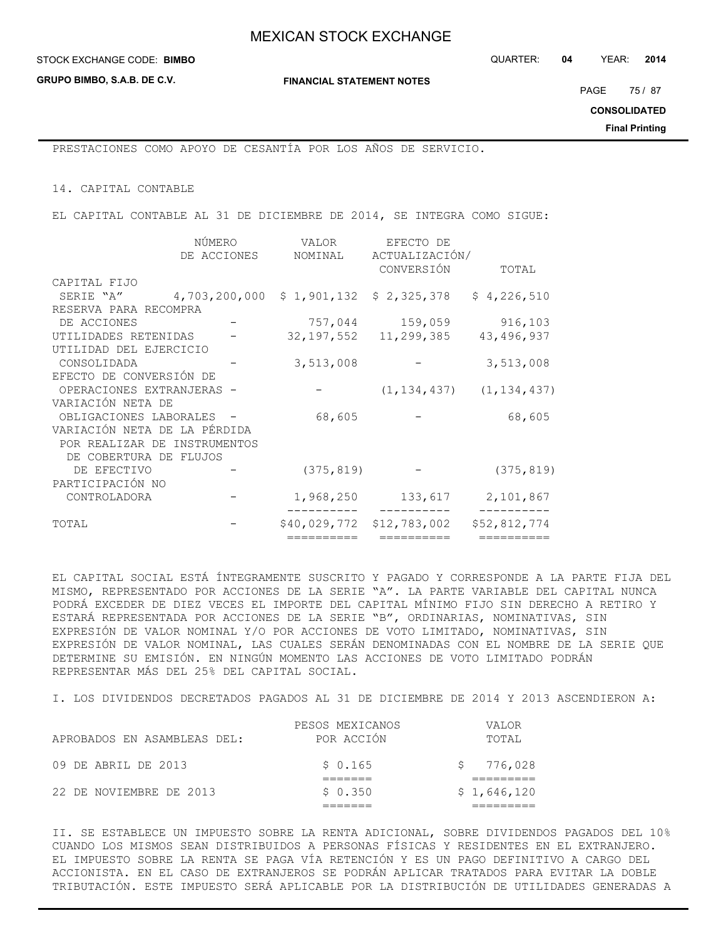**GRUPO BIMBO, S.A.B. DE C.V.**

**FINANCIAL STATEMENT NOTES**

PAGE 75 / 87

**CONSOLIDATED**

**Final Printing**

PRESTACIONES COMO APOYO DE CESANTÍA POR LOS AÑOS DE SERVICIO.

14. CAPITAL CONTABLE

EL CAPITAL CONTABLE AL 31 DE DICIEMBRE DE 2014, SE INTEGRA COMO SIGUE:

|                              | NÚMERO        | VALOR        | EFECTO DE                 |                                 |
|------------------------------|---------------|--------------|---------------------------|---------------------------------|
|                              | DE ACCIONES   | NOMINAL      | ACTUALIZACIÓN/            |                                 |
|                              |               |              | CONVERSIÓN                | TOTAL                           |
| CAPITAL FIJO                 |               |              |                           |                                 |
| SERIE "A"                    | 4,703,200,000 |              | $$1,901,132$ $$2,325,378$ | \$4,226,510                     |
| RESERVA PARA RECOMPRA        |               |              |                           |                                 |
| DE ACCIONES                  |               |              | 757,044 159,059           | 916,103                         |
| UTILIDADES RETENIDAS         |               |              | 32, 197, 552 11, 299, 385 | 43, 496, 937                    |
| UTILIDAD DEL EJERCICIO       |               |              |                           |                                 |
| CONSOLIDADA                  |               | 3,513,008    |                           | 3,513,008                       |
| EFECTO DE CONVERSIÓN DE      |               |              |                           |                                 |
| OPERACIONES EXTRANJERAS -    |               |              |                           | $(1, 134, 437)$ $(1, 134, 437)$ |
| VARIACIÓN NETA DE            |               |              |                           |                                 |
| OBLIGACIONES LABORALES -     |               | 68,605       |                           | 68,605                          |
| VARIACIÓN NETA DE LA PÉRDIDA |               |              |                           |                                 |
| POR REALIZAR DE INSTRUMENTOS |               |              |                           |                                 |
| DE COBERTURA DE FLUJOS       |               |              |                           |                                 |
| DE EFECTIVO                  |               | (375, 819)   |                           | (375, 819)                      |
| PARTICIPACIÓN NO             |               |              |                           |                                 |
| CONTROLADORA                 |               | 1,968,250    | 133,617                   | 2,101,867                       |
| TOTAL                        |               | \$40,029,772 | \$12,783,002              | \$52,812,774                    |
|                              |               | ==========   | ==========                | ==========                      |

EL CAPITAL SOCIAL ESTÁ ÍNTEGRAMENTE SUSCRITO Y PAGADO Y CORRESPONDE A LA PARTE FIJA DEL MISMO, REPRESENTADO POR ACCIONES DE LA SERIE "A". LA PARTE VARIABLE DEL CAPITAL NUNCA PODRÁ EXCEDER DE DIEZ VECES EL IMPORTE DEL CAPITAL MÍNIMO FIJO SIN DERECHO A RETIRO Y ESTARÁ REPRESENTADA POR ACCIONES DE LA SERIE "B", ORDINARIAS, NOMINATIVAS, SIN EXPRESIÓN DE VALOR NOMINAL Y/O POR ACCIONES DE VOTO LIMITADO, NOMINATIVAS, SIN EXPRESIÓN DE VALOR NOMINAL, LAS CUALES SERÁN DENOMINADAS CON EL NOMBRE DE LA SERIE QUE DETERMINE SU EMISIÓN. EN NINGÚN MOMENTO LAS ACCIONES DE VOTO LIMITADO PODRÁN REPRESENTAR MÁS DEL 25% DEL CAPITAL SOCIAL.

I. LOS DIVIDENDOS DECRETADOS PAGADOS AL 31 DE DICIEMBRE DE 2014 Y 2013 ASCENDIERON A:

| 22 DE NOVIEMBRE DE 2013     | \$0.350         | \$1,646,120 |
|-----------------------------|-----------------|-------------|
|                             |                 |             |
| 09 DE ABRIL DE 2013         | \$0.165         | 776,028     |
| APROBADOS EN ASAMBLEAS DEL: | POR ACCIÓN      | TOTAI,      |
|                             | PESOS MEXICANOS | VALOR       |

II. SE ESTABLECE UN IMPUESTO SOBRE LA RENTA ADICIONAL, SOBRE DIVIDENDOS PAGADOS DEL 10% CUANDO LOS MISMOS SEAN DISTRIBUIDOS A PERSONAS FÍSICAS Y RESIDENTES EN EL EXTRANJERO. EL IMPUESTO SOBRE LA RENTA SE PAGA VÍA RETENCIÓN Y ES UN PAGO DEFINITIVO A CARGO DEL ACCIONISTA. EN EL CASO DE EXTRANJEROS SE PODRÁN APLICAR TRATADOS PARA EVITAR LA DOBLE TRIBUTACIÓN. ESTE IMPUESTO SERÁ APLICABLE POR LA DISTRIBUCIÓN DE UTILIDADES GENERADAS A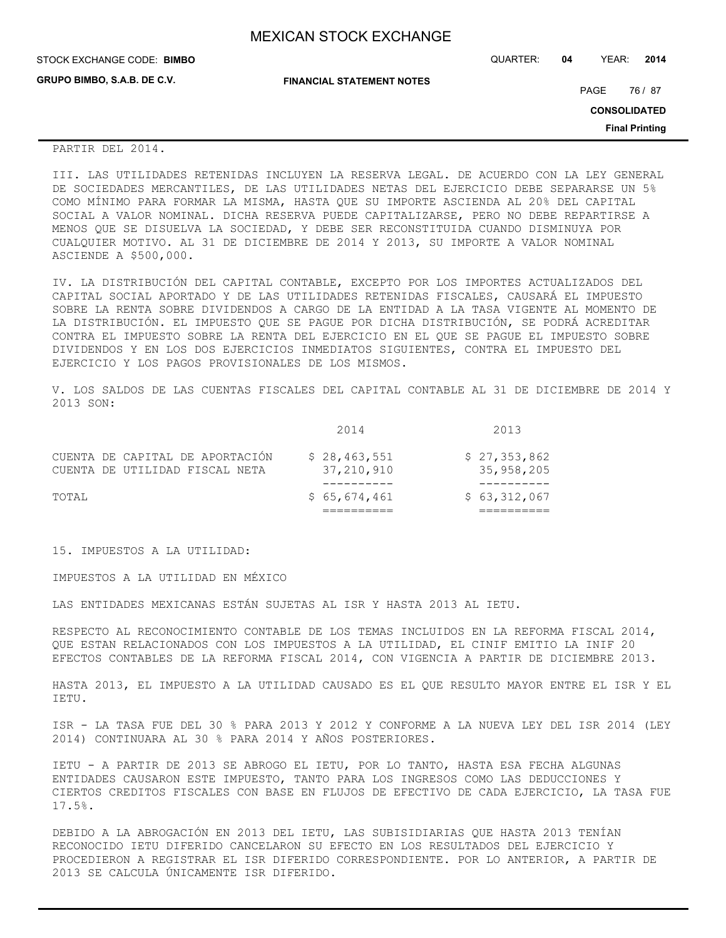| <b>MEXICAN STOCK EXCHANGE</b> |  |  |  |
|-------------------------------|--|--|--|
|-------------------------------|--|--|--|

| STOCK EXCHANGE CODE: BIMBO  |                                  | QUARTER: | 04 | YEAR:               | 2014                  |
|-----------------------------|----------------------------------|----------|----|---------------------|-----------------------|
| GRUPO BIMBO, S.A.B. DE C.V. | <b>FINANCIAL STATEMENT NOTES</b> |          |    | PAGE                | 76 / 87               |
|                             |                                  |          |    | <b>CONSOLIDATED</b> |                       |
|                             |                                  |          |    |                     | <b>Final Printing</b> |
| PARTIR DEL 2014.            |                                  |          |    |                     |                       |

III. LAS UTILIDADES RETENIDAS INCLUYEN LA RESERVA LEGAL. DE ACUERDO CON LA LEY GENERAL DE SOCIEDADES MERCANTILES, DE LAS UTILIDADES NETAS DEL EJERCICIO DEBE SEPARARSE UN 5% COMO MÍNIMO PARA FORMAR LA MISMA, HASTA QUE SU IMPORTE ASCIENDA AL 20% DEL CAPITAL SOCIAL A VALOR NOMINAL. DICHA RESERVA PUEDE CAPITALIZARSE, PERO NO DEBE REPARTIRSE A MENOS QUE SE DISUELVA LA SOCIEDAD, Y DEBE SER RECONSTITUIDA CUANDO DISMINUYA POR CUALQUIER MOTIVO. AL 31 DE DICIEMBRE DE 2014 Y 2013, SU IMPORTE A VALOR NOMINAL ASCIENDE A \$500,000.

IV. LA DISTRIBUCIÓN DEL CAPITAL CONTABLE, EXCEPTO POR LOS IMPORTES ACTUALIZADOS DEL CAPITAL SOCIAL APORTADO Y DE LAS UTILIDADES RETENIDAS FISCALES, CAUSARÁ EL IMPUESTO SOBRE LA RENTA SOBRE DIVIDENDOS A CARGO DE LA ENTIDAD A LA TASA VIGENTE AL MOMENTO DE LA DISTRIBUCIÓN. EL IMPUESTO QUE SE PAGUE POR DICHA DISTRIBUCIÓN, SE PODRÁ ACREDITAR CONTRA EL IMPUESTO SOBRE LA RENTA DEL EJERCICIO EN EL QUE SE PAGUE EL IMPUESTO SOBRE DIVIDENDOS Y EN LOS DOS EJERCICIOS INMEDIATOS SIGUIENTES, CONTRA EL IMPUESTO DEL EJERCICIO Y LOS PAGOS PROVISIONALES DE LOS MISMOS.

V. LOS SALDOS DE LAS CUENTAS FISCALES DEL CAPITAL CONTABLE AL 31 DE DICIEMBRE DE 2014 Y 2013 SON:

|                                                                   | 2014                       | 2013                       |
|-------------------------------------------------------------------|----------------------------|----------------------------|
| CUENTA DE CAPITAL DE APORTACIÓN<br>CUENTA DE UTILIDAD FISCAL NETA | \$28,463,551<br>37,210,910 | \$27,353,862<br>35,958,205 |
| TOTAI,                                                            | \$65,674,461               | \$63,312,067               |

15. IMPUESTOS A LA UTILIDAD:

IMPUESTOS A LA UTILIDAD EN MÉXICO

LAS ENTIDADES MEXICANAS ESTÁN SUJETAS AL ISR Y HASTA 2013 AL IETU.

RESPECTO AL RECONOCIMIENTO CONTABLE DE LOS TEMAS INCLUIDOS EN LA REFORMA FISCAL 2014, QUE ESTAN RELACIONADOS CON LOS IMPUESTOS A LA UTILIDAD, EL CINIF EMITIO LA INIF 20 EFECTOS CONTABLES DE LA REFORMA FISCAL 2014, CON VIGENCIA A PARTIR DE DICIEMBRE 2013.

HASTA 2013, EL IMPUESTO A LA UTILIDAD CAUSADO ES EL QUE RESULTO MAYOR ENTRE EL ISR Y EL IETU.

ISR - LA TASA FUE DEL 30 % PARA 2013 Y 2012 Y CONFORME A LA NUEVA LEY DEL ISR 2014 (LEY 2014) CONTINUARA AL 30 % PARA 2014 Y AÑOS POSTERIORES.

IETU - A PARTIR DE 2013 SE ABROGO EL IETU, POR LO TANTO, HASTA ESA FECHA ALGUNAS ENTIDADES CAUSARON ESTE IMPUESTO, TANTO PARA LOS INGRESOS COMO LAS DEDUCCIONES Y CIERTOS CREDITOS FISCALES CON BASE EN FLUJOS DE EFECTIVO DE CADA EJERCICIO, LA TASA FUE 17.5%.

DEBIDO A LA ABROGACIÓN EN 2013 DEL IETU, LAS SUBISIDIARIAS QUE HASTA 2013 TENÍAN RECONOCIDO IETU DIFERIDO CANCELARON SU EFECTO EN LOS RESULTADOS DEL EJERCICIO Y PROCEDIERON A REGISTRAR EL ISR DIFERIDO CORRESPONDIENTE. POR LO ANTERIOR, A PARTIR DE 2013 SE CALCULA ÚNICAMENTE ISR DIFERIDO.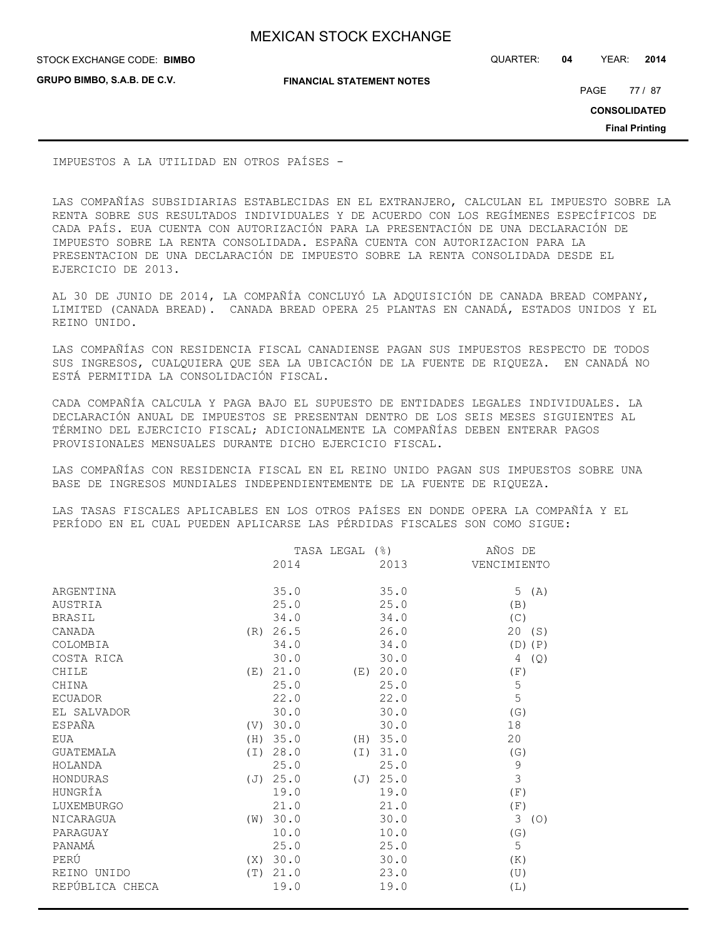**GRUPO BIMBO, S.A.B. DE C.V.**

STOCK EXCHANGE CODE: QUARTER: **04** YEAR: **2014 BIMBO**

**FINANCIAL STATEMENT NOTES**

PAGE 77 / 87

**CONSOLIDATED**

**Final Printing**

IMPUESTOS A LA UTILIDAD EN OTROS PAÍSES -

LAS COMPAÑÍAS SUBSIDIARIAS ESTABLECIDAS EN EL EXTRANJERO, CALCULAN EL IMPUESTO SOBRE LA RENTA SOBRE SUS RESULTADOS INDIVIDUALES Y DE ACUERDO CON LOS REGÍMENES ESPECÍFICOS DE CADA PAÍS. EUA CUENTA CON AUTORIZACIÓN PARA LA PRESENTACIÓN DE UNA DECLARACIÓN DE IMPUESTO SOBRE LA RENTA CONSOLIDADA. ESPAÑA CUENTA CON AUTORIZACION PARA LA PRESENTACION DE UNA DECLARACIÓN DE IMPUESTO SOBRE LA RENTA CONSOLIDADA DESDE EL EJERCICIO DE 2013.

AL 30 DE JUNIO DE 2014, LA COMPAÑÍA CONCLUYÓ LA ADQUISICIÓN DE CANADA BREAD COMPANY, LIMITED (CANADA BREAD). CANADA BREAD OPERA 25 PLANTAS EN CANADÁ, ESTADOS UNIDOS Y EL REINO UNIDO.

LAS COMPAÑÍAS CON RESIDENCIA FISCAL CANADIENSE PAGAN SUS IMPUESTOS RESPECTO DE TODOS SUS INGRESOS, CUALQUIERA QUE SEA LA UBICACIÓN DE LA FUENTE DE RIQUEZA. EN CANADÁ NO ESTÁ PERMITIDA LA CONSOLIDACIÓN FISCAL.

CADA COMPAÑÍA CALCULA Y PAGA BAJO EL SUPUESTO DE ENTIDADES LEGALES INDIVIDUALES. LA DECLARACIÓN ANUAL DE IMPUESTOS SE PRESENTAN DENTRO DE LOS SEIS MESES SIGUIENTES AL TÉRMINO DEL EJERCICIO FISCAL; ADICIONALMENTE LA COMPAÑÍAS DEBEN ENTERAR PAGOS PROVISIONALES MENSUALES DURANTE DICHO EJERCICIO FISCAL.

LAS COMPAÑÍAS CON RESIDENCIA FISCAL EN EL REINO UNIDO PAGAN SUS IMPUESTOS SOBRE UNA BASE DE INGRESOS MUNDIALES INDEPENDIENTEMENTE DE LA FUENTE DE RIQUEZA.

LAS TASAS FISCALES APLICABLES EN LOS OTROS PAÍSES EN DONDE OPERA LA COMPAÑÍA Y EL PERÍODO EN EL CUAL PUEDEN APLICARSE LAS PÉRDIDAS FISCALES SON COMO SIGUE:

|                 |     | TASA LEGAL<br>$($ $\mathcal{E})$ |     |          | AÑOS DE     |
|-----------------|-----|----------------------------------|-----|----------|-------------|
|                 |     | 2014                             |     | 2013     | VENCIMIENTO |
| ARGENTINA       |     | 35.0                             |     | 35.0     | 5(A)        |
| AUSTRIA         |     | 25.0                             |     | 25.0     | (B)         |
| <b>BRASIL</b>   |     | 34.0                             |     | 34.0     | (C)         |
| CANADA          | (R) | 26.5                             |     | 26.0     | 20 (S)      |
| COLOMBIA        |     | 34.0                             |     | 34.0     | $(D)$ $(P)$ |
| COSTA RICA      |     | 30.0                             |     | 30.0     | 4<br>(Q)    |
| CHILE           | (E) | 21.0                             | (E) | 20.0     | (F)         |
| CHINA           |     | 25.0                             |     | 25.0     | 5           |
| <b>ECUADOR</b>  |     | 22.0                             |     | 22.0     | 5           |
| EL SALVADOR     |     | 30.0                             |     | 30.0     | (G)         |
| ESPAÑA          |     | (V) 30.0                         |     | 30.0     | 18          |
| EUA             | (H) | 35.0                             |     | (H) 35.0 | 20          |
| GUATEMALA       | (T) | 28.0                             |     | (I) 31.0 | (G)         |
| HOLANDA         |     | 25.0                             |     | 25.0     | $\mathsf 9$ |
| HONDURAS        |     | (J) 25.0                         |     | (J) 25.0 | 3           |
| HUNGRÍA         |     | 19.0                             |     | 19.0     | (F)         |
| LUXEMBURGO      |     | 21.0                             |     | 21.0     | (F)         |
| NICARAGUA       | (W) | 30.0                             |     | 30.0     | 3<br>(O)    |
| PARAGUAY        |     | 10.0                             |     | 10.0     | (G)         |
| PANAMÁ          |     | 25.0                             |     | 25.0     | 5           |
| PERÚ            | (X) | 30.0                             |     | 30.0     | (K)         |
| REINO UNIDO     | (T) | 21.0                             |     | 23.0     | (U)         |
| REPÚBLICA CHECA |     | 19.0                             |     | 19.0     | (L)         |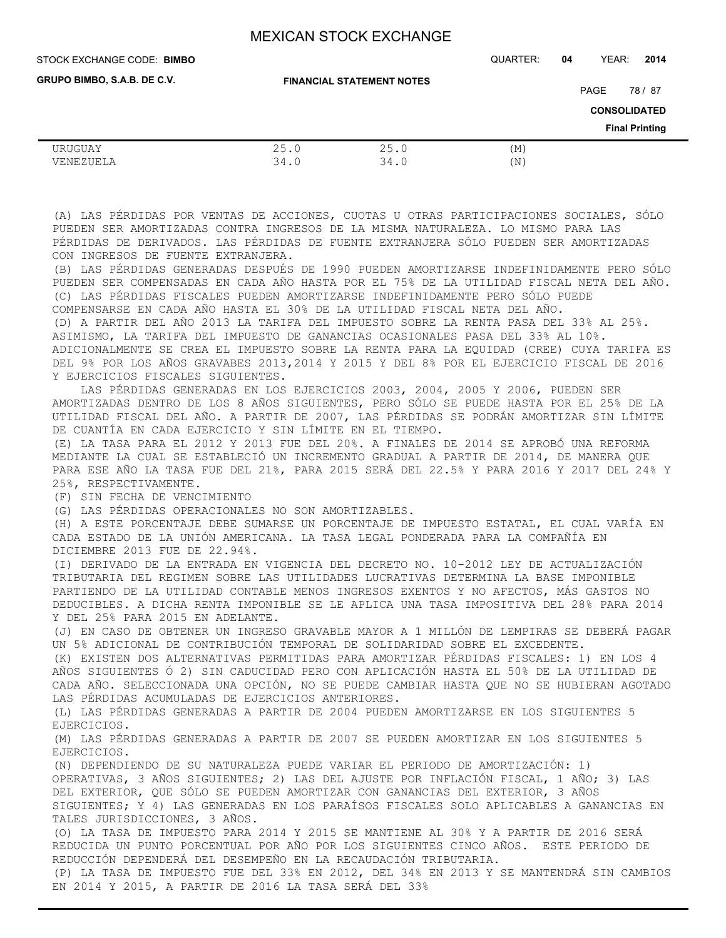**FINANCIAL STATEMENT NOTES** STOCK EXCHANGE CODE: QUARTER: **04** YEAR: **2014 BIMBO CONSOLIDATED Final Printing GRUPO BIMBO, S.A.B. DE C.V.** PAGE 78 / 87 URUGUAY 25.0 25.0 (M) VENEZUELA 34.0 34.0 (N)

(A) LAS PÉRDIDAS POR VENTAS DE ACCIONES, CUOTAS U OTRAS PARTICIPACIONES SOCIALES, SÓLO PUEDEN SER AMORTIZADAS CONTRA INGRESOS DE LA MISMA NATURALEZA. LO MISMO PARA LAS PÉRDIDAS DE DERIVADOS. LAS PÉRDIDAS DE FUENTE EXTRANJERA SÓLO PUEDEN SER AMORTIZADAS CON INGRESOS DE FUENTE EXTRANJERA.

(B) LAS PÉRDIDAS GENERADAS DESPUÉS DE 1990 PUEDEN AMORTIZARSE INDEFINIDAMENTE PERO SÓLO PUEDEN SER COMPENSADAS EN CADA AÑO HASTA POR EL 75% DE LA UTILIDAD FISCAL NETA DEL AÑO. (C) LAS PÉRDIDAS FISCALES PUEDEN AMORTIZARSE INDEFINIDAMENTE PERO SÓLO PUEDE COMPENSARSE EN CADA AÑO HASTA EL 30% DE LA UTILIDAD FISCAL NETA DEL AÑO. (D) A PARTIR DEL AÑO 2013 LA TARIFA DEL IMPUESTO SOBRE LA RENTA PASA DEL 33% AL 25%. ASIMISMO, LA TARIFA DEL IMPUESTO DE GANANCIAS OCASIONALES PASA DEL 33% AL 10%. ADICIONALMENTE SE CREA EL IMPUESTO SOBRE LA RENTA PARA LA EQUIDAD (CREE) CUYA TARIFA ES DEL 9% POR LOS AÑOS GRAVABES 2013,2014 Y 2015 Y DEL 8% POR EL EJERCICIO FISCAL DE 2016 Y EJERCICIOS FISCALES SIGUIENTES.

 LAS PÉRDIDAS GENERADAS EN LOS EJERCICIOS 2003, 2004, 2005 Y 2006, PUEDEN SER AMORTIZADAS DENTRO DE LOS 8 AÑOS SIGUIENTES, PERO SÓLO SE PUEDE HASTA POR EL 25% DE LA UTILIDAD FISCAL DEL AÑO. A PARTIR DE 2007, LAS PÉRDIDAS SE PODRÁN AMORTIZAR SIN LÍMITE DE CUANTÍA EN CADA EJERCICIO Y SIN LÍMITE EN EL TIEMPO.

(E) LA TASA PARA EL 2012 Y 2013 FUE DEL 20%. A FINALES DE 2014 SE APROBÓ UNA REFORMA MEDIANTE LA CUAL SE ESTABLECIÓ UN INCREMENTO GRADUAL A PARTIR DE 2014, DE MANERA QUE PARA ESE AÑO LA TASA FUE DEL 21%, PARA 2015 SERÁ DEL 22.5% Y PARA 2016 Y 2017 DEL 24% Y 25%, RESPECTIVAMENTE.

(F) SIN FECHA DE VENCIMIENTO

(G) LAS PÉRDIDAS OPERACIONALES NO SON AMORTIZABLES.

(H) A ESTE PORCENTAJE DEBE SUMARSE UN PORCENTAJE DE IMPUESTO ESTATAL, EL CUAL VARÍA EN CADA ESTADO DE LA UNIÓN AMERICANA. LA TASA LEGAL PONDERADA PARA LA COMPAÑÍA EN DICIEMBRE 2013 FUE DE 22.94%.

(I) DERIVADO DE LA ENTRADA EN VIGENCIA DEL DECRETO NO. 10-2012 LEY DE ACTUALIZACIÓN TRIBUTARIA DEL REGIMEN SOBRE LAS UTILIDADES LUCRATIVAS DETERMINA LA BASE IMPONIBLE PARTIENDO DE LA UTILIDAD CONTABLE MENOS INGRESOS EXENTOS Y NO AFECTOS, MÁS GASTOS NO DEDUCIBLES. A DICHA RENTA IMPONIBLE SE LE APLICA UNA TASA IMPOSITIVA DEL 28% PARA 2014 Y DEL 25% PARA 2015 EN ADELANTE.

(J) EN CASO DE OBTENER UN INGRESO GRAVABLE MAYOR A 1 MILLÓN DE LEMPIRAS SE DEBERÁ PAGAR UN 5% ADICIONAL DE CONTRIBUCIÓN TEMPORAL DE SOLIDARIDAD SOBRE EL EXCEDENTE.

(K) EXISTEN DOS ALTERNATIVAS PERMITIDAS PARA AMORTIZAR PÉRDIDAS FISCALES: 1) EN LOS 4 AÑOS SIGUIENTES Ó 2) SIN CADUCIDAD PERO CON APLICACIÓN HASTA EL 50% DE LA UTILIDAD DE CADA AÑO. SELECCIONADA UNA OPCIÓN, NO SE PUEDE CAMBIAR HASTA QUE NO SE HUBIERAN AGOTADO LAS PÉRDIDAS ACUMULADAS DE EJERCICIOS ANTERIORES.

(L) LAS PÉRDIDAS GENERADAS A PARTIR DE 2004 PUEDEN AMORTIZARSE EN LOS SIGUIENTES 5 EJERCICIOS.

(M) LAS PÉRDIDAS GENERADAS A PARTIR DE 2007 SE PUEDEN AMORTIZAR EN LOS SIGUIENTES 5 EJERCICIOS.

(N) DEPENDIENDO DE SU NATURALEZA PUEDE VARIAR EL PERIODO DE AMORTIZACIÓN: 1) OPERATIVAS, 3 AÑOS SIGUIENTES; 2) LAS DEL AJUSTE POR INFLACIÓN FISCAL, 1 AÑO; 3) LAS DEL EXTERIOR, QUE SÓLO SE PUEDEN AMORTIZAR CON GANANCIAS DEL EXTERIOR, 3 AÑOS SIGUIENTES; Y 4) LAS GENERADAS EN LOS PARAÍSOS FISCALES SOLO APLICABLES A GANANCIAS EN TALES JURISDICCIONES, 3 AÑOS.

(O) LA TASA DE IMPUESTO PARA 2014 Y 2015 SE MANTIENE AL 30% Y A PARTIR DE 2016 SERÁ REDUCIDA UN PUNTO PORCENTUAL POR AÑO POR LOS SIGUIENTES CINCO AÑOS. ESTE PERIODO DE REDUCCIÓN DEPENDERÁ DEL DESEMPEÑO EN LA RECAUDACIÓN TRIBUTARIA.

(P) LA TASA DE IMPUESTO FUE DEL 33% EN 2012, DEL 34% EN 2013 Y SE MANTENDRÁ SIN CAMBIOS EN 2014 Y 2015, A PARTIR DE 2016 LA TASA SERÁ DEL 33%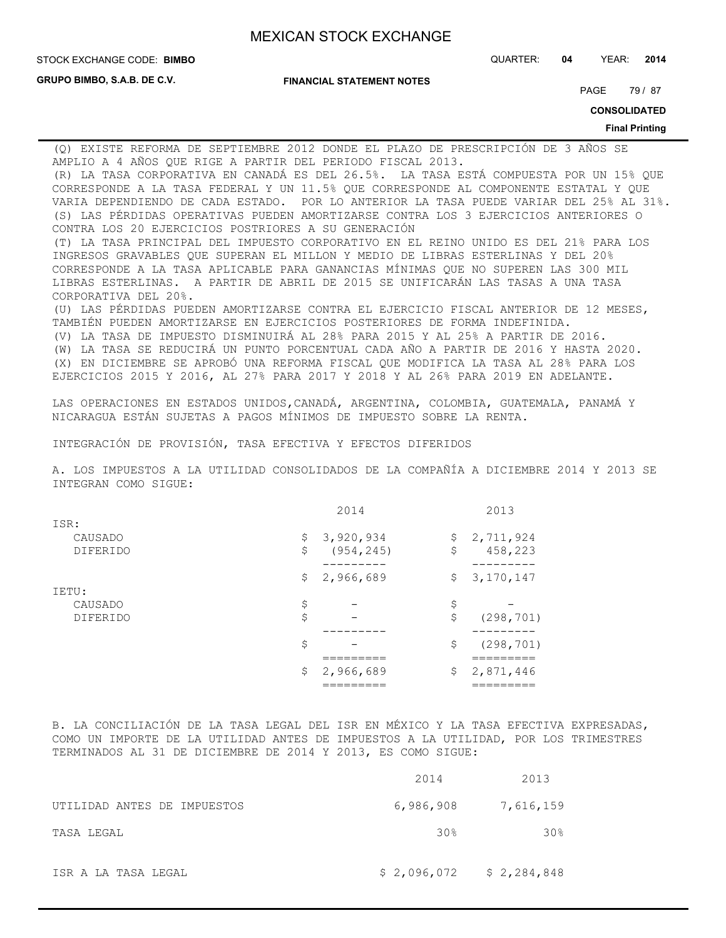CORPORATIVA DEL 20%.

**GRUPO BIMBO, S.A.B. DE C.V.**

**FINANCIAL STATEMENT NOTES**

STOCK EXCHANGE CODE: QUARTER: **04** YEAR: **2014 BIMBO**

PAGE 79 / 87

**CONSOLIDATED**

**Final Printing**

(Q) EXISTE REFORMA DE SEPTIEMBRE 2012 DONDE EL PLAZO DE PRESCRIPCIÓN DE 3 AÑOS SE AMPLIO A 4 AÑOS QUE RIGE A PARTIR DEL PERIODO FISCAL 2013. (R) LA TASA CORPORATIVA EN CANADÁ ES DEL 26.5%. LA TASA ESTÁ COMPUESTA POR UN 15% QUE CORRESPONDE A LA TASA FEDERAL Y UN 11.5% QUE CORRESPONDE AL COMPONENTE ESTATAL Y QUE VARIA DEPENDIENDO DE CADA ESTADO. POR LO ANTERIOR LA TASA PUEDE VARIAR DEL 25% AL 31%. (S) LAS PÉRDIDAS OPERATIVAS PUEDEN AMORTIZARSE CONTRA LOS 3 EJERCICIOS ANTERIORES O CONTRA LOS 20 EJERCICIOS POSTRIORES A SU GENERACIÓN (T) LA TASA PRINCIPAL DEL IMPUESTO CORPORATIVO EN EL REINO UNIDO ES DEL 21% PARA LOS INGRESOS GRAVABLES QUE SUPERAN EL MILLON Y MEDIO DE LIBRAS ESTERLINAS Y DEL 20% CORRESPONDE A LA TASA APLICABLE PARA GANANCIAS MÍNIMAS QUE NO SUPEREN LAS 300 MIL LIBRAS ESTERLINAS. A PARTIR DE ABRIL DE 2015 SE UNIFICARÁN LAS TASAS A UNA TASA

(U) LAS PÉRDIDAS PUEDEN AMORTIZARSE CONTRA EL EJERCICIO FISCAL ANTERIOR DE 12 MESES, TAMBIÉN PUEDEN AMORTIZARSE EN EJERCICIOS POSTERIORES DE FORMA INDEFINIDA. (V) LA TASA DE IMPUESTO DISMINUIRÁ AL 28% PARA 2015 Y AL 25% A PARTIR DE 2016. (W) LA TASA SE REDUCIRÁ UN PUNTO PORCENTUAL CADA AÑO A PARTIR DE 2016 Y HASTA 2020. (X) EN DICIEMBRE SE APROBÓ UNA REFORMA FISCAL QUE MODIFICA LA TASA AL 28% PARA LOS

LAS OPERACIONES EN ESTADOS UNIDOS,CANADÁ, ARGENTINA, COLOMBIA, GUATEMALA, PANAMÁ Y NICARAGUA ESTÁN SUJETAS A PAGOS MÍNIMOS DE IMPUESTO SOBRE LA RENTA.

EJERCICIOS 2015 Y 2016, AL 27% PARA 2017 Y 2018 Y AL 26% PARA 2019 EN ADELANTE.

INTEGRACIÓN DE PROVISIÓN, TASA EFECTIVA Y EFECTOS DIFERIDOS

A. LOS IMPUESTOS A LA UTILIDAD CONSOLIDADOS DE LA COMPAÑÍA A DICIEMBRE 2014 Y 2013 SE INTEGRAN COMO SIGUE:

|                 | 2014             |              | 2013        |
|-----------------|------------------|--------------|-------------|
| ISR:            |                  |              |             |
| CAUSADO         | \$<br>3,920,934  | \$           | 2,711,924   |
| <b>DIFERIDO</b> | \$<br>(954, 245) | \$           | 458,223     |
|                 |                  |              |             |
|                 | \$<br>2,966,689  | $\mathsf{S}$ | 3, 170, 147 |
| IETU:           |                  |              |             |
| CAUSADO         | \$               | \$           |             |
| <b>DIFERIDO</b> | \$               | \$           | (298, 701)  |
|                 |                  |              |             |
|                 | \$               | \$           | (298, 701)  |
|                 |                  |              |             |
|                 | \$<br>2,966,689  | \$           | 2,871,446   |
|                 |                  |              |             |

B. LA CONCILIACIÓN DE LA TASA LEGAL DEL ISR EN MÉXICO Y LA TASA EFECTIVA EXPRESADAS, COMO UN IMPORTE DE LA UTILIDAD ANTES DE IMPUESTOS A LA UTILIDAD, POR LOS TRIMESTRES TERMINADOS AL 31 DE DICIEMBRE DE 2014 Y 2013, ES COMO SIGUE:

|                             | 2014                      | 2013      |
|-----------------------------|---------------------------|-----------|
| UTILIDAD ANTES DE IMPUESTOS | 6,986,908                 | 7,616,159 |
| TASA LEGAL                  | 30 <sub>8</sub>           | 30%       |
| ISR A LA TASA LEGAL         | $$2,096,072$ $$2,284,848$ |           |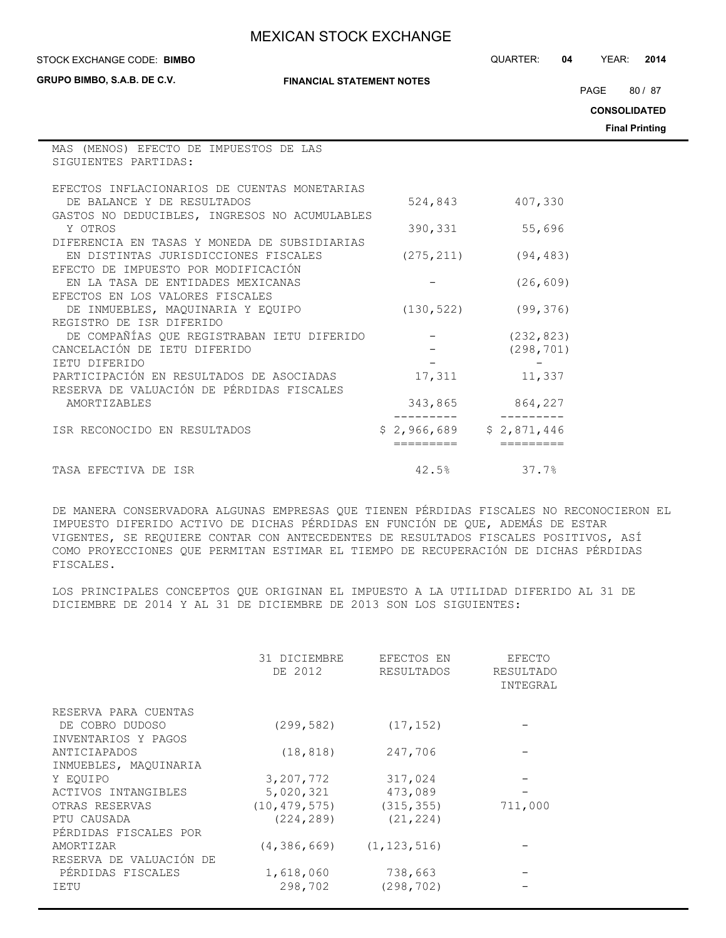#### STOCK EXCHANGE CODE: QUARTER: **04** YEAR: **2014 BIMBO**

MAS (MENOS) EFECTO DE IMPUESTOS DE LAS

**GRUPO BIMBO, S.A.B. DE C.V.**

**FINANCIAL STATEMENT NOTES**

PAGE 80 / 87

**CONSOLIDATED**

**Final Printing**

| SIGUIENTES PARTIDAS:                                                                  |                           |                 |
|---------------------------------------------------------------------------------------|---------------------------|-----------------|
| EFECTOS INFLACIONARIOS DE CUENTAS MONETARIAS<br>DE BALANCE Y DE RESULTADOS            | 524,843                   | 407,330         |
| GASTOS NO DEDUCIBLES, INGRESOS NO ACUMULABLES<br>Y OTROS                              | 390,331                   | 55,696          |
| DIFERENCIA EN TASAS Y MONEDA DE SUBSIDIARIAS                                          |                           |                 |
| EN DISTINTAS JURISDICCIONES FISCALES<br>EFECTO DE IMPUESTO POR MODIFICACIÓN           | (275, 211)                | (94, 483)       |
| EN LA TASA DE ENTIDADES MEXICANAS<br>EFECTOS EN LOS VALORES FISCALES                  |                           | (26, 609)       |
| DE INMUEBLES, MAQUINARIA Y EQUIPO                                                     | (130, 522)                | (99, 376)       |
| REGISTRO DE ISR DIFERIDO                                                              |                           |                 |
| DE COMPAÑÍAS QUE REGISTRABAN IETU DIFERIDO                                            |                           | (232, 823)      |
| CANCELACIÓN DE IETU DIFERIDO                                                          |                           | (298, 701)      |
| TETU DIFERIDO                                                                         |                           |                 |
| PARTICIPACIÓN EN RESULTADOS DE ASOCIADAS<br>RESERVA DE VALUACIÓN DE PÉRDIDAS FISCALES | 17,311                    | 11,337          |
| AMORTIZABLES                                                                          |                           | 343,865 864,227 |
| ISR RECONOCIDO EN RESULTADOS                                                          | $$2,966,689$ $$2,871,446$ |                 |
| TASA EFECTIVA DE ISR                                                                  | 42.5%                     | 37.7%           |

DE MANERA CONSERVADORA ALGUNAS EMPRESAS QUE TIENEN PÉRDIDAS FISCALES NO RECONOCIERON EL IMPUESTO DIFERIDO ACTIVO DE DICHAS PÉRDIDAS EN FUNCIÓN DE QUE, ADEMÁS DE ESTAR VIGENTES, SE REQUIERE CONTAR CON ANTECEDENTES DE RESULTADOS FISCALES POSITIVOS, ASÍ COMO PROYECCIONES QUE PERMITAN ESTIMAR EL TIEMPO DE RECUPERACIÓN DE DICHAS PÉRDIDAS FISCALES.

LOS PRINCIPALES CONCEPTOS QUE ORIGINAN EL IMPUESTO A LA UTILIDAD DIFERIDO AL 31 DE DICIEMBRE DE 2014 Y AL 31 DE DICIEMBRE DE 2013 SON LOS SIGUIENTES:

|                         | 31 DICIEMBRE<br>DE 2012 | EFECTOS EN<br>RESULTADOS | EFECTO<br>RESULTADO<br>INTEGRAL |
|-------------------------|-------------------------|--------------------------|---------------------------------|
| RESERVA PARA CUENTAS    |                         |                          |                                 |
| DE COBRO DUDOSO         | (299, 582)              | (17, 152)                |                                 |
| INVENTARIOS Y PAGOS     |                         |                          |                                 |
| ANTICIAPADOS            | (18, 818)               | 247,706                  |                                 |
| INMUEBLES, MAQUINARIA   |                         |                          |                                 |
| Y EOUIPO                | 3,207,772               | 317,024                  |                                 |
| ACTIVOS INTANGIBLES     | 5,020,321               | 473,089                  |                                 |
| OTRAS RESERVAS          | (10, 479, 575)          | (315, 355)               | 711,000                         |
| PTU CAUSADA             | (224, 289)              | (21, 224)                |                                 |
| PÉRDIDAS FISCALES POR   |                         |                          |                                 |
| AMORTIZAR               | (4, 386, 669)           | (1, 123, 516)            |                                 |
| RESERVA DE VALUACIÓN DE |                         |                          |                                 |
| PÉRDIDAS FISCALES       | 1,618,060               | 738,663                  |                                 |
| IETU                    | 298,702                 | (298, 702)               |                                 |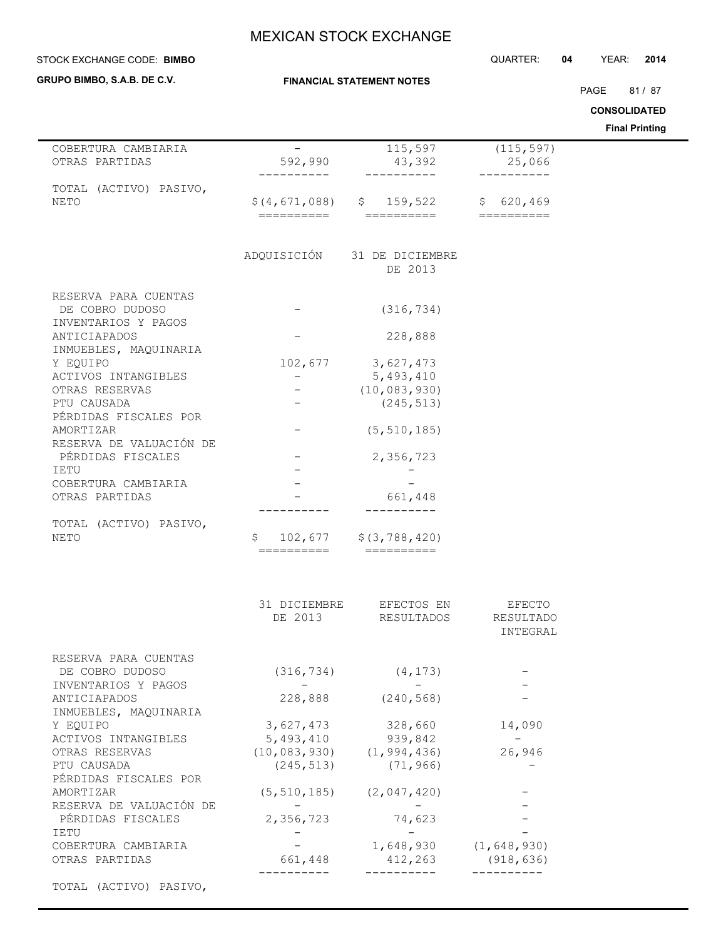| STOCK EXCHANGE CODE: BIMBO                   |                             |                                                    | QUARTER:                                                                                                                                                                                                                                                                                                                                                                                                                                                                                      | YEAR:<br>04<br>2014                          |
|----------------------------------------------|-----------------------------|----------------------------------------------------|-----------------------------------------------------------------------------------------------------------------------------------------------------------------------------------------------------------------------------------------------------------------------------------------------------------------------------------------------------------------------------------------------------------------------------------------------------------------------------------------------|----------------------------------------------|
| GRUPO BIMBO, S.A.B. DE C.V.                  |                             | <b>FINANCIAL STATEMENT NOTES</b>                   |                                                                                                                                                                                                                                                                                                                                                                                                                                                                                               |                                              |
|                                              |                             |                                                    |                                                                                                                                                                                                                                                                                                                                                                                                                                                                                               | PAGE<br>81 / 87                              |
|                                              |                             |                                                    |                                                                                                                                                                                                                                                                                                                                                                                                                                                                                               | <b>CONSOLIDATED</b><br><b>Final Printing</b> |
| COBERTURA CAMBIARIA                          | $\qquad \qquad -$           | $\overline{1}$ 15,597                              | (115, 597)                                                                                                                                                                                                                                                                                                                                                                                                                                                                                    |                                              |
| OTRAS PARTIDAS                               | 592,990                     | 43,392<br>----------                               | 25,066<br>--------                                                                                                                                                                                                                                                                                                                                                                                                                                                                            |                                              |
| TOTAL (ACTIVO) PASIVO,<br>NETO               | \$(4,671,088)<br>========== | \$159,522<br>==========                            | \$620, 469<br>$\begin{tabular}{ll} \multicolumn{2}{c}{\textbf{2}} & \multicolumn{2}{c}{\textbf{3}} & \multicolumn{2}{c}{\textbf{4}} & \multicolumn{2}{c}{\textbf{5}} & \multicolumn{2}{c}{\textbf{6}} & \multicolumn{2}{c}{\textbf{7}} & \multicolumn{2}{c}{\textbf{8}} & \multicolumn{2}{c}{\textbf{9}} & \multicolumn{2}{c}{\textbf{1}} & \multicolumn{2}{c}{\textbf{1}} & \multicolumn{2}{c}{\textbf{1}} & \multicolumn{2}{c}{\textbf{1}} & \multicolumn{2}{c}{\textbf{1}} & \multicolumn$ |                                              |
|                                              |                             |                                                    |                                                                                                                                                                                                                                                                                                                                                                                                                                                                                               |                                              |
|                                              | ADQUISICIÓN                 | 31 DE DICIEMBRE<br>DE 2013                         |                                                                                                                                                                                                                                                                                                                                                                                                                                                                                               |                                              |
| RESERVA PARA CUENTAS                         |                             |                                                    |                                                                                                                                                                                                                                                                                                                                                                                                                                                                                               |                                              |
| DE COBRO DUDOSO<br>INVENTARIOS Y PAGOS       |                             | (316, 734)                                         |                                                                                                                                                                                                                                                                                                                                                                                                                                                                                               |                                              |
| ANTICIAPADOS<br>INMUEBLES, MAQUINARIA        |                             | 228,888                                            |                                                                                                                                                                                                                                                                                                                                                                                                                                                                                               |                                              |
| Y EQUIPO                                     | 102,677                     | 3,627,473                                          |                                                                                                                                                                                                                                                                                                                                                                                                                                                                                               |                                              |
| ACTIVOS INTANGIBLES                          | $ \,$                       | 5,493,410                                          |                                                                                                                                                                                                                                                                                                                                                                                                                                                                                               |                                              |
| OTRAS RESERVAS                               | $-$                         | (10, 083, 930)                                     |                                                                                                                                                                                                                                                                                                                                                                                                                                                                                               |                                              |
| PTU CAUSADA<br>PÉRDIDAS FISCALES POR         | $\overline{\phantom{0}}$    | (245, 513)                                         |                                                                                                                                                                                                                                                                                                                                                                                                                                                                                               |                                              |
| AMORTIZAR                                    | $\overline{\phantom{0}}$    | (5, 510, 185)                                      |                                                                                                                                                                                                                                                                                                                                                                                                                                                                                               |                                              |
| RESERVA DE VALUACIÓN DE<br>PÉRDIDAS FISCALES |                             | 2,356,723                                          |                                                                                                                                                                                                                                                                                                                                                                                                                                                                                               |                                              |
| IETU                                         |                             |                                                    |                                                                                                                                                                                                                                                                                                                                                                                                                                                                                               |                                              |
| COBERTURA CAMBIARIA<br>OTRAS PARTIDAS        |                             | 661,448                                            |                                                                                                                                                                                                                                                                                                                                                                                                                                                                                               |                                              |
| TOTAL (ACTIVO) PASIVO,                       | -------                     |                                                    |                                                                                                                                                                                                                                                                                                                                                                                                                                                                                               |                                              |
| NETO                                         | \$<br>102,677<br>========== | \$ (3, 788, 420)<br>$=$ ==========                 |                                                                                                                                                                                                                                                                                                                                                                                                                                                                                               |                                              |
|                                              |                             |                                                    |                                                                                                                                                                                                                                                                                                                                                                                                                                                                                               |                                              |
|                                              |                             | 31 DICIEMBRE EFECTOS EN                            | EFECTO                                                                                                                                                                                                                                                                                                                                                                                                                                                                                        |                                              |
|                                              |                             | DE 2013 RESULTADOS RESULTADO                       |                                                                                                                                                                                                                                                                                                                                                                                                                                                                                               |                                              |
|                                              |                             |                                                    | INTEGRAL                                                                                                                                                                                                                                                                                                                                                                                                                                                                                      |                                              |
| RESERVA PARA CUENTAS                         |                             |                                                    |                                                                                                                                                                                                                                                                                                                                                                                                                                                                                               |                                              |
| DE COBRO DUDOSO                              | $ -$                        | $(316, 734)$ $(4, 173)$<br>$\sim 100$ km s $^{-1}$ |                                                                                                                                                                                                                                                                                                                                                                                                                                                                                               |                                              |
| INVENTARIOS Y PAGOS<br>ANTICIAPADOS          |                             | 228,888 (240,568)                                  |                                                                                                                                                                                                                                                                                                                                                                                                                                                                                               |                                              |
| INMUEBLES, MAQUINARIA                        |                             |                                                    |                                                                                                                                                                                                                                                                                                                                                                                                                                                                                               |                                              |
| Y EQUIPO<br>ACTIVOS INTANGIBLES              | 3,627,473                   | 328,660<br>5, 493, 410 939, 842                    | 14,090<br>$\sim$                                                                                                                                                                                                                                                                                                                                                                                                                                                                              |                                              |
| OTRAS RESERVAS                               |                             | $(10, 083, 930)$ $(1, 994, 436)$                   | 26,946                                                                                                                                                                                                                                                                                                                                                                                                                                                                                        |                                              |
| PTU CAUSADA                                  |                             | $(245, 513)$ $(71, 966)$                           |                                                                                                                                                                                                                                                                                                                                                                                                                                                                                               |                                              |
| PÉRDIDAS FISCALES POR                        |                             |                                                    |                                                                                                                                                                                                                                                                                                                                                                                                                                                                                               |                                              |
| AMORTIZAR                                    |                             | $(5, 510, 185)$ $(2, 047, 420)$                    |                                                                                                                                                                                                                                                                                                                                                                                                                                                                                               |                                              |
| RESERVA DE VALUACIÓN DE                      | $\sim$ $-$                  | $-$                                                |                                                                                                                                                                                                                                                                                                                                                                                                                                                                                               |                                              |
| PÉRDIDAS FISCALES                            | 2,356,723                   | 74,623                                             |                                                                                                                                                                                                                                                                                                                                                                                                                                                                                               |                                              |
| IETU<br>COBERTURA CAMBIARIA                  |                             | $1,648,930$ $(1,648,930)$                          |                                                                                                                                                                                                                                                                                                                                                                                                                                                                                               |                                              |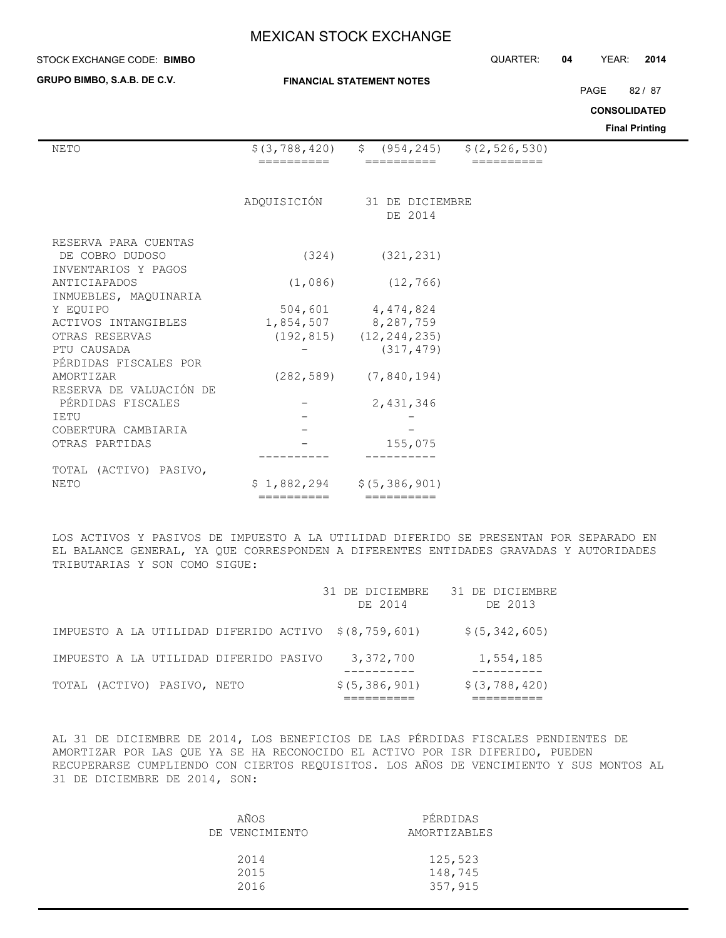### **STOCK EXCHANGE CODE: BIMBO**

**GRUPO BIMBO, S.A.B. DE C.V.**

## **FINANCIAL STATEMENT NOTES**

STOCK EXCHANGE CODE: QUARTER: **04** YEAR: **2014**

PAGE 82 / 87

**CONSOLIDATED**

**Final Printing**

| NETO                    | \$(3, 788, 420) | \$ (954, 245)                 | \$(2, 526, 530) |  |
|-------------------------|-----------------|-------------------------------|-----------------|--|
|                         | ---------       | ========                      | ----------      |  |
|                         |                 |                               |                 |  |
|                         | ADQUISICIÓN     | 31 DE DICIEMBRE               |                 |  |
|                         |                 | DE 2014                       |                 |  |
| RESERVA PARA CUENTAS    |                 |                               |                 |  |
| DE COBRO DUDOSO         | (324)           | (321, 231)                    |                 |  |
| INVENTARIOS Y PAGOS     |                 |                               |                 |  |
| ANTICIAPADOS            | (1,086)         | (12, 766)                     |                 |  |
| INMUEBLES, MAQUINARIA   |                 |                               |                 |  |
| Y EOUIPO                |                 | 504,601 4,474,824             |                 |  |
| ACTIVOS INTANGIBLES     |                 | 1,854,507 8,287,759           |                 |  |
| OTRAS RESERVAS          |                 | $(192, 815)$ $(12, 244, 235)$ |                 |  |
| PTU CAUSADA             |                 | (317, 479)                    |                 |  |
| PÉRDIDAS FISCALES POR   |                 |                               |                 |  |
| AMORTIZAR               |                 | $(282, 589)$ $(7, 840, 194)$  |                 |  |
| RESERVA DE VALUACIÓN DE |                 |                               |                 |  |
| PÉRDIDAS FISCALES       |                 | 2,431,346                     |                 |  |
| IETU                    |                 |                               |                 |  |
| COBERTURA CAMBIARIA     |                 |                               |                 |  |
| OTRAS PARTIDAS          |                 | 155,075                       |                 |  |
|                         |                 |                               |                 |  |
| TOTAL (ACTIVO) PASIVO,  |                 |                               |                 |  |
| NETO                    | \$1,882,294     | \$(5, 386, 901)               |                 |  |
|                         | ==========      | $=$ =========                 |                 |  |

LOS ACTIVOS Y PASIVOS DE IMPUESTO A LA UTILIDAD DIFERIDO SE PRESENTAN POR SEPARADO EN EL BALANCE GENERAL, YA QUE CORRESPONDEN A DIFERENTES ENTIDADES GRAVADAS Y AUTORIDADES TRIBUTARIAS Y SON COMO SIGUE:

|                                                      | 31 DE DICIEMBRE<br>DE 2014 | 31 DE DICIEMBRE<br>DE 2013 |
|------------------------------------------------------|----------------------------|----------------------------|
| IMPUESTO A LA UTILIDAD DIFERIDO ACTIVO \$(8,759,601) |                            | \$ (5, 342, 605)           |
| IMPUESTO A LA UTILIDAD DIFERIDO PASIVO               | 3,372,700                  | 1,554,185                  |
| TOTAL (ACTIVO) PASIVO, NETO                          | \$(5, 386, 901)            | \$ (3, 788, 420)           |

AL 31 DE DICIEMBRE DE 2014, LOS BENEFICIOS DE LAS PÉRDIDAS FISCALES PENDIENTES DE AMORTIZAR POR LAS QUE YA SE HA RECONOCIDO EL ACTIVO POR ISR DIFERIDO, PUEDEN RECUPERARSE CUMPLIENDO CON CIERTOS REQUISITOS. LOS AÑOS DE VENCIMIENTO Y SUS MONTOS AL 31 DE DICIEMBRE DE 2014, SON:

| AÑOS           | PÉRDIDAS     |
|----------------|--------------|
| DE VENCIMIENTO | AMORTIZABLES |
| 2014           | 125,523      |
| 2015           | 148,745      |
| 2016           | 357,915      |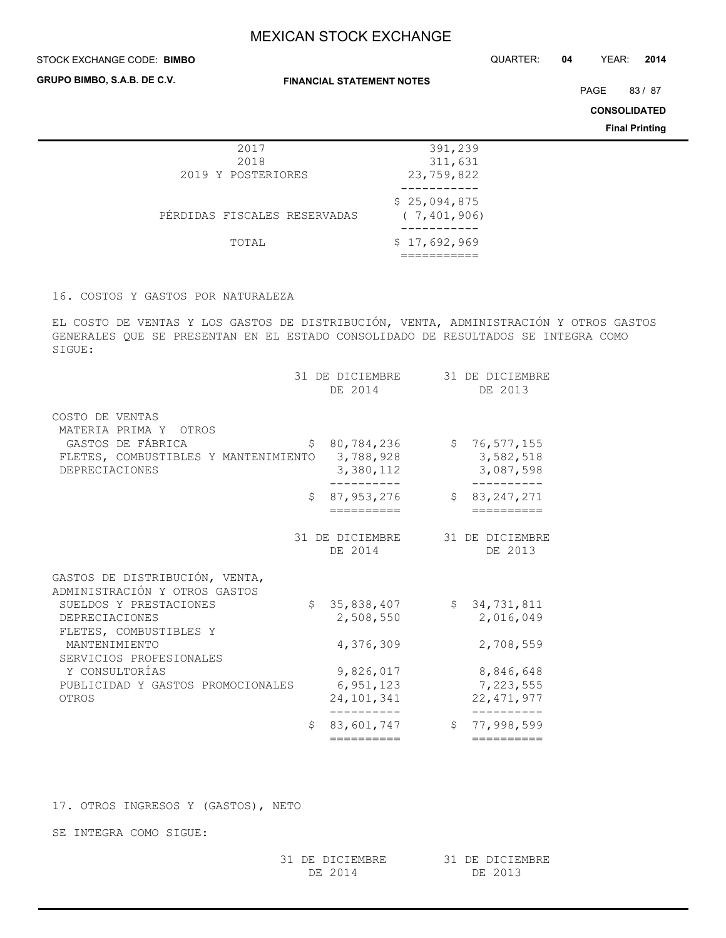#### STOCK EXCHANGE CODE: QUARTER: **04** YEAR: **2014 BIMBO**

**GRUPO BIMBO, S.A.B. DE C.V.**

**FINANCIAL STATEMENT NOTES**

PAGE 83/87

**CONSOLIDATED**

**Final Printing**

| 2017                         | 391,239                       |
|------------------------------|-------------------------------|
| 2018                         | 311,631                       |
| 2019 Y POSTERIORES           | 23,759,822                    |
|                              |                               |
| PÉRDIDAS FISCALES RESERVADAS | \$25,094,875<br>(7, 401, 906) |
|                              |                               |
| TOTAL                        | \$17,692,969                  |
|                              |                               |

## 16. COSTOS Y GASTOS POR NATURALEZA

EL COSTO DE VENTAS Y LOS GASTOS DE DISTRIBUCIÓN, VENTA, ADMINISTRACIÓN Y OTROS GASTOS GENERALES QUE SE PRESENTAN EN EL ESTADO CONSOLIDADO DE RESULTADOS SE INTEGRA COMO SIGUE:

|                                                                    |    | 31 DE DICIEMBRE<br>DE 2014 | 31 DE DICIEMBRE<br>DE 2013       |
|--------------------------------------------------------------------|----|----------------------------|----------------------------------|
| COSTO DE VENTAS<br>MATERIA PRIMA Y OTROS<br>GASTOS DE FÁBRICA      | \$ | 80,784,236                 | \$76,577,155                     |
| FLETES, COMBUSTIBLES Y MANTENIMIENTO<br>DEPRECIACIONES             |    | 3,788,928<br>3,380,112     | 3,582,518<br>3,087,598           |
|                                                                    | Ŝ. | 87,953,276<br>==========   | \$<br>83, 247, 271<br>========== |
|                                                                    |    | 31 DE DICIEMBRE<br>DE 2014 | 31 DE DICIEMBRE<br>DE 2013       |
| GASTOS DE DISTRIBUCIÓN, VENTA,<br>ADMINISTRACIÓN Y OTROS GASTOS    |    |                            |                                  |
| SUELDOS Y PRESTACIONES<br>DEPRECIACIONES<br>FLETES, COMBUSTIBLES Y | Ŝ. | 35,838,407<br>2,508,550    | \$34,731,811<br>2,016,049        |
| MANTENIMIENTO<br>SERVICIOS PROFESIONALES                           |    | 4,376,309                  | 2,708,559                        |
| Y CONSULTORÍAS                                                     |    | 9,826,017                  | 8,846,648                        |
| PUBLICIDAD Y GASTOS PROMOCIONALES                                  |    | 6, 951, 123                | 7,223,555                        |
| OTROS                                                              |    | 24, 101, 341               | 22, 471, 977                     |
|                                                                    | Ŝ. | 83,601,747                 | \$<br>77,998,599                 |
|                                                                    |    | ==========                 | ==========                       |

17. OTROS INGRESOS Y (GASTOS), NETO

SE INTEGRA COMO SIGUE:

| 31 DE DICIEMBRE | 31 DE DICIEMBRE |
|-----------------|-----------------|
| DE 2014         | DE 2013         |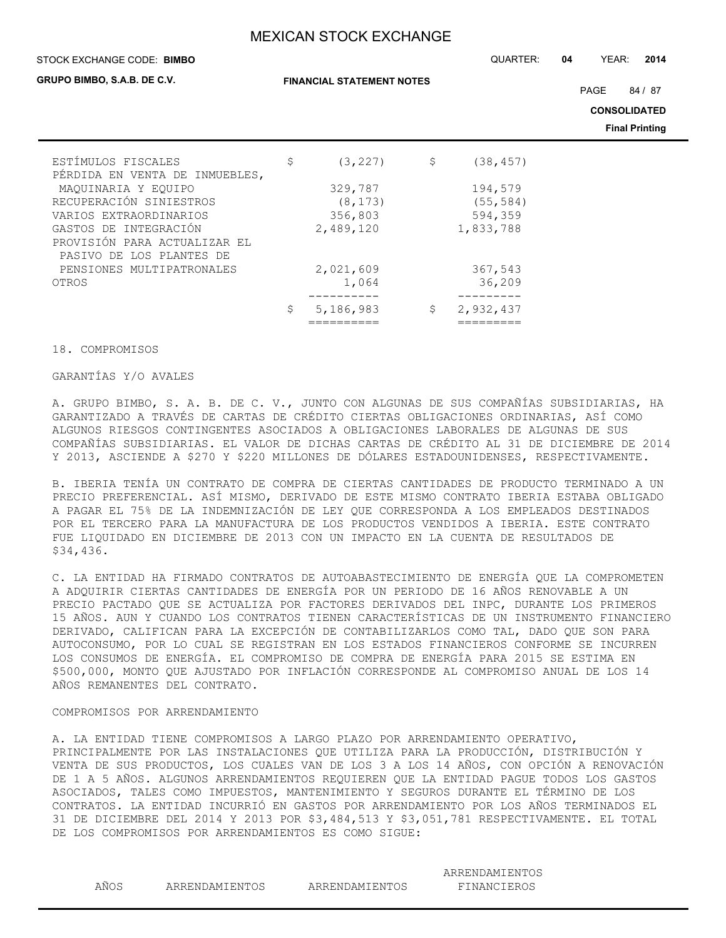#### STOCK EXCHANGE CODE: QUARTER: **04** YEAR: **2014 BIMBO**

**GRUPO BIMBO, S.A.B. DE C.V.**

**FINANCIAL STATEMENT NOTES**

PAGE 84 / 87

**CONSOLIDATED**

**Final Printing**

| ESTÍMULOS FISCALES             | \$<br>(3, 227)  | \$<br>(38, 457) |
|--------------------------------|-----------------|-----------------|
| PÉRDIDA EN VENTA DE INMUEBLES, |                 |                 |
| MAQUINARIA Y EQUIPO            | 329,787         | 194,579         |
| RECUPERACIÓN SINIESTROS        | (8, 173)        | (55, 584)       |
| VARIOS EXTRAORDINARIOS         | 356,803         | 594,359         |
| GASTOS DE INTEGRACIÓN          | 2,489,120       | 1,833,788       |
| PROVISIÓN PARA ACTUALIZAR EL   |                 |                 |
| PASIVO DE LOS PLANTES DE       |                 |                 |
| PENSIONES MULTIPATRONALES      | 2,021,609       | 367,543         |
| OTROS                          | 1,064           | 36,209          |
|                                |                 |                 |
|                                | \$<br>5,186,983 | \$<br>2,932,437 |
|                                |                 |                 |

#### 18. COMPROMISOS

## GARANTÍAS Y/O AVALES

A. GRUPO BIMBO, S. A. B. DE C. V., JUNTO CON ALGUNAS DE SUS COMPAÑÍAS SUBSIDIARIAS, HA GARANTIZADO A TRAVÉS DE CARTAS DE CRÉDITO CIERTAS OBLIGACIONES ORDINARIAS, ASÍ COMO ALGUNOS RIESGOS CONTINGENTES ASOCIADOS A OBLIGACIONES LABORALES DE ALGUNAS DE SUS COMPAÑÍAS SUBSIDIARIAS. EL VALOR DE DICHAS CARTAS DE CRÉDITO AL 31 DE DICIEMBRE DE 2014 Y 2013, ASCIENDE A \$270 Y \$220 MILLONES DE DÓLARES ESTADOUNIDENSES, RESPECTIVAMENTE.

B. IBERIA TENÍA UN CONTRATO DE COMPRA DE CIERTAS CANTIDADES DE PRODUCTO TERMINADO A UN PRECIO PREFERENCIAL. ASÍ MISMO, DERIVADO DE ESTE MISMO CONTRATO IBERIA ESTABA OBLIGADO A PAGAR EL 75% DE LA INDEMNIZACIÓN DE LEY QUE CORRESPONDA A LOS EMPLEADOS DESTINADOS POR EL TERCERO PARA LA MANUFACTURA DE LOS PRODUCTOS VENDIDOS A IBERIA. ESTE CONTRATO FUE LIQUIDADO EN DICIEMBRE DE 2013 CON UN IMPACTO EN LA CUENTA DE RESULTADOS DE \$34,436.

C. LA ENTIDAD HA FIRMADO CONTRATOS DE AUTOABASTECIMIENTO DE ENERGÍA QUE LA COMPROMETEN A ADQUIRIR CIERTAS CANTIDADES DE ENERGÍA POR UN PERIODO DE 16 AÑOS RENOVABLE A UN PRECIO PACTADO QUE SE ACTUALIZA POR FACTORES DERIVADOS DEL INPC, DURANTE LOS PRIMEROS 15 AÑOS. AUN Y CUANDO LOS CONTRATOS TIENEN CARACTERÍSTICAS DE UN INSTRUMENTO FINANCIERO DERIVADO, CALIFICAN PARA LA EXCEPCIÓN DE CONTABILIZARLOS COMO TAL, DADO QUE SON PARA AUTOCONSUMO, POR LO CUAL SE REGISTRAN EN LOS ESTADOS FINANCIEROS CONFORME SE INCURREN LOS CONSUMOS DE ENERGÍA. EL COMPROMISO DE COMPRA DE ENERGÍA PARA 2015 SE ESTIMA EN \$500,000, MONTO QUE AJUSTADO POR INFLACIÓN CORRESPONDE AL COMPROMISO ANUAL DE LOS 14 AÑOS REMANENTES DEL CONTRATO.

#### COMPROMISOS POR ARRENDAMIENTO

A. LA ENTIDAD TIENE COMPROMISOS A LARGO PLAZO POR ARRENDAMIENTO OPERATIVO, PRINCIPALMENTE POR LAS INSTALACIONES QUE UTILIZA PARA LA PRODUCCIÓN, DISTRIBUCIÓN Y VENTA DE SUS PRODUCTOS, LOS CUALES VAN DE LOS 3 A LOS 14 AÑOS, CON OPCIÓN A RENOVACIÓN DE 1 A 5 AÑOS. ALGUNOS ARRENDAMIENTOS REQUIEREN QUE LA ENTIDAD PAGUE TODOS LOS GASTOS ASOCIADOS, TALES COMO IMPUESTOS, MANTENIMIENTO Y SEGUROS DURANTE EL TÉRMINO DE LOS CONTRATOS. LA ENTIDAD INCURRIÓ EN GASTOS POR ARRENDAMIENTO POR LOS AÑOS TERMINADOS EL 31 DE DICIEMBRE DEL 2014 Y 2013 POR \$3,484,513 Y \$3,051,781 RESPECTIVAMENTE. EL TOTAL DE LOS COMPROMISOS POR ARRENDAMIENTOS ES COMO SIGUE:

ARRENDAMIENTOS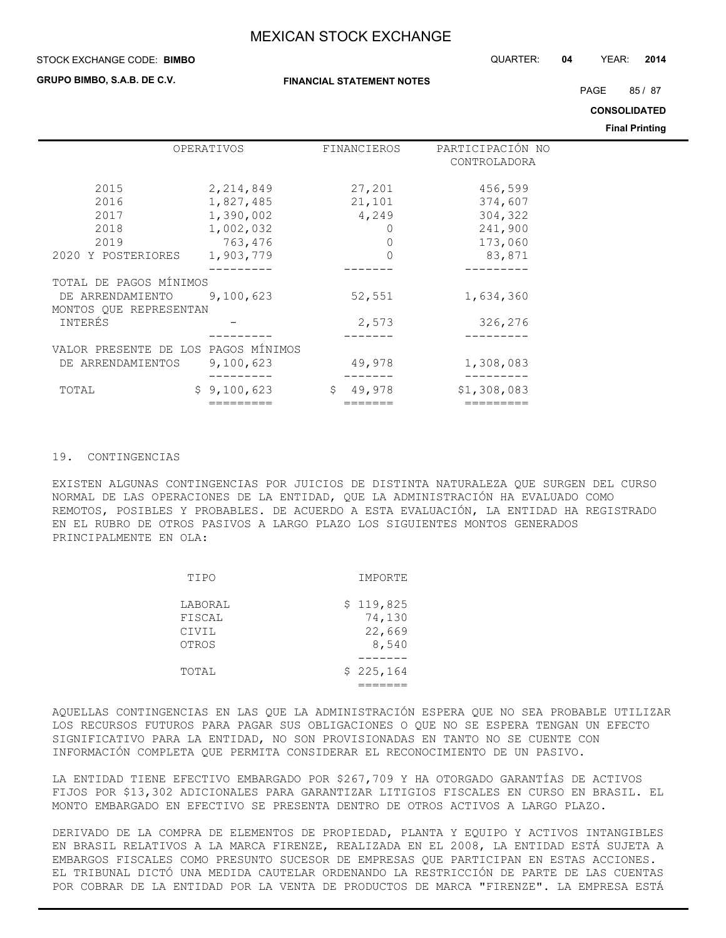#### STOCK EXCHANGE CODE: QUARTER: **04** YEAR: **2014 BIMBO**

**GRUPO BIMBO, S.A.B. DE C.V.**

PAGE 85 / 87

**CONSOLIDATED**

**Final Printing**

|                                     | OPERATIVOS  | FINANCIEROS | PARTICIPACIÓN NO |  |
|-------------------------------------|-------------|-------------|------------------|--|
|                                     |             |             | CONTROLADORA     |  |
|                                     |             |             |                  |  |
| 2015                                | 2,214,849   | 27,201      | 456,599          |  |
| 2016                                | 1,827,485   | 21,101      | 374,607          |  |
| 2017                                | 1,390,002   | 4,249       | 304,322          |  |
| 2018                                | 1,002,032   |             | 241,900          |  |
| 2019                                | 763,476     | 0           | 173,060          |  |
| 2020 Y POSTERIORES                  | 1,903,779   |             | 83,871           |  |
|                                     |             |             |                  |  |
| TOTAL DE PAGOS MÍNIMOS              |             |             |                  |  |
| DE ARRENDAMIENTO                    | 9,100,623   | 52,551      | 1,634,360        |  |
| MONTOS QUE REPRESENTAN              |             |             |                  |  |
| INTERÉS                             |             | 2,573       | 326,276          |  |
|                                     |             |             |                  |  |
| VALOR PRESENTE DE LOS PAGOS MÍNIMOS |             |             |                  |  |
| DE ARRENDAMIENTOS                   | 9,100,623   | 49,978      | 1,308,083        |  |
|                                     |             |             |                  |  |
| TOTAL                               | \$9,100,623 | \$49,978    | \$1,308,083      |  |
|                                     |             | =====       |                  |  |

## 19. CONTINGENCIAS

EXISTEN ALGUNAS CONTINGENCIAS POR JUICIOS DE DISTINTA NATURALEZA QUE SURGEN DEL CURSO NORMAL DE LAS OPERACIONES DE LA ENTIDAD, QUE LA ADMINISTRACIÓN HA EVALUADO COMO REMOTOS, POSIBLES Y PROBABLES. DE ACUERDO A ESTA EVALUACIÓN, LA ENTIDAD HA REGISTRADO EN EL RUBRO DE OTROS PASIVOS A LARGO PLAZO LOS SIGUIENTES MONTOS GENERADOS PRINCIPALMENTE EN OLA:

| TIPO                                | IMPORTE                                |
|-------------------------------------|----------------------------------------|
| LABORAL<br>FISCAL<br>CIVIL<br>OTROS | \$119,825<br>74,130<br>22,669<br>8,540 |
| TOTAL                               | \$225,164                              |

AQUELLAS CONTINGENCIAS EN LAS QUE LA ADMINISTRACIÓN ESPERA QUE NO SEA PROBABLE UTILIZAR LOS RECURSOS FUTUROS PARA PAGAR SUS OBLIGACIONES O QUE NO SE ESPERA TENGAN UN EFECTO SIGNIFICATIVO PARA LA ENTIDAD, NO SON PROVISIONADAS EN TANTO NO SE CUENTE CON INFORMACIÓN COMPLETA QUE PERMITA CONSIDERAR EL RECONOCIMIENTO DE UN PASIVO.

LA ENTIDAD TIENE EFECTIVO EMBARGADO POR \$267,709 Y HA OTORGADO GARANTÍAS DE ACTIVOS FIJOS POR \$13,302 ADICIONALES PARA GARANTIZAR LITIGIOS FISCALES EN CURSO EN BRASIL. EL MONTO EMBARGADO EN EFECTIVO SE PRESENTA DENTRO DE OTROS ACTIVOS A LARGO PLAZO.

DERIVADO DE LA COMPRA DE ELEMENTOS DE PROPIEDAD, PLANTA Y EQUIPO Y ACTIVOS INTANGIBLES EN BRASIL RELATIVOS A LA MARCA FIRENZE, REALIZADA EN EL 2008, LA ENTIDAD ESTÁ SUJETA A EMBARGOS FISCALES COMO PRESUNTO SUCESOR DE EMPRESAS QUE PARTICIPAN EN ESTAS ACCIONES. EL TRIBUNAL DICTÓ UNA MEDIDA CAUTELAR ORDENANDO LA RESTRICCIÓN DE PARTE DE LAS CUENTAS POR COBRAR DE LA ENTIDAD POR LA VENTA DE PRODUCTOS DE MARCA "FIRENZE". LA EMPRESA ESTÁ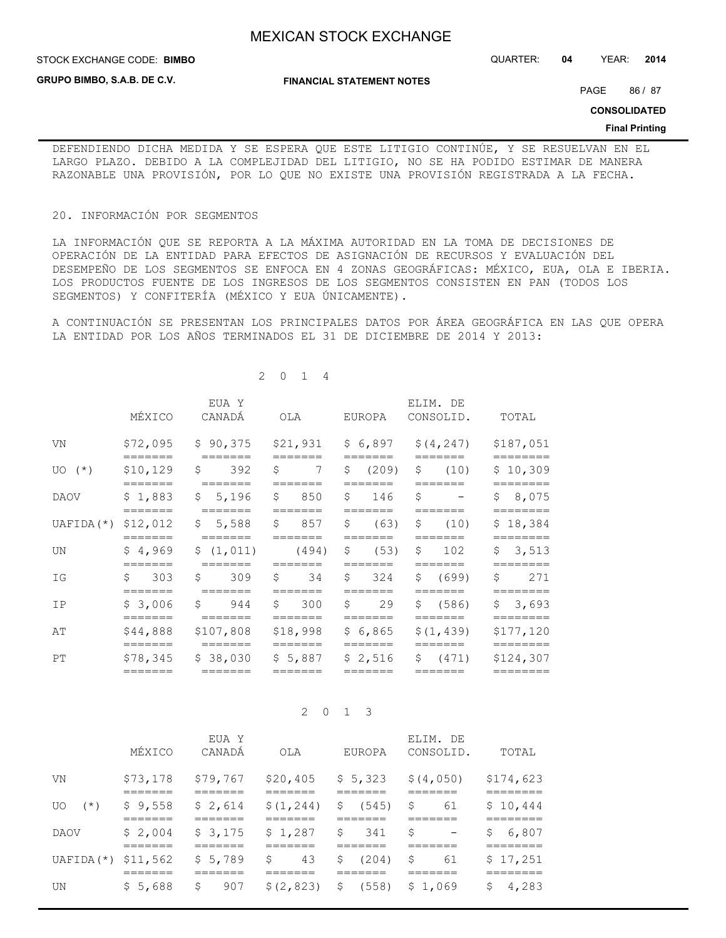**STOCK EXCHANGE CODE: BIMBO** 

**GRUPO BIMBO, S.A.B. DE C.V.**

**FINANCIAL STATEMENT NOTES**

STOCK EXCHANGE CODE: QUARTER: **04** YEAR: **2014**

PAGE 86 / 87

**CONSOLIDATED**

#### **Final Printing**

DEFENDIENDO DICHA MEDIDA Y SE ESPERA QUE ESTE LITIGIO CONTINÚE, Y SE RESUELVAN EN EL LARGO PLAZO. DEBIDO A LA COMPLEJIDAD DEL LITIGIO, NO SE HA PODIDO ESTIMAR DE MANERA RAZONABLE UNA PROVISIÓN, POR LO QUE NO EXISTE UNA PROVISIÓN REGISTRADA A LA FECHA.

#### 20. INFORMACIÓN POR SEGMENTOS

LA INFORMACIÓN QUE SE REPORTA A LA MÁXIMA AUTORIDAD EN LA TOMA DE DECISIONES DE OPERACIÓN DE LA ENTIDAD PARA EFECTOS DE ASIGNACIÓN DE RECURSOS Y EVALUACIÓN DEL DESEMPEÑO DE LOS SEGMENTOS SE ENFOCA EN 4 ZONAS GEOGRÁFICAS: MÉXICO, EUA, OLA E IBERIA. LOS PRODUCTOS FUENTE DE LOS INGRESOS DE LOS SEGMENTOS CONSISTEN EN PAN (TODOS LOS SEGMENTOS) Y CONFITERÍA (MÉXICO Y EUA ÚNICAMENTE).

A CONTINUACIÓN SE PRESENTAN LOS PRINCIPALES DATOS POR ÁREA GEOGRÁFICA EN LAS QUE OPERA LA ENTIDAD POR LOS AÑOS TERMINADOS EL 31 DE DICIEMBRE DE 2014 Y 2013:

|             | MÉXICO                             | EUA Y<br>CANADÁ                                        | OLA                                                | EUROPA                  | ELIM. DE<br>CONSOLID.                                                                  | TOTAL                             |
|-------------|------------------------------------|--------------------------------------------------------|----------------------------------------------------|-------------------------|----------------------------------------------------------------------------------------|-----------------------------------|
| VN          |                                    |                                                        |                                                    |                         | $$72,095$ $$90,375$ $$21,931$ $$6,897$ $$(4,247)$                                      | \$187,051                         |
| $UO(*)$     | =======                            | $$10,129$ \$ 392 \$                                    | =======<br>$\overline{7}$                          | =======                 | $=$ $=$ $=$ $=$ $=$ $=$<br>$\frac{1}{2}$ (209) $\frac{1}{2}$ (10)                      | \$10,309                          |
| DAOV        | $=$ $=$ $=$ $=$ $=$ $=$            | $=$ $=$ $=$ $=$ $=$ $=$<br>$$1,883$ $$5,196$ $$850$    |                                                    | =======<br>$$146$ \$    | and the state of the state of the                                                      | =========<br>\$8,075              |
|             | =======                            |                                                        |                                                    | =======                 | $=$ $=$ $=$ $=$ $=$ $=$ $=$<br>UAFIDA(*) $$12,012$ $$5,588$ $$857$ $$(63)$ $$(10)$     | ========<br>\$18,384              |
| UN          | =======                            | $=$ $=$ $=$ $=$ $=$ $=$<br>$$4,969$ $$(1,011)$ $(494)$ | $=$ $=$ $=$ $=$ $=$ $=$                            | =======                 | $=$ $=$ $=$ $=$ $=$ $=$<br>$$ 63)$ \$ 102                                              | \$3,513                           |
| IG          | \$303                              | $=$ $=$ $=$ $=$ $=$ $=$<br>$$309$ \$ 34                | =======                                            | $=$ $=$ $=$ $=$ $=$ $=$ | $=$ $=$ $=$ $=$ $=$ $=$<br>$$324$ $$699$                                               | $=$ = = = = = = =<br>\$271        |
| IP          | $=$ $=$ $=$ $=$ $=$ $=$            | $$3,006$ $$944$ $$300$                                 |                                                    | =======                 | $=$ $=$ $=$ $=$ $=$ $=$ $=$<br>$$29$ \$ (586)                                          | ========<br>\$3,693               |
| AΤ          |                                    |                                                        |                                                    | =======                 | $$44,888$ $$107,808$ $$18,998$ $$6,865$ $$(1,439)$                                     | ========<br>\$177,120             |
| $_{\rm PT}$ | $=$ $=$ $=$ $=$ $=$ $=$<br>======= | $=$ $=$ $=$ $=$ $=$ $=$<br>$=$ $=$ $=$ $=$ $=$ $=$     | $=$ $=$ $=$ $=$ $=$ $=$<br>$=$ $=$ $=$ $=$ $=$ $=$ | =======<br>=======      | $=======$<br>$$78,345$ $$38,030$ $$5,887$ $$2,516$ $$(471)$<br>$=$ $=$ $=$ $=$ $=$ $=$ | ========<br>\$124,307<br>======== |
|             |                                    |                                                        |                                                    |                         |                                                                                        |                                   |

2 0 1 4

## 2 0 1 3

|                      | MÉXICO            | EUA Y<br>CANADÁ   | OLA                  | <b>EUROPA</b>        | ELIM. DE<br>CONSOLID.   | TOTAL                   |
|----------------------|-------------------|-------------------|----------------------|----------------------|-------------------------|-------------------------|
| VN                   | \$73,178          | \$79,767          | \$20,405             | \$5,323              | \$(4,050)               | \$174,623               |
| $(\star)$<br>U0      | ------<br>\$9,558 | ------<br>\$2,614 | ------<br>\$(1, 244) | _____<br>S.<br>(545) | ------<br>\$<br>61      | -------<br>\$10,444     |
| DAOV                 | \$2,004           | ------<br>\$3,175 | _____<br>\$1,287     | _____<br>\$<br>341   | \$<br>$\qquad \qquad -$ | -------<br>6,807<br>\$. |
| $UAFIDA(*)$ \$11,562 |                   | \$5,789           | \$<br>43             | S<br>(204)           | \$<br>61                | \$17,251                |
| UN                   | ------<br>\$5,688 | \$<br>907         | \$(2,823)            | \$ (558)             | \$1,069                 | -------<br>4,283<br>Ş.  |
|                      |                   |                   |                      |                      |                         |                         |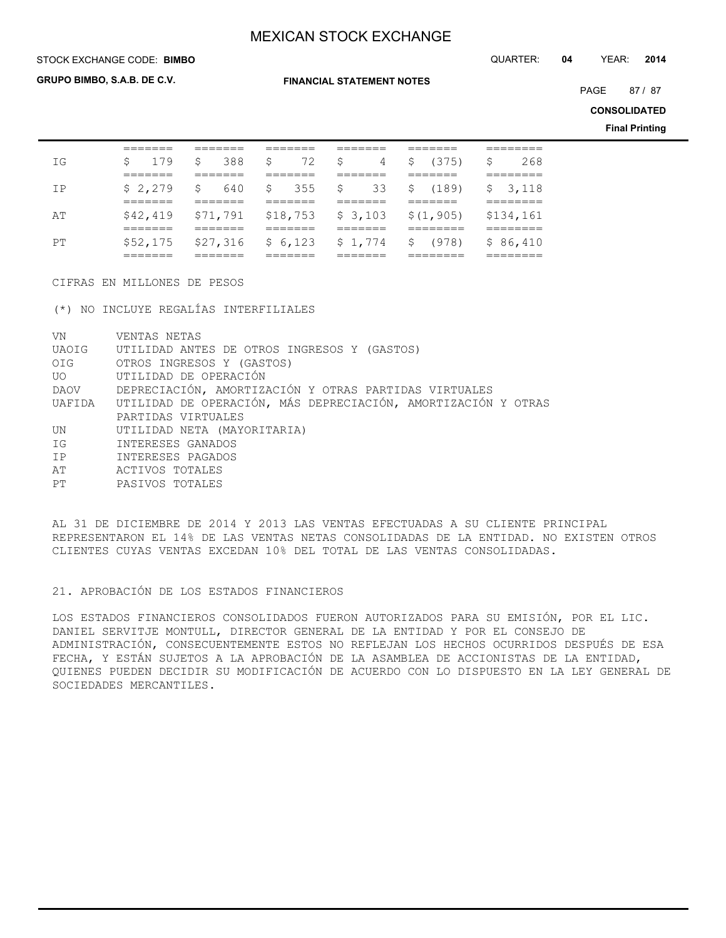STOCK EXCHANGE CODE: QUARTER: **04** YEAR: **2014 BIMBO**

**GRUPO BIMBO, S.A.B. DE C.V.**

**FINANCIAL STATEMENT NOTES**

PAGE 87 / 87

**CONSOLIDATED**

**Final Printing**

|     | _______<br>_______ | _______<br>_______  | _______<br>_______ | _______<br>_______ | _______<br>_______             | . — — — — — — —<br>--------- |
|-----|--------------------|---------------------|--------------------|--------------------|--------------------------------|------------------------------|
| T G | \$179              | \$ 388              |                    |                    | S 72 S 4 S (375) S             | 268                          |
|     | =======            | ====---             | _______            | ====---            | ====---                        | -------<br>________          |
| TP  | \$2.279            | \$640               |                    |                    | \$ 355 \$ 33 \$ (189) \$ 3,118 |                              |
|     | ______<br>________ | _______<br>________ | ------<br>________ | _____<br>________  | _______<br>________            | _______<br>________          |
| ΆT  | \$42.419           | \$71,791            | \$18,753           | \$3,103            | \$(1, 905)                     | \$134,161                    |
|     | _______<br>_______ | _______<br>_______  | _______<br>_______ | _______<br>_______ | ________<br>________           | ________<br>________         |
| PТ  |                    | $$52,175$ $$27,316$ | \$6.123            | \$1,774            | \$ (978)                       | \$86,410                     |
|     | _______<br>_______ | _______<br>_______  | _______<br>_______ | _______<br>_______ | ________<br>________           | ________<br>________         |

CIFRAS EN MILLONES DE PESOS

(\*) NO INCLUYE REGALÍAS INTERFILIALES

| VN    | VENTAS NETAS                                                         |
|-------|----------------------------------------------------------------------|
|       | UAOIG UTILIDAD ANTES DE OTROS INGRESOS Y (GASTOS)                    |
| OIG   | OTROS INGRESOS Y (GASTOS)                                            |
| UO OU | UTILIDAD DE OPERACIÓN                                                |
| DAOV  | DEPRECIACIÓN, AMORTIZACIÓN Y OTRAS PARTIDAS VIRTUALES                |
|       | UAFIDA UTILIDAD DE OPERACIÓN, MÁS DEPRECIACIÓN, AMORTIZACIÓN Y OTRAS |
|       | PARTIDAS VIRTUALES                                                   |
| UN.   | UTILIDAD NETA (MAYORITARIA)                                          |
| IG    | INTERESES GANADOS                                                    |
| IP    | INTERESES PAGADOS                                                    |
| AT    | ACTIVOS TOTALES                                                      |
| PТ    | PASIVOS TOTALES                                                      |
|       |                                                                      |

AL 31 DE DICIEMBRE DE 2014 Y 2013 LAS VENTAS EFECTUADAS A SU CLIENTE PRINCIPAL REPRESENTARON EL 14% DE LAS VENTAS NETAS CONSOLIDADAS DE LA ENTIDAD. NO EXISTEN OTROS CLIENTES CUYAS VENTAS EXCEDAN 10% DEL TOTAL DE LAS VENTAS CONSOLIDADAS.

## 21. APROBACIÓN DE LOS ESTADOS FINANCIEROS

LOS ESTADOS FINANCIEROS CONSOLIDADOS FUERON AUTORIZADOS PARA SU EMISIÓN, POR EL LIC. DANIEL SERVITJE MONTULL, DIRECTOR GENERAL DE LA ENTIDAD Y POR EL CONSEJO DE ADMINISTRACIÓN, CONSECUENTEMENTE ESTOS NO REFLEJAN LOS HECHOS OCURRIDOS DESPUÉS DE ESA FECHA, Y ESTÁN SUJETOS A LA APROBACIÓN DE LA ASAMBLEA DE ACCIONISTAS DE LA ENTIDAD, QUIENES PUEDEN DECIDIR SU MODIFICACIÓN DE ACUERDO CON LO DISPUESTO EN LA LEY GENERAL DE SOCIEDADES MERCANTILES.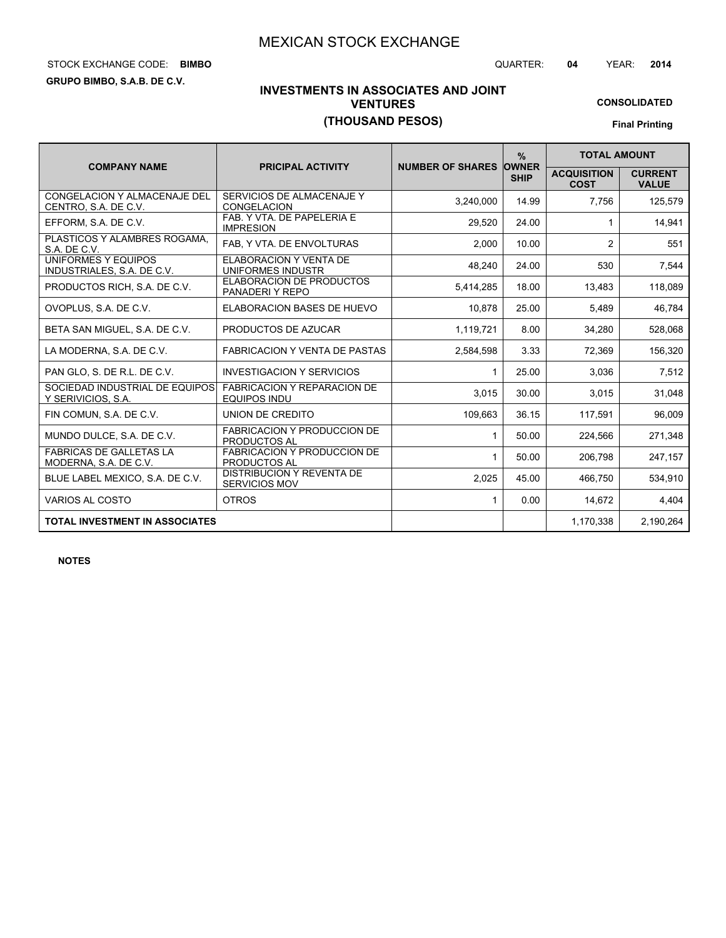# STOCK EXCHANGE CODE: QUARTER: **04** YEAR: **2014 BIMBO**

**GRUPO BIMBO, S.A.B. DE C.V.**

# **INVESTMENTS IN ASSOCIATES AND JOINT VENTURES (THOUSAND PESOS)**

# **CONSOLIDATED**

**Final Printing**

|                                                         |                                                           |                               | $\frac{9}{6}$ | <b>TOTAL AMOUNT</b>               |                                |  |
|---------------------------------------------------------|-----------------------------------------------------------|-------------------------------|---------------|-----------------------------------|--------------------------------|--|
| <b>COMPANY NAME</b>                                     | <b>PRICIPAL ACTIVITY</b>                                  | <b>NUMBER OF SHARES OWNER</b> | <b>SHIP</b>   | <b>ACQUISITION</b><br><b>COST</b> | <b>CURRENT</b><br><b>VALUE</b> |  |
| CONGELACION Y ALMACENAJE DEL<br>CENTRO, S.A. DE C.V.    | SERVICIOS DE ALMACENAJE Y<br><b>CONGELACION</b>           | 3,240,000                     | 14.99         | 7,756                             | 125,579                        |  |
| EFFORM, S.A. DE C.V.                                    | FAB. Y VTA. DE PAPELERIA E<br><b>IMPRESION</b>            | 29,520                        | 24.00         |                                   | 14,941                         |  |
| PLASTICOS Y ALAMBRES ROGAMA.<br>S.A. DE C.V.            | FAB, Y VTA. DE ENVOLTURAS                                 | 2,000                         | 10.00         | 2                                 | 551                            |  |
| UNIFORMES Y EQUIPOS<br>INDUSTRIALES, S.A. DE C.V.       | <b>ELABORACION Y VENTA DE</b><br>UNIFORMES INDUSTR        | 48,240                        | 24.00         | 530                               | 7,544                          |  |
| PRODUCTOS RICH, S.A. DE C.V.                            | <b>ELABORACION DE PRODUCTOS</b><br>PANADERI Y REPO        | 5,414,285                     | 18.00         | 13,483                            | 118,089                        |  |
| OVOPLUS, S.A. DE C.V.                                   | <b>ELABORACION BASES DE HUEVO</b>                         | 10.878                        | 25.00         | 5,489                             | 46,784                         |  |
| BETA SAN MIGUEL, S.A. DE C.V.                           | PRODUCTOS DE AZUCAR                                       | 1,119,721                     | 8.00          | 34.280                            | 528,068                        |  |
| LA MODERNA, S.A. DE C.V.                                | <b>FABRICACION Y VENTA DE PASTAS</b>                      | 2,584,598                     | 3.33          | 72,369                            | 156,320                        |  |
| PAN GLO. S. DE R.L. DE C.V.                             | <b>INVESTIGACION Y SERVICIOS</b>                          | 1                             | 25.00         | 3,036                             | 7,512                          |  |
| SOCIEDAD INDUSTRIAL DE EQUIPOS<br>Y SERIVICIOS, S.A.    | <b>FABRICACION Y REPARACION DE</b><br><b>EQUIPOS INDU</b> | 3,015                         | 30.00         | 3,015                             | 31,048                         |  |
| FIN COMUN, S.A. DE C.V.                                 | UNION DE CREDITO                                          | 109,663                       | 36.15         | 117,591                           | 96,009                         |  |
| MUNDO DULCE, S.A. DE C.V.                               | <b>FABRICACION Y PRODUCCION DE</b><br><b>PRODUCTOS AL</b> | 1                             | 50.00         | 224,566                           | 271,348                        |  |
| <b>FABRICAS DE GALLETAS LA</b><br>MODERNA, S.A. DE C.V. | <b>FABRICACION Y PRODUCCION DE</b><br>PRODUCTOS AL        | 1                             | 50.00         | 206,798                           | 247,157                        |  |
| BLUE LABEL MEXICO, S.A. DE C.V.                         | <b>DISTRIBUCION Y REVENTA DE</b><br><b>SERVICIOS MOV</b>  | 2,025                         | 45.00         | 466.750                           | 534,910                        |  |
| <b>VARIOS AL COSTO</b>                                  | <b>OTROS</b>                                              | $\mathbf{1}$                  | 0.00          | 14,672                            | 4,404                          |  |
| <b>TOTAL INVESTMENT IN ASSOCIATES</b>                   |                                                           |                               |               | 1,170,338                         | 2,190,264                      |  |

**NOTES**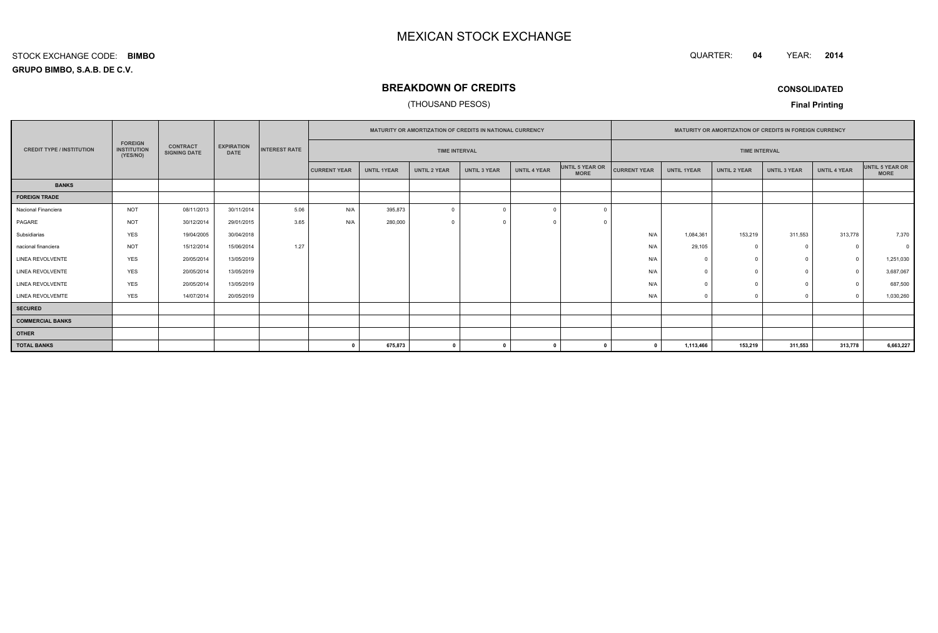QUARTER: **04**YEAR: **<sup>2014</sup>**

## **GRUPO BIMBO, S.A.B. DE C.V.**STOCK EXCHANGE CODE:**BIMBO**

# **BREAKDOWN OF CREDITS**

## (THOUSAND PESOS)

**CONSOLIDATED**

**Final Printing**

|                                  | <b>FOREIGN</b><br><b>INSTITUTION</b><br>(YES/NO) | <b>CONTRACT</b><br><b>SIGNING DATE</b> | <b>EXPIRATION</b><br><b>DATE</b> |      | <b>MATURITY OR AMORTIZATION OF CREDITS IN NATIONAL CURRENCY</b> |                      |                     |                     |                     |                                | <b>MATURITY OR AMORTIZATION OF CREDITS IN FOREIGN CURRENCY</b> |                    |                      |                     |                     |                                |
|----------------------------------|--------------------------------------------------|----------------------------------------|----------------------------------|------|-----------------------------------------------------------------|----------------------|---------------------|---------------------|---------------------|--------------------------------|----------------------------------------------------------------|--------------------|----------------------|---------------------|---------------------|--------------------------------|
| <b>CREDIT TYPE / INSTITUTION</b> |                                                  |                                        |                                  |      | <b>INTEREST RATE</b>                                            | <b>TIME INTERVAL</b> |                     |                     |                     |                                |                                                                |                    | <b>TIME INTERVAL</b> |                     |                     |                                |
|                                  |                                                  |                                        |                                  |      | <b>CURRENT YEAR</b>                                             | <b>UNTIL 1YEAR</b>   | <b>UNTIL 2 YEAR</b> | <b>UNTIL 3 YEAR</b> | <b>UNTIL 4 YEAR</b> | UNTIL 5 YEAR OR<br><b>MORE</b> | <b>CURRENT YEAR</b>                                            | <b>UNTIL 1YEAR</b> | UNTIL 2 YEAR         | <b>UNTIL 3 YEAR</b> | <b>UNTIL 4 YEAR</b> | UNTIL 5 YEAR OR<br><b>MORE</b> |
| <b>BANKS</b>                     |                                                  |                                        |                                  |      |                                                                 |                      |                     |                     |                     |                                |                                                                |                    |                      |                     |                     |                                |
| <b>FOREIGN TRADE</b>             |                                                  |                                        |                                  |      |                                                                 |                      |                     |                     |                     |                                |                                                                |                    |                      |                     |                     |                                |
| Nacional Financiera              | <b>NOT</b>                                       | 08/11/2013                             | 30/11/2014                       | 5.06 | N/A                                                             | 395,873              | $\Omega$            |                     | $\Omega$            | $\sqrt{ }$                     |                                                                |                    |                      |                     |                     |                                |
| PAGARE                           | <b>NOT</b>                                       | 30/12/2014                             | 29/01/2015                       | 3.65 | N/A                                                             | 280,000              | $\Omega$            |                     | $\Omega$            | $\Omega$                       |                                                                |                    |                      |                     |                     |                                |
| Subsidiarias                     | <b>YES</b>                                       | 19/04/2005                             | 30/04/2018                       |      |                                                                 |                      |                     |                     |                     |                                | N/A                                                            | 1,084,361          | 153,219              | 311,553             | 313,778             | 7,370                          |
| nacional financiera              | <b>NOT</b>                                       | 15/12/2014                             | 15/06/2014                       | 1.27 |                                                                 |                      |                     |                     |                     |                                | N/A                                                            | 29,105             |                      | $^{\circ}$          | $\Omega$            | $\Omega$                       |
| <b>LINEA REVOLVENTE</b>          | <b>YES</b>                                       | 20/05/2014                             | 13/05/2019                       |      |                                                                 |                      |                     |                     |                     |                                | N/A                                                            |                    |                      | $\mathbf{0}$        | $\Omega$            | 1,251,030                      |
| LINEA REVOLVENTE                 | <b>YES</b>                                       | 20/05/2014                             | 13/05/2019                       |      |                                                                 |                      |                     |                     |                     |                                | N/A                                                            |                    |                      | $\Omega$            | $\Omega$            | 3,687,067                      |
| <b>LINEA REVOLVENTE</b>          | <b>YES</b>                                       | 20/05/2014                             | 13/05/2019                       |      |                                                                 |                      |                     |                     |                     |                                | N/A                                                            |                    |                      | $\Omega$            |                     | 687,500                        |
| LINEA REVOLVEMTE                 | <b>YES</b>                                       | 14/07/2014                             | 20/05/2019                       |      |                                                                 |                      |                     |                     |                     |                                | N/A                                                            |                    |                      | $\Omega$            |                     | 1,030,260                      |
| <b>SECURED</b>                   |                                                  |                                        |                                  |      |                                                                 |                      |                     |                     |                     |                                |                                                                |                    |                      |                     |                     |                                |
| <b>COMMERCIAL BANKS</b>          |                                                  |                                        |                                  |      |                                                                 |                      |                     |                     |                     |                                |                                                                |                    |                      |                     |                     |                                |
| <b>OTHER</b>                     |                                                  |                                        |                                  |      |                                                                 |                      |                     |                     |                     |                                |                                                                |                    |                      |                     |                     |                                |
| <b>TOTAL BANKS</b>               |                                                  |                                        |                                  |      | n                                                               | 675,873              | $\mathbf{0}$        |                     | $\mathbf{0}$        |                                |                                                                | 1,113,466          | 153,219              | 311,553             | 313,778             | 6,663,227                      |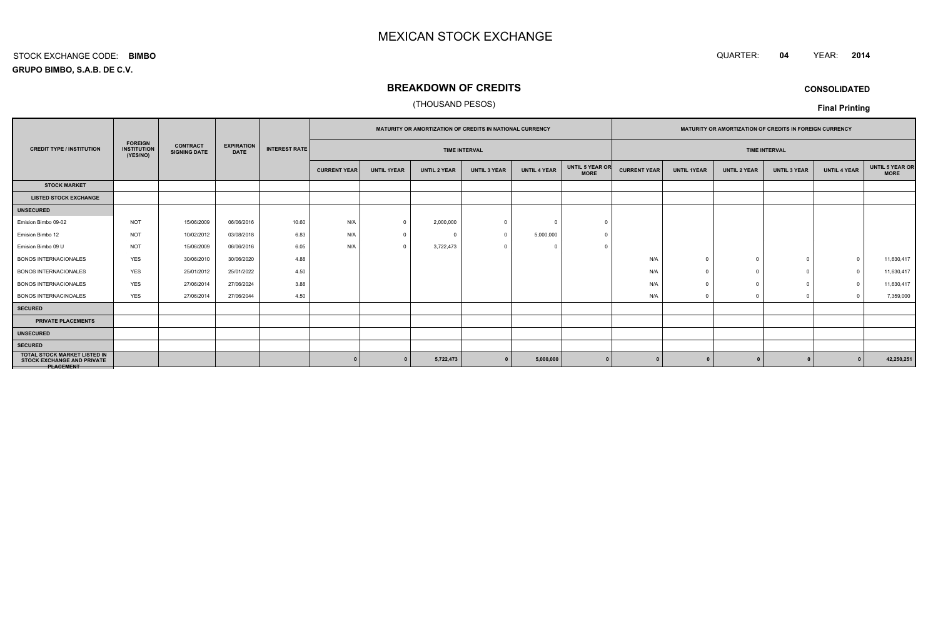#### QUARTER: **<sup>04</sup>**QUARTER: 04 YEAR: 2014

**GRUPO BIMBO, S.A.B. DE C.V.**STOCK EXCHANGE CODE:**BIMBO**

# **BREAKDOWN OF CREDITS**

## (THOUSAND PESOS)

**CONSOLIDATED**

## **Final Printing**

|                                                                                       | <b>FOREIGN</b><br><b>INSTITUTION</b><br>(YES/NO) | <b>CONTRACT</b><br><b>SIGNING DATE</b> | <b>EXPIRATION</b><br><b>DATE</b> | <b>INTEREST RATE</b> | MATURITY OR AMORTIZATION OF CREDITS IN NATIONAL CURRENCY |                    |                     |                     |                     |                                | MATURITY OR AMORTIZATION OF CREDITS IN FOREIGN CURRENCY |                    |                     |                     |                     |                                |
|---------------------------------------------------------------------------------------|--------------------------------------------------|----------------------------------------|----------------------------------|----------------------|----------------------------------------------------------|--------------------|---------------------|---------------------|---------------------|--------------------------------|---------------------------------------------------------|--------------------|---------------------|---------------------|---------------------|--------------------------------|
| <b>CREDIT TYPE / INSTITUTION</b>                                                      |                                                  |                                        |                                  |                      | <b>TIME INTERVAL</b>                                     |                    |                     |                     |                     |                                | <b>TIME INTERVAL</b>                                    |                    |                     |                     |                     |                                |
|                                                                                       |                                                  |                                        |                                  |                      | <b>CURRENT YEAR</b>                                      | <b>UNTIL 1YEAR</b> | <b>UNTIL 2 YEAR</b> | <b>UNTIL 3 YEAR</b> | <b>UNTIL 4 YEAR</b> | UNTIL 5 YEAR OR<br><b>MORE</b> | <b>CURRENT YEAR</b>                                     | <b>UNTIL 1YEAR</b> | <b>UNTIL 2 YEAR</b> | <b>UNTIL 3 YEAR</b> | <b>UNTIL 4 YEAR</b> | UNTIL 5 YEAR OR<br><b>MORE</b> |
| <b>STOCK MARKET</b>                                                                   |                                                  |                                        |                                  |                      |                                                          |                    |                     |                     |                     |                                |                                                         |                    |                     |                     |                     |                                |
| <b>LISTED STOCK EXCHANGE</b>                                                          |                                                  |                                        |                                  |                      |                                                          |                    |                     |                     |                     |                                |                                                         |                    |                     |                     |                     |                                |
| <b>UNSECURED</b>                                                                      |                                                  |                                        |                                  |                      |                                                          |                    |                     |                     |                     |                                |                                                         |                    |                     |                     |                     |                                |
| Emision Bimbo 09-02                                                                   | <b>NOT</b>                                       | 15/06/2009                             | 06/06/2016                       | 10.60                | N/A                                                      |                    | 2,000,000           |                     |                     |                                |                                                         |                    |                     |                     |                     |                                |
| Emision Bimbo 12                                                                      | <b>NOT</b>                                       | 10/02/2012                             | 03/08/2018                       | 6.83                 | N/A                                                      | $\Omega$           | $\Omega$            |                     | 5,000,000           |                                |                                                         |                    |                     |                     |                     |                                |
| Emision Bimbo 09 U                                                                    | <b>NOT</b>                                       | 15/06/2009                             | 06/06/2016                       | 6.05                 | N/A                                                      |                    | 3,722,473           |                     |                     |                                |                                                         |                    |                     |                     |                     |                                |
| <b>BONOS INTERNACIONALES</b>                                                          | <b>YES</b>                                       | 30/06/2010                             | 30/06/2020                       | 4.88                 |                                                          |                    |                     |                     |                     |                                | N/A                                                     | $\Omega$           |                     |                     | $\bigcap$           | 11,630,417                     |
| <b>BONOS INTERNACIONALES</b>                                                          | <b>YES</b>                                       | 25/01/2012                             | 25/01/2022                       | 4.50                 |                                                          |                    |                     |                     |                     |                                | N/A                                                     | $\Omega$           |                     | $\Omega$            | $\overline{0}$      | 11,630,417                     |
| <b>BONOS INTERNACIONALES</b>                                                          | <b>YES</b>                                       | 27/06/2014                             | 27/06/2024                       | 3.88                 |                                                          |                    |                     |                     |                     |                                | N/A                                                     |                    |                     |                     | $\Omega$            | 11,630,417                     |
| <b>BONOS INTERNACINOALES</b>                                                          | <b>YES</b>                                       | 27/06/2014                             | 27/06/2044                       | 4.50                 |                                                          |                    |                     |                     |                     |                                | N/A                                                     | $\sqrt{2}$         | $\Omega$            | $\Omega$            | $\bigcap$           | 7,359,000                      |
| <b>SECURED</b>                                                                        |                                                  |                                        |                                  |                      |                                                          |                    |                     |                     |                     |                                |                                                         |                    |                     |                     |                     |                                |
| <b>PRIVATE PLACEMENTS</b>                                                             |                                                  |                                        |                                  |                      |                                                          |                    |                     |                     |                     |                                |                                                         |                    |                     |                     |                     |                                |
| <b>UNSECURED</b>                                                                      |                                                  |                                        |                                  |                      |                                                          |                    |                     |                     |                     |                                |                                                         |                    |                     |                     |                     |                                |
| <b>SECURED</b>                                                                        |                                                  |                                        |                                  |                      |                                                          |                    |                     |                     |                     |                                |                                                         |                    |                     |                     |                     |                                |
| <b>TOTAL STOCK MARKET LISTED IN</b><br><b>STOCK EXCHANGE AND PRIVATE</b><br>PLAGEMENT |                                                  |                                        |                                  |                      |                                                          |                    | 5,722,473           |                     | 5,000,000           |                                |                                                         |                    |                     |                     |                     | 42,250,251                     |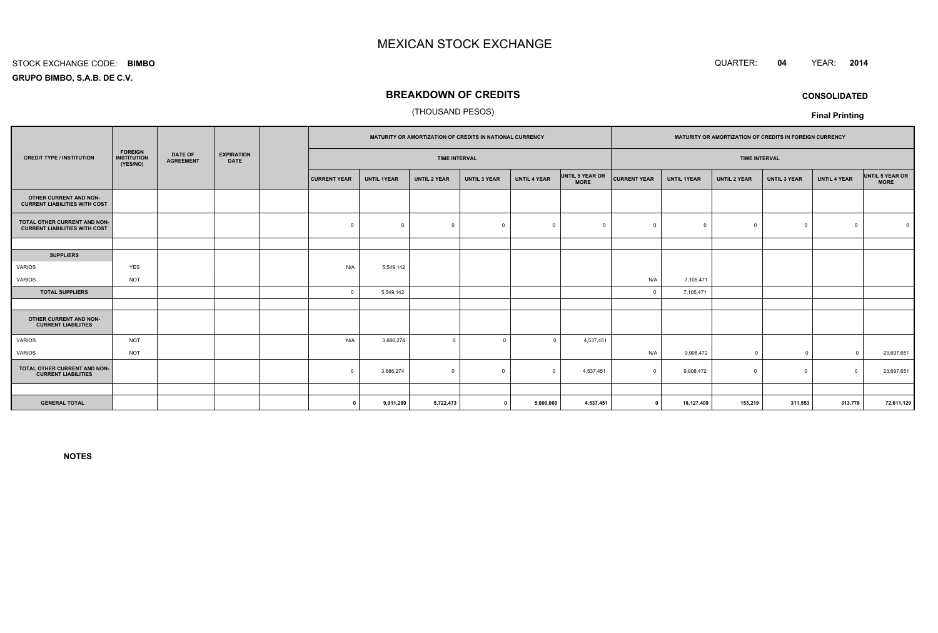#### STOCK EXCHANGE CODE:**BIMBO**

**GRUPO BIMBO, S.A.B. DE C.V.**

## **BREAKDOWN OF CREDITS**

## (THOUSAND PESOS)

|                                                                      | <b>FOREIGN</b><br><b>INSTITUTION</b><br>(YES/NO) | <b>DATE OF</b><br><b>AGREEMENT</b> | <b>EXPIRATION</b><br><b>DATE</b> |  | MATURITY OR AMORTIZATION OF CREDITS IN NATIONAL CURRENCY |                    |                     |                     |                     | MATURITY OR AMORTIZATION OF CREDITS IN FOREIGN CURRENCY |                      |                    |                     |                |                     |                                |
|----------------------------------------------------------------------|--------------------------------------------------|------------------------------------|----------------------------------|--|----------------------------------------------------------|--------------------|---------------------|---------------------|---------------------|---------------------------------------------------------|----------------------|--------------------|---------------------|----------------|---------------------|--------------------------------|
| <b>CREDIT TYPE / INSTITUTION</b>                                     |                                                  |                                    |                                  |  | <b>TIME INTERVAL</b>                                     |                    |                     |                     |                     |                                                         | <b>TIME INTERVAL</b> |                    |                     |                |                     |                                |
|                                                                      |                                                  |                                    |                                  |  | <b>CURRENT YEAR</b>                                      | <b>UNTIL 1YEAR</b> | <b>UNTIL 2 YEAR</b> | <b>UNTIL 3 YEAR</b> | <b>UNTIL 4 YEAR</b> | UNTIL 5 YEAR OR<br><b>MORE</b>                          | <b>CURRENT YEAR</b>  | <b>UNTIL 1YEAR</b> | <b>UNTIL 2 YEAR</b> | UNTIL 3 YEAR   | <b>UNTIL 4 YEAR</b> | UNTIL 5 YEAR OR<br><b>MORE</b> |
| OTHER CURRENT AND NON-<br><b>CURRENT LIABILITIES WITH COST</b>       |                                                  |                                    |                                  |  |                                                          |                    |                     |                     |                     |                                                         |                      |                    |                     |                |                     |                                |
| TOTAL OTHER CURRENT AND NON-<br><b>CURRENT LIABILITIES WITH COST</b> |                                                  |                                    |                                  |  | $\mathbf 0$                                              | $\Omega$           | $\Omega$            | $\overline{0}$      | $\Omega$            | $\Omega$                                                |                      | $^{\circ}$         | $\Omega$            | $^{\circ}$     | $\Omega$            |                                |
|                                                                      |                                                  |                                    |                                  |  |                                                          |                    |                     |                     |                     |                                                         |                      |                    |                     |                |                     |                                |
| <b>SUPPLIERS</b>                                                     |                                                  |                                    |                                  |  |                                                          |                    |                     |                     |                     |                                                         |                      |                    |                     |                |                     |                                |
| VARIOS                                                               | <b>YES</b>                                       |                                    |                                  |  | N/A                                                      | 5,549,142          |                     |                     |                     |                                                         |                      |                    |                     |                |                     |                                |
| VARIOS                                                               | <b>NOT</b>                                       |                                    |                                  |  |                                                          |                    |                     |                     |                     |                                                         | N/A                  | 7,105,471          |                     |                |                     |                                |
| <b>TOTAL SUPPLIERS</b>                                               |                                                  |                                    |                                  |  | $\mathbf 0$                                              | 5,549,142          |                     |                     |                     |                                                         | $\Omega$             | 7,105,471          |                     |                |                     |                                |
|                                                                      |                                                  |                                    |                                  |  |                                                          |                    |                     |                     |                     |                                                         |                      |                    |                     |                |                     |                                |
| OTHER CURRENT AND NON-<br><b>CURRENT LIABILITIES</b>                 |                                                  |                                    |                                  |  |                                                          |                    |                     |                     |                     |                                                         |                      |                    |                     |                |                     |                                |
| <b>VARIOS</b>                                                        | <b>NOT</b>                                       |                                    |                                  |  | N/A                                                      | 3,686,274          | $\mathbf 0$         | $\Omega$            | $\Omega$            | 4,537,451                                               |                      |                    |                     |                |                     |                                |
| VARIOS                                                               | <b>NOT</b>                                       |                                    |                                  |  |                                                          |                    |                     |                     |                     |                                                         | N/A                  | 9,908,472          | $\Omega$            | $\overline{0}$ | $\Omega$            | 23,697,651                     |
| TOTAL OTHER CURRENT AND NON-<br><b>CURRENT LIABILITIES</b>           |                                                  |                                    |                                  |  | $\Omega$                                                 | 3,686,274          | $\Omega$            | $\Omega$            | $\Omega$            | 4,537,451                                               | $\Omega$             | 9,908,472          | $\Omega$            | $^{\circ}$     | $\Omega$            | 23,697,651                     |
|                                                                      |                                                  |                                    |                                  |  |                                                          |                    |                     |                     |                     |                                                         |                      |                    |                     |                |                     |                                |
| <b>GENERAL TOTAL</b>                                                 |                                                  |                                    |                                  |  | $\Omega$                                                 | 9,911,289          | 5,722,473           |                     | 5,000,000           | 4,537,451                                               | $\mathbf 0$          | 18,127,409         | 153,219             | 311,553        | 313,778             | 72,611,129                     |

**NOTES**



**CONSOLIDATED**

**Final Printing**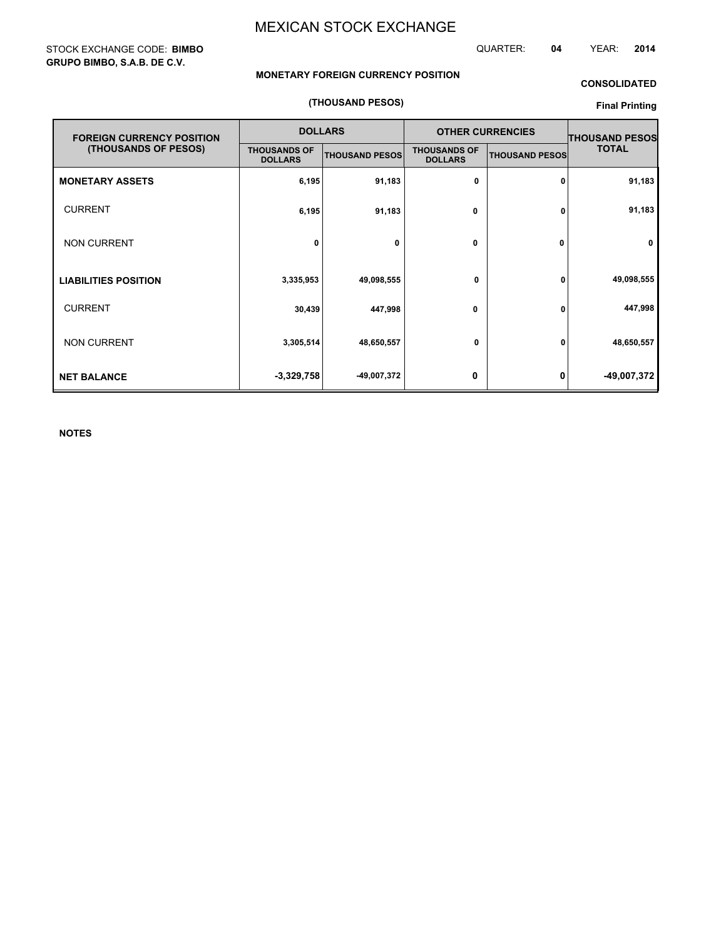## STOCK EXCHANGE CODE: **BIMBO GRUPO BIMBO, S.A.B. DE C.V.**

## QUARTER: **04** YEAR: **2014**

## **MONETARY FOREIGN CURRENCY POSITION**

# **CONSOLIDATED**

## **(THOUSAND PESOS)**

## **Final Printing**

| <b>FOREIGN CURRENCY POSITION</b> |                                       | <b>DOLLARS</b>        | <b>OTHER CURRENCIES</b>               | <b>THOUSAND PESOS</b> |              |  |
|----------------------------------|---------------------------------------|-----------------------|---------------------------------------|-----------------------|--------------|--|
| (THOUSANDS OF PESOS)             | <b>THOUSANDS OF</b><br><b>DOLLARS</b> | <b>THOUSAND PESOS</b> | <b>THOUSANDS OF</b><br><b>DOLLARS</b> | <b>THOUSAND PESOS</b> | <b>TOTAL</b> |  |
| <b>MONETARY ASSETS</b>           | 6,195                                 | 91,183                | 0                                     | 0                     | 91,183       |  |
| <b>CURRENT</b>                   | 6,195                                 | 91,183                | 0                                     | 0                     | 91,183       |  |
| <b>NON CURRENT</b>               | 0                                     | 0                     | 0                                     | 0                     | 0            |  |
| <b>LIABILITIES POSITION</b>      | 3,335,953                             | 49,098,555            | 0                                     | 0                     | 49,098,555   |  |
| <b>CURRENT</b>                   | 30,439                                | 447,998               | 0                                     | 0                     | 447,998      |  |
| <b>NON CURRENT</b>               | 3,305,514                             | 48,650,557            | 0                                     | 0                     | 48,650,557   |  |
| <b>NET BALANCE</b>               | $-3,329,758$                          | -49,007,372           | 0                                     | 0                     | -49,007,372  |  |

**NOTES**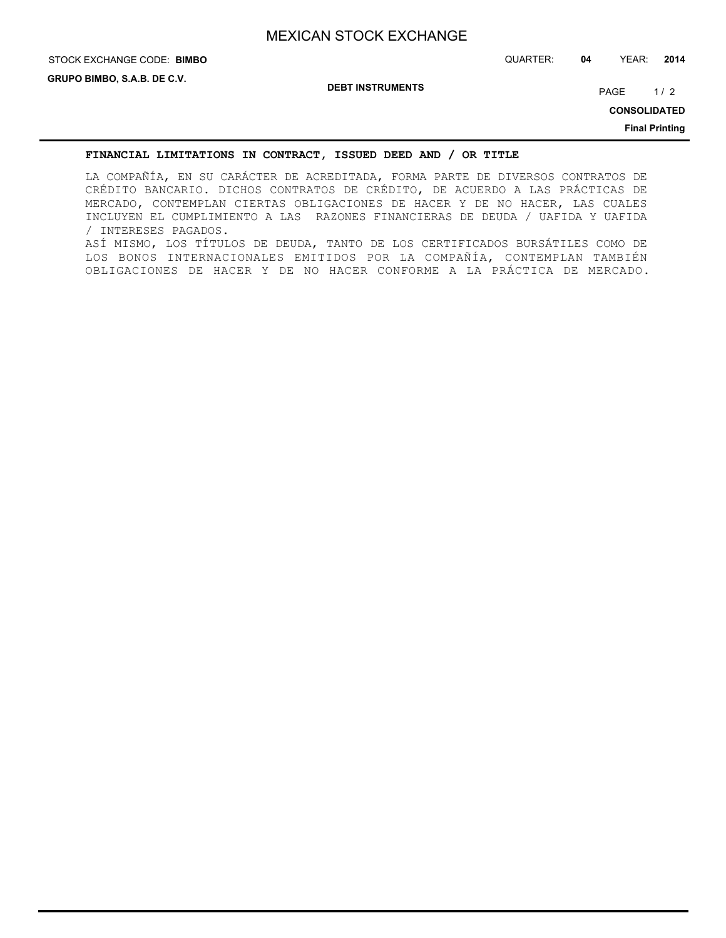# **STOCK EXCHANGE CODE: BIMBO**

**DEBT INSTRUMENTS**

PAGE 1/2

**CONSOLIDATED**

**Final Printing**

## **FINANCIAL LIMITATIONS IN CONTRACT, ISSUED DEED AND / OR TITLE**

LA COMPAÑÍA, EN SU CARÁCTER DE ACREDITADA, FORMA PARTE DE DIVERSOS CONTRATOS DE CRÉDITO BANCARIO. DICHOS CONTRATOS DE CRÉDITO, DE ACUERDO A LAS PRÁCTICAS DE MERCADO, CONTEMPLAN CIERTAS OBLIGACIONES DE HACER Y DE NO HACER, LAS CUALES INCLUYEN EL CUMPLIMIENTO A LAS RAZONES FINANCIERAS DE DEUDA / UAFIDA Y UAFIDA / INTERESES PAGADOS. ASÍ MISMO, LOS TÍTULOS DE DEUDA, TANTO DE LOS CERTIFICADOS BURSÁTILES COMO DE LOS BONOS INTERNACIONALES EMITIDOS POR LA COMPAÑÍA, CONTEMPLAN TAMBIÉN OBLIGACIONES DE HACER Y DE NO HACER CONFORME A LA PRÁCTICA DE MERCADO.

STOCK EXCHANGE CODE: QUARTER: **04** YEAR: **2014**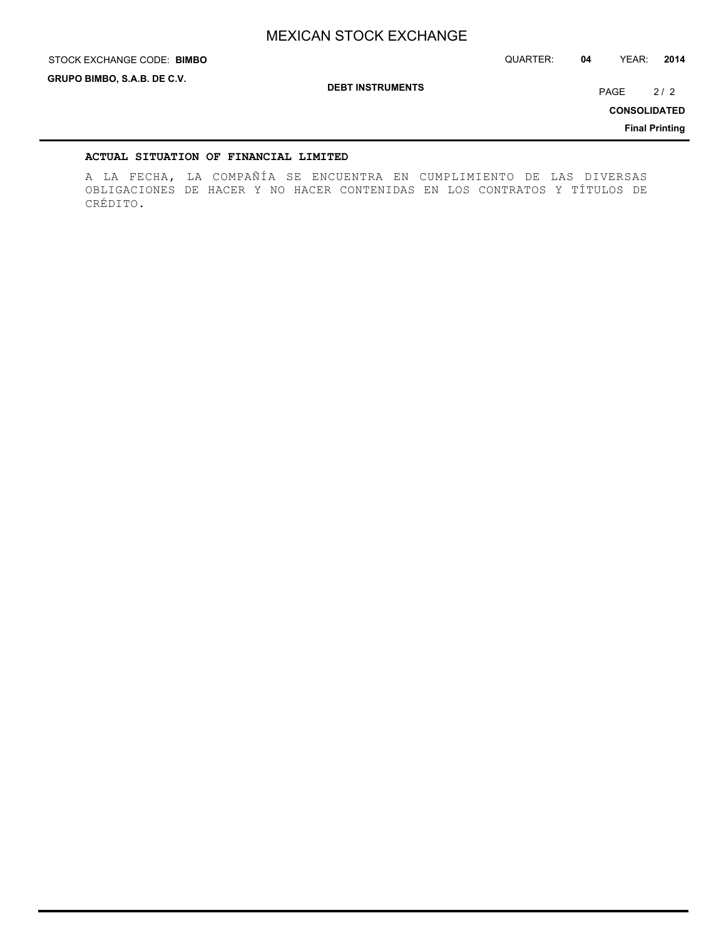STOCK EXCHANGE CODE: QUARTER: **04** YEAR: **2014**

**GRUPO BIMBO, S.A.B. DE C.V.**

**STOCK EXCHANGE CODE: BIMBO** 

**DEBT INSTRUMENTS**

PAGE 2/2

**CONSOLIDATED**

**Final Printing**

#### **ACTUAL SITUATION OF FINANCIAL LIMITED**

A LA FECHA, LA COMPAÑÍA SE ENCUENTRA EN CUMPLIMIENTO DE LAS DIVERSAS OBLIGACIONES DE HACER Y NO HACER CONTENIDAS EN LOS CONTRATOS Y TÍTULOS DE CRÉDITO.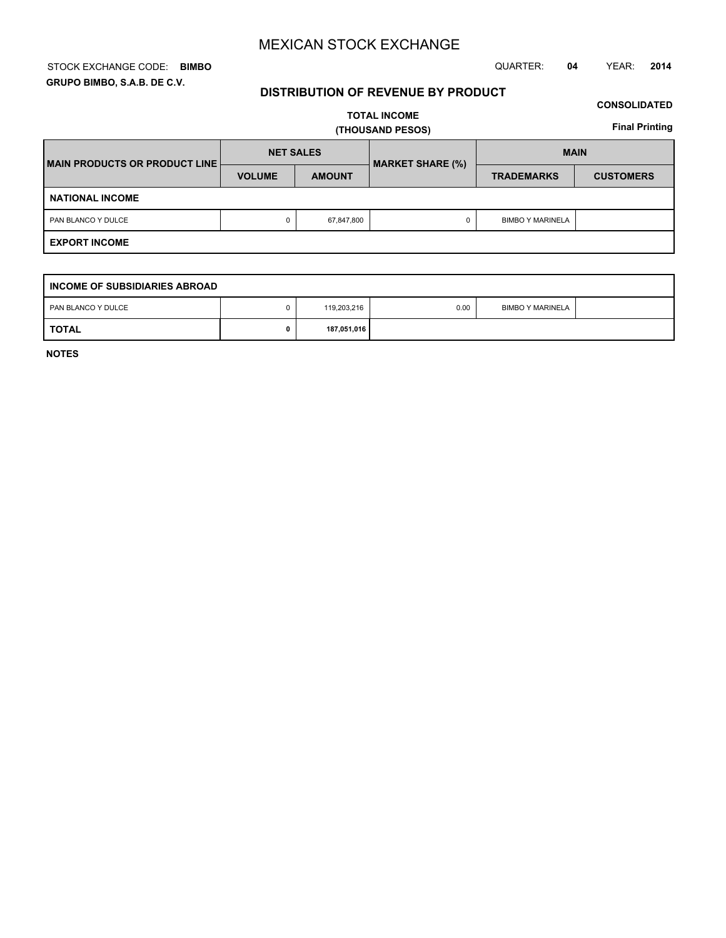#### STOCK EXCHANGE CODE: QUARTER: **04** YEAR: **2014 BIMBO GRUPO BIMBO, S.A.B. DE C.V.**

#### **DISTRIBUTION OF REVENUE BY PRODUCT**

#### **CONSOLIDATED**

**TOTAL INCOME (THOUSAND PESOS)**

**Final Printing**

| MAIN PRODUCTS OR PRODUCT LINE | <b>NET SALES</b> |               | <b>MARKET SHARE (%)</b> | <b>MAIN</b>             |                  |  |  |
|-------------------------------|------------------|---------------|-------------------------|-------------------------|------------------|--|--|
|                               | <b>VOLUME</b>    | <b>AMOUNT</b> |                         | <b>TRADEMARKS</b>       | <b>CUSTOMERS</b> |  |  |
| <b>NATIONAL INCOME</b>        |                  |               |                         |                         |                  |  |  |
| PAN BLANCO Y DULCE            | 0                | 67,847,800    |                         | <b>BIMBO Y MARINELA</b> |                  |  |  |
| <b>EXPORT INCOME</b>          |                  |               |                         |                         |                  |  |  |

| I INCOME OF SUBSIDIARIES ABROAD |  |             |      |                         |  |  |  |
|---------------------------------|--|-------------|------|-------------------------|--|--|--|
| PAN BLANCO Y DULCE              |  | 119,203,216 | 0.00 | <b>BIMBO Y MARINELA</b> |  |  |  |
| <b>TOTAL</b>                    |  | 187,051,016 |      |                         |  |  |  |

**NOTES**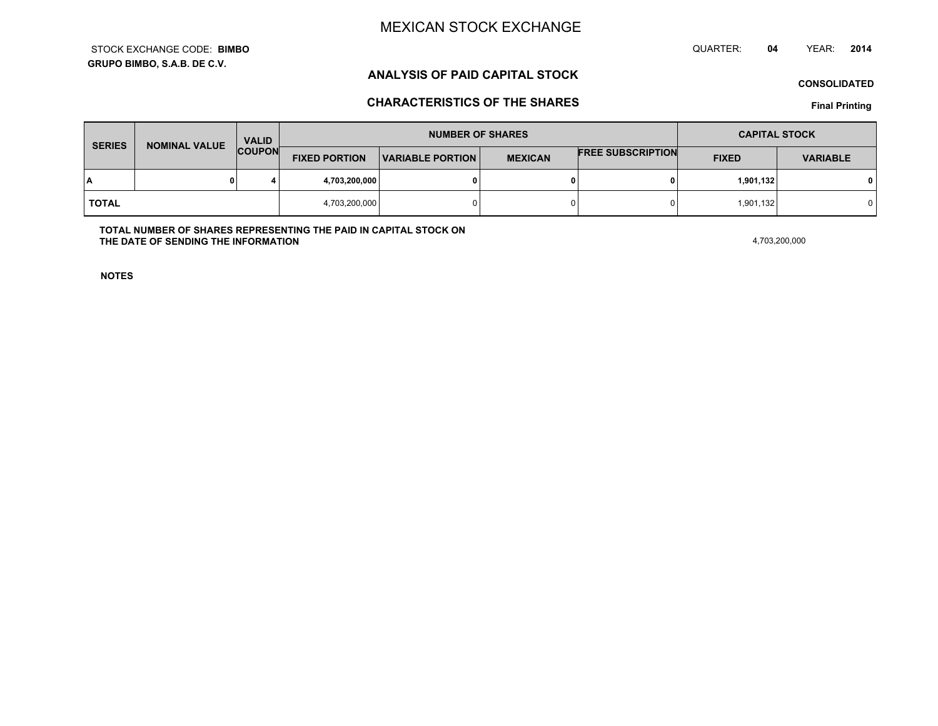**GRUPO BIMBO, S.A.B. DE C.V.**STOCK EXCHANGE CODE:**BIMBO** QUARTER: **04**YEAR: **<sup>2014</sup>**

### **ANALYSIS OF PAID CAPITAL STOCK**

**CONSOLIDATED**

### **CHARACTERISTICS OF THE SHARES**

**Final Printing**

| <b>SERIES</b> | <b>NOMINAL VALUE</b> | <b>VALID</b><br><b>COUPON</b> | <b>NUMBER OF SHARES</b> |                         |                |                          | <b>CAPITAL STOCK</b> |                 |
|---------------|----------------------|-------------------------------|-------------------------|-------------------------|----------------|--------------------------|----------------------|-----------------|
|               |                      |                               | <b>FIXED PORTION</b>    | <b>VARIABLE PORTION</b> | <b>MEXICAN</b> | <b>FREE SUBSCRIPTION</b> | <b>FIXED</b>         | <b>VARIABLE</b> |
| ١A            |                      |                               | 4,703,200,000           |                         | 0              |                          | 1,901,132            | 0 I             |
| <b>TOTAL</b>  |                      |                               | 4,703,200,000           |                         | 0              |                          | 1,901,132            |                 |

**TOTAL NUMBER OF SHARES REPRESENTING THE PAID IN CAPITAL STOCK ONTHE DATE OF SENDING THE INFORMATIONN** 4,703,200,000

**NOTES**